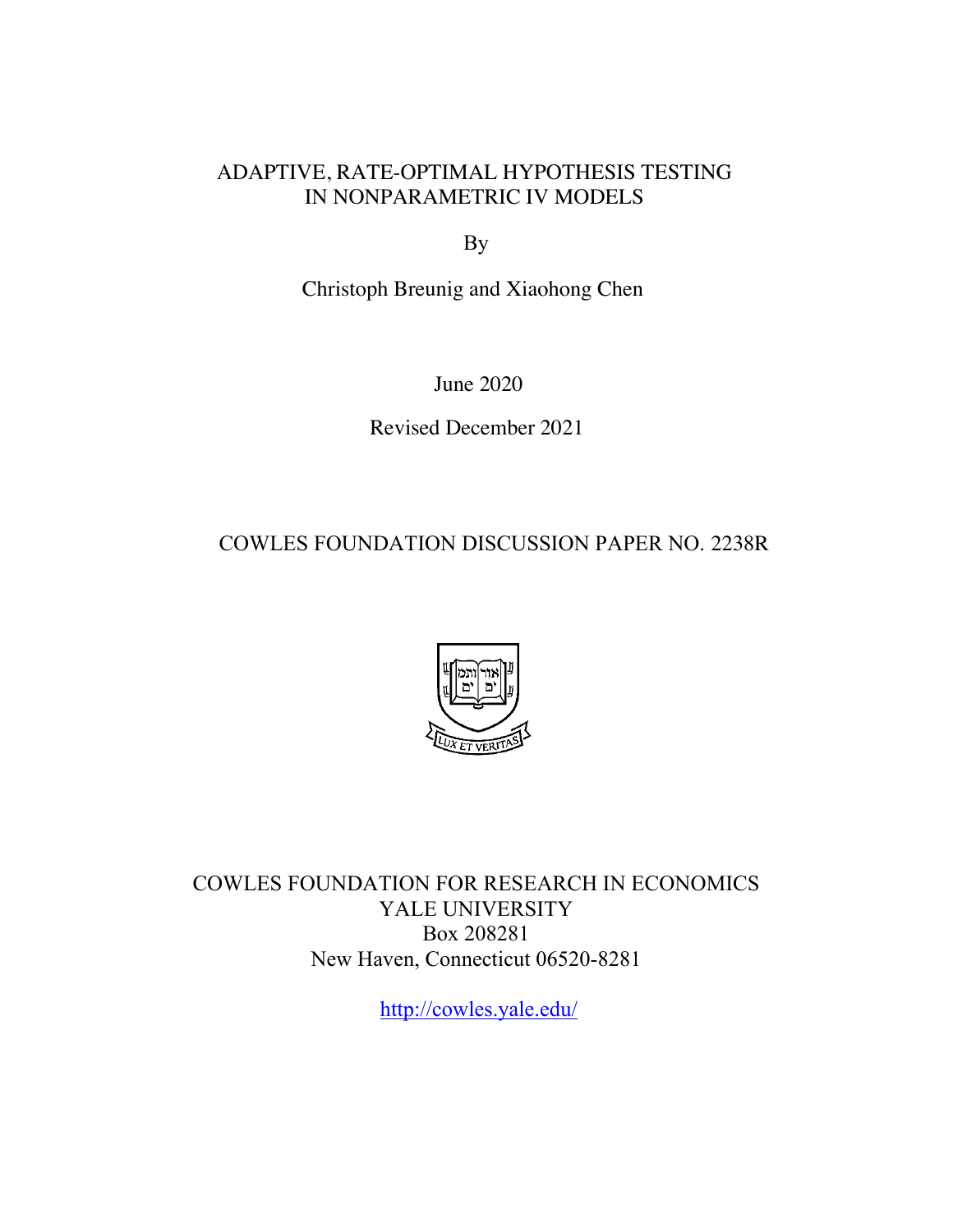### ADAPTIVE, RATE-OPTIMAL HYPOTHESIS TESTING IN NONPARAMETRIC IV MODELS

By

Christoph Breunig and Xiaohong Chen

June 2020

Revised December 2021

COWLES FOUNDATION DISCUSSION PAPER NO. 2238R



COWLES FOUNDATION FOR RESEARCH IN ECONOMICS YALE UNIVERSITY Box 208281 New Haven, Connecticut 06520-8281

<http://cowles.yale.edu>/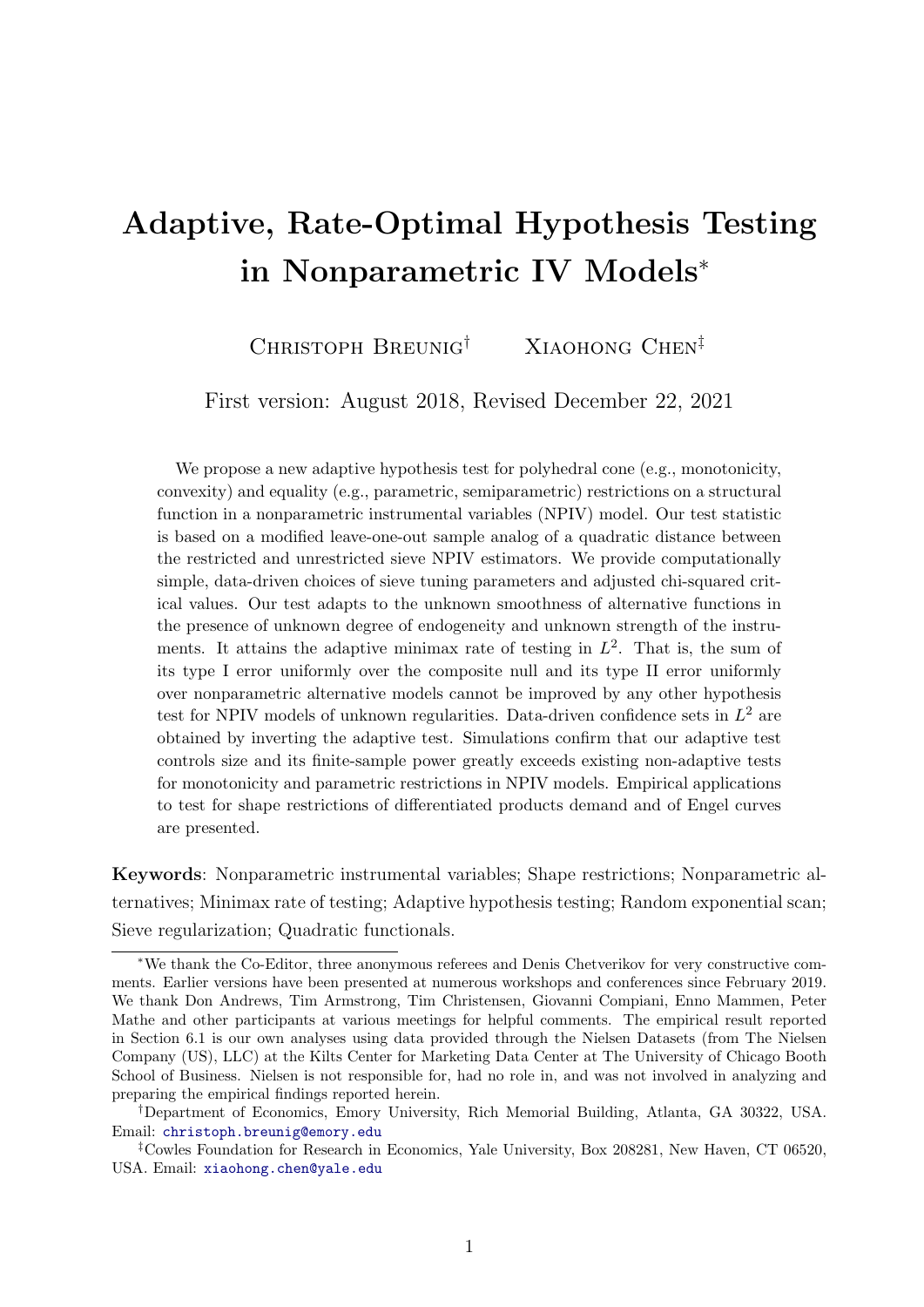# Adaptive, Rate-Optimal Hypothesis Testing in Nonparametric IV Models<sup>∗</sup>

CHRISTOPH BREUNIG<sup>†</sup> XIAOHONG CHEN<sup>‡</sup>

First version: August 2018, Revised December 22, 2021

We propose a new adaptive hypothesis test for polyhedral cone (e.g., monotonicity, convexity) and equality (e.g., parametric, semiparametric) restrictions on a structural function in a nonparametric instrumental variables (NPIV) model. Our test statistic is based on a modified leave-one-out sample analog of a quadratic distance between the restricted and unrestricted sieve NPIV estimators. We provide computationally simple, data-driven choices of sieve tuning parameters and adjusted chi-squared critical values. Our test adapts to the unknown smoothness of alternative functions in the presence of unknown degree of endogeneity and unknown strength of the instruments. It attains the adaptive minimax rate of testing in  $L^2$ . That is, the sum of its type I error uniformly over the composite null and its type II error uniformly over nonparametric alternative models cannot be improved by any other hypothesis test for NPIV models of unknown regularities. Data-driven confidence sets in  $L^2$  are obtained by inverting the adaptive test. Simulations confirm that our adaptive test controls size and its finite-sample power greatly exceeds existing non-adaptive tests for monotonicity and parametric restrictions in NPIV models. Empirical applications to test for shape restrictions of differentiated products demand and of Engel curves are presented.

Keywords: Nonparametric instrumental variables; Shape restrictions; Nonparametric alternatives; Minimax rate of testing; Adaptive hypothesis testing; Random exponential scan; Sieve regularization; Quadratic functionals.

<sup>∗</sup>We thank the Co-Editor, three anonymous referees and Denis Chetverikov for very constructive comments. Earlier versions have been presented at numerous workshops and conferences since February 2019. We thank Don Andrews, Tim Armstrong, Tim Christensen, Giovanni Compiani, Enno Mammen, Peter Mathe and other participants at various meetings for helpful comments. The empirical result reported in Section 6.1 is our own analyses using data provided through the Nielsen Datasets (from The Nielsen Company (US), LLC) at the Kilts Center for Marketing Data Center at The University of Chicago Booth School of Business. Nielsen is not responsible for, had no role in, and was not involved in analyzing and preparing the empirical findings reported herein.

<sup>†</sup>Department of Economics, Emory University, Rich Memorial Building, Atlanta, GA 30322, USA. Email: [christoph.breunig@emory.edu]( christoph.breunig@emory.edu)

<sup>‡</sup>Cowles Foundation for Research in Economics, Yale University, Box 208281, New Haven, CT 06520, USA. Email: <xiaohong.chen@yale.edu>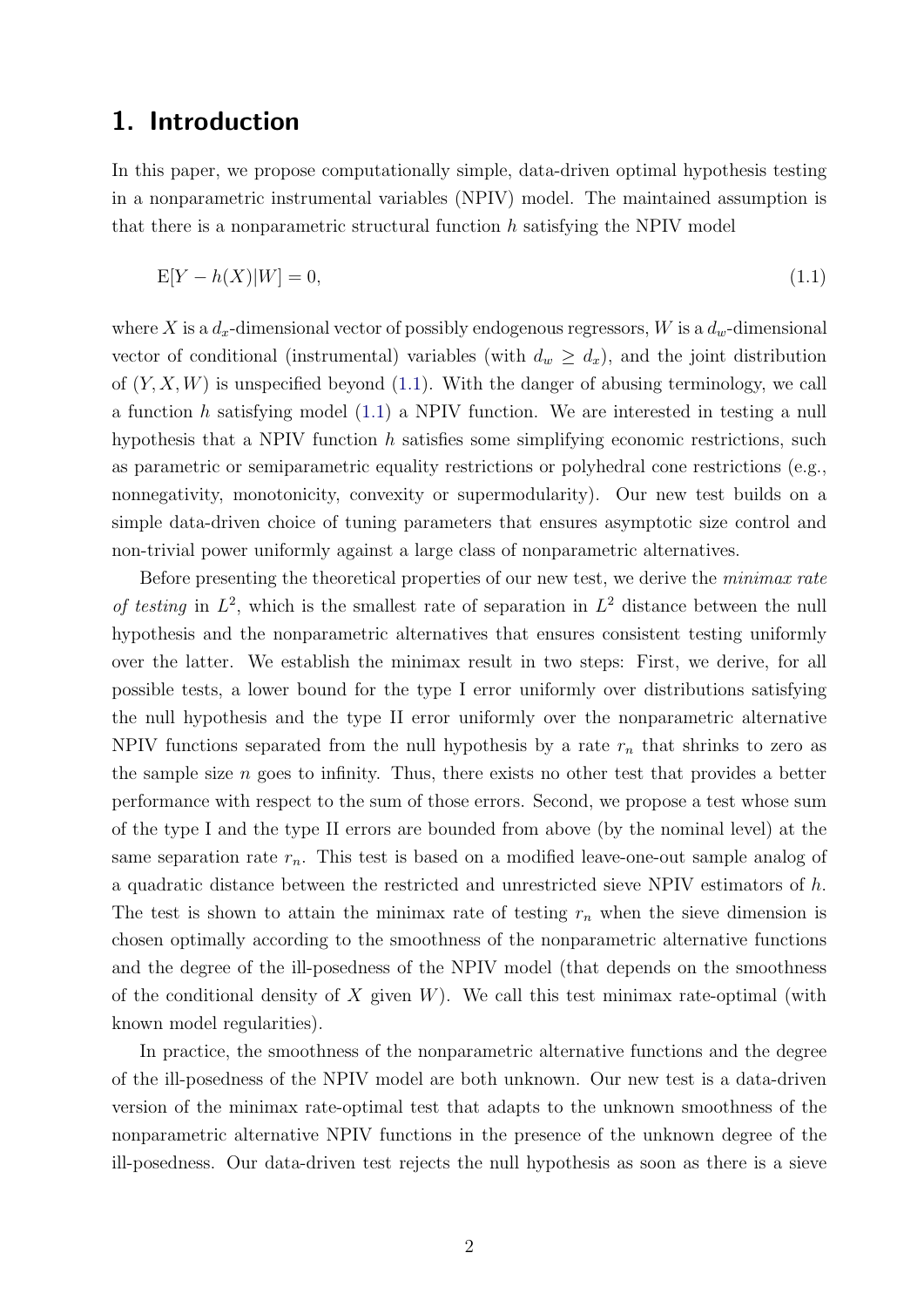## 1. Introduction

In this paper, we propose computationally simple, data-driven optimal hypothesis testing in a nonparametric instrumental variables (NPIV) model. The maintained assumption is that there is a nonparametric structural function  $h$  satisfying the NPIV model

<span id="page-2-0"></span>
$$
E[Y - h(X)|W] = 0,\t\t(1.1)
$$

where X is a  $d_x$ -dimensional vector of possibly endogenous regressors, W is a  $d_w$ -dimensional vector of conditional (instrumental) variables (with  $d_w \geq d_x$ ), and the joint distribution of  $(Y, X, W)$  is unspecified beyond [\(1.1\)](#page-2-0). With the danger of abusing terminology, we call a function h satisfying model [\(1.1\)](#page-2-0) a NPIV function. We are interested in testing a null hypothesis that a NPIV function  $h$  satisfies some simplifying economic restrictions, such as parametric or semiparametric equality restrictions or polyhedral cone restrictions (e.g., nonnegativity, monotonicity, convexity or supermodularity). Our new test builds on a simple data-driven choice of tuning parameters that ensures asymptotic size control and non-trivial power uniformly against a large class of nonparametric alternatives.

Before presenting the theoretical properties of our new test, we derive the *minimax rate* of testing in  $L^2$ , which is the smallest rate of separation in  $L^2$  distance between the null hypothesis and the nonparametric alternatives that ensures consistent testing uniformly over the latter. We establish the minimax result in two steps: First, we derive, for all possible tests, a lower bound for the type I error uniformly over distributions satisfying the null hypothesis and the type II error uniformly over the nonparametric alternative NPIV functions separated from the null hypothesis by a rate  $r_n$  that shrinks to zero as the sample size  $n$  goes to infinity. Thus, there exists no other test that provides a better performance with respect to the sum of those errors. Second, we propose a test whose sum of the type I and the type II errors are bounded from above (by the nominal level) at the same separation rate  $r_n$ . This test is based on a modified leave-one-out sample analog of a quadratic distance between the restricted and unrestricted sieve NPIV estimators of h. The test is shown to attain the minimax rate of testing  $r_n$  when the sieve dimension is chosen optimally according to the smoothness of the nonparametric alternative functions and the degree of the ill-posedness of the NPIV model (that depends on the smoothness of the conditional density of X given  $W$ ). We call this test minimax rate-optimal (with known model regularities).

In practice, the smoothness of the nonparametric alternative functions and the degree of the ill-posedness of the NPIV model are both unknown. Our new test is a data-driven version of the minimax rate-optimal test that adapts to the unknown smoothness of the nonparametric alternative NPIV functions in the presence of the unknown degree of the ill-posedness. Our data-driven test rejects the null hypothesis as soon as there is a sieve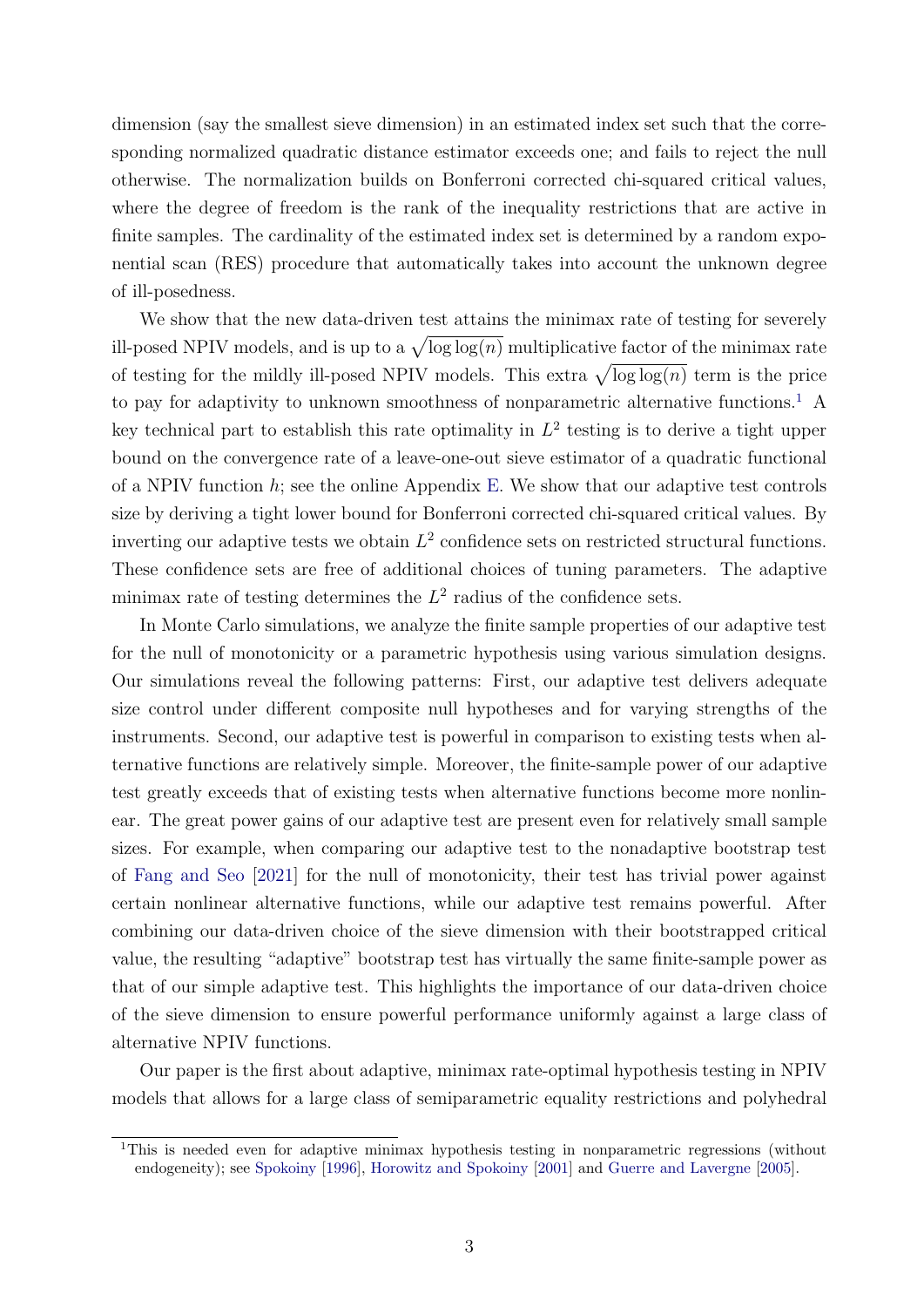dimension (say the smallest sieve dimension) in an estimated index set such that the corresponding normalized quadratic distance estimator exceeds one; and fails to reject the null otherwise. The normalization builds on Bonferroni corrected chi-squared critical values, where the degree of freedom is the rank of the inequality restrictions that are active in finite samples. The cardinality of the estimated index set is determined by a random exponential scan (RES) procedure that automatically takes into account the unknown degree of ill-posedness.

We show that the new data-driven test attains the minimax rate of testing for severely ill-posed NPIV models, and is up to a  $\sqrt{\log \log(n)}$  multiplicative factor of the minimax rate of testing for the mildly ill-posed NPIV models. This extra  $\sqrt{\log \log(n)}$  term is the price to pay for adaptivity to unknown smoothness of nonparametric alternative functions.<sup>[1](#page-3-0)</sup> A key technical part to establish this rate optimality in  $L^2$  testing is to derive a tight upper bound on the convergence rate of a leave-one-out sieve estimator of a quadratic functional of a NPIV function  $h$ ; see the online Appendix [E.](#page-54-0) We show that our adaptive test controls size by deriving a tight lower bound for Bonferroni corrected chi-squared critical values. By inverting our adaptive tests we obtain  $L^2$  confidence sets on restricted structural functions. These confidence sets are free of additional choices of tuning parameters. The adaptive minimax rate of testing determines the  $L^2$  radius of the confidence sets.

In Monte Carlo simulations, we analyze the finite sample properties of our adaptive test for the null of monotonicity or a parametric hypothesis using various simulation designs. Our simulations reveal the following patterns: First, our adaptive test delivers adequate size control under different composite null hypotheses and for varying strengths of the instruments. Second, our adaptive test is powerful in comparison to existing tests when alternative functions are relatively simple. Moreover, the finite-sample power of our adaptive test greatly exceeds that of existing tests when alternative functions become more nonlinear. The great power gains of our adaptive test are present even for relatively small sample sizes. For example, when comparing our adaptive test to the nonadaptive bootstrap test of [Fang and Seo](#page-32-0) [\[2021\]](#page-32-0) for the null of monotonicity, their test has trivial power against certain nonlinear alternative functions, while our adaptive test remains powerful. After combining our data-driven choice of the sieve dimension with their bootstrapped critical value, the resulting "adaptive" bootstrap test has virtually the same finite-sample power as that of our simple adaptive test. This highlights the importance of our data-driven choice of the sieve dimension to ensure powerful performance uniformly against a large class of alternative NPIV functions.

Our paper is the first about adaptive, minimax rate-optimal hypothesis testing in NPIV models that allows for a large class of semiparametric equality restrictions and polyhedral

<span id="page-3-0"></span><sup>&</sup>lt;sup>1</sup>This is needed even for adaptive minimax hypothesis testing in nonparametric regressions (without endogeneity); see [Spokoiny](#page-33-0) [\[1996\]](#page-33-0), [Horowitz and Spokoiny](#page-32-1) [\[2001\]](#page-32-1) and [Guerre and Lavergne](#page-32-2) [\[2005\]](#page-32-2).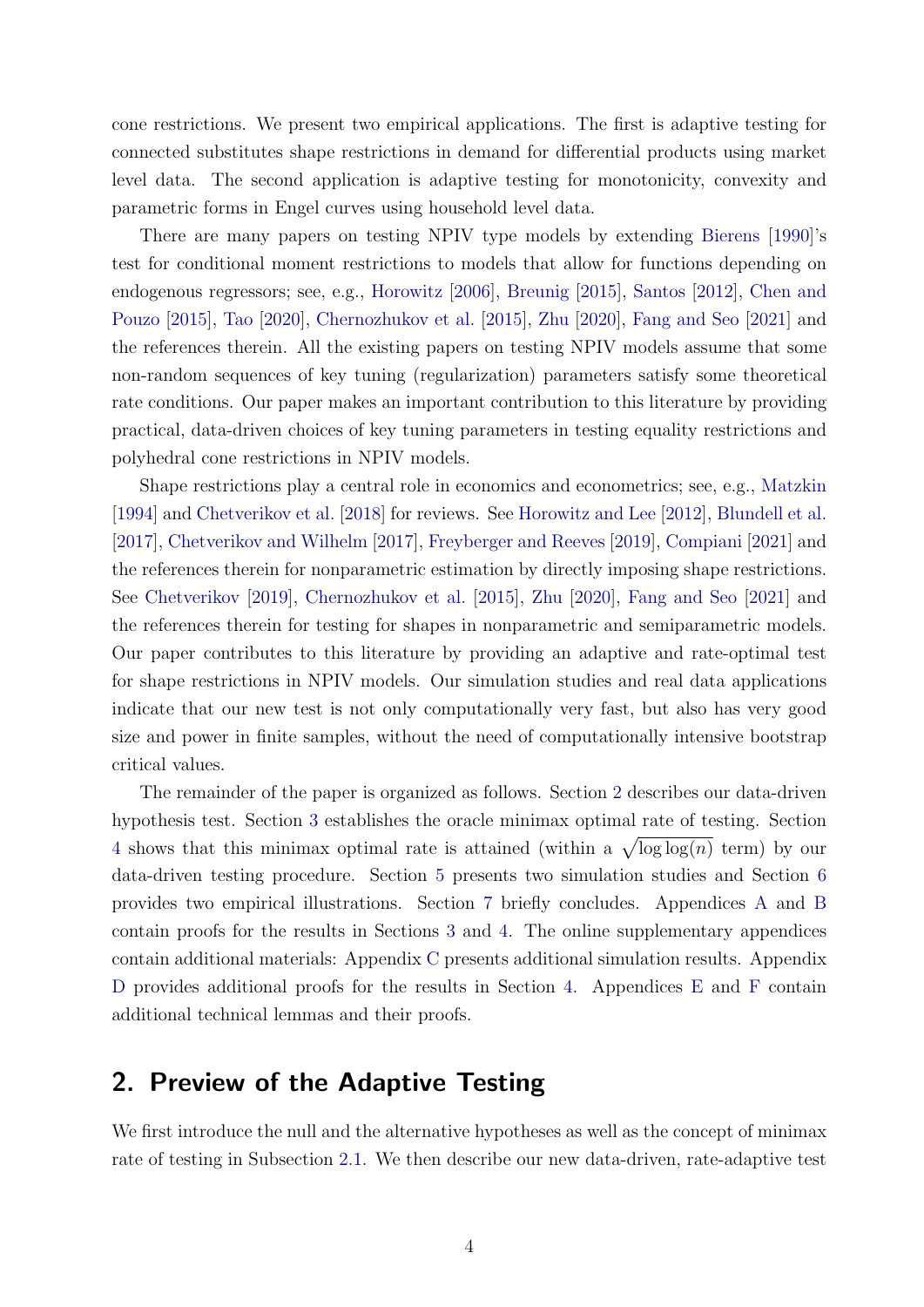cone restrictions. We present two empirical applications. The first is adaptive testing for connected substitutes shape restrictions in demand for differential products using market level data. The second application is adaptive testing for monotonicity, convexity and parametric forms in Engel curves using household level data.

There are many papers on testing NPIV type models by extending [Bierens](#page-30-0) [\[1990\]](#page-30-0)'s test for conditional moment restrictions to models that allow for functions depending on endogenous regressors; see, e.g., [Horowitz](#page-32-3) [\[2006\]](#page-32-3), [Breunig](#page-31-0) [\[2015\]](#page-31-0), [Santos](#page-33-1) [\[2012\]](#page-33-1), [Chen and](#page-31-1) [Pouzo](#page-31-1) [\[2015\]](#page-31-1), [Tao](#page-33-2) [\[2020\]](#page-33-2), [Chernozhukov et al.](#page-31-2) [\[2015\]](#page-31-2), [Zhu](#page-33-3) [\[2020\]](#page-33-3), [Fang and Seo](#page-32-0) [\[2021\]](#page-32-0) and the references therein. All the existing papers on testing NPIV models assume that some non-random sequences of key tuning (regularization) parameters satisfy some theoretical rate conditions. Our paper makes an important contribution to this literature by providing practical, data-driven choices of key tuning parameters in testing equality restrictions and polyhedral cone restrictions in NPIV models.

Shape restrictions play a central role in economics and econometrics; see, e.g., [Matzkin](#page-33-4) [\[1994\]](#page-33-4) and [Chetverikov et al.](#page-31-3) [\[2018\]](#page-31-3) for reviews. See [Horowitz and Lee](#page-32-4) [\[2012\]](#page-32-4), [Blundell et al.](#page-31-4) [\[2017\]](#page-31-4), [Chetverikov and Wilhelm](#page-31-5) [\[2017\]](#page-31-5), [Freyberger and Reeves](#page-32-5) [\[2019\]](#page-32-5), [Compiani](#page-32-6) [\[2021\]](#page-32-6) and the references therein for nonparametric estimation by directly imposing shape restrictions. See [Chetverikov](#page-31-6) [\[2019\]](#page-31-6), [Chernozhukov et al.](#page-31-2) [\[2015\]](#page-31-2), [Zhu](#page-33-3) [\[2020\]](#page-33-3), [Fang and Seo](#page-32-0) [\[2021\]](#page-32-0) and the references therein for testing for shapes in nonparametric and semiparametric models. Our paper contributes to this literature by providing an adaptive and rate-optimal test for shape restrictions in NPIV models. Our simulation studies and real data applications indicate that our new test is not only computationally very fast, but also has very good size and power in finite samples, without the need of computationally intensive bootstrap critical values.

The remainder of the paper is organized as follows. Section [2](#page-4-0) describes our data-driven hypothesis test. Section [3](#page-10-0) establishes the oracle minimax optimal rate of testing. Section [4](#page-13-0) shows that this minimax optimal rate is attained (within a  $\sqrt{\log \log(n)}$  term) by our data-driven testing procedure. Section [5](#page-20-0) presents two simulation studies and Section [6](#page-26-0) provides two empirical illustrations. Section [7](#page-29-0) briefly concludes. Appendices [A](#page-33-5) and [B](#page-35-0) contain proofs for the results in Sections [3](#page-10-0) and [4.](#page-13-0) The online supplementary appendices contain additional materials: Appendix [C](#page-46-0) presents additional simulation results. Appendix [D](#page-52-0) provides additional proofs for the results in Section [4.](#page-13-0) Appendices [E](#page-54-0) and [F](#page-67-0) contain additional technical lemmas and their proofs.

# <span id="page-4-0"></span>2. Preview of the Adaptive Testing

We first introduce the null and the alternative hypotheses as well as the concept of minimax rate of testing in Subsection [2.1.](#page-5-0) We then describe our new data-driven, rate-adaptive test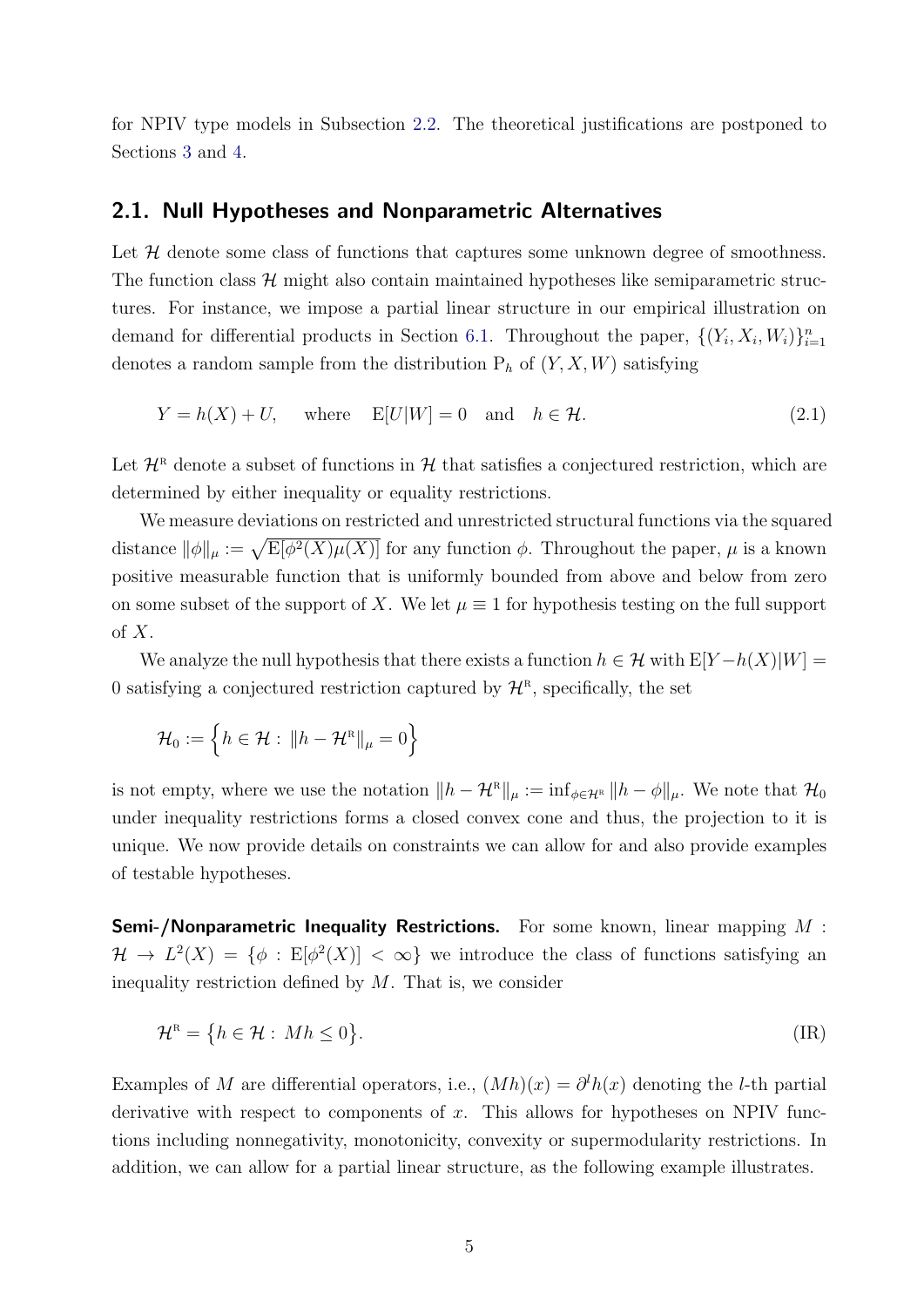for NPIV type models in Subsection [2.2.](#page-7-0) The theoretical justifications are postponed to Sections [3](#page-10-0) and [4.](#page-13-0)

#### <span id="page-5-0"></span>2.1. Null Hypotheses and Nonparametric Alternatives

Let  $H$  denote some class of functions that captures some unknown degree of smoothness. The function class  $\mathcal{H}$  might also contain maintained hypotheses like semiparametric structures. For instance, we impose a partial linear structure in our empirical illustration on demand for differential products in Section [6.1.](#page-26-1) Throughout the paper,  $\{(Y_i, X_i, W_i)\}_{i=1}^n$ denotes a random sample from the distribution  $P_h$  of  $(Y, X, W)$  satisfying

<span id="page-5-1"></span>
$$
Y = h(X) + U, \quad \text{where} \quad \mathbb{E}[U|W] = 0 \quad \text{and} \quad h \in \mathcal{H}.
$$
 (2.1)

Let  $\mathcal{H}^R$  denote a subset of functions in  $\mathcal{H}$  that satisfies a conjectured restriction, which are determined by either inequality or equality restrictions.

We measure deviations on restricted and unrestricted structural functions via the squared distance  $\|\phi\|_{\mu} := \sqrt{\mathop{\mathrm{E}}[\phi^2(X)\mu(X)]}$  for any function  $\phi$ . Throughout the paper,  $\mu$  is a known positive measurable function that is uniformly bounded from above and below from zero on some subset of the support of X. We let  $\mu \equiv 1$  for hypothesis testing on the full support of  $X$ .

We analyze the null hypothesis that there exists a function  $h \in \mathcal{H}$  with  $E[Y-h(X)|W] =$ 0 satisfying a conjectured restriction captured by  $\mathcal{H}^R$ , specifically, the set

$$
\mathcal{H}_0 := \left\{ h \in \mathcal{H} : \|h - \mathcal{H}^{\scriptscriptstyle\mathrm{R}}\|_{\mu} = 0 \right\}
$$

is not empty, where we use the notation  $||h - H^R||_{\mu} := \inf_{\phi \in \mathcal{H}^R} ||h - \phi||_{\mu}$ . We note that  $\mathcal{H}_0$ under inequality restrictions forms a closed convex cone and thus, the projection to it is unique. We now provide details on constraints we can allow for and also provide examples of testable hypotheses.

**Semi-/Nonparametric Inequality Restrictions.** For some known, linear mapping  $M$ :  $\mathcal{H} \to L^2(X) = {\phi : E[\phi^2(X)] < \infty}$  we introduce the class of functions satisfying an inequality restriction defined by  $M$ . That is, we consider

<span id="page-5-2"></span>
$$
\mathcal{H}^{\mathbf{R}} = \{ h \in \mathcal{H} : Mh \le 0 \}. \tag{IR}
$$

Examples of M are differential operators, i.e.,  $(Mh)(x) = \partial^l h(x)$  denoting the l-th partial derivative with respect to components of  $x$ . This allows for hypotheses on NPIV functions including nonnegativity, monotonicity, convexity or supermodularity restrictions. In addition, we can allow for a partial linear structure, as the following example illustrates.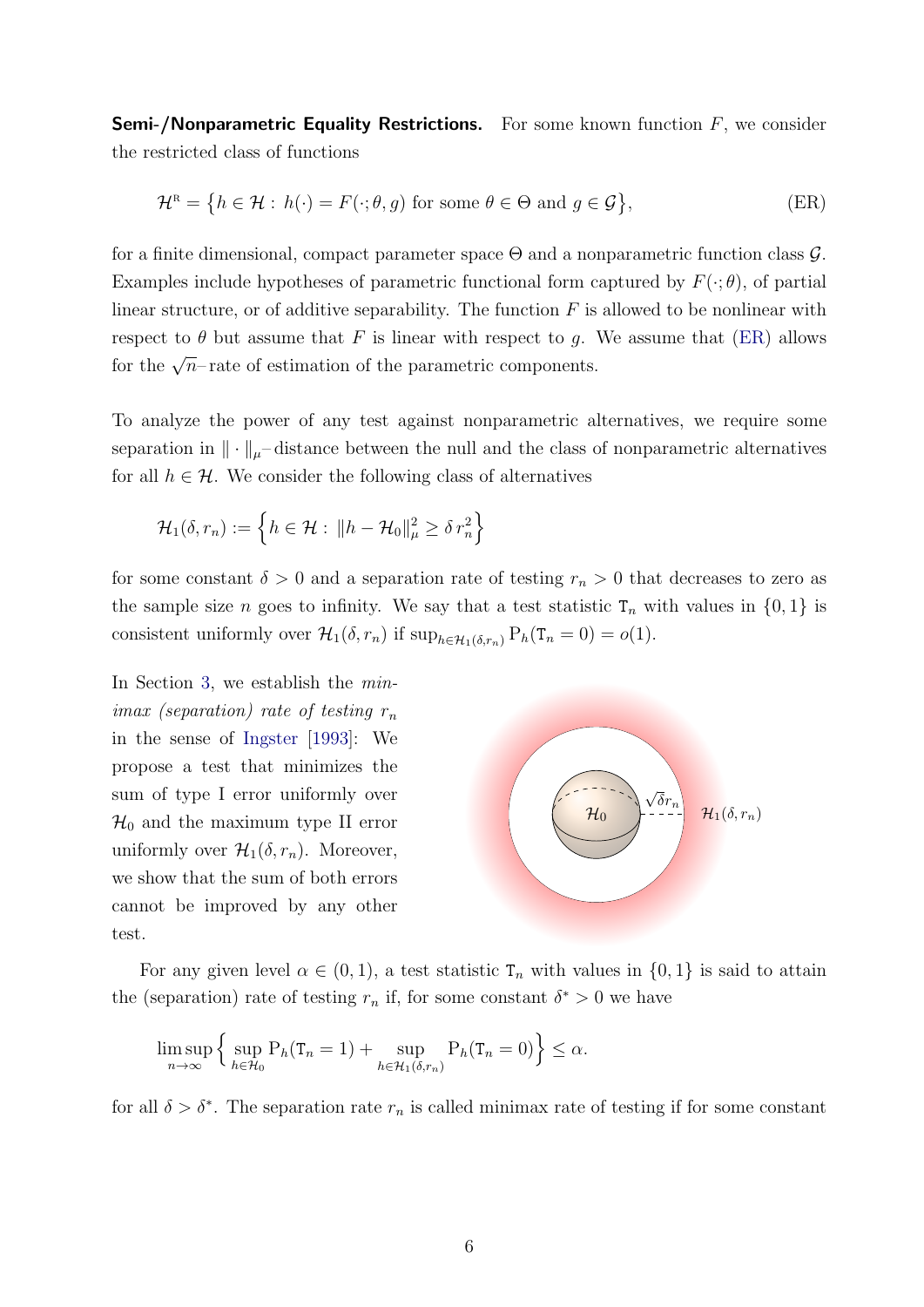**Semi-/Nonparametric Equality Restrictions.** For some known function  $F$ , we consider the restricted class of functions

$$
\mathcal{H}^{\mathcal{R}} = \left\{ h \in \mathcal{H} : h(\cdot) = F(\cdot; \theta, g) \text{ for some } \theta \in \Theta \text{ and } g \in \mathcal{G} \right\},\tag{ER}
$$

for a finite dimensional, compact parameter space  $\Theta$  and a nonparametric function class  $\mathcal{G}$ . Examples include hypotheses of parametric functional form captured by  $F(\cdot;\theta)$ , of partial linear structure, or of additive separability. The function  $F$  is allowed to be nonlinear with respect to  $\theta$  but assume that F is linear with respect to q. We assume that [\(ER\)](#page-6-0) allows for the  $\sqrt{n}$ –rate of estimation of the parametric components.

To analyze the power of any test against nonparametric alternatives, we require some separation in  $\|\cdot\|_{\mu}$ – distance between the null and the class of nonparametric alternatives for all  $h \in \mathcal{H}$ . We consider the following class of alternatives

$$
\mathcal{H}_1(\delta,r_n) := \left\{ h \in \mathcal{H} : \|h - \mathcal{H}_0\|_{\mu}^2 \ge \delta r_n^2 \right\}
$$

for some constant  $\delta > 0$  and a separation rate of testing  $r_n > 0$  that decreases to zero as the sample size n goes to infinity. We say that a test statistic  $T_n$  with values in  $\{0, 1\}$  is consistent uniformly over  $\mathcal{H}_1(\delta, r_n)$  if  $\sup_{h \in \mathcal{H}_1(\delta, r_n)} P_h(T_n = 0) = o(1)$ .

In Section [3,](#page-10-0) we establish the minimax (separation) rate of testing  $r_n$ in the sense of [Ingster](#page-32-7) [\[1993\]](#page-32-7): We propose a test that minimizes the sum of type I error uniformly over  $\mathcal{H}_0$  and the maximum type II error uniformly over  $\mathcal{H}_1(\delta, r_n)$ . Moreover, we show that the sum of both errors cannot be improved by any other test.

<span id="page-6-0"></span>

For any given level  $\alpha \in (0,1)$ , a test statistic  $T_n$  with values in  $\{0,1\}$  is said to attain the (separation) rate of testing  $r_n$  if, for some constant  $\delta^* > 0$  we have

$$
\limsup_{n \to \infty} \left\{ \sup_{h \in \mathcal{H}_0} \mathcal{P}_h(\mathbf{T}_n = 1) + \sup_{h \in \mathcal{H}_1(\delta, r_n)} \mathcal{P}_h(\mathbf{T}_n = 0) \right\} \le \alpha.
$$

for all  $\delta > \delta^*$ . The separation rate  $r_n$  is called minimax rate of testing if for some constant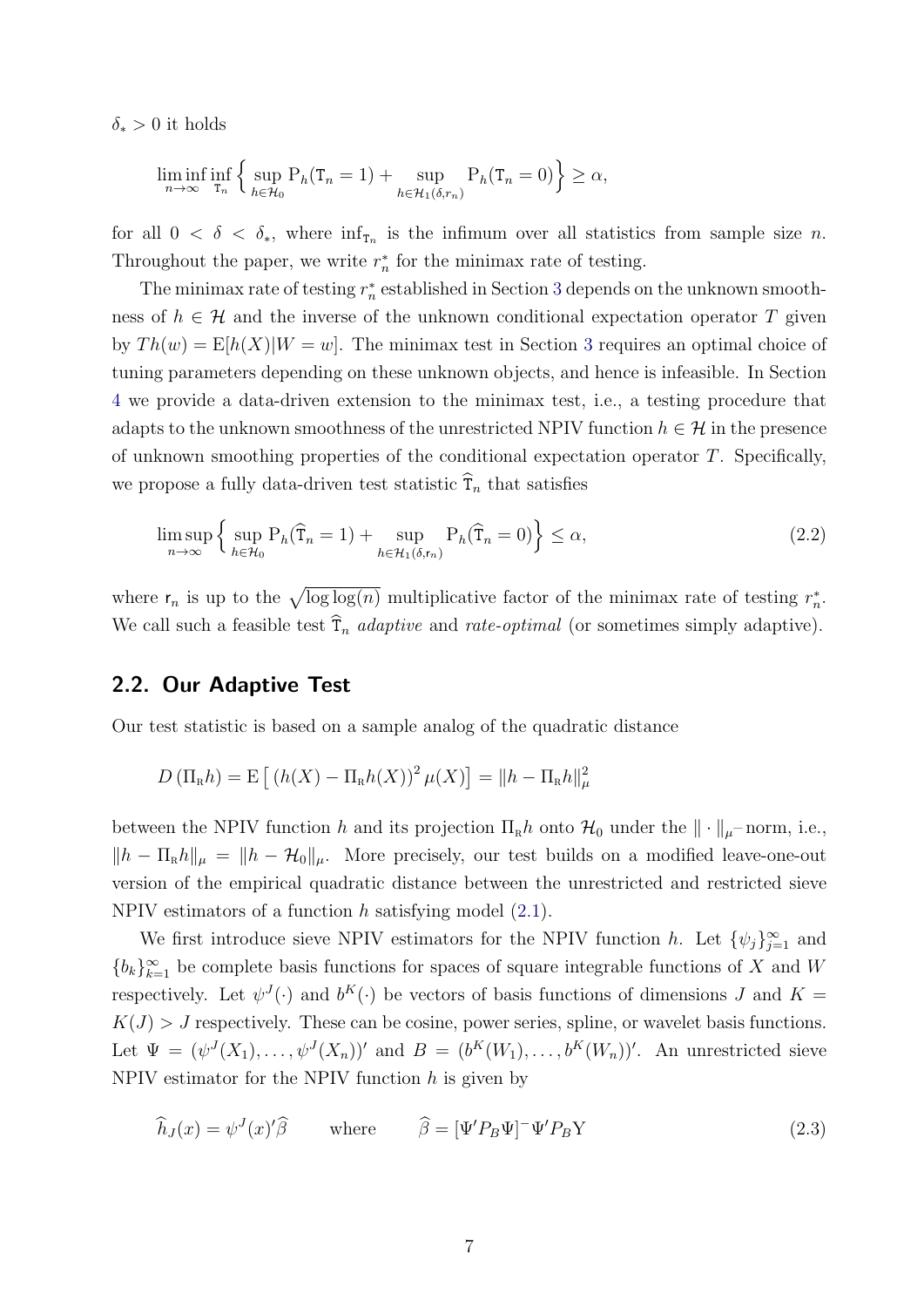$\delta_*$  > 0 it holds

$$
\liminf_{n \to \infty} \inf_{\tau_n} \left\{ \sup_{h \in \mathcal{H}_0} P_h(T_n = 1) + \sup_{h \in \mathcal{H}_1(\delta, r_n)} P_h(T_n = 0) \right\} \ge \alpha,
$$

for all  $0 < \delta < \delta_*$ , where  $\inf_{\tau_n}$  is the infimum over all statistics from sample size *n*. Throughout the paper, we write  $r_n^*$  for the minimax rate of testing.

The minimax rate of testing  $r_n^*$  established in Section [3](#page-10-0) depends on the unknown smoothness of  $h \in \mathcal{H}$  and the inverse of the unknown conditional expectation operator T given by  $Th(w) = E[h(X)|W = w]$ . The minimax test in Section [3](#page-10-0) requires an optimal choice of tuning parameters depending on these unknown objects, and hence is infeasible. In Section [4](#page-13-0) we provide a data-driven extension to the minimax test, i.e., a testing procedure that adapts to the unknown smoothness of the unrestricted NPIV function  $h \in \mathcal{H}$  in the presence of unknown smoothing properties of the conditional expectation operator  $T$ . Specifically, we propose a fully data-driven test statistic  $\hat{T}_n$  that satisfies

$$
\limsup_{n \to \infty} \left\{ \sup_{h \in \mathcal{H}_0} \mathcal{P}_h(\widehat{\mathcal{T}}_n = 1) + \sup_{h \in \mathcal{H}_1(\delta, \mathsf{r}_n)} \mathcal{P}_h(\widehat{\mathcal{T}}_n = 0) \right\} \le \alpha,
$$
\n(2.2)

where  $r_n$  is up to the  $\sqrt{\log \log(n)}$  multiplicative factor of the minimax rate of testing  $r_n^*$ . We call such a feasible test  $\hat{T}_n$  adaptive and rate-optimal (or sometimes simply adaptive).

#### <span id="page-7-0"></span>2.2. Our Adaptive Test

Our test statistic is based on a sample analog of the quadratic distance

$$
D\left(\Pi_{\mathrm{R}}h\right) = \mathrm{E}\left[\left(h(X) - \Pi_{\mathrm{R}}h(X)\right)^{2}\mu(X)\right] = \|h - \Pi_{\mathrm{R}}h\|_{\mu}^{2}
$$

between the NPIV function h and its projection  $\Pi_R h$  onto  $\mathcal{H}_0$  under the  $\|\cdot\|_{\mu}$ –norm, i.e.,  $||h - \Pi_R h||_\mu = ||h - \mathcal{H}_0||_\mu$ . More precisely, our test builds on a modified leave-one-out version of the empirical quadratic distance between the unrestricted and restricted sieve NPIV estimators of a function h satisfying model  $(2.1)$ .

We first introduce sieve NPIV estimators for the NPIV function h. Let  $\{\psi_j\}_{j=1}^{\infty}$  and  ${b_k}_{k=1}^{\infty}$  be complete basis functions for spaces of square integrable functions of X and W respectively. Let  $\psi^J(\cdot)$  and  $b^K(\cdot)$  be vectors of basis functions of dimensions J and  $K =$  $K(J) > J$  respectively. These can be cosine, power series, spline, or wavelet basis functions. Let  $\Psi = (\psi^J(X_1), \ldots, \psi^J(X_n))'$  and  $B = (b^K(W_1), \ldots, b^K(W_n))'$ . An unrestricted sieve NPIV estimator for the NPIV function  $h$  is given by

<span id="page-7-1"></span>
$$
\widehat{h}_J(x) = \psi^J(x)'\widehat{\beta} \qquad \text{where} \qquad \widehat{\beta} = [\Psi'P_B\Psi]^{-1}\Psi'P_BY \qquad (2.3)
$$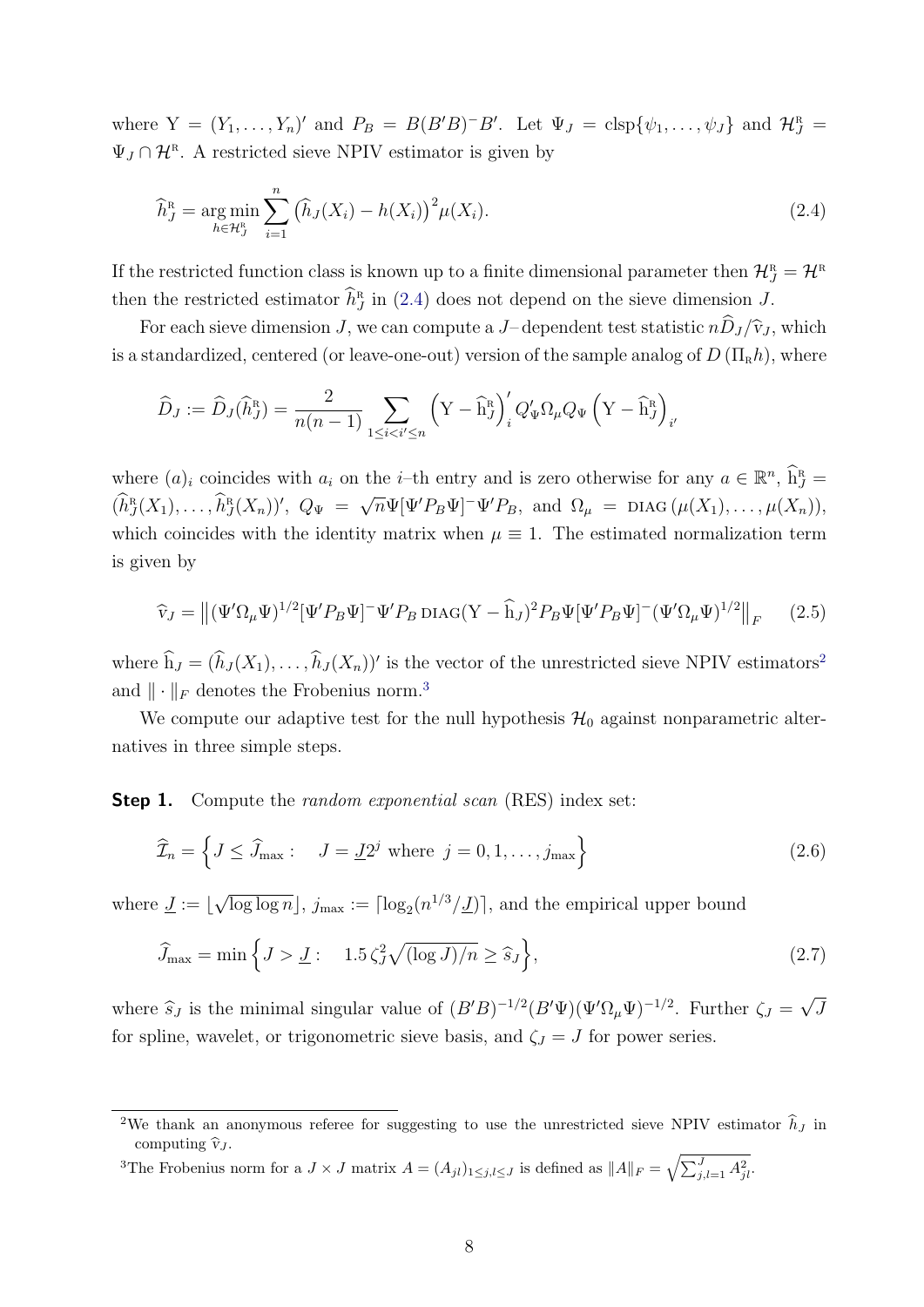where  $Y = (Y_1, \ldots, Y_n)'$  and  $P_B = B(B'B)^{-}B'$ . Let  $\Psi_J = \text{clsp}\{\psi_1, \ldots, \psi_J\}$  and  $\mathcal{H}_J^R =$  $\Psi_J \cap \mathcal{H}^{\mathbb{R}}$ . A restricted sieve NPIV estimator is given by

<span id="page-8-0"></span>
$$
\widehat{h}_J^{\rm R} = \underset{h \in \mathcal{H}_J^{\rm R}}{\arg \min} \sum_{i=1}^n \left( \widehat{h}_J(X_i) - h(X_i) \right)^2 \mu(X_i). \tag{2.4}
$$

If the restricted function class is known up to a finite dimensional parameter then  $\mathcal{H}^R_J = \mathcal{H}^R$ then the restricted estimator  $\widehat{h}_{J}^{\textrm{\tiny{{\rm {R}}}}}$  $J<sub>J</sub>$  in [\(2.4\)](#page-8-0) does not depend on the sieve dimension J.

For each sieve dimension J, we can compute a J–dependent test statistic  $n\hat{D}_J/\hat{v}_J$ , which is a standardized, centered (or leave-one-out) version of the sample analog of  $D(\Pi_R h)$ , where

$$
\widehat{D}_J:=\widehat{D}_J(\widehat{h}^{\textrm{R}}_J)=\frac{2}{n(n-1)}\sum_{1\leq i< i'\leq n}\left(\mathbf{Y}-\widehat{\mathbf{h}}^{\textrm{R}}_J\right)'_iQ'_\Psi\Omega_\mu Q_\Psi\left(\mathbf{Y}-\widehat{\mathbf{h}}^{\textrm{R}}_J\right)_{i'}
$$

where  $(a)_i$  coincides with  $a_i$  on the *i*-th entry and is zero otherwise for any  $a \in \mathbb{R}^n$ ,  $\widehat{h}_J^{\scriptscriptstyle R}$  =  $(\widehat{h}_J^{\textrm{R}})$  $\widehat{h}_J^{\scriptscriptstyle\mathrm{R}}(X_1),\ldots,\widehat{h}_J^{\scriptscriptstyle\mathrm{R}}$  $J(X_n)$ ',  $Q_{\Psi}$  =  $\sqrt{n}\Psi[\Psi'P_B\Psi]$ <sup>-</sup> $\Psi'P_B$ , and  $\Omega_\mu$  = DIAG ( $\mu(X_1), \ldots, \mu(X_n)$ ), which coincides with the identity matrix when  $\mu \equiv 1$ . The estimated normalization term is given by

<span id="page-8-5"></span>
$$
\widehat{\mathbf{v}}_J = \left\| (\Psi' \Omega_\mu \Psi)^{1/2} [\Psi' P_B \Psi]^{-} \Psi' P_B \operatorname{DIAG}(Y - \widehat{\mathbf{h}}_J)^2 P_B \Psi [\Psi' P_B \Psi]^{-} (\Psi' \Omega_\mu \Psi)^{1/2} \right\|_F \tag{2.5}
$$

where  $h_J = (h_J(X_1), \ldots, h_J(X_n))'$  is the vector of the unrestricted sieve NPIV estimators<sup>[2](#page-8-1)</sup> and  $\|\cdot\|_F$  denotes the Frobenius norm.<sup>[3](#page-8-2)</sup>

We compute our adaptive test for the null hypothesis  $\mathcal{H}_0$  against nonparametric alternatives in three simple steps.

**Step 1.** Compute the *random exponential scan* (RES) index set:

<span id="page-8-4"></span><span id="page-8-3"></span>
$$
\widehat{\mathcal{I}}_n = \left\{ J \le \widehat{J}_{\text{max}} : \quad J = \underline{J} 2^j \text{ where } j = 0, 1, \dots, j_{\text{max}} \right\} \tag{2.6}
$$

where  $\underline{J} := \underline{b}$ √  $\overline{\log \log n}$ ,  $j_{\max} := \lceil \log_2(n^{1/3}/\underline{J}) \rceil$ , and the empirical upper bound

$$
\widehat{J}_{\text{max}} = \min\left\{J > \underline{J} : \quad 1.5\,\zeta_J^2 \sqrt{(\log J)/n} \ge \widehat{s}_J\right\},\tag{2.7}
$$

where  $\hat{s}_J$  is the minimal singular value of  $(B'B)^{-1/2}(B'\Psi)(\Psi'\Omega_\mu\Psi)^{-1/2}$ . Further  $\zeta_J = \zeta_J$ √ J for spline, wavelet, or trigonometric sieve basis, and  $\zeta_J = J$  for power series.

<span id="page-8-2"></span><sup>3</sup>The Frobenius norm for a  $J \times J$  matrix  $A = (A_{jl})_{1 \leq j,l \leq J}$  is defined as  $||A||_F = \sqrt{\sum_{j,l=1}^J A_{jl}^2}$ .

<span id="page-8-1"></span><sup>&</sup>lt;sup>2</sup>We thank an anonymous referee for suggesting to use the unrestricted sieve NPIV estimator  $\hat{h}_J$  in computing  $\hat{v}_J$ .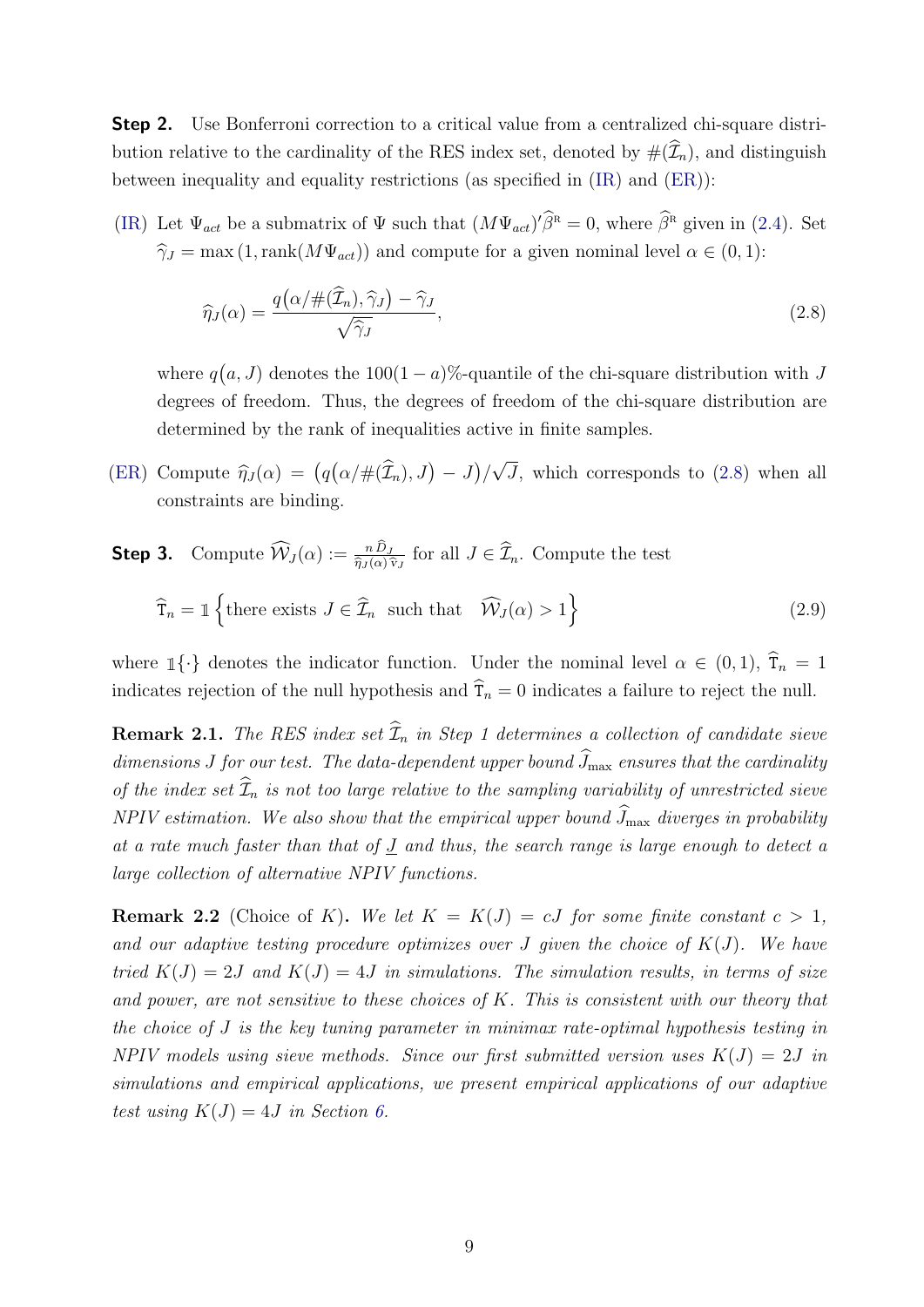Step 2. Use Bonferroni correction to a critical value from a centralized chi-square distribution relative to the cardinality of the RES index set, denoted by  $#(\widehat{\mathcal{I}}_n)$ , and distinguish between inequality and equality restrictions (as specified in [\(IR\)](#page-5-2) and [\(ER\)](#page-6-0)):

[\(IR\)](#page-5-2) Let  $\Psi_{act}$  be a submatrix of  $\Psi$  such that  $(M\Psi_{act})'\hat{\beta}^{\text{R}} = 0$ , where  $\hat{\beta}^{\text{R}}$  given in [\(2.4\)](#page-8-0). Set  $\hat{\gamma}_J = \max(1,\text{rank}(M\Psi_{act}))$  and compute for a given nominal level  $\alpha \in (0,1)$ :

<span id="page-9-1"></span><span id="page-9-0"></span>
$$
\widehat{\eta}_J(\alpha) = \frac{q\big(\alpha/\#(\widehat{\mathcal{I}}_n), \widehat{\gamma}_J\big) - \widehat{\gamma}_J}{\sqrt{\widehat{\gamma}_J}},\tag{2.8}
$$

where  $q(a, J)$  denotes the 100(1 – a)%-quantile of the chi-square distribution with J degrees of freedom. Thus, the degrees of freedom of the chi-square distribution are determined by the rank of inequalities active in finite samples.

- [\(ER\)](#page-6-0) Compute  $\hat{\eta}_J(\alpha) = (q(\alpha/\#(\hat{\mathcal{I}}_n), J) J)$ √ J, which corresponds to [\(2.8\)](#page-9-0) when all constraints are binding.
- **Step 3.** Compute  $\widehat{W}_J(\alpha) := \frac{n D_J}{\widehat{\eta}_J(\alpha) \widehat{v}_J}$  for all  $J \in \widehat{\mathcal{I}}_n$ . Compute the test  $\widehat{\mathsf{T}}_n = \mathbbm{1} \left\{ \text{there exists } J \in \widehat{\mathcal{I}}_n \text{ such that } \widehat{\mathcal{W}}_J(\alpha) > 1 \right\}$ (2.9)

where  $\mathbb{1}\{\cdot\}$  denotes the indicator function. Under the nominal level  $\alpha \in (0,1)$ ,  $\hat{\tau}_n = 1$ indicates rejection of the null hypothesis and  $\hat{T}_n = 0$  indicates a failure to reject the null.

**Remark 2.1.** The RES index set  $\widehat{\mathcal{I}}_n$  in Step 1 determines a collection of candidate sieve dimensions J for our test. The data-dependent upper bound  $\widehat{J}_{\text{max}}$  ensures that the cardinality of the index set  $\widehat{\mathcal{I}}_n$  is not too large relative to the sampling variability of unrestricted sieve NPIV estimation. We also show that the empirical upper bound  $\widehat{J}_{\max}$  diverges in probability at a rate much faster than that of  $J$  and thus, the search range is large enough to detect a large collection of alternative NPIV functions.

**Remark 2.2** (Choice of K). We let  $K = K(J) = cJ$  for some finite constant  $c > 1$ , and our adaptive testing procedure optimizes over J given the choice of  $K(J)$ . We have tried  $K(J) = 2J$  and  $K(J) = 4J$  in simulations. The simulation results, in terms of size and power, are not sensitive to these choices of K. This is consistent with our theory that the choice of J is the key tuning parameter in minimax rate-optimal hypothesis testing in NPIV models using sieve methods. Since our first submitted version uses  $K(J) = 2J$  in simulations and empirical applications, we present empirical applications of our adaptive test using  $K(J) = 4J$  in Section [6.](#page-26-0)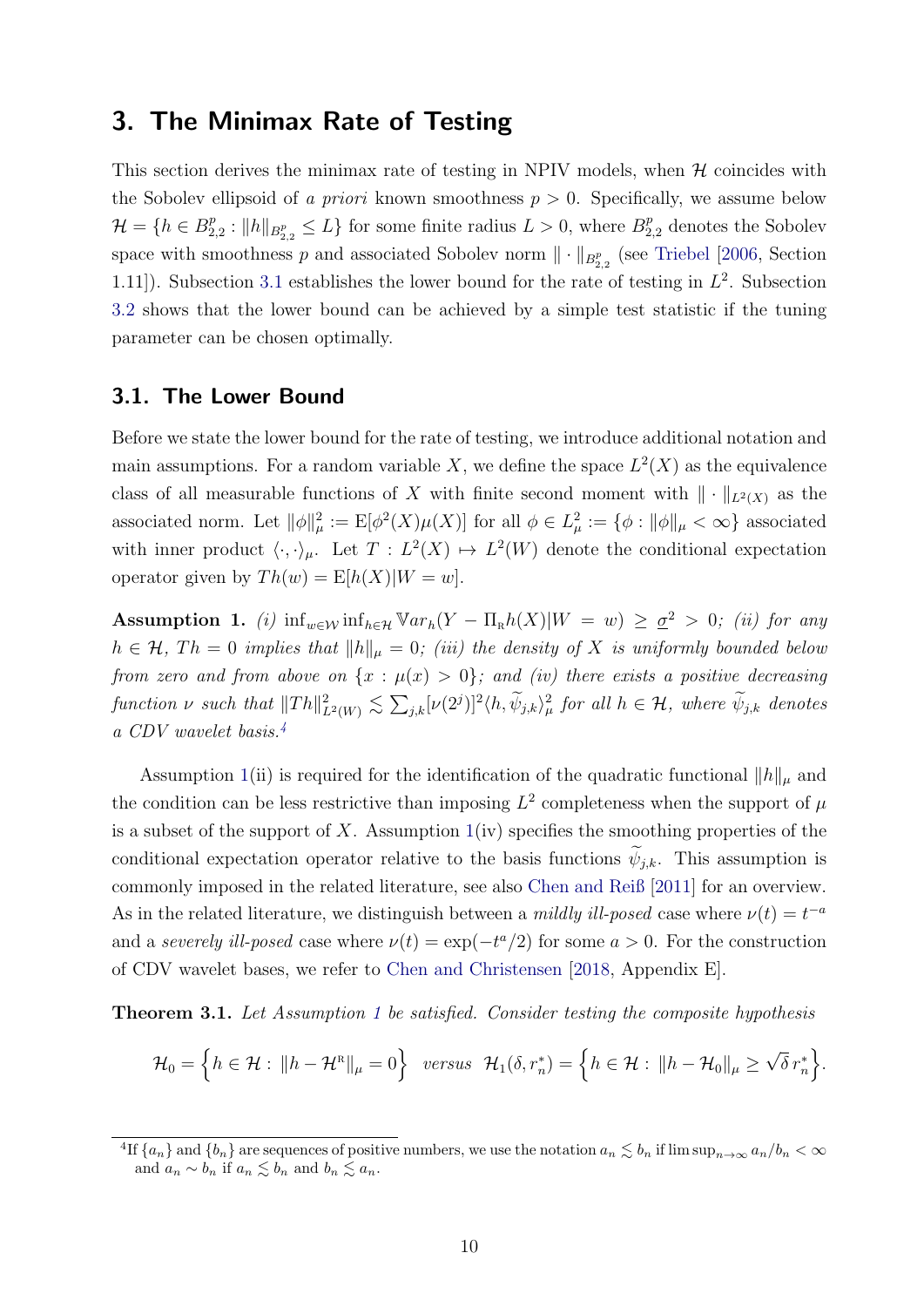### <span id="page-10-0"></span>3. The Minimax Rate of Testing

This section derives the minimax rate of testing in NPIV models, when  $H$  coincides with the Sobolev ellipsoid of a priori known smoothness  $p > 0$ . Specifically, we assume below  $\mathcal{H} = \{h \in B_2^p\}$  $E_{2,2}^p : ||h||_{B_{2,2}^p} \leq L$  for some finite radius  $L > 0$ , where  $B_{2,2}^p$  denotes the Sobolev space with smoothness p and associated Sobolev norm  $\|\cdot\|_{B^p_{2,2}}$  (see [Triebel](#page-33-6) [\[2006,](#page-33-6) Section 1.11). Subsection [3.1](#page-10-1) establishes the lower bound for the rate of testing in  $L^2$ . Subsection [3.2](#page-11-0) shows that the lower bound can be achieved by a simple test statistic if the tuning parameter can be chosen optimally.

#### <span id="page-10-1"></span>3.1. The Lower Bound

Before we state the lower bound for the rate of testing, we introduce additional notation and main assumptions. For a random variable X, we define the space  $L^2(X)$  as the equivalence class of all measurable functions of X with finite second moment with  $\|\cdot\|_{L^2(X)}$  as the associated norm. Let  $\|\phi\|_{\mu}^2 := \mathbb{E}[\phi^2(X)\mu(X)]$  for all  $\phi \in L^2_{\mu} := {\phi : \|\phi\|_{\mu} < \infty}$  associated with inner product  $\langle \cdot, \cdot \rangle_{\mu}$ . Let  $T : L^2(X) \mapsto L^2(W)$  denote the conditional expectation operator given by  $Th(w) = E[h(X)|W = w].$ 

<span id="page-10-3"></span>Assumption 1. (i)  $\inf_{w \in \mathcal{W}} \inf_{h \in \mathcal{H}} \mathbb{V}ar_h(Y - \Pi_h h(X)|W = w) \geq \underline{\sigma}^2 > 0$ ; (ii) for any  $h \in \mathcal{H}$ ,  $Th = 0$  implies that  $||h||_{\mu} = 0$ ; (iii) the density of X is uniformly bounded below from zero and from above on  $\{x : \mu(x) > 0\}$ ; and (iv) there exists a positive decreasing function  $\nu$  such that  $||Th||^2_{L^2(W)} \lesssim \sum_{j,k} [\nu(2^j)]^2 \langle h, \widetilde{\psi}_{j,k} \rangle^2_{\mu}$  for all  $h \in \mathcal{H}$ , where  $\widetilde{\psi}_{j,k}$  denotes a CDV wavelet basis.[4](#page-10-2)

Assumption [1\(](#page-10-3)ii) is required for the identification of the quadratic functional  $||h||_{\mu}$  and the condition can be less restrictive than imposing  $L^2$  completeness when the support of  $\mu$ is a subset of the support of X. Assumption  $1(iv)$  $1(iv)$  specifies the smoothing properties of the conditional expectation operator relative to the basis functions  $\widetilde{\psi}_{i,k}$ . This assumption is commonly imposed in the related literature, see also [Chen and Reiß](#page-31-7) [\[2011\]](#page-31-7) for an overview. As in the related literature, we distinguish between a *mildly ill-posed* case where  $\nu(t) = t^{-a}$ and a severely ill-posed case where  $\nu(t) = \exp(-t^a/2)$  for some  $a > 0$ . For the construction of CDV wavelet bases, we refer to [Chen and Christensen](#page-31-8) [\[2018,](#page-31-8) Appendix E].

<span id="page-10-4"></span>Theorem 3.1. Let Assumption [1](#page-10-3) be satisfied. Consider testing the composite hypothesis

$$
\mathcal{H}_0 = \left\{ h \in \mathcal{H} : \|h - \mathcal{H}^R\|_{\mu} = 0 \right\} \text{ versus } \mathcal{H}_1(\delta, r_n^*) = \left\{ h \in \mathcal{H} : \|h - \mathcal{H}_0\|_{\mu} \geq \sqrt{\delta} r_n^* \right\}.
$$

<span id="page-10-2"></span><sup>&</sup>lt;sup>4</sup>If  $\{a_n\}$  and  $\{b_n\}$  are sequences of positive numbers, we use the notation  $a_n \lesssim b_n$  if  $\limsup_{n\to\infty} a_n/b_n < \infty$ and  $a_n \sim b_n$  if  $a_n \lesssim b_n$  and  $b_n \lesssim a_n$ .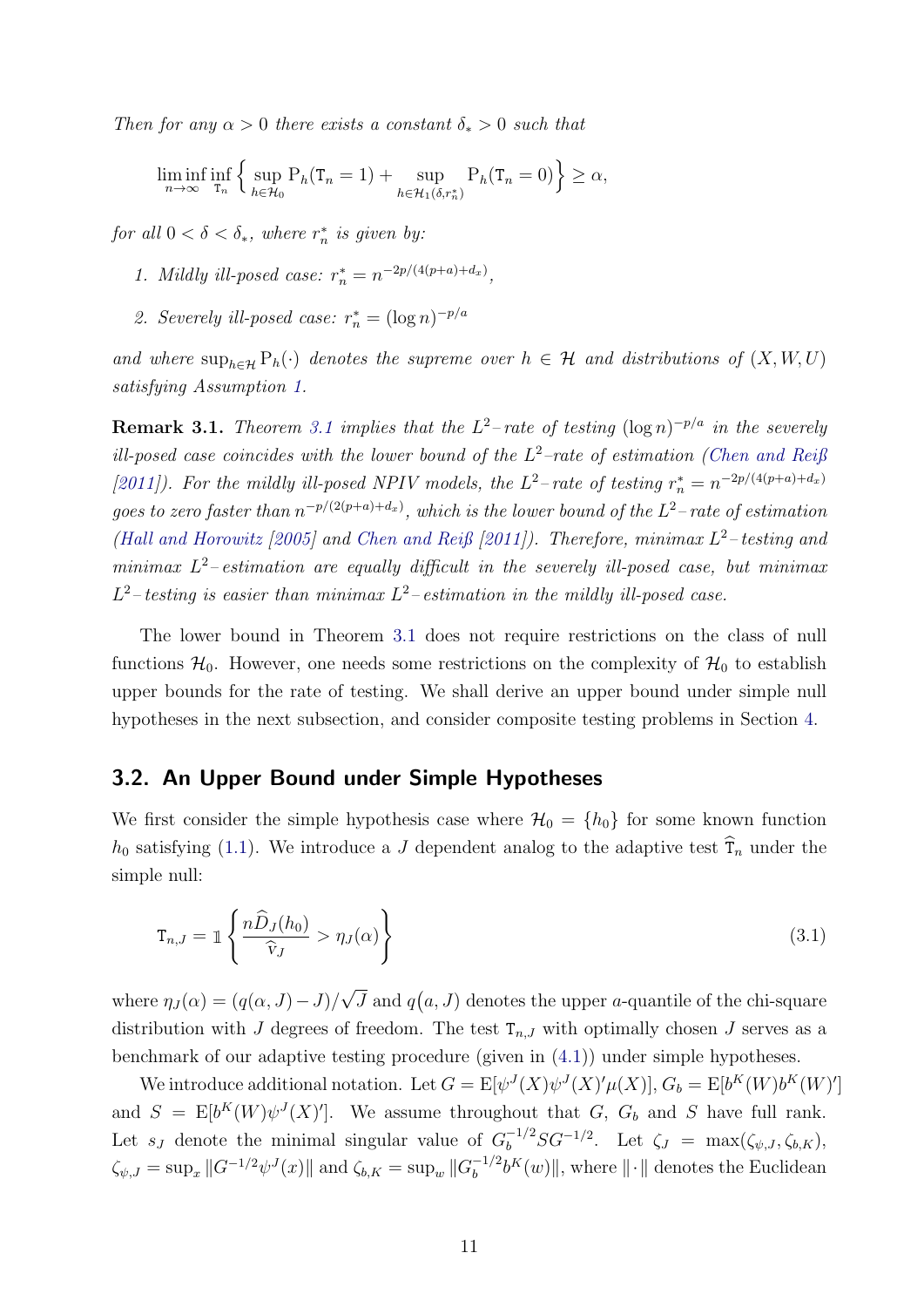Then for any  $\alpha > 0$  there exists a constant  $\delta_* > 0$  such that

$$
\liminf_{n \to \infty} \inf_{\tau_n} \left\{ \sup_{h \in \mathcal{H}_0} P_h(\tau_n = 1) + \sup_{h \in \mathcal{H}_1(\delta, r_n^*)} P_h(\tau_n = 0) \right\} \ge \alpha,
$$

for all  $0 < \delta < \delta_*$ , where  $r_n^*$  is given by:

- 1. Mildly ill-posed case:  $r_n^* = n^{-2p/(4(p+a)+d_x)}$ ,
- 2. Severely ill-posed case:  $r_n^* = (\log n)^{-p/a}$

and where  $\sup_{h\in\mathcal{H}} P_h(\cdot)$  denotes the supreme over  $h \in \mathcal{H}$  and distributions of  $(X, W, U)$ satisfying Assumption [1.](#page-10-3)

**Remark [3.1](#page-10-4).** Theorem 3.1 implies that the  $L^2$ -rate of testing  $(\log n)^{-p/a}$  in the severely ill-posed case coincides with the lower bound of the  $L^2$ -rate of estimation [\(Chen and Reiß](#page-31-7) [\[2011\]](#page-31-7)). For the mildly ill-posed NPIV models, the  $L^2$ -rate of testing  $r_n^* = n^{-2p/(4(p+a)+d_x)}$ goes to zero faster than  $n^{-p/(2(p+a)+d_x)}$ , which is the lower bound of the  $L^2$ -rate of estimation [\(Hall and Horowitz](#page-32-8) [\[2005\]](#page-32-8) and [Chen and Reiß](#page-31-7) [\[2011\]](#page-31-7)). Therefore, minimax  $L^2$ -testing and minimax  $L^2$ -estimation are equally difficult in the severely ill-posed case, but minimax  $L^2$ -testing is easier than minimax  $L^2$ -estimation in the mildly ill-posed case.

The lower bound in Theorem [3.1](#page-10-4) does not require restrictions on the class of null functions  $\mathcal{H}_0$ . However, one needs some restrictions on the complexity of  $\mathcal{H}_0$  to establish upper bounds for the rate of testing. We shall derive an upper bound under simple null hypotheses in the next subsection, and consider composite testing problems in Section [4.](#page-13-0)

#### <span id="page-11-0"></span>3.2. An Upper Bound under Simple Hypotheses

We first consider the simple hypothesis case where  $\mathcal{H}_0 = \{h_0\}$  for some known function  $h_0$  satisfying [\(1.1\)](#page-2-0). We introduce a J dependent analog to the adaptive test  $\hat{\tau}_n$  under the simple null:

<span id="page-11-1"></span>
$$
\mathbf{T}_{n,J} = \mathbb{1}\left\{\frac{n\widehat{D}_J(h_0)}{\widehat{\mathbf{v}}_J} > \eta_J(\alpha)\right\} \tag{3.1}
$$

where  $\eta_J(\alpha) = (q(\alpha, J) - J)$ / √  $\overline{J}$  and  $q(a, J)$  denotes the upper *a*-quantile of the chi-square distribution with J degrees of freedom. The test  $T_{n,J}$  with optimally chosen J serves as a benchmark of our adaptive testing procedure (given in [\(4.1\)](#page-14-0)) under simple hypotheses.

We introduce additional notation. Let  $G = \mathbb{E}[\psi^J(X)\psi^J(X)'\mu(X)], G_b = \mathbb{E}[b^K(W)b^K(W)']$ and  $S = E[b^K(W)\psi^J(X)']$ . We assume throughout that G, G<sub>b</sub> and S have full rank. Let  $s_J$  denote the minimal singular value of  $G_b^{-1/2}SG^{-1/2}$ . Let  $\zeta_J = \max(\zeta_{\psi,J}, \zeta_{b,K}),$  $\zeta_{\psi,J} = \sup_x ||G^{-1/2}\psi^J(x)||$  and  $\zeta_{b,K} = \sup_w ||G_b^{-1/2}$  $\int_b^{-1/2} b^K(w)$ , where  $\|\cdot\|$  denotes the Euclidean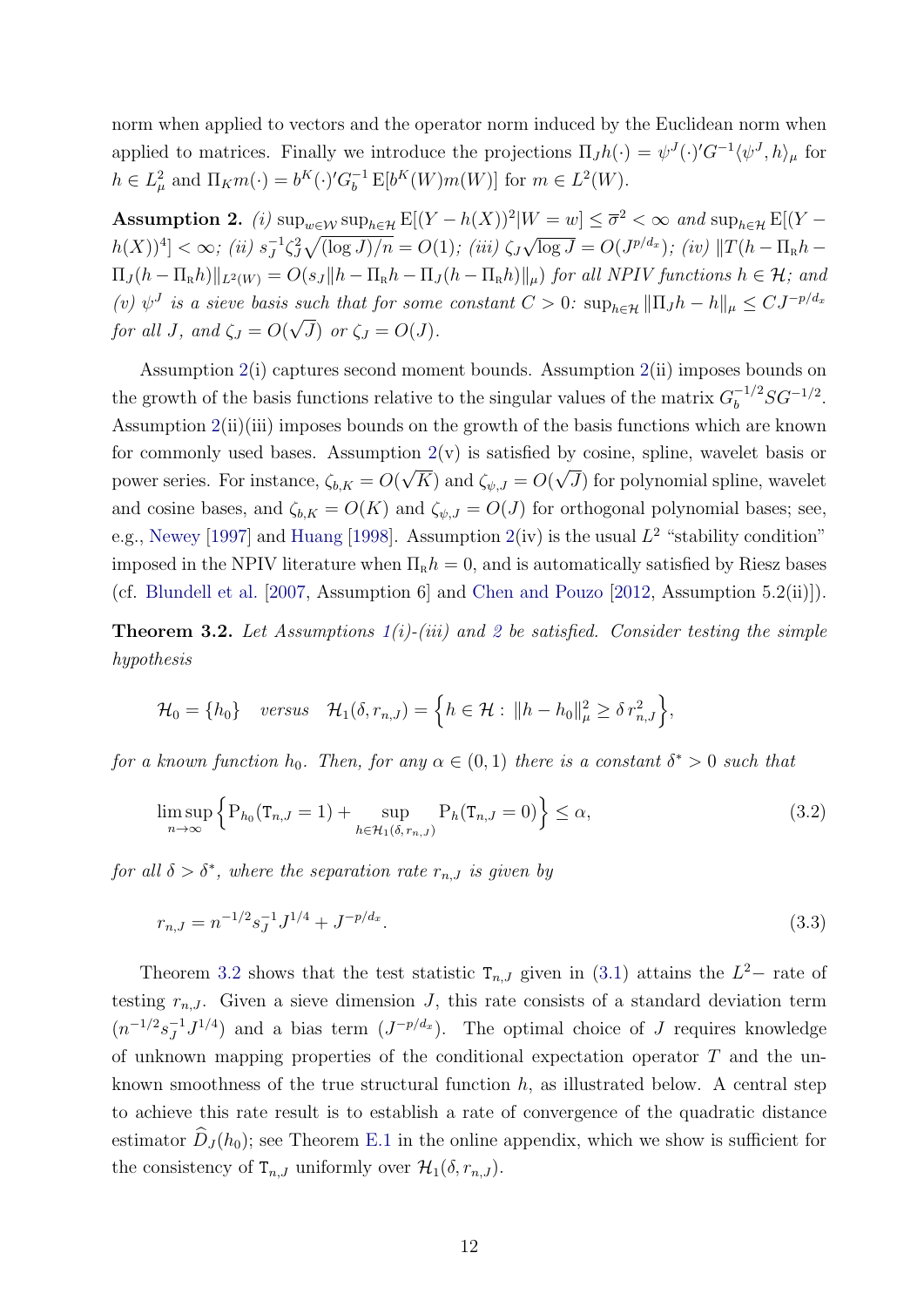norm when applied to vectors and the operator norm induced by the Euclidean norm when applied to matrices. Finally we introduce the projections  $\Pi_J h(\cdot) = \psi^J(\cdot)' G^{-1} \langle \psi^J, h \rangle_\mu$  for  $h \in L^2_\mu$  and  $\Pi_K m(\cdot) = b^K(\cdot)' G_b^{-1} E[b^K(W)m(W)]$  for  $m \in L^2(W)$ .

<span id="page-12-0"></span>Assumption 2. (i)  $\sup_{w \in \mathcal{W}} \sup_{h \in \mathcal{H}} E[(Y - h(X))^2 | W = w] \leq \overline{\sigma}^2 < \infty$  and  $\sup_{h \in \mathcal{H}} E[(Y - h(X))^2]$  $h(X)$ <sup>4</sup> $] < \infty$ ; *(ii)*  $s_J^{-1}$  $J^1 \zeta_J^2 \sqrt{\frac{\log J}{n}} = O(1)$ ; (iii)  $\zeta_J$ √  $\overline{\log J} = O(J^{p/d_x})$ ; (iv)  $||T(h - \Pi_R h \Pi_J(h - \Pi_R h) \|_{L^2(W)} = O(s_J \|h - \Pi_R h - \Pi_J(h - \Pi_R h)\|_{\mu})$  for all NPIV functions  $h \in \mathcal{H}$ ; and (v)  $\psi^J$  is a sieve basis such that for some constant  $C > 0$ :  $\sup_{h \in \mathcal{H}} ||\Pi_J h - h||_{\mu} \leq C J^{-p/d_x}$ for all J, and  $\zeta_J = O(\sqrt{J})$  or  $\zeta_J = O(J)$ .

Assumption [2\(](#page-12-0)i) captures second moment bounds. Assumption [2\(](#page-12-0)ii) imposes bounds on the growth of the basis functions relative to the singular values of the matrix  $G_b^{-1/2} SG^{-1/2}$ . Assumption [2\(](#page-12-0)ii)(iii) imposes bounds on the growth of the basis functions which are known for commonly used bases. Assumption  $2(v)$  $2(v)$  is satisfied by cosine, spline, wavelet basis or power series. For instance,  $\zeta_{b,K} = O(\sqrt{K})$  and  $\zeta_{\psi,J} = O(\sqrt{J})$  for polynomial spline, wavelet and cosine bases, and  $\zeta_{b,K} = O(K)$  and  $\zeta_{\psi,J} = O(J)$  for orthogonal polynomial bases; see, e.g., [Newey](#page-33-7) [\[1997\]](#page-33-7) and [Huang](#page-32-9) [\[1998\]](#page-32-9). Assumption  $2(iv)$  $2(iv)$  is the usual  $L^2$  "stability condition" imposed in the NPIV literature when  $\Pi_R h = 0$ , and is automatically satisfied by Riesz bases (cf. [Blundell et al.](#page-30-1) [\[2007,](#page-30-1) Assumption 6] and [Chen and Pouzo](#page-31-9) [\[2012,](#page-31-9) Assumption 5.2(ii)]).

<span id="page-12-1"></span>**Theorem 3.[2](#page-12-0).** Let Assumptions  $1(i)$  $1(i)$ -(iii) and 2 be satisfied. Consider testing the simple hypothesis

$$
\mathcal{H}_0 = \{h_0\} \quad \text{versus} \quad \mathcal{H}_1(\delta, r_{n,J}) = \left\{ h \in \mathcal{H} : \|h - h_0\|_{\mu}^2 \geq \delta \, r_{n,J}^2 \right\},
$$

for a known function  $h_0$ . Then, for any  $\alpha \in (0,1)$  there is a constant  $\delta^* > 0$  such that

$$
\limsup_{n \to \infty} \left\{ P_{h_0}(\mathbf{T}_{n,J} = 1) + \sup_{h \in \mathcal{H}_1(\delta, r_{n,J})} P_h(\mathbf{T}_{n,J} = 0) \right\} \le \alpha,
$$
\n(3.2)

for all  $\delta > \delta^*$ , where the separation rate  $r_{n,J}$  is given by

<span id="page-12-2"></span>
$$
r_{n,J} = n^{-1/2} s_J^{-1} J^{1/4} + J^{-p/d_x}.
$$
\n(3.3)

Theorem [3.2](#page-12-1) shows that the test statistic  $T_{n,J}$  given in [\(3.1\)](#page-11-1) attains the  $L^2-$  rate of testing  $r_{n,J}$ . Given a sieve dimension J, this rate consists of a standard deviation term  $(n^{-1/2}s_J^{-1})$  $J^{1/4}$  and a bias term  $(J^{-p/d_x})$ . The optimal choice of J requires knowledge of unknown mapping properties of the conditional expectation operator  $T$  and the unknown smoothness of the true structural function  $h$ , as illustrated below. A central step to achieve this rate result is to establish a rate of convergence of the quadratic distance estimator  $\tilde{D}_J(h_0)$ ; see Theorem [E.1](#page-54-1) in the online appendix, which we show is sufficient for the consistency of  $T_{n,J}$  uniformly over  $\mathcal{H}_1(\delta, r_{n,J})$ .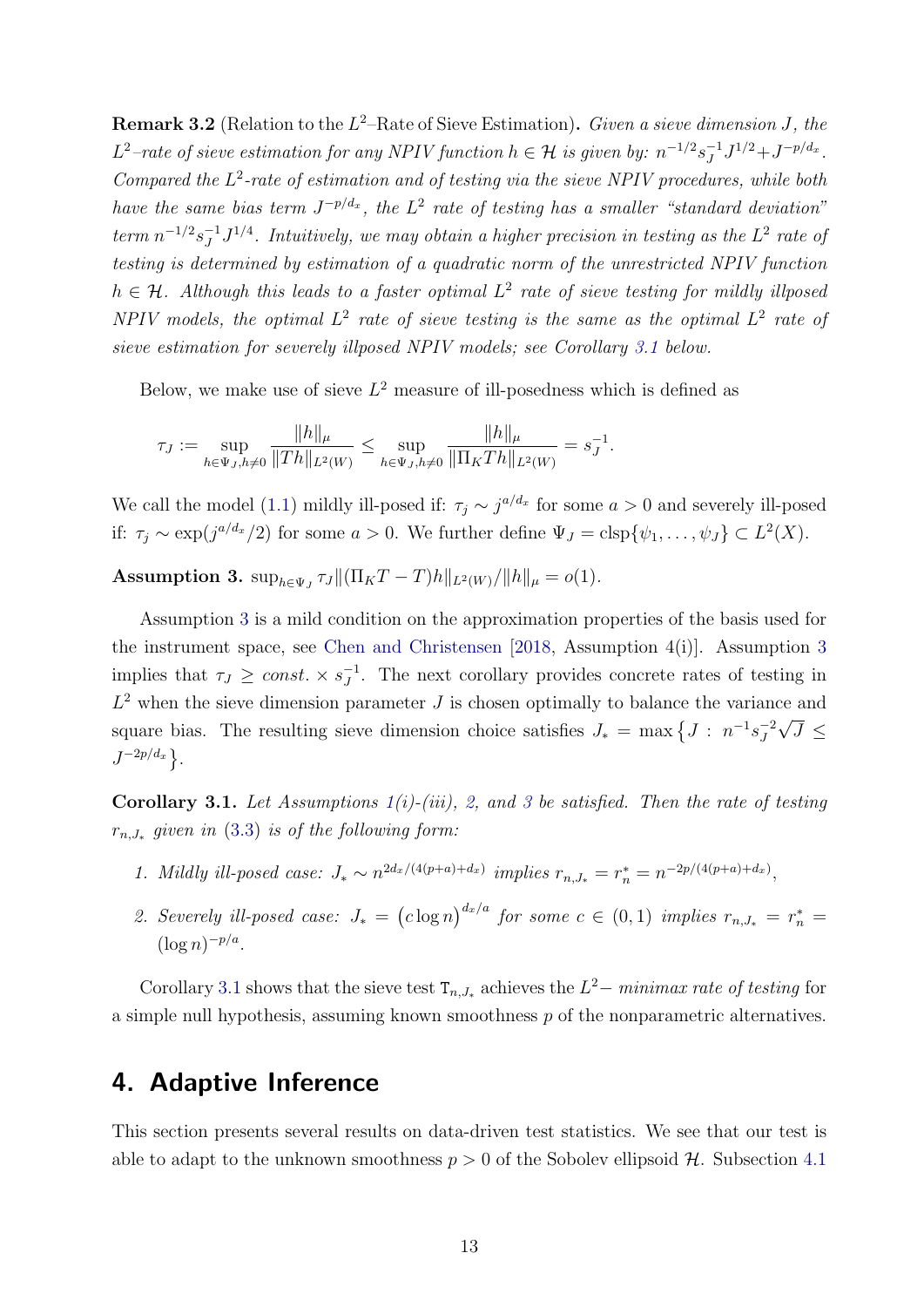<span id="page-13-3"></span>**Remark 3.2** (Relation to the  $L^2$ -Rate of Sieve Estimation). Given a sieve dimension J, the L<sup>2</sup>-rate of sieve estimation for any NPIV function  $h \in \mathcal{H}$  is given by:  $n^{-1/2} s_J^{-1}$  $J^{1/2}+J^{-p/d_x}.$ Compared the  $L^2$ -rate of estimation and of testing via the sieve NPIV procedures, while both have the same bias term  $J^{-p/d_x}$ , the  $L^2$  rate of testing has a smaller "standard deviation"  $term n^{-1/2} s_I^{-1}$  $J^{1/4}$ . Intuitively, we may obtain a higher precision in testing as the  $L^2$  rate of testing is determined by estimation of a quadratic norm of the unrestricted NPIV function  $h \in \mathcal{H}$ . Although this leads to a faster optimal  $L^2$  rate of sieve testing for mildly illposed NPIV models, the optimal  $L^2$  rate of sieve testing is the same as the optimal  $L^2$  rate of sieve estimation for severely illposed NPIV models; see Corollary [3.1](#page-13-1) below.

Below, we make use of sieve  $L^2$  measure of ill-posedness which is defined as

$$
\tau_J := \sup_{h \in \Psi_J, h \neq 0} \frac{\|h\|_{\mu}}{\|Th\|_{L^2(W)}} \le \sup_{h \in \Psi_J, h \neq 0} \frac{\|h\|_{\mu}}{\|\Pi_K Th\|_{L^2(W)}} = s_J^{-1}.
$$

We call the model [\(1.1\)](#page-2-0) mildly ill-posed if:  $\tau_j \sim j^{a/d_x}$  for some  $a > 0$  and severely ill-posed if:  $\tau_j \sim \exp(j^{a/d_x}/2)$  for some  $a > 0$ . We further define  $\Psi_J = \text{clsp}\{\psi_1, \dots, \psi_J\} \subset L^2(X)$ .

<span id="page-13-2"></span>**Assumption 3.**  $\sup_{h \in \Psi_J} \tau_J \| (\Pi_K T - T) h \|_{L^2(W)} / \| h \|_{\mu} = o(1)$ .

Assumption [3](#page-13-2) is a mild condition on the approximation properties of the basis used for the instrument space, see [Chen and Christensen](#page-31-8) [\[2018,](#page-31-8) Assumption 4(i)]. Assumption [3](#page-13-2) implies that  $\tau_J \geq const. \times s_J^{-1}$  $J^1$ . The next corollary provides concrete rates of testing in  $L^2$  when the sieve dimension parameter J is chosen optimally to balance the variance and square bias. The resulting sieve dimension choice satisfies  $J_* = \max \left\{ J : n^{-1} s_J^{-2} \right\}$ J √  $J \leq$  $J^{-2p/d_x}$ .

<span id="page-13-1"></span>Corollary [3](#page-13-2).1. Let Assumptions  $1(i)-(iii)$  $1(i)-(iii)$ , [2,](#page-12-0) and 3 be satisfied. Then the rate of testing  $r_{n,J_*}$  given in  $(3.3)$  is of the following form:

- 1. Mildly ill-posed case:  $J_* \sim n^{2d_x/(4(p+a)+d_x)}$  implies  $r_{n,J_*} = r_n^* = n^{-2p/(4(p+a)+d_x)}$ ,
- 2. Severely ill-posed case:  $J_* = (c \log n)^{d_x/a}$  for some  $c \in (0,1)$  implies  $r_{n,J_*} = r_n^* =$  $(\log n)^{-p/a}.$

Corollary [3.1](#page-13-1) shows that the sieve test  $T_{n,J_*}$  achieves the  $L^2$  - minimax rate of testing for a simple null hypothesis, assuming known smoothness  $p$  of the nonparametric alternatives.

### <span id="page-13-0"></span>4. Adaptive Inference

This section presents several results on data-driven test statistics. We see that our test is able to adapt to the unknown smoothness  $p > 0$  of the Sobolev ellipsoid  $H$ . Subsection [4.1](#page-14-1)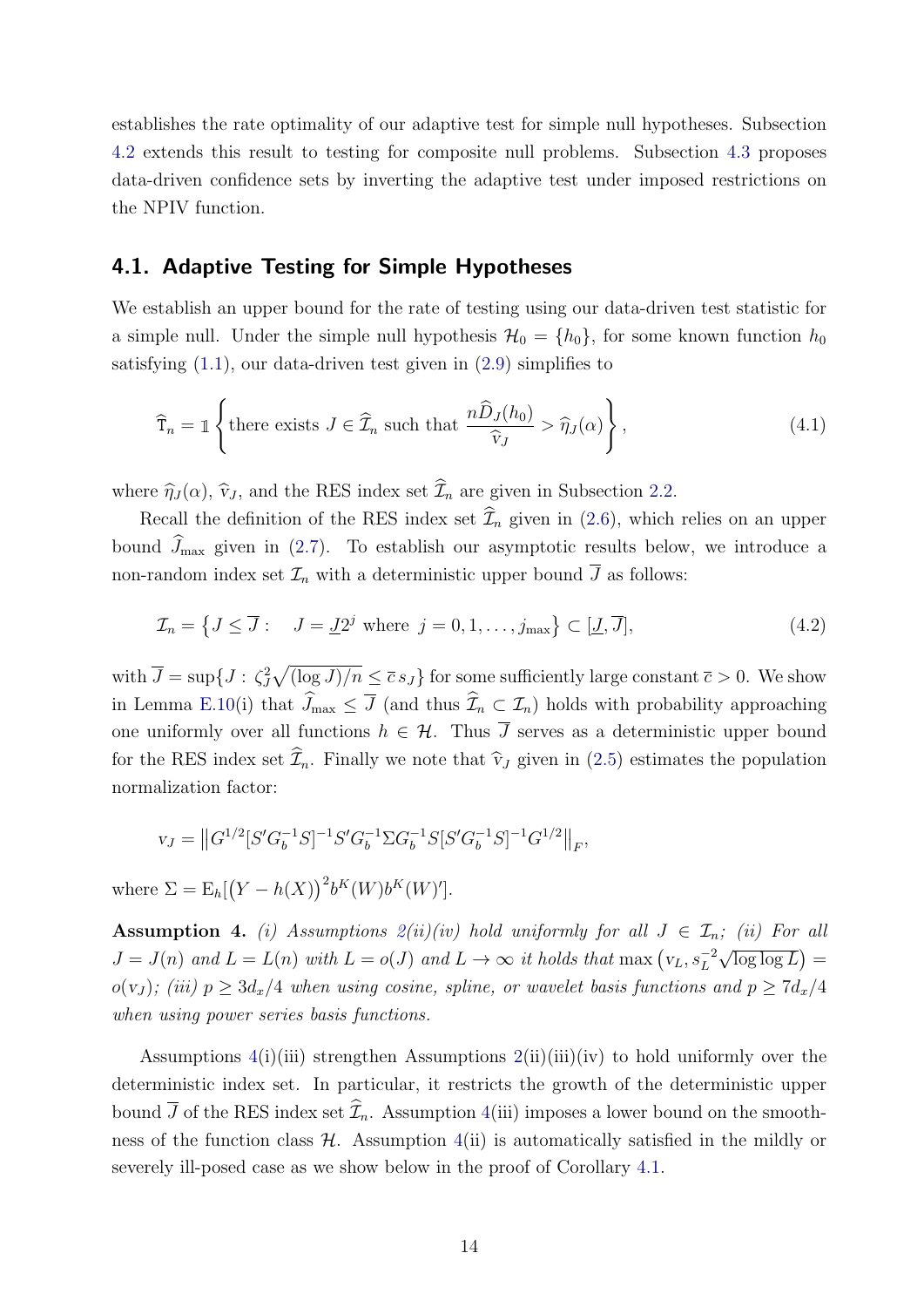establishes the rate optimality of our adaptive test for simple null hypotheses. Subsection [4.2](#page-16-0) extends this result to testing for composite null problems. Subsection [4.3](#page-18-0) proposes data-driven confidence sets by inverting the adaptive test under imposed restrictions on the NPIV function.

### <span id="page-14-1"></span>4.1. Adaptive Testing for Simple Hypotheses

We establish an upper bound for the rate of testing using our data-driven test statistic for a simple null. Under the simple null hypothesis  $\mathcal{H}_0 = \{h_0\}$ , for some known function  $h_0$ satisfying  $(1.1)$ , our data-driven test given in  $(2.9)$  simplifies to

<span id="page-14-0"></span>
$$
\widehat{\mathbf{T}}_n = \mathbb{1} \left\{ \text{there exists } J \in \widehat{\mathcal{I}}_n \text{ such that } \frac{n \widehat{D}_J(h_0)}{\widehat{\mathbf{v}}_J} > \widehat{\eta}_J(\alpha) \right\},\tag{4.1}
$$

where  $\hat{\eta}_J(\alpha)$ ,  $\hat{\mathbf{v}}_J$ , and the RES index set  $\hat{\mathcal{I}}_n$  are given in Subsection [2.2.](#page-7-0)

Recall the definition of the RES index set  $\widehat{\mathcal{I}}_n$  given in [\(2.6\)](#page-8-3), which relies on an upper bound  $\widehat{J}_{\text{max}}$  given in [\(2.7\)](#page-8-4). To establish our asymptotic results below, we introduce a non-random index set  $\mathcal{I}_n$  with a deterministic upper bound  $\overline{J}$  as follows:

<span id="page-14-3"></span>
$$
\mathcal{I}_n = \left\{ J \le \overline{J} : \quad J = \underline{J}2^j \text{ where } j = 0, 1, \dots, j_{\text{max}} \right\} \subset [\underline{J}, \overline{J}], \tag{4.2}
$$

with  $\overline{J} = \sup\{J : \zeta_J^2 \sqrt{(\log J)/n} \le \overline{c} s_J\}$  for some sufficiently large constant  $\overline{c} > 0$ . We show in Lemma [E.10\(](#page-66-0)i) that  $\widehat{J}_{\max} \leq \overline{J}$  (and thus  $\widehat{I}_n \subset \mathcal{I}_n$ ) holds with probability approaching one uniformly over all functions  $h \in \mathcal{H}$ . Thus  $\overline{J}$  serves as a deterministic upper bound for the RES index set  $\widehat{\mathcal{I}}_n$ . Finally we note that  $\widehat{\mathbf{v}}_J$  given in [\(2.5\)](#page-8-5) estimates the population normalization factor:

$$
v_J = ||G^{1/2}[S'G_b^{-1}S]^{-1}S'G_b^{-1}\Sigma G_b^{-1}S[S'G_b^{-1}S]^{-1}G^{1/2}||_F,
$$

where  $\Sigma = \mathbb{E}_h[(Y - h(X))^2 b^K(W) b^K(W)']$ .

<span id="page-14-2"></span>Assumption 4. (i) Assumptions  $2(ii)(iv)$  $2(ii)(iv)$  hold uniformly for all  $J \in \mathcal{I}_n$ ; (ii) For all  $J = J(n)$  and  $L = L(n)$  with  $L = o(J)$  and  $L \to \infty$  it holds that max  $(v_L, s_L^{-2})$ √  $\overline{\log \log L}$  = o(v<sub>J</sub>); (iii)  $p \geq 3d_x/4$  when using cosine, spline, or wavelet basis functions and  $p \geq 7d_x/4$ when using power series basis functions.

Assumptions  $4(i)(iii)$  $4(i)(iii)$  strengthen Assumptions  $2(ii)(iii)(iv)$  $2(ii)(iii)(iv)$  to hold uniformly over the deterministic index set. In particular, it restricts the growth of the deterministic upper bound  $\overline{J}$  of the RES index set  $\widehat{\mathcal{I}}_n$ . Assumption [4\(](#page-14-2)iii) imposes a lower bound on the smoothness of the function class  $H$ . Assumption  $4(ii)$  $4(ii)$  is automatically satisfied in the mildly or severely ill-posed case as we show below in the proof of Corollary [4.1.](#page-15-0)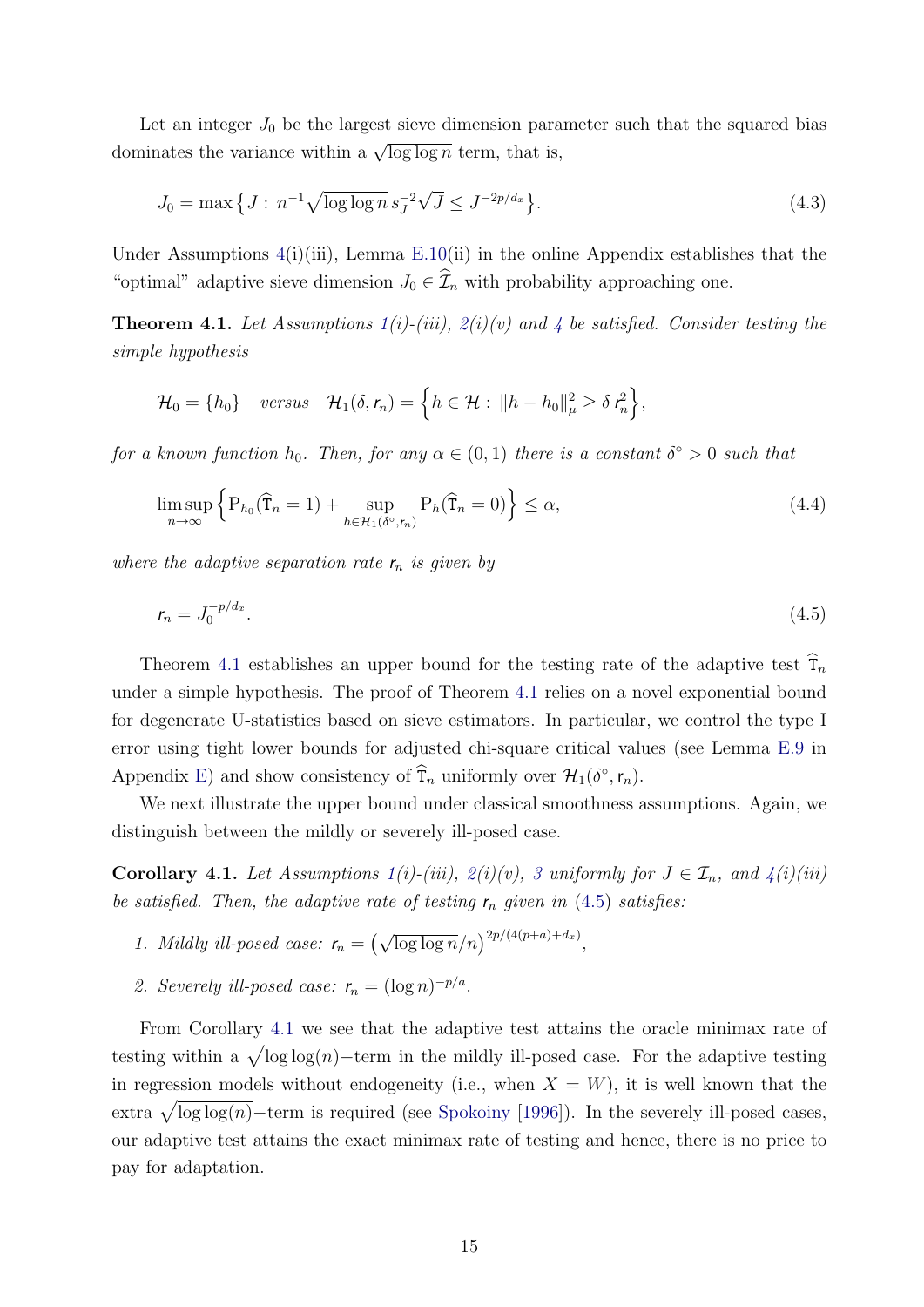Let an integer  $J_0$  be the largest sieve dimension parameter such that the squared bias dominates the variance within a  $\sqrt{\log \log n}$  term, that is,

<span id="page-15-3"></span>
$$
J_0 = \max\left\{J : n^{-1}\sqrt{\log\log n} \, s_J^{-2}\sqrt{J} \le J^{-2p/d_x}\right\}.\tag{4.3}
$$

Under Assumptions  $4(i)(iii)$  $4(i)(iii)$ , Lemma [E.10\(](#page-66-0)ii) in the online Appendix establishes that the "optimal" adaptive sieve dimension  $J_0 \in \widehat{\mathcal{I}}_n$  with probability approaching one.

<span id="page-15-1"></span>**Theorem [4](#page-14-2).1.** Let Assumptions  $1(i)$  $1(i)$ -(iii),  $2(i)(v)$  $2(i)(v)$  and 4 be satisfied. Consider testing the simple hypothesis

$$
\mathcal{H}_0 = \{h_0\} \quad versus \quad \mathcal{H}_1(\delta, r_n) = \left\{ h \in \mathcal{H} : ||h - h_0||_{\mu}^2 \geq \delta r_n^2 \right\},\
$$

for a known function  $h_0$ . Then, for any  $\alpha \in (0,1)$  there is a constant  $\delta^{\circ} > 0$  such that

$$
\limsup_{n \to \infty} \left\{ P_{h_0}(\widehat{T}_n = 1) + \sup_{h \in \mathcal{H}_1(\delta^\circ, r_n)} P_h(\widehat{T}_n = 0) \right\} \le \alpha,
$$
\n(4.4)

where the adaptive separation rate  $r_n$  is given by

<span id="page-15-2"></span>
$$
r_n = J_0^{-p/d_x}.\tag{4.5}
$$

Theorem [4.1](#page-15-1) establishes an upper bound for the testing rate of the adaptive test  $\tilde{T}_n$ under a simple hypothesis. The proof of Theorem [4.1](#page-15-1) relies on a novel exponential bound for degenerate U-statistics based on sieve estimators. In particular, we control the type I error using tight lower bounds for adjusted chi-square critical values (see Lemma [E.9](#page-65-0) in Appendix [E\)](#page-54-0) and show consistency of  $\hat{\mathsf{T}}_n$  uniformly over  $\mathcal{H}_1(\delta^{\circ}, \mathsf{r}_n)$ .

We next illustrate the upper bound under classical smoothness assumptions. Again, we distinguish between the mildly or severely ill-posed case.

<span id="page-15-0"></span>Corollary 4.1. Let Assumptions  $1(i)-(iii)$  $1(i)-(iii)$ ,  $2(i)(v)$  $2(i)(v)$ , [3](#page-13-2) uniformly for  $J \in \mathcal{I}_n$ , and  $4(i)(iii)$  $4(i)(iii)$ be satisfied. Then, the adaptive rate of testing  $r_n$  given in [\(4.5\)](#page-15-2) satisfies:

- 1. Mildly ill-posed case:  $r_n = (\sqrt{\log \log n}/n)^{2p/(4(p+a)+d_x)}$ ,
- 2. Severely ill-posed case:  $r_n = (\log n)^{-p/a}$ .

From Corollary [4.1](#page-15-0) we see that the adaptive test attains the oracle minimax rate of testing within a  $\sqrt{\log \log(n)}$  -term in the mildly ill-posed case. For the adaptive testing in regression models without endogeneity (i.e., when  $X = W$ ), it is well known that the extra  $\sqrt{\log \log(n)}$  – term is required (see [Spokoiny](#page-33-0) [\[1996\]](#page-33-0)). In the severely ill-posed cases, our adaptive test attains the exact minimax rate of testing and hence, there is no price to pay for adaptation.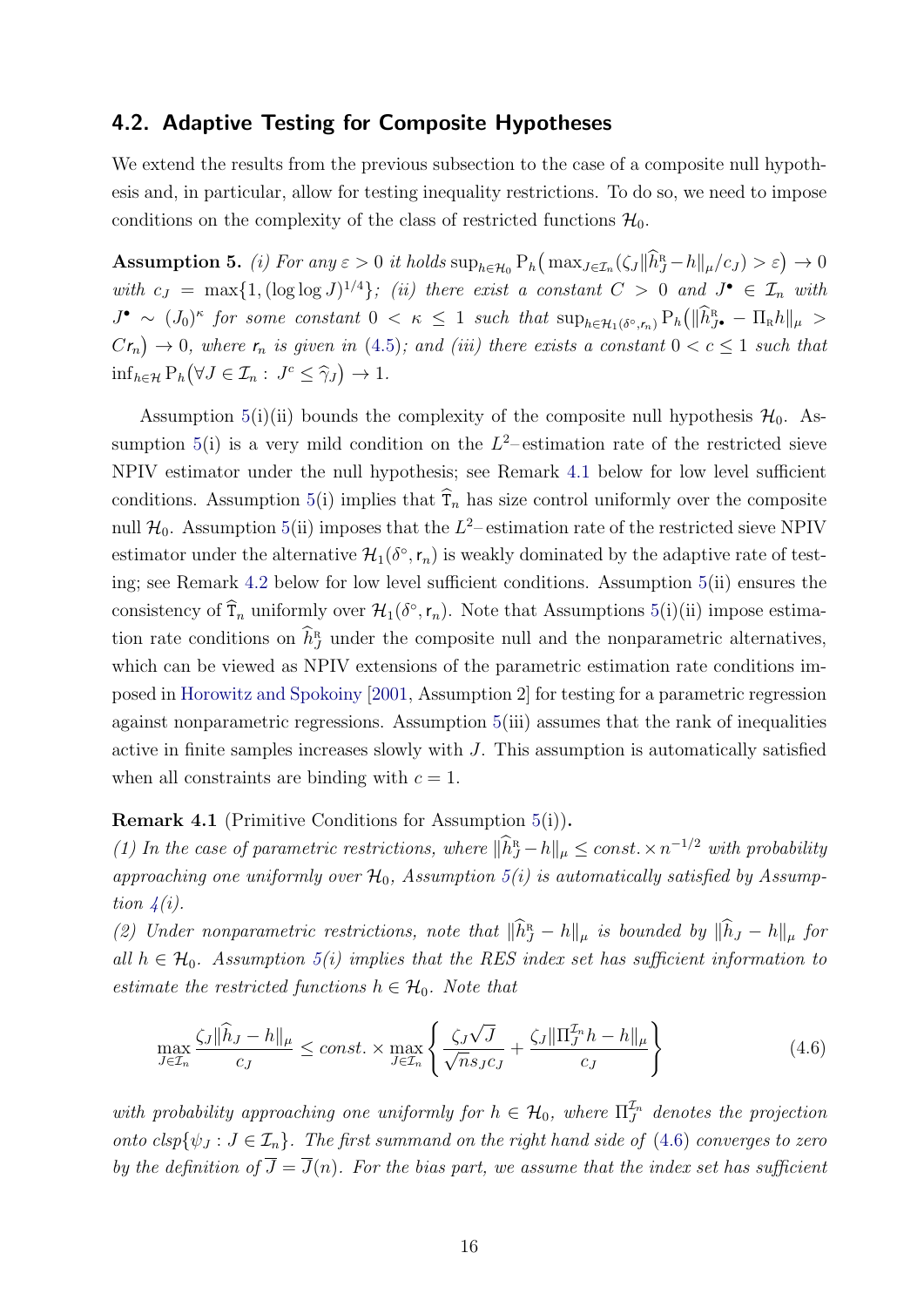#### <span id="page-16-0"></span>4.2. Adaptive Testing for Composite Hypotheses

We extend the results from the previous subsection to the case of a composite null hypothesis and, in particular, allow for testing inequality restrictions. To do so, we need to impose conditions on the complexity of the class of restricted functions  $\mathcal{H}_0$ .

<span id="page-16-1"></span>Assumption 5. (i) For any  $\varepsilon > 0$  it holds  $\sup_{h \in \mathcal{H}_0} P_h(\max_{J \in \mathcal{I}_n} (\zeta_J || \widehat{h}_J^R - h||_{\mu}/c_J) > \varepsilon) \to 0$ with  $c_J = \max\{1, (\log \log J)^{1/4}\};$  (ii) there exist a constant  $C > 0$  and  $J^{\bullet} \in \mathcal{I}_n$  with  $J^{\bullet} \sim (J_0)^{\kappa}$  for some constant  $0 < \kappa \leq 1$  such that  $\sup_{h \in \mathcal{H}_1(\delta^{\circ}, r_n)} P_h(\|\hat{h}_{J^{\bullet}}^R - \Pi_R h\|_{\mu} >$  $Cr_n$ )  $\rightarrow$  0, where  $r_n$  is given in [\(4.5\)](#page-15-2); and (iii) there exists a constant  $0 < c \leq 1$  such that  $\inf_{h \in \mathcal{H}} P_h(\forall J \in \mathcal{I}_n : J^c \leq \hat{\gamma}_J) \to 1.$ 

Assumption [5\(](#page-16-1)i)(ii) bounds the complexity of the composite null hypothesis  $\mathcal{H}_0$ . Assumption  $5(i)$  $5(i)$  is a very mild condition on the  $L^2$ -estimation rate of the restricted sieve NPIV estimator under the null hypothesis; see Remark [4.1](#page-16-2) below for low level sufficient conditions. Assumption [5\(](#page-16-1)i) implies that  $\hat{T}_n$  has size control uniformly over the composite null  $\mathcal{H}_0$ . Assumption [5\(](#page-16-1)ii) imposes that the  $L^2$ -estimation rate of the restricted sieve NPIV estimator under the alternative  $\mathcal{H}_1(\delta^\circ, r_n)$  is weakly dominated by the adaptive rate of testing; see Remark [4.2](#page-17-0) below for low level sufficient conditions. Assumption [5\(](#page-16-1)ii) ensures the consistency of  $\hat{\mathsf{T}}_n$  uniformly over  $\mathcal{H}_1(\delta^\circ, \mathsf{r}_n)$ . Note that Assumptions [5\(](#page-16-1)i)(ii) impose estimation rate conditions on  $\widehat{h}^{\text{R}}_{J}$  under the composite null and the nonparametric alternatives, which can be viewed as NPIV extensions of the parametric estimation rate conditions imposed in [Horowitz and Spokoiny](#page-32-1) [\[2001,](#page-32-1) Assumption 2] for testing for a parametric regression against nonparametric regressions. Assumption [5\(](#page-16-1)iii) assumes that the rank of inequalities active in finite samples increases slowly with J. This assumption is automatically satisfied when all constraints are binding with  $c = 1$ .

#### <span id="page-16-2"></span>Remark 4.1 (Primitive Conditions for Assumption [5\(](#page-16-1)i)).

(1) In the case of parametric restrictions, where  $\|\widehat{h}_J^R - h\|_{\mu} \leq \text{const.} \times n^{-1/2}$  with probability approaching one uniformly over  $\mathcal{H}_0$ , Assumption [5\(](#page-16-1)i) is automatically satisfied by Assumption  $4(i)$  $4(i)$ .

(2) Under nonparametric restrictions, note that  $\|\widehat{h}_J - h\|_{\mu}$  is bounded by  $\|\widehat{h}_J - h\|_{\mu}$  for all  $h \in \mathcal{H}_0$ . Assumption [5\(](#page-16-1)i) implies that the RES index set has sufficient information to estimate the restricted functions  $h \in \mathcal{H}_0$ . Note that

<span id="page-16-3"></span>
$$
\max_{J \in \mathcal{I}_n} \frac{\zeta_J \|\widehat{h}_J - h\|_{\mu}}{c_J} \le const. \times \max_{J \in \mathcal{I}_n} \left\{ \frac{\zeta_J \sqrt{J}}{\sqrt{n} s_J c_J} + \frac{\zeta_J \|\Pi_J^{\mathcal{I}_n} h - h\|_{\mu}}{c_J} \right\}
$$
(4.6)

with probability approaching one uniformly for  $h \in \mathcal{H}_0$ , where  $\Pi_J^{\mathcal{I}_n}$  denotes the projection onto  $clsp{\lbrace \psi_J : J \in \mathcal{I}_n \rbrace}$ . The first summand on the right hand side of [\(4.6\)](#page-16-3) converges to zero by the definition of  $\overline{J} = \overline{J}(n)$ . For the bias part, we assume that the index set has sufficient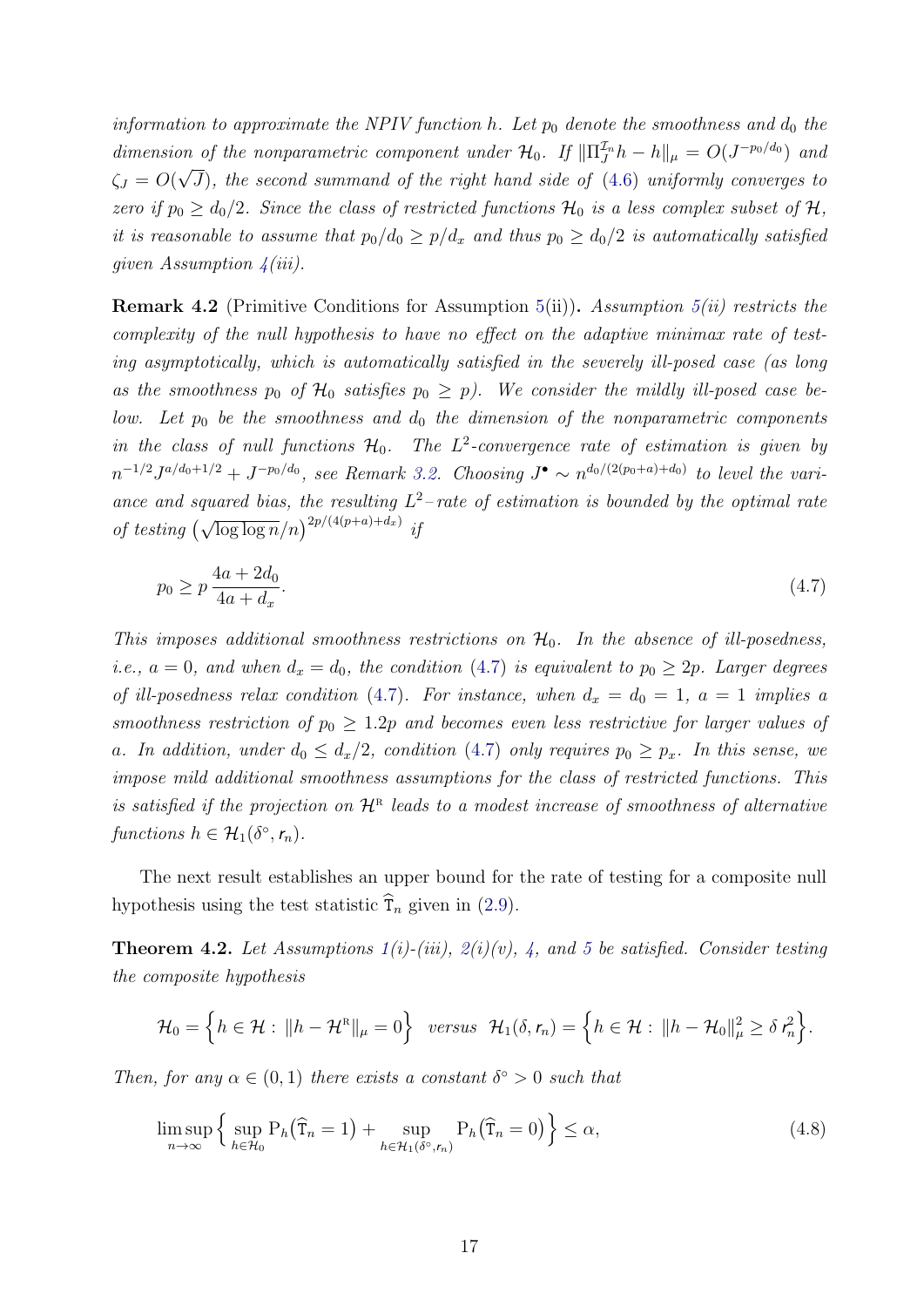information to approximate the NPIV function h. Let  $p_0$  denote the smoothness and  $d_0$  the dimension of the nonparametric component under  $\mathcal{H}_0$ . If  $\|\Pi_J^{\mathcal{I}_n}h - h\|_{\mu} = O(J^{-p_0/d_0})$  and  $\zeta_J = O(\sqrt{J})$ , the second summand of the right hand side of [\(4.6\)](#page-16-3) uniformly converges to zero if  $p_0 \geq d_0/2$ . Since the class of restricted functions  $\mathcal{H}_0$  is a less complex subset of  $\mathcal{H}$ , it is reasonable to assume that  $p_0/d_0 \geq p/d_x$  and thus  $p_0 \geq d_0/2$  is automatically satisfied given Assumption  $4(iii)$  $4(iii)$ .

<span id="page-17-0"></span>**Remark 4.2** (Primitive Conditions for Assumption [5\(](#page-16-1)ii)). Assumption 5(ii) restricts the complexity of the null hypothesis to have no effect on the adaptive minimax rate of testing asymptotically, which is automatically satisfied in the severely ill-posed case (as long as the smoothness  $p_0$  of  $\mathcal{H}_0$  satisfies  $p_0 \geq p$ ). We consider the mildly ill-posed case below. Let  $p_0$  be the smoothness and  $d_0$  the dimension of the nonparametric components in the class of null functions  $H_0$ . The  $L^2$ -convergence rate of estimation is given by  $n^{-1/2}J^{a/d_0+1/2}+J^{-p_0/d_0}$ , see Remark [3.2.](#page-13-3) Choosing  $J^{\bullet} \sim n^{d_0/(2(p_0+a)+d_0)}$  to level the variance and squared bias, the resulting  $L^2$ -rate of estimation is bounded by the optimal rate of testing  $(\sqrt{\log \log n}/n)^{2p/(4(p+a)+d_x)}$  if

<span id="page-17-1"></span>
$$
p_0 \ge p \frac{4a + 2d_0}{4a + d_x}.\tag{4.7}
$$

This imposes additional smoothness restrictions on  $H_0$ . In the absence of ill-posedness, *i.e.*,  $a = 0$ , and when  $d_x = d_0$ , the condition [\(4.7\)](#page-17-1) is equivalent to  $p_0 \geq 2p$ . Larger degrees of ill-posedness relax condition [\(4.7\)](#page-17-1). For instance, when  $d_x = d_0 = 1$ ,  $a = 1$  implies a smoothness restriction of  $p_0 \geq 1.2p$  and becomes even less restrictive for larger values of a. In addition, under  $d_0 \leq d_x/2$ , condition [\(4.7\)](#page-17-1) only requires  $p_0 \geq p_x$ . In this sense, we impose mild additional smoothness assumptions for the class of restricted functions. This is satisfied if the projection on  $\mathcal{H}^{\text{R}}$  leads to a modest increase of smoothness of alternative functions  $h \in \mathcal{H}_1(\delta^{\circ}, r_n)$ .

The next result establishes an upper bound for the rate of testing for a composite null hypothesis using the test statistic  $\widehat{T}_n$  given in [\(2.9\)](#page-9-1).

<span id="page-17-2"></span>**Theorem 4.2.** Let Assumptions  $1(i)$  $1(i)$ -(iii),  $2(i)(v)$  $2(i)(v)$ , [4,](#page-14-2) and [5](#page-16-1) be satisfied. Consider testing the composite hypothesis

$$
\mathcal{H}_0 = \left\{ h \in \mathcal{H} : \|h - \mathcal{H}^{\scriptscriptstyle\mathrm{R}}\|_{\mu} = 0 \right\} \text{ versus } \mathcal{H}_1(\delta, r_n) = \left\{ h \in \mathcal{H} : \|h - \mathcal{H}_0\|_{\mu}^2 \geq \delta \, r_n^2 \right\}.
$$

Then, for any  $\alpha \in (0,1)$  there exists a constant  $\delta^{\circ} > 0$  such that

$$
\limsup_{n \to \infty} \left\{ \sup_{h \in \mathcal{H}_0} \mathcal{P}_h(\widehat{\mathbf{T}}_n = 1) + \sup_{h \in \mathcal{H}_1(\delta^\circ, r_n)} \mathcal{P}_h(\widehat{\mathbf{T}}_n = 0) \right\} \le \alpha,
$$
\n(4.8)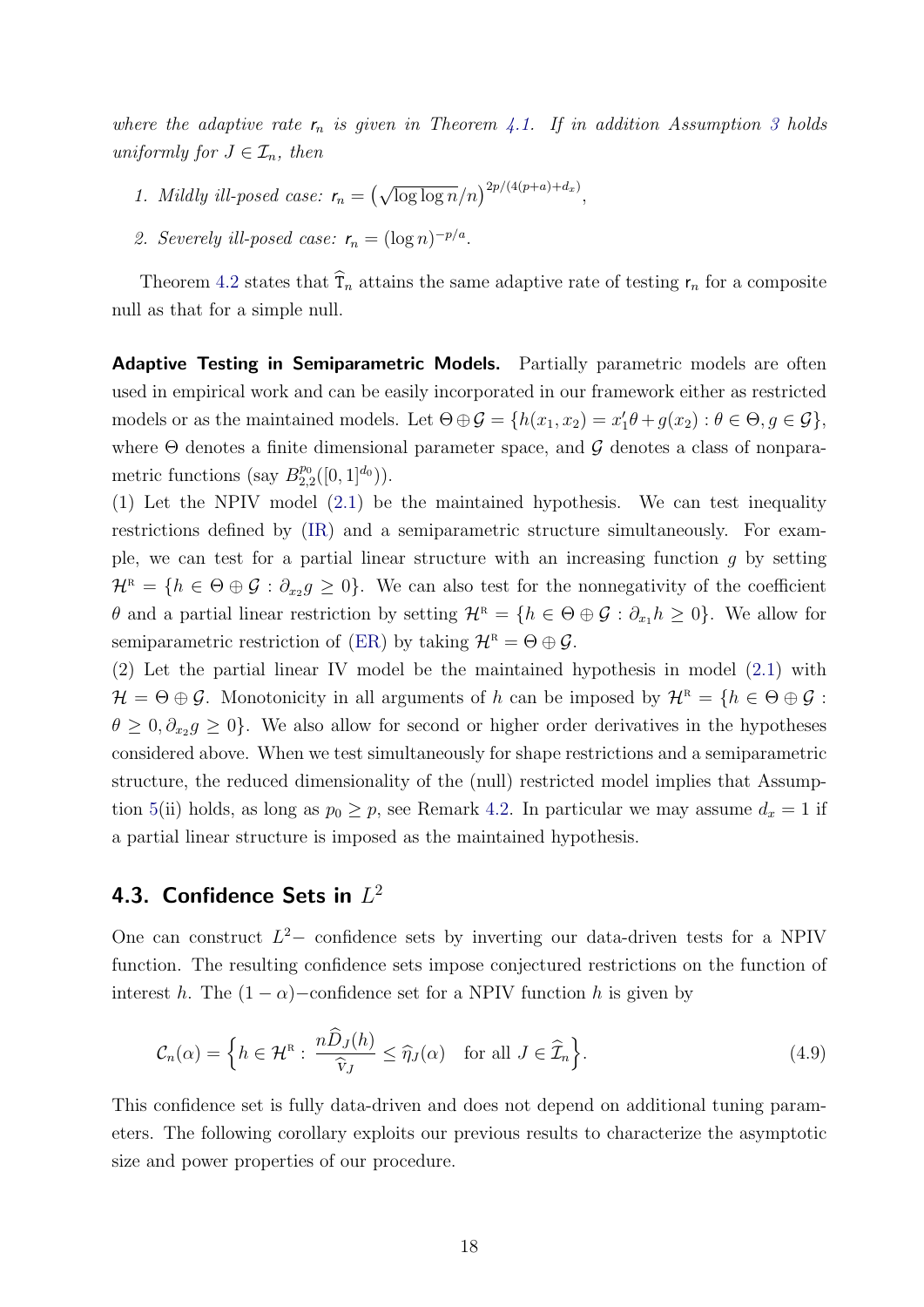where the adaptive rate  $r_n$  is given in Theorem [4.1.](#page-15-1) If in addition Assumption [3](#page-13-2) holds uniformly for  $J \in \mathcal{I}_n$ , then

- 1. Mildly ill-posed case:  $r_n = (\sqrt{\log \log n}/n)^{2p/(4(p+a)+d_x)}$ ,
- 2. Severely ill-posed case:  $r_n = (\log n)^{-p/a}$ .

Theorem [4.2](#page-17-2) states that  $\tilde{T}_n$  attains the same adaptive rate of testing  $r_n$  for a composite null as that for a simple null.

**Adaptive Testing in Semiparametric Models.** Partially parametric models are often used in empirical work and can be easily incorporated in our framework either as restricted models or as the maintained models. Let  $\Theta \oplus \mathcal{G} = \{h(x_1, x_2) = x_1'\theta + g(x_2) : \theta \in \Theta, g \in \mathcal{G}\},\$ where  $\Theta$  denotes a finite dimensional parameter space, and  $\mathcal G$  denotes a class of nonparametric functions (say  $B_{2,2}^{p_0}([0,1]^{d_0})$ ).

(1) Let the NPIV model [\(2.1\)](#page-5-1) be the maintained hypothesis. We can test inequality restrictions defined by [\(IR\)](#page-5-2) and a semiparametric structure simultaneously. For example, we can test for a partial linear structure with an increasing function  $g$  by setting  $\mathcal{H}^{\text{\tiny R}} = \{h \in \Theta \oplus \mathcal{G} : \partial_{x_2} g \geq 0\}.$  We can also test for the nonnegativity of the coefficient  $\theta$  and a partial linear restriction by setting  $\mathcal{H}^{\scriptscriptstyle\mathrm{R}}=\{h\in\Theta\oplus\mathcal{G}: \partial_{x_1}h\geq 0\}$ . We allow for semiparametric restriction of [\(ER\)](#page-6-0) by taking  $\mathcal{H}^{\text{\tiny R}} = \Theta \oplus \mathcal{G}$ .

(2) Let the partial linear IV model be the maintained hypothesis in model [\(2.1\)](#page-5-1) with  $\mathcal{H} = \Theta \oplus \mathcal{G}$ . Monotonicity in all arguments of h can be imposed by  $\mathcal{H}^{\text{R}} = \{h \in \Theta \oplus \mathcal{G} :$  $\theta \geq 0, \partial_{x_2} g \geq 0$ . We also allow for second or higher order derivatives in the hypotheses considered above. When we test simultaneously for shape restrictions and a semiparametric structure, the reduced dimensionality of the (null) restricted model implies that Assump-tion [5\(](#page-16-1)ii) holds, as long as  $p_0 \geq p$ , see Remark [4.2.](#page-17-0) In particular we may assume  $d_x = 1$  if a partial linear structure is imposed as the maintained hypothesis.

### <span id="page-18-0"></span>4.3. Confidence Sets in  $L^2$

One can construct  $L^2-$  confidence sets by inverting our data-driven tests for a NPIV function. The resulting confidence sets impose conjectured restrictions on the function of interest h. The  $(1 - \alpha)$ –confidence set for a NPIV function h is given by

$$
\mathcal{C}_n(\alpha) = \left\{ h \in \mathcal{H}^n : \frac{n \widehat{D}_J(h)}{\widehat{v}_J} \leq \widehat{\eta}_J(\alpha) \quad \text{for all } J \in \widehat{\mathcal{I}}_n \right\}.
$$
 (4.9)

This confidence set is fully data-driven and does not depend on additional tuning parameters. The following corollary exploits our previous results to characterize the asymptotic size and power properties of our procedure.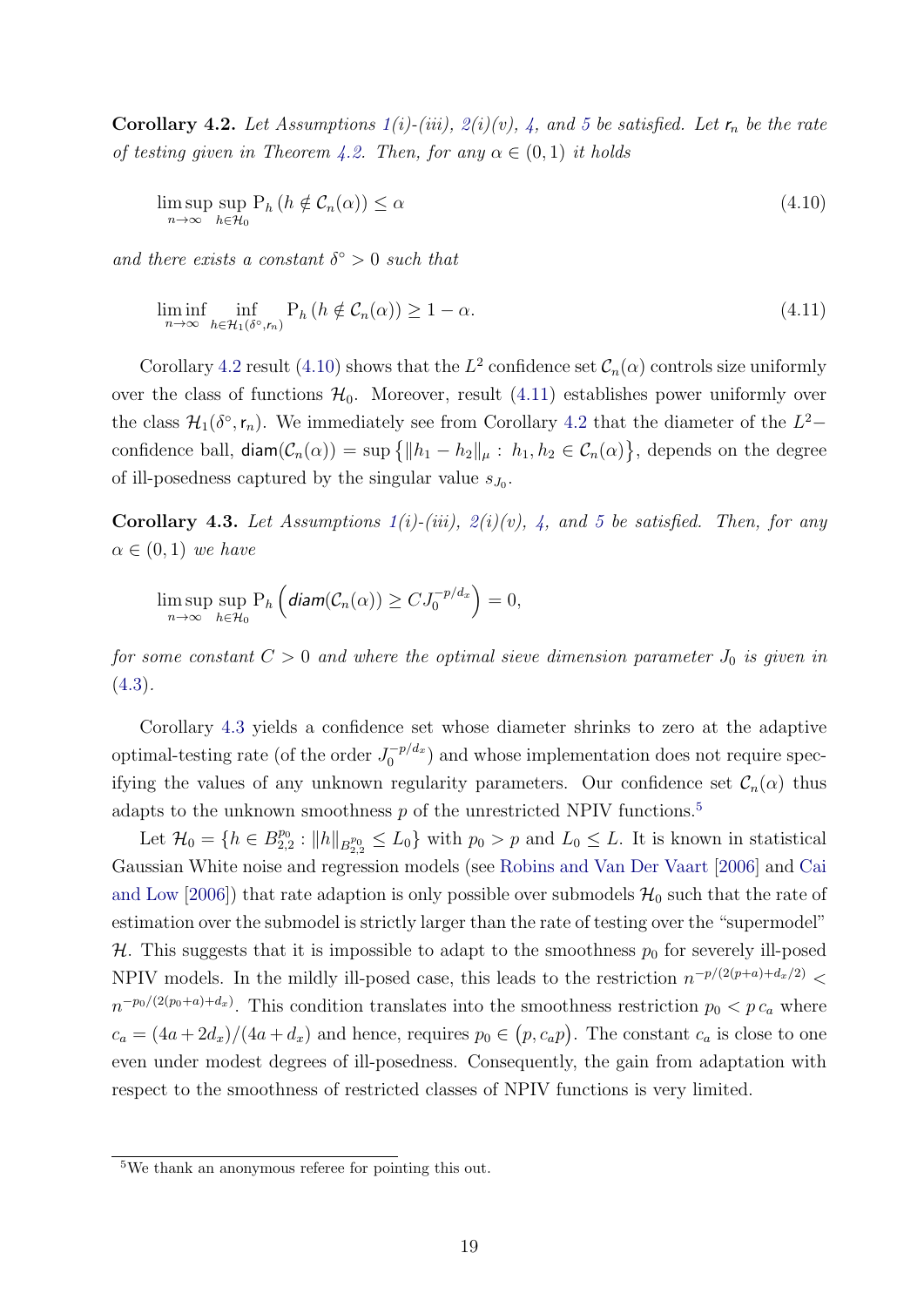<span id="page-19-0"></span>**Corollary 4.2.** Let Assumptions  $1(i)$  $1(i)$ -(iii),  $2(i)(v)$  $2(i)(v)$ , [4,](#page-14-2) and [5](#page-16-1) be satisfied. Let  $r_n$  be the rate of testing given in Theorem [4.2.](#page-17-2) Then, for any  $\alpha \in (0,1)$  it holds

<span id="page-19-1"></span>
$$
\limsup_{n \to \infty} \sup_{h \in \mathcal{H}_0} P_h \left( h \notin \mathcal{C}_n(\alpha) \right) \le \alpha \tag{4.10}
$$

and there exists a constant  $\delta^{\circ} > 0$  such that

<span id="page-19-2"></span>
$$
\liminf_{n \to \infty} \inf_{h \in \mathcal{H}_1(\delta^\circ, r_n)} \mathcal{P}_h \left( h \notin \mathcal{C}_n(\alpha) \right) \ge 1 - \alpha. \tag{4.11}
$$

Corollary [4.2](#page-19-0) result [\(4.10\)](#page-19-1) shows that the  $L^2$  confidence set  $\mathcal{C}_n(\alpha)$  controls size uniformly over the class of functions  $\mathcal{H}_0$ . Moreover, result [\(4.11\)](#page-19-2) establishes power uniformly over the class  $\mathcal{H}_1(\delta^{\circ}, r_n)$ . We immediately see from Corollary [4.2](#page-19-0) that the diameter of the  $L^2$ confidence ball,  $\textsf{diam}(\mathcal{C}_n(\alpha)) = \sup \{ ||h_1 - h_2||_\mu : h_1, h_2 \in \mathcal{C}_n(\alpha) \},\$  depends on the degree of ill-posedness captured by the singular value  $s_{J_0}$ .

<span id="page-19-3"></span>Corollary 4.3. Let Assumptions  $1(i)$  $1(i)$ -(iii),  $2(i)(v)$  $2(i)(v)$ , [4,](#page-14-2) and [5](#page-16-1) be satisfied. Then, for any  $\alpha \in (0,1)$  we have

$$
\limsup_{n\to\infty}\sup_{h\in\mathcal{H}_0}P_h\left(\text{diam}(\mathcal{C}_n(\alpha))\geq CJ_0^{-p/d_x}\right)=0,
$$

for some constant  $C > 0$  and where the optimal sieve dimension parameter  $J_0$  is given in  $(4.3).$  $(4.3).$ 

Corollary [4.3](#page-19-3) yields a confidence set whose diameter shrinks to zero at the adaptive optimal-testing rate (of the order  $J_0^{-p/d_x}$  $\binom{-p/a_x}{0}$  and whose implementation does not require specifying the values of any unknown regularity parameters. Our confidence set  $\mathcal{C}_n(\alpha)$  thus adapts to the unknown smoothness  $p$  of the unrestricted NPIV functions.<sup>[5](#page-19-4)</sup>

Let  $\mathcal{H}_0 = \{h \in B^{p_0}_{2,2} : ||h||_{B^{p_0}_{2,2}} \le L_0\}$  with  $p_0 > p$  and  $L_0 \le L$ . It is known in statistical Gaussian White noise and regression models (see [Robins and Van Der Vaart](#page-33-8) [\[2006\]](#page-33-8) and [Cai](#page-31-10) [and Low](#page-31-10) [\[2006\]](#page-31-10)) that rate adaption is only possible over submodels  $\mathcal{H}_0$  such that the rate of estimation over the submodel is strictly larger than the rate of testing over the "supermodel" H. This suggests that it is impossible to adapt to the smoothness  $p_0$  for severely ill-posed NPIV models. In the mildly ill-posed case, this leads to the restriction  $n^{-p/(2(p+a)+d_x/2)}$  $n^{-p_0/(2(p_0+a)+d_x)}$ . This condition translates into the smoothness restriction  $p_0 < p c_a$  where  $c_a = (4a + 2d_x)/(4a + d_x)$  and hence, requires  $p_0 \in (p, c_a p)$ . The constant  $c_a$  is close to one even under modest degrees of ill-posedness. Consequently, the gain from adaptation with respect to the smoothness of restricted classes of NPIV functions is very limited.

<span id="page-19-4"></span><sup>5</sup>We thank an anonymous referee for pointing this out.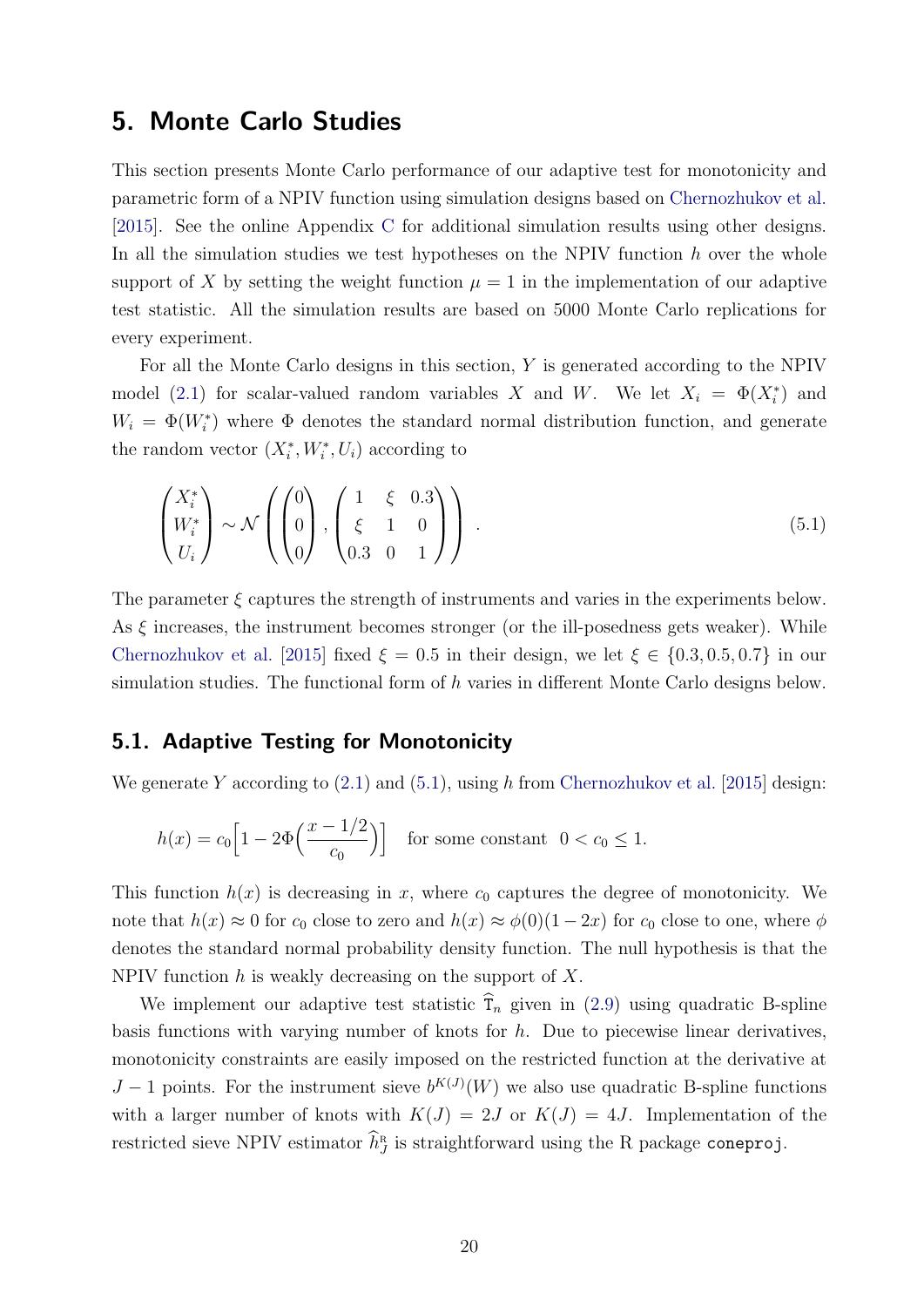### <span id="page-20-0"></span>5. Monte Carlo Studies

This section presents Monte Carlo performance of our adaptive test for monotonicity and parametric form of a NPIV function using simulation designs based on [Chernozhukov et al.](#page-31-2) [\[2015\]](#page-31-2). See the online Appendix [C](#page-46-0) for additional simulation results using other designs. In all the simulation studies we test hypotheses on the NPIV function  $h$  over the whole support of X by setting the weight function  $\mu = 1$  in the implementation of our adaptive test statistic. All the simulation results are based on 5000 Monte Carlo replications for every experiment.

For all the Monte Carlo designs in this section, Y is generated according to the NPIV model [\(2.1\)](#page-5-1) for scalar-valued random variables X and W. We let  $X_i = \Phi(X_i^*)$  and  $W_i = \Phi(W_i^*)$  where  $\Phi$  denotes the standard normal distribution function, and generate the random vector  $(X_i^*, W_i^*, U_i)$  according to

<span id="page-20-1"></span>
$$
\begin{pmatrix} X_i^* \\ W_i^* \\ U_i \end{pmatrix} \sim \mathcal{N} \left( \begin{pmatrix} 0 \\ 0 \\ 0 \end{pmatrix}, \begin{pmatrix} 1 & \xi & 0.3 \\ \xi & 1 & 0 \\ 0.3 & 0 & 1 \end{pmatrix} \right) . \tag{5.1}
$$

The parameter  $\xi$  captures the strength of instruments and varies in the experiments below. As  $\xi$  increases, the instrument becomes stronger (or the ill-posedness gets weaker). While [Chernozhukov et al.](#page-31-2) [\[2015\]](#page-31-2) fixed  $\xi = 0.5$  in their design, we let  $\xi \in \{0.3, 0.5, 0.7\}$  in our simulation studies. The functional form of  $h$  varies in different Monte Carlo designs below.

### <span id="page-20-2"></span>5.1. Adaptive Testing for Monotonicity

We generate Y according to  $(2.1)$  and  $(5.1)$ , using h from [Chernozhukov et al.](#page-31-2) [\[2015\]](#page-31-2) design:

$$
h(x) = c_0 \left[ 1 - 2\Phi\left(\frac{x - 1/2}{c_0}\right) \right]
$$
 for some constant  $0 < c_0 \le 1$ .

This function  $h(x)$  is decreasing in x, where  $c_0$  captures the degree of monotonicity. We note that  $h(x) \approx 0$  for  $c_0$  close to zero and  $h(x) \approx \phi(0)(1-2x)$  for  $c_0$  close to one, where  $\phi$ denotes the standard normal probability density function. The null hypothesis is that the NPIV function  $h$  is weakly decreasing on the support of  $X$ .

We implement our adaptive test statistic  $\hat{\tau}_n$  given in [\(2.9\)](#page-9-1) using quadratic B-spline basis functions with varying number of knots for  $h$ . Due to piecewise linear derivatives, monotonicity constraints are easily imposed on the restricted function at the derivative at  $J-1$  points. For the instrument sieve  $b^{K(J)}(W)$  we also use quadratic B-spline functions with a larger number of knots with  $K(J) = 2J$  or  $K(J) = 4J$ . Implementation of the restricted sieve NPIV estimator  $\widehat{h}_J^{\scriptscriptstyle\mathrm{R}}$  $J_J^R$  is straightforward using the R package coneproj.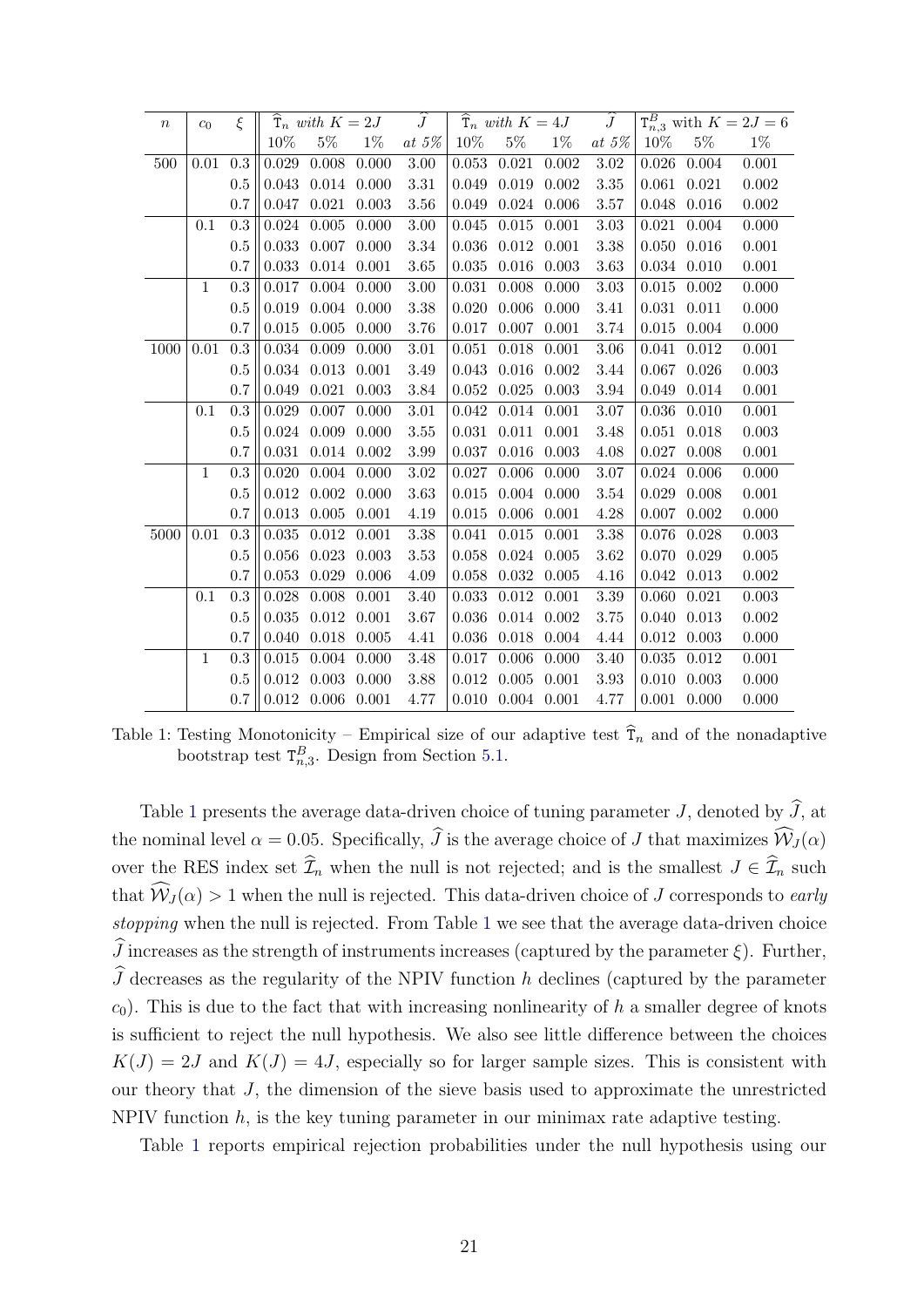<span id="page-21-0"></span>

| $\boldsymbol{n}$ | $c_0$        | ξ   |       | $\hat{\mathbf{T}}_n$ with $K=2J$ |       | $\overline{J}$ |           | $\widehat{\mathrm{T}}_n$ with $K=4J$ |       | $\widehat{J}$ |           |       | $T_{n,3}^B$ with $K = 2J = 6$ |
|------------------|--------------|-----|-------|----------------------------------|-------|----------------|-----------|--------------------------------------|-------|---------------|-----------|-------|-------------------------------|
|                  |              |     | 10%   | $5\%$                            | $1\%$ | at $5\%$       | 10%       | $5\%$                                | $1\%$ | at $5\%$      | 10%       | $5\%$ | $1\%$                         |
| 500              | 0.01         | 0.3 | 0.029 | 0.008                            | 0.000 | 3.00           | 0.053     | 0.021                                | 0.002 | $3.02\,$      | 0.026     | 0.004 | 0.001                         |
|                  |              | 0.5 | 0.043 | 0.014                            | 0.000 | $3.31\,$       | 0.049     | 0.019                                | 0.002 | 3.35          | 0.061     | 0.021 | 0.002                         |
|                  |              | 0.7 | 0.047 | 0.021                            | 0.003 | 3.56           | 0.049     | 0.024                                | 0.006 | 3.57          | 0.048     | 0.016 | 0.002                         |
|                  | 0.1          | 0.3 | 0.024 | 0.005                            | 0.000 | 3.00           | 0.045     | 0.015                                | 0.001 | 3.03          | 0.021     | 0.004 | 0.000                         |
|                  |              | 0.5 | 0.033 | 0.007                            | 0.000 | 3.34           | 0.036     | $0.012\,$                            | 0.001 | 3.38          | 0.050     | 0.016 | 0.001                         |
|                  |              | 0.7 | 0.033 | $0.014\,$                        | 0.001 | 3.65           | 0.035     | 0.016                                | 0.003 | 3.63          | 0.034     | 0.010 | 0.001                         |
|                  | $\mathbf{1}$ | 0.3 | 0.017 | 0.004                            | 0.000 | 3.00           | 0.031     | 0.008                                | 0.000 | 3.03          | 0.015     | 0.002 | 0.000                         |
|                  |              | 0.5 | 0.019 | 0.004                            | 0.000 | 3.38           | 0.020     | 0.006                                | 0.000 | 3.41          | 0.031     | 0.011 | 0.000                         |
|                  |              | 0.7 | 0.015 | 0.005                            | 0.000 | 3.76           | 0.017     | 0.007                                | 0.001 | 3.74          | 0.015     | 0.004 | 0.000                         |
| 1000             | 0.01         | 0.3 | 0.034 | 0.009                            | 0.000 | 3.01           | 0.051     | 0.018                                | 0.001 | 3.06          | 0.041     | 0.012 | 0.001                         |
|                  |              | 0.5 | 0.034 | 0.013                            | 0.001 | 3.49           | 0.043     | 0.016                                | 0.002 | 3.44          | 0.067     | 0.026 | 0.003                         |
|                  |              | 0.7 | 0.049 | 0.021                            | 0.003 | 3.84           | 0.052     | $0.025\,$                            | 0.003 | 3.94          | 0.049     | 0.014 | 0.001                         |
|                  | 0.1          | 0.3 | 0.029 | 0.007                            | 0.000 | 3.01           | 0.042     | 0.014                                | 0.001 | 3.07          | 0.036     | 0.010 | 0.001                         |
|                  |              | 0.5 | 0.024 | 0.009                            | 0.000 | 3.55           | 0.031     | 0.011                                | 0.001 | 3.48          | $0.051\,$ | 0.018 | 0.003                         |
|                  |              | 0.7 | 0.031 | 0.014                            | 0.002 | 3.99           | 0.037     | 0.016                                | 0.003 | 4.08          | 0.027     | 0.008 | 0.001                         |
|                  | $\mathbf{1}$ | 0.3 | 0.020 | 0.004                            | 0.000 | 3.02           | 0.027     | 0.006                                | 0.000 | 3.07          | 0.024     | 0.006 | 0.000                         |
|                  |              | 0.5 | 0.012 | 0.002                            | 0.000 | 3.63           | 0.015     | 0.004                                | 0.000 | 3.54          | 0.029     | 0.008 | 0.001                         |
|                  |              | 0.7 | 0.013 | 0.005                            | 0.001 | 4.19           | 0.015     | 0.006                                | 0.001 | 4.28          | 0.007     | 0.002 | 0.000                         |
| 5000             | 0.01         | 0.3 | 0.035 | 0.012                            | 0.001 | 3.38           | 0.041     | 0.015                                | 0.001 | 3.38          | 0.076     | 0.028 | 0.003                         |
|                  |              | 0.5 | 0.056 | 0.023                            | 0.003 | 3.53           | 0.058     | 0.024                                | 0.005 | 3.62          | 0.070     | 0.029 | 0.005                         |
|                  |              | 0.7 | 0.053 | 0.029                            | 0.006 | 4.09           | $0.058\,$ | $\,0.032\,$                          | 0.005 | 4.16          | 0.042     | 0.013 | 0.002                         |
|                  | 0.1          | 0.3 | 0.028 | 0.008                            | 0.001 | 3.40           | 0.033     | 0.012                                | 0.001 | 3.39          | 0.060     | 0.021 | 0.003                         |
|                  |              | 0.5 | 0.035 | 0.012                            | 0.001 | 3.67           | 0.036     | 0.014                                | 0.002 | 3.75          | 0.040     | 0.013 | 0.002                         |
|                  |              | 0.7 | 0.040 | 0.018                            | 0.005 | 4.41           | 0.036     | 0.018                                | 0.004 | 4.44          | 0.012     | 0.003 | 0.000                         |
|                  | 1            | 0.3 | 0.015 | 0.004                            | 0.000 | 3.48           | 0.017     | 0.006                                | 0.000 | 3.40          | 0.035     | 0.012 | 0.001                         |
|                  |              | 0.5 | 0.012 | 0.003                            | 0.000 | 3.88           | 0.012     | 0.005                                | 0.001 | 3.93          | 0.010     | 0.003 | 0.000                         |
|                  |              | 0.7 | 0.012 | 0.006                            | 0.001 | 4.77           | 0.010     | $0.004$ $0.001$                      |       | 4.77          | 0.001     | 0.000 | 0.000                         |

Table 1: Testing Monotonicity – Empirical size of our adaptive test  $\hat{T}_n$  and of the nonadaptive bootstrap test  $T_{n,3}^B$ . Design from Section [5.1.](#page-20-2)

Table [1](#page-21-0) presents the average data-driven choice of tuning parameter  $J$ , denoted by  $\widehat{J}$ , at the nominal level  $\alpha = 0.05$ . Specifically,  $\hat{J}$  is the average choice of J that maximizes  $\widehat{W}_{J}(\alpha)$ over the RES index set  $\widehat{\mathcal{I}}_n$  when the null is not rejected; and is the smallest  $J \in \widehat{\mathcal{I}}_n$  such that  $\widehat{W}_J(\alpha) > 1$  when the null is rejected. This data-driven choice of J corresponds to early stopping when the null is rejected. From Table [1](#page-21-0) we see that the average data-driven choice  $\widehat{J}$  increases as the strength of instruments increases (captured by the parameter  $\xi$ ). Further,  $\widehat{J}$  decreases as the regularity of the NPIV function h declines (captured by the parameter  $c_0$ ). This is due to the fact that with increasing nonlinearity of h a smaller degree of knots is sufficient to reject the null hypothesis. We also see little difference between the choices  $K(J) = 2J$  and  $K(J) = 4J$ , especially so for larger sample sizes. This is consistent with our theory that J, the dimension of the sieve basis used to approximate the unrestricted NPIV function  $h$ , is the key tuning parameter in our minimax rate adaptive testing.

Table [1](#page-21-0) reports empirical rejection probabilities under the null hypothesis using our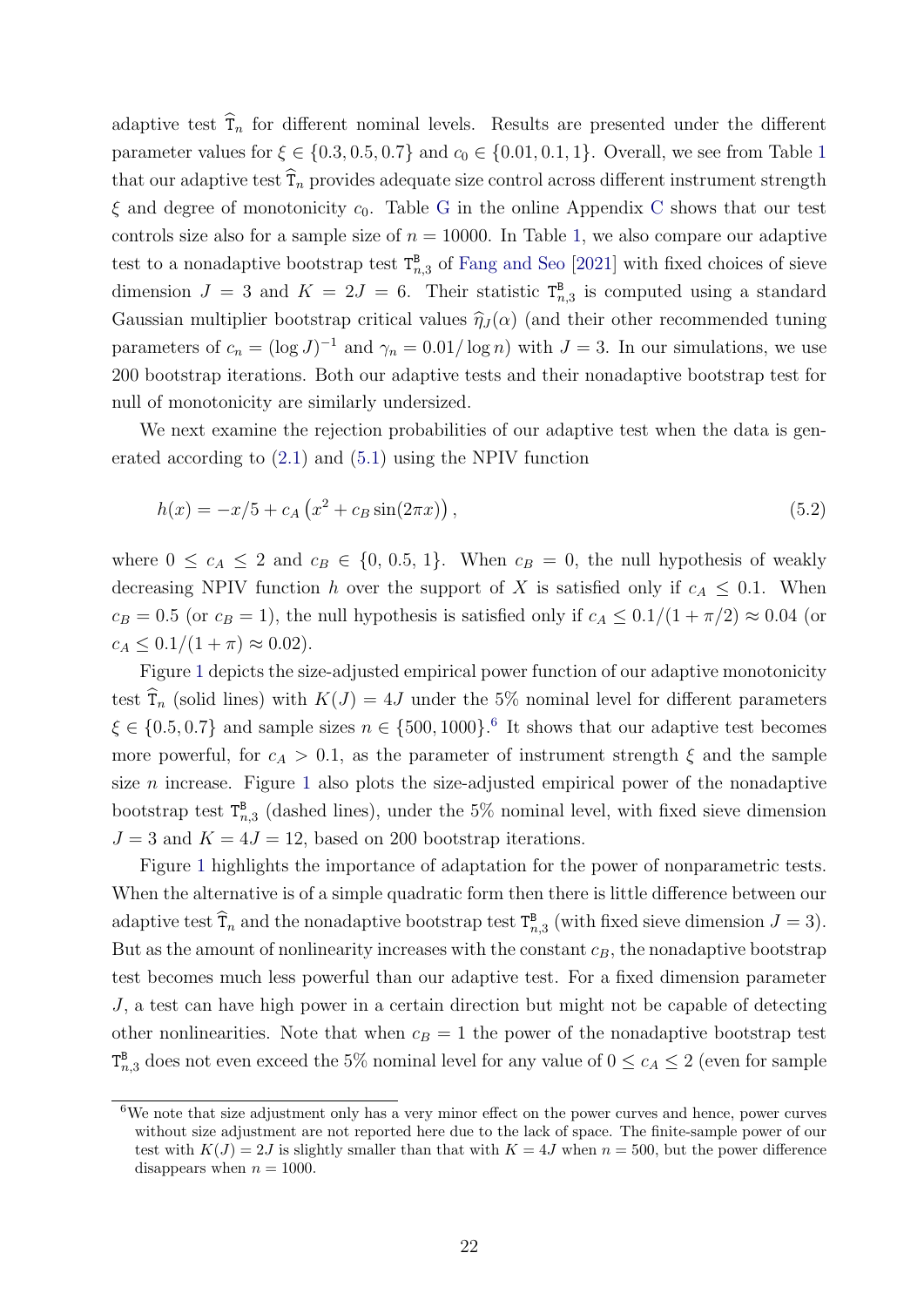adaptive test  $\hat{T}_n$  for different nominal levels. Results are presented under the different parameter values for  $\xi \in \{0.3, 0.5, 0.7\}$  and  $c_0 \in \{0.01, 0.1, 1\}$  $c_0 \in \{0.01, 0.1, 1\}$  $c_0 \in \{0.01, 0.1, 1\}$ . Overall, we see from Table 1 that our adaptive test  $\widehat{T}_n$  provides adequate size control across different instrument strength  $\xi$  and degree of monotonicity  $c_0$ . Table [G](#page-47-0) in the online Appendix [C](#page-46-0) shows that our test controls size also for a sample size of  $n = 10000$ . In Table [1,](#page-21-0) we also compare our adaptive test to a nonadaptive bootstrap test  $T_{n,3}^B$  of [Fang and Seo](#page-32-0) [\[2021\]](#page-32-0) with fixed choices of sieve dimension  $J = 3$  and  $K = 2J = 6$ . Their statistic  $T_{n,3}^B$  is computed using a standard Gaussian multiplier bootstrap critical values  $\hat{\eta}_J(\alpha)$  (and their other recommended tuning parameters of  $c_n = (\log J)^{-1}$  and  $\gamma_n = 0.01/\log n$ ) with  $J = 3$ . In our simulations, we use 200 bootstrap iterations. Both our adaptive tests and their nonadaptive bootstrap test for null of monotonicity are similarly undersized.

We next examine the rejection probabilities of our adaptive test when the data is generated according to [\(2.1\)](#page-5-1) and [\(5.1\)](#page-20-1) using the NPIV function

<span id="page-22-1"></span>
$$
h(x) = -x/5 + c_A \left(x^2 + c_B \sin(2\pi x)\right),\tag{5.2}
$$

where  $0 \le c_A \le 2$  and  $c_B \in \{0, 0.5, 1\}$ . When  $c_B = 0$ , the null hypothesis of weakly decreasing NPIV function h over the support of X is satisfied only if  $c_A \leq 0.1$ . When  $c_B = 0.5$  (or  $c_B = 1$ ), the null hypothesis is satisfied only if  $c_A \leq 0.1/(1 + \pi/2) \approx 0.04$  (or  $c_A \leq 0.1/(1+\pi) \approx 0.02$ .

Figure [1](#page-23-0) depicts the size-adjusted empirical power function of our adaptive monotonicity test  $\hat{\tau}_n$  (solid lines) with  $K(J) = 4J$  under the 5% nominal level for different parameters  $\xi \in \{0.5, 0.7\}$  and sample sizes  $n \in \{500, 1000\}$ . It shows that our adaptive test becomes more powerful, for  $c_A > 0.1$ , as the parameter of instrument strength  $\xi$  and the sample size  $n$  increase. Figure [1](#page-23-0) also plots the size-adjusted empirical power of the nonadaptive bootstrap test  $T_{n,3}^B$  (dashed lines), under the 5% nominal level, with fixed sieve dimension  $J = 3$  and  $K = 4J = 12$ , based on 200 bootstrap iterations.

Figure [1](#page-23-0) highlights the importance of adaptation for the power of nonparametric tests. When the alternative is of a simple quadratic form then there is little difference between our adaptive test  $\hat{\mathsf{T}}_n$  and the nonadaptive bootstrap test  $\mathsf{T}^{\mathtt{B}}_{n,3}$  (with fixed sieve dimension  $J=3$ ). But as the amount of nonlinearity increases with the constant  $c_B$ , the nonadaptive bootstrap test becomes much less powerful than our adaptive test. For a fixed dimension parameter J, a test can have high power in a certain direction but might not be capable of detecting other nonlinearities. Note that when  $c_B = 1$  the power of the nonadaptive bootstrap test  $T_{n,3}^{\mathbb{B}}$  does not even exceed the 5% nominal level for any value of  $0 \le c_A \le 2$  (even for sample

<span id="page-22-0"></span><sup>6</sup>We note that size adjustment only has a very minor effect on the power curves and hence, power curves without size adjustment are not reported here due to the lack of space. The finite-sample power of our test with  $K(J) = 2J$  is slightly smaller than that with  $K = 4J$  when  $n = 500$ , but the power difference disappears when  $n = 1000$ .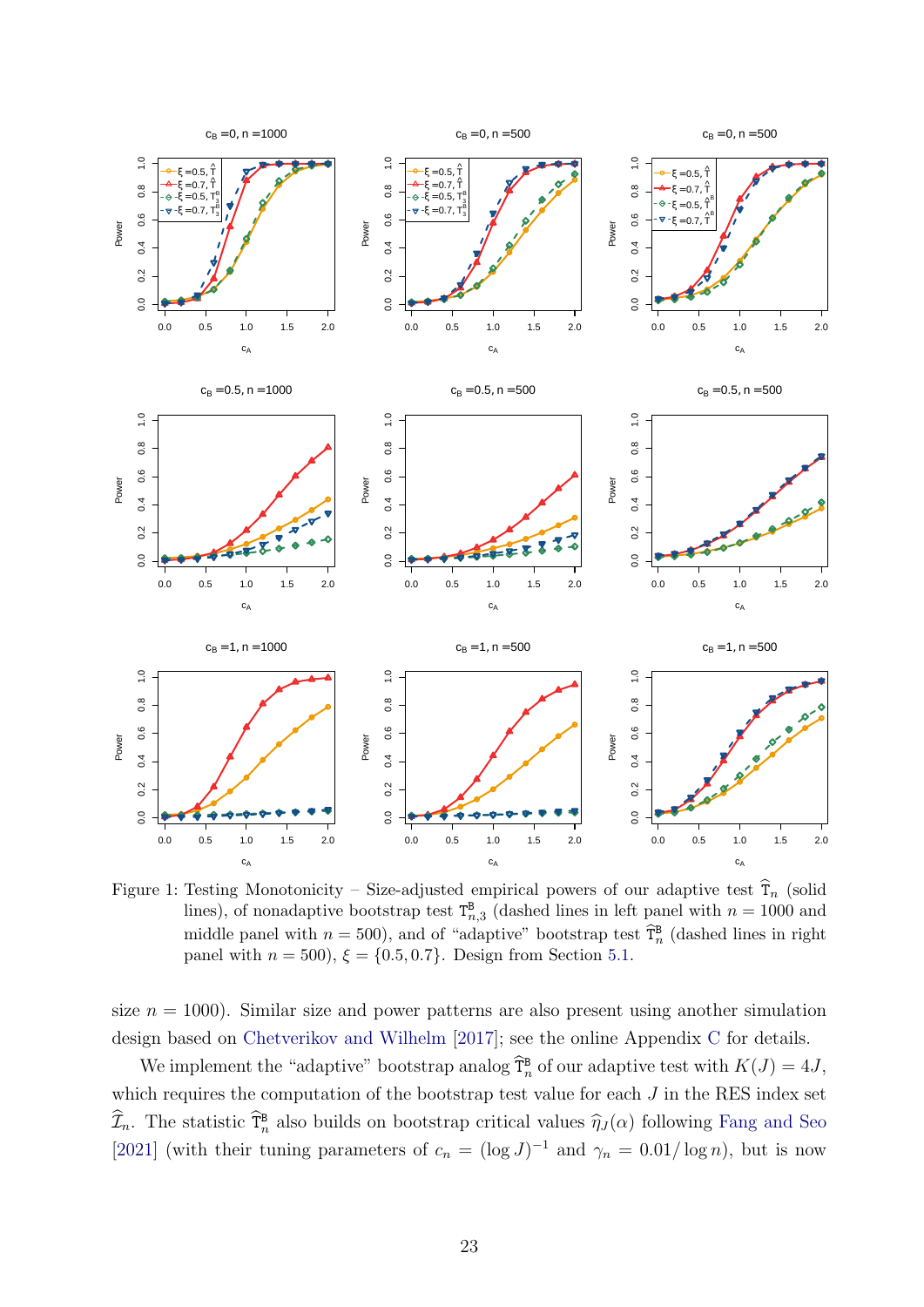<span id="page-23-0"></span>

Figure 1: Testing Monotonicity – Size-adjusted empirical powers of our adaptive test  $\hat{T}_n$  (solid lines), of nonadaptive bootstrap test  $T_{n,3}^{\mathbf{B}}$  (dashed lines in left panel with  $n = 1000$  and middle panel with  $n = 500$ ), and of "adaptive" bootstrap test  $\widehat{T}_n^B$  (dashed lines in right panel with  $n = 500$ ,  $\xi = \{0.5, 0.7\}$ . Design from Section [5.1.](#page-20-2)

size  $n = 1000$ . Similar size and power patterns are also present using another simulation design based on [Chetverikov and Wilhelm](#page-31-5) [\[2017\]](#page-31-5); see the online Appendix [C](#page-46-0) for details.

We implement the "adaptive" bootstrap analog  $\widehat{T}_n^B$  of our adaptive test with  $K(J) = 4J$ , which requires the computation of the bootstrap test value for each  $J$  in the RES index set  $\widehat{\mathcal{I}}_n$ . The statistic  $\widehat{\mathcal{I}}_n^{\text{B}}$  also builds on bootstrap critical values  $\widehat{\eta}_J(\alpha)$  following [Fang and Seo](#page-32-0) [\[2021\]](#page-32-0) (with their tuning parameters of  $c_n = (\log J)^{-1}$  and  $\gamma_n = 0.01/\log n$ ), but is now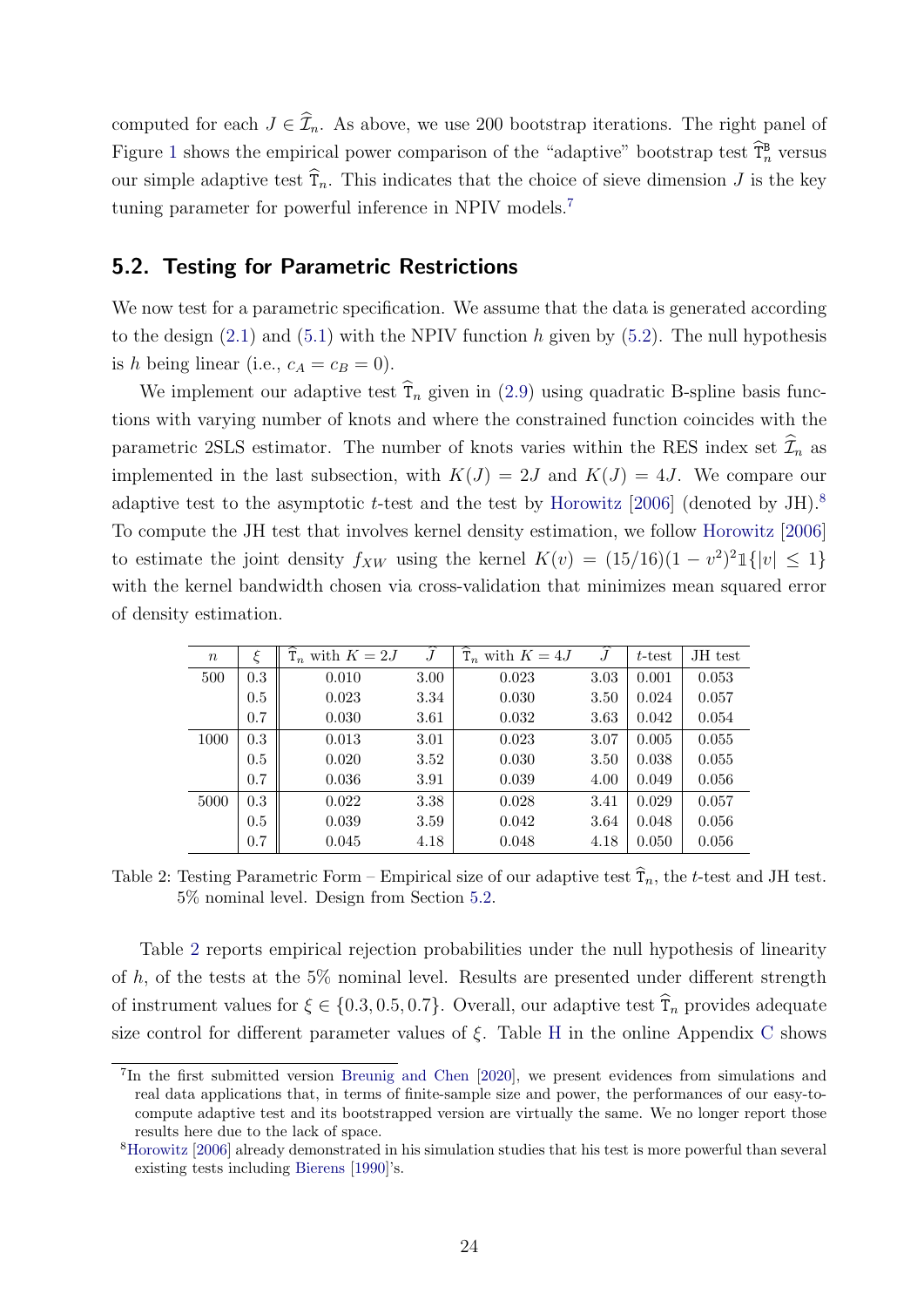computed for each  $J \in \hat{\mathcal{I}}_n$ . As above, we use 200 bootstrap iterations. The right panel of Figure [1](#page-23-0) shows the empirical power comparison of the "adaptive" bootstrap test  $\widehat{T}_n^B$  versus our simple adaptive test  $\widehat{T}_n$ . This indicates that the choice of sieve dimension J is the key tuning parameter for powerful inference in NPIV models.[7](#page-24-0)

### <span id="page-24-2"></span>5.2. Testing for Parametric Restrictions

We now test for a parametric specification. We assume that the data is generated according to the design  $(2.1)$  and  $(5.1)$  with the NPIV function h given by  $(5.2)$ . The null hypothesis is h being linear (i.e.,  $c_A = c_B = 0$ ).

We implement our adaptive test  $\hat{\tau}_n$  given in [\(2.9\)](#page-9-1) using quadratic B-spline basis functions with varying number of knots and where the constrained function coincides with the parametric 2SLS estimator. The number of knots varies within the RES index set  $\mathcal{I}_n$  as implemented in the last subsection, with  $K(J) = 2J$  and  $K(J) = 4J$ . We compare our adaptive test to the asymptotic t-test and the test by [Horowitz](#page-32-3) [\[2006\]](#page-32-3) (denoted by JH).<sup>[8](#page-24-1)</sup> To compute the JH test that involves kernel density estimation, we follow [Horowitz](#page-32-3) [\[2006\]](#page-32-3) to estimate the joint density  $f_{XW}$  using the kernel  $K(v) = (15/16)(1 - v^2)^2 \mathbb{1}\{|v| \leq 1\}$ with the kernel bandwidth chosen via cross-validation that minimizes mean squared error of density estimation.

<span id="page-24-3"></span>

| $\boldsymbol{n}$ | ξ   | $\widehat{\mathsf{T}}_n$ with $K=2J$ | $\overline{\hat{J}}$ | $\overline{\hat{\tau}_n}$ with $K=4J$ | $\tilde{J}$ | t-test | JH test |
|------------------|-----|--------------------------------------|----------------------|---------------------------------------|-------------|--------|---------|
| 500              | 0.3 | 0.010                                | 3.00                 | 0.023                                 | 3.03        | 0.001  | 0.053   |
|                  | 0.5 | 0.023                                | 3.34                 | 0.030                                 | 3.50        | 0.024  | 0.057   |
|                  | 0.7 | 0.030                                | 3.61                 | 0.032                                 | 3.63        | 0.042  | 0.054   |
| 1000             | 0.3 | 0.013                                | 3.01                 | 0.023                                 | 3.07        | 0.005  | 0.055   |
|                  | 0.5 | 0.020                                | 3.52                 | 0.030                                 | 3.50        | 0.038  | 0.055   |
|                  | 0.7 | 0.036                                | 3.91                 | 0.039                                 | 4.00        | 0.049  | 0.056   |
| 5000             | 0.3 | 0.022                                | 3.38                 | 0.028                                 | 3.41        | 0.029  | 0.057   |
|                  | 0.5 | 0.039                                | 3.59                 | 0.042                                 | 3.64        | 0.048  | 0.056   |
|                  | 0.7 | 0.045                                | 4.18                 | 0.048                                 | 4.18        | 0.050  | 0.056   |

Table 2: Testing Parametric Form – Empirical size of our adaptive test  $\hat{T}_n$ , the t-test and JH test. 5% nominal level. Design from Section [5.2.](#page-24-2)

Table [2](#page-24-3) reports empirical rejection probabilities under the null hypothesis of linearity of  $h$ , of the tests at the 5% nominal level. Results are presented under different strength of instrument values for  $\xi \in \{0.3, 0.5, 0.7\}$ . Overall, our adaptive test  $\hat{T}_n$  provides adequate size control for different parameter values of  $\xi$ . Table [H](#page-48-0) in the online Appendix [C](#page-46-0) shows

<span id="page-24-0"></span><sup>&</sup>lt;sup>7</sup>In the first submitted version [Breunig and Chen](#page-31-11) [\[2020\]](#page-31-11), we present evidences from simulations and real data applications that, in terms of finite-sample size and power, the performances of our easy-tocompute adaptive test and its bootstrapped version are virtually the same. We no longer report those results here due to the lack of space.

<span id="page-24-1"></span><sup>8</sup>[Horowitz](#page-32-3) [\[2006\]](#page-32-3) already demonstrated in his simulation studies that his test is more powerful than several existing tests including [Bierens](#page-30-0) [\[1990\]](#page-30-0)'s.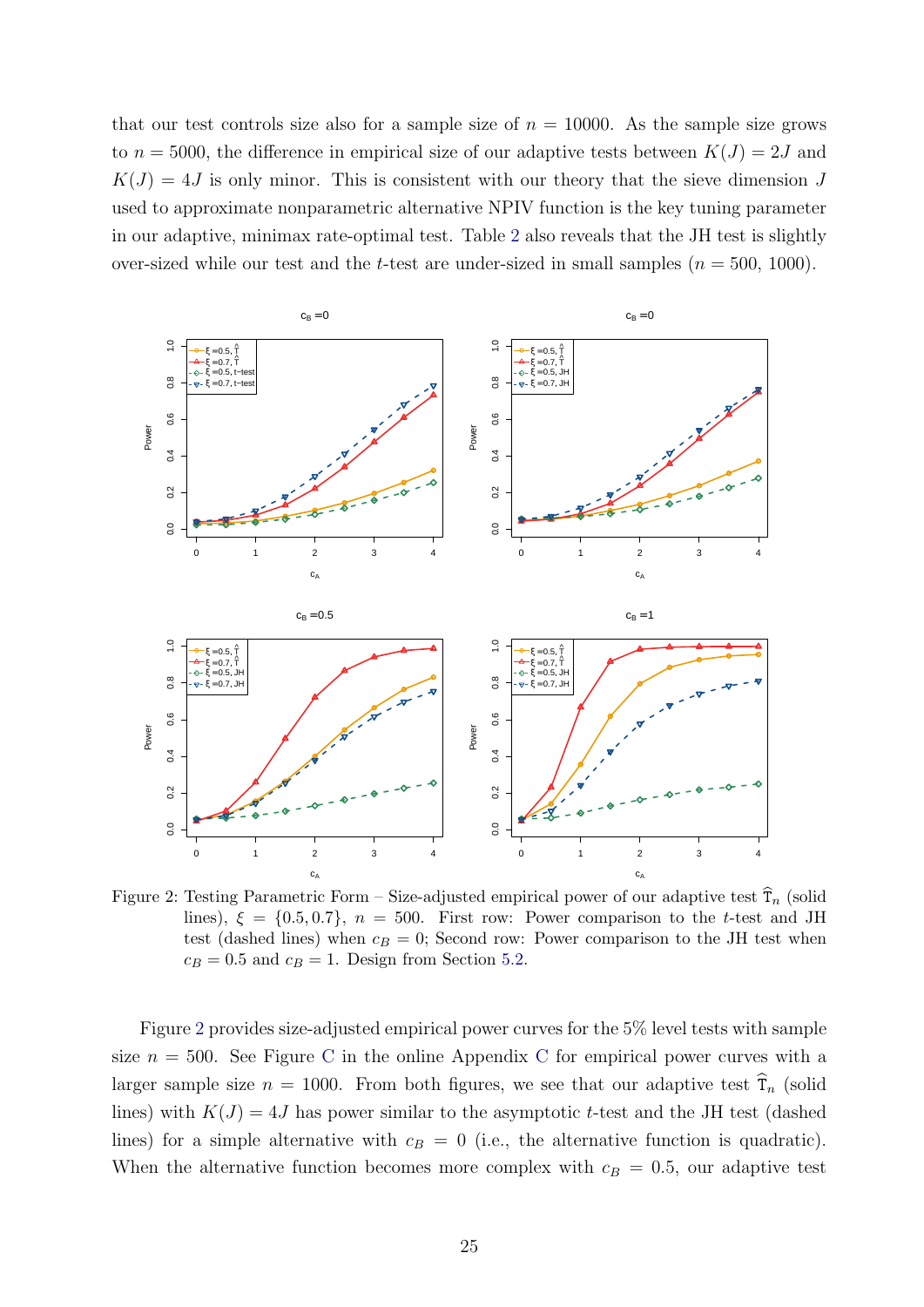that our test controls size also for a sample size of  $n = 10000$ . As the sample size grows to  $n = 5000$ , the difference in empirical size of our adaptive tests between  $K(J) = 2J$  and  $K(J) = 4J$  is only minor. This is consistent with our theory that the sieve dimension J used to approximate nonparametric alternative NPIV function is the key tuning parameter in our adaptive, minimax rate-optimal test. Table [2](#page-24-3) also reveals that the JH test is slightly over-sized while our test and the t-test are under-sized in small samples  $(n = 500, 1000)$ .

<span id="page-25-0"></span>

Figure 2: Testing Parametric Form – Size-adjusted empirical power of our adaptive test  $\tilde{T}_n$  (solid lines),  $\xi = \{0.5, 0.7\}, n = 500$ . First row: Power comparison to the t-test and JH test (dashed lines) when  $c_B = 0$ ; Second row: Power comparison to the JH test when  $c_B = 0.5$  and  $c_B = 1$ . Design from Section [5.2.](#page-24-2)

Figure [2](#page-25-0) provides size-adjusted empirical power curves for the 5% level tests with sample size  $n = 500$ . See Figure [C](#page-46-0) in the online Appendix C for empirical power curves with a larger sample size  $n = 1000$ . From both figures, we see that our adaptive test  $\hat{T}_n$  (solid lines) with  $K(J) = 4J$  has power similar to the asymptotic t-test and the JH test (dashed lines) for a simple alternative with  $c_B = 0$  (i.e., the alternative function is quadratic). When the alternative function becomes more complex with  $c_B = 0.5$ , our adaptive test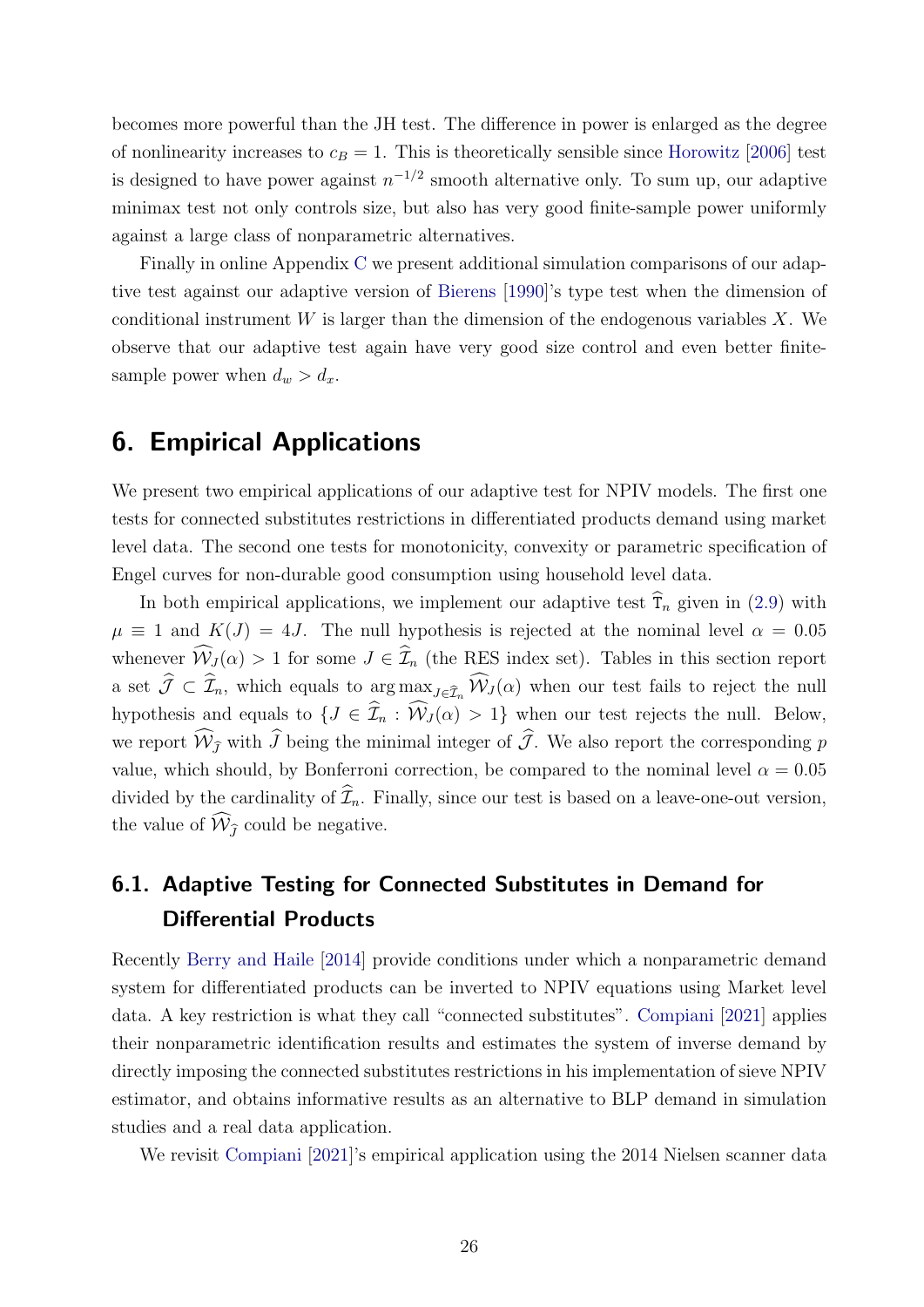becomes more powerful than the JH test. The difference in power is enlarged as the degree of nonlinearity increases to  $c_B = 1$ . This is theoretically sensible since [Horowitz](#page-32-3) [\[2006\]](#page-32-3) test is designed to have power against  $n^{-1/2}$  smooth alternative only. To sum up, our adaptive minimax test not only controls size, but also has very good finite-sample power uniformly against a large class of nonparametric alternatives.

Finally in online Appendix [C](#page-46-0) we present additional simulation comparisons of our adaptive test against our adaptive version of [Bierens](#page-30-0) [\[1990\]](#page-30-0)'s type test when the dimension of conditional instrument  $W$  is larger than the dimension of the endogenous variables  $X$ . We observe that our adaptive test again have very good size control and even better finitesample power when  $d_w > d_x$ .

# <span id="page-26-0"></span>6. Empirical Applications

We present two empirical applications of our adaptive test for NPIV models. The first one tests for connected substitutes restrictions in differentiated products demand using market level data. The second one tests for monotonicity, convexity or parametric specification of Engel curves for non-durable good consumption using household level data.

In both empirical applications, we implement our adaptive test  $\hat{T}_n$  given in [\(2.9\)](#page-9-1) with  $\mu \equiv 1$  and  $K(J) = 4J$ . The null hypothesis is rejected at the nominal level  $\alpha = 0.05$ whenever  $\widehat{\mathcal{W}}_J(\alpha) > 1$  for some  $J \in \widehat{\mathcal{I}}_n$  (the RES index set). Tables in this section report a set  $\widehat{\mathcal{J}} \subset \widehat{\mathcal{I}}_n$ , which equals to  $\arg \max_{J \in \widehat{\mathcal{I}}_n} \widehat{\mathcal{W}}_J(\alpha)$  when our test fails to reject the null hypothesis and equals to  $\{J \in \hat{\mathcal{I}}_n : \hat{W}_J(\alpha) > 1\}$  when our test rejects the null. Below, we report  $\widehat{W}_{\widehat{I}}$  with  $\widehat{J}$  being the minimal integer of  $\widehat{J}$ . We also report the corresponding p value, which should, by Bonferroni correction, be compared to the nominal level  $\alpha = 0.05$ divided by the cardinality of  $\widehat{\mathcal{I}}_n$ . Finally, since our test is based on a leave-one-out version, the value of  $\widehat{W}_{\widehat{I}}$  could be negative.

# <span id="page-26-1"></span>6.1. Adaptive Testing for Connected Substitutes in Demand for Differential Products

Recently [Berry and Haile](#page-30-2) [\[2014\]](#page-30-2) provide conditions under which a nonparametric demand system for differentiated products can be inverted to NPIV equations using Market level data. A key restriction is what they call "connected substitutes". [Compiani](#page-32-6) [\[2021\]](#page-32-6) applies their nonparametric identification results and estimates the system of inverse demand by directly imposing the connected substitutes restrictions in his implementation of sieve NPIV estimator, and obtains informative results as an alternative to BLP demand in simulation studies and a real data application.

We revisit [Compiani](#page-32-6) [\[2021\]](#page-32-6)'s empirical application using the 2014 Nielsen scanner data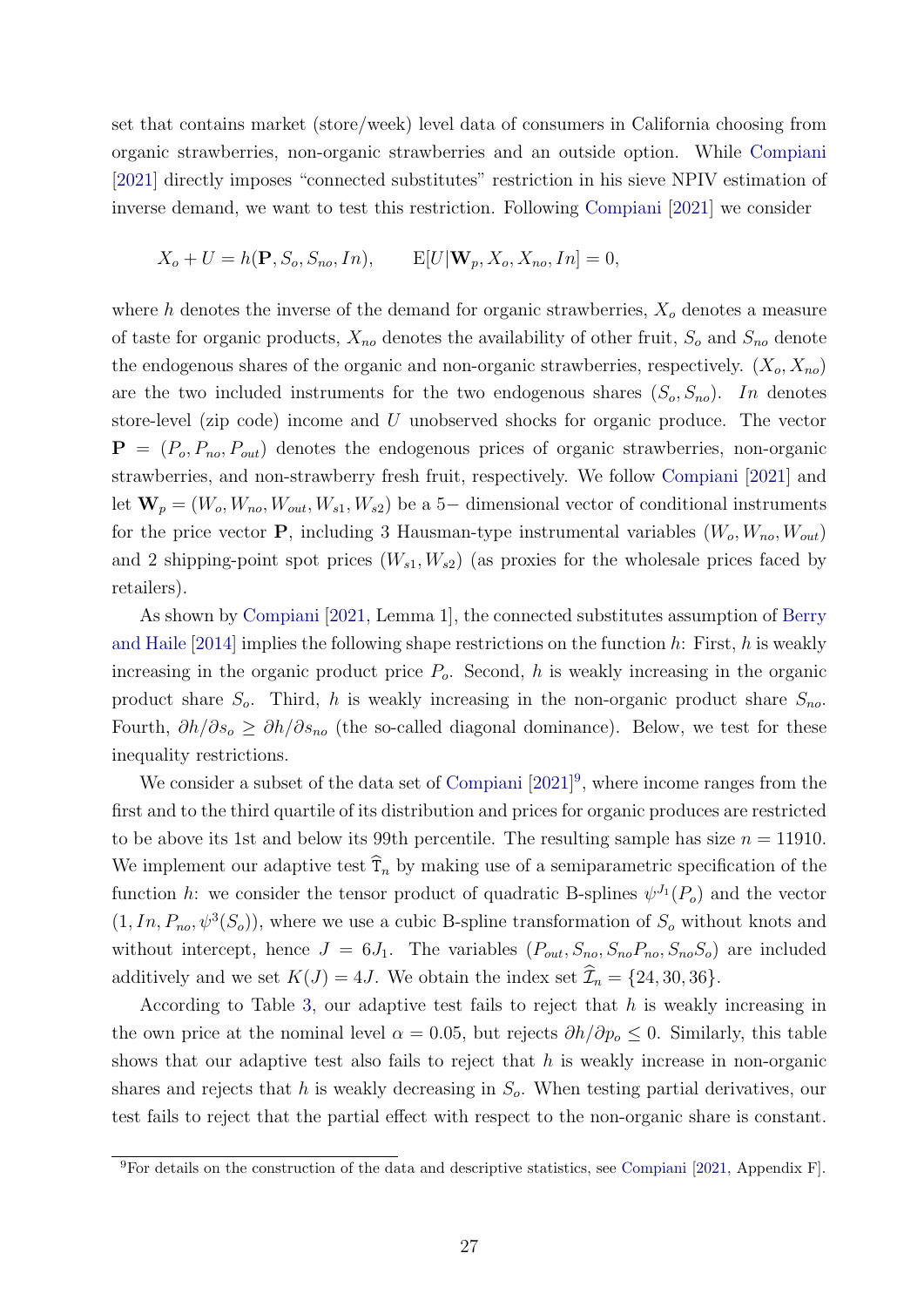set that contains market (store/week) level data of consumers in California choosing from organic strawberries, non-organic strawberries and an outside option. While [Compiani](#page-32-6) [\[2021\]](#page-32-6) directly imposes "connected substitutes" restriction in his sieve NPIV estimation of inverse demand, we want to test this restriction. Following [Compiani](#page-32-6) [\[2021\]](#page-32-6) we consider

$$
X_o + U = h(\mathbf{P}, S_o, S_{no}, In), \qquad \mathbb{E}[U|\mathbf{W}_p, X_o, X_{no}, In] = 0,
$$

where h denotes the inverse of the demand for organic strawberries,  $X_o$  denotes a measure of taste for organic products,  $X_{no}$  denotes the availability of other fruit,  $S_o$  and  $S_{no}$  denote the endogenous shares of the organic and non-organic strawberries, respectively.  $(X_o, X_{no})$ are the two included instruments for the two endogenous shares  $(S_o, S_{no})$ . In denotes store-level (zip code) income and U unobserved shocks for organic produce. The vector  $\mathbf{P} = (P_o, P_{no}, P_{out})$  denotes the endogenous prices of organic strawberries, non-organic strawberries, and non-strawberry fresh fruit, respectively. We follow [Compiani](#page-32-6) [\[2021\]](#page-32-6) and let  $\mathbf{W}_p = (W_o, W_{no}, W_{out}, W_{s1}, W_{s2})$  be a 5– dimensional vector of conditional instruments for the price vector **P**, including 3 Hausman-type instrumental variables  $(W_o, W_{no}, W_{out})$ and 2 shipping-point spot prices  $(W_{s1}, W_{s2})$  (as proxies for the wholesale prices faced by retailers).

As shown by [Compiani](#page-32-6) [\[2021,](#page-32-6) Lemma 1], the connected substitutes assumption of [Berry](#page-30-2) [and Haile](#page-30-2)  $[2014]$  implies the following shape restrictions on the function h: First, h is weakly increasing in the organic product price  $P<sub>o</sub>$ . Second, h is weakly increasing in the organic product share  $S_o$ . Third, h is weakly increasing in the non-organic product share  $S_{no}$ . Fourth,  $\partial h/\partial s_{o} \geq \partial h/\partial s_{no}$  (the so-called diagonal dominance). Below, we test for these inequality restrictions.

We consider a subset of the data set of [Compiani](#page-32-6)  $[2021]^9$  $[2021]^9$  $[2021]^9$ , where income ranges from the first and to the third quartile of its distribution and prices for organic produces are restricted to be above its 1st and below its 99th percentile. The resulting sample has size  $n = 11910$ . We implement our adaptive test  $\tilde{T}_n$  by making use of a semiparametric specification of the function h: we consider the tensor product of quadratic B-splines  $\psi^{J_1}(P_o)$  and the vector  $(1, In, P_{no}, \psi^3(S_o))$ , where we use a cubic B-spline transformation of  $S_o$  without knots and without intercept, hence  $J = 6J_1$ . The variables  $(P_{out}, S_{no}, S_{no}P_{no}, S_{no}S_o)$  are included additively and we set  $K(J) = 4J$ . We obtain the index set  $\widehat{\mathcal{I}}_n = \{24, 30, 36\}.$ 

According to Table [3,](#page-28-0) our adaptive test fails to reject that  $h$  is weakly increasing in the own price at the nominal level  $\alpha = 0.05$ , but rejects  $\partial h / \partial p_{o} \leq 0$ . Similarly, this table shows that our adaptive test also fails to reject that  $h$  is weakly increase in non-organic shares and rejects that h is weakly decreasing in  $S<sub>o</sub>$ . When testing partial derivatives, our test fails to reject that the partial effect with respect to the non-organic share is constant.

<span id="page-27-0"></span><sup>&</sup>lt;sup>9</sup>For details on the construction of the data and descriptive statistics, see [Compiani](#page-32-6) [\[2021,](#page-32-6) Appendix F].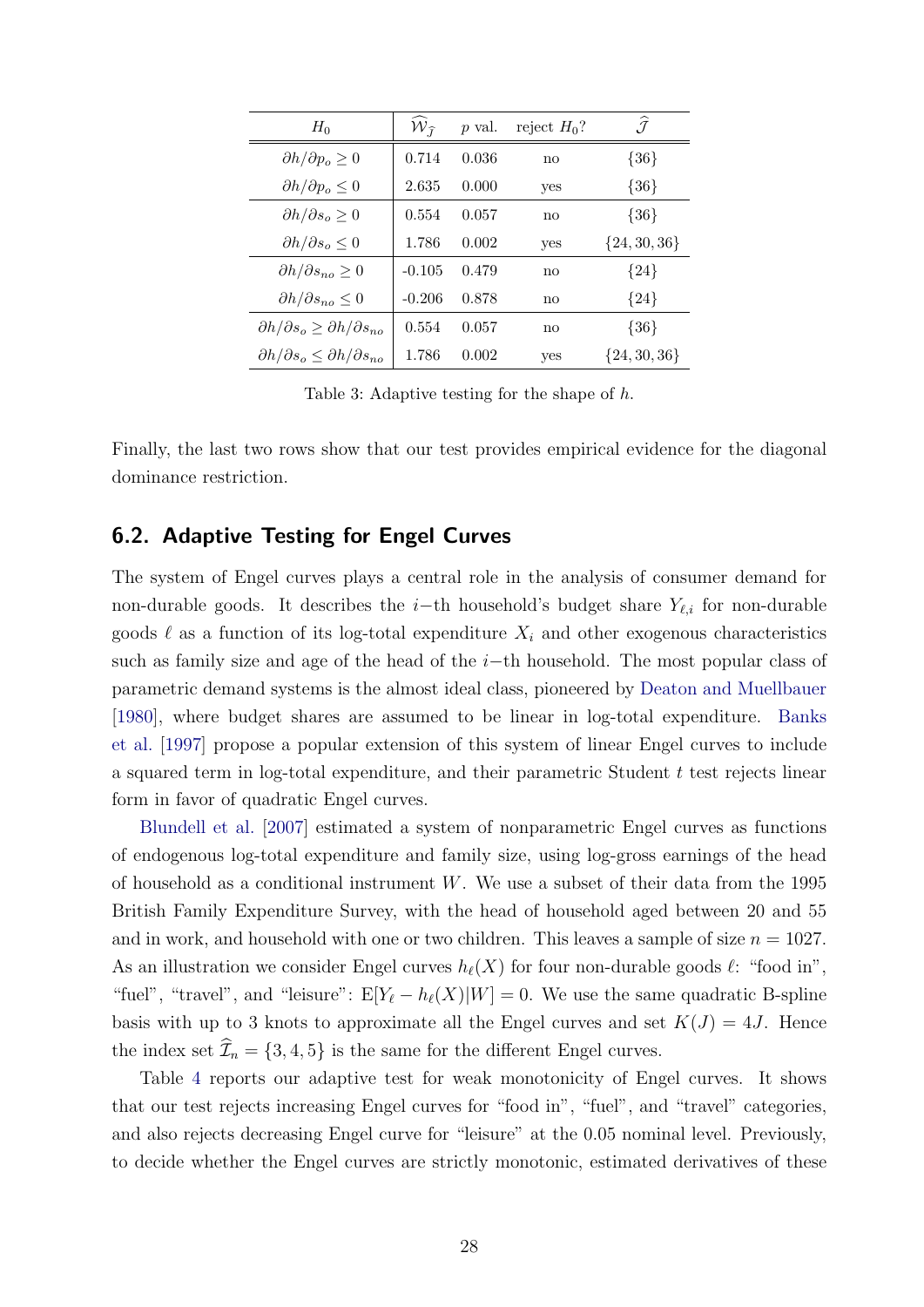<span id="page-28-0"></span>

| $H_0$                                                     | $W_{\hat{\tau}}$ | p val. | reject $H_0$ ?         | $\widehat{\mathcal{J}}$ |
|-----------------------------------------------------------|------------------|--------|------------------------|-------------------------|
| $\partial h/\partial p_o \geq 0$                          | 0.714            | 0.036  | $\mathbf{n}\mathbf{o}$ | ${36}$                  |
| $\partial h/\partial p_o \leq 0$                          | 2.635            | 0.000  | yes                    | ${36}$                  |
| $\partial h/\partial s_o \geq 0$                          | 0.554            | 0.057  | $\mathbf{n}\mathbf{o}$ | ${36}$                  |
| $\partial h/\partial s_o \leq 0$                          | 1.786            | 0.002  | yes                    | ${24, 30, 36}$          |
| $\partial h/\partial s_{no} \geq 0$                       | $-0.105$         | 0.479  | no                     | ${24}$                  |
| $\partial h/\partial s_{no} \leq 0$                       | $-0.206$         | 0.878  | $\mathbf{n}\mathbf{o}$ | ${24}$                  |
| $\partial h/\partial s_o \geq \partial h/\partial s_{no}$ | 0.554            | 0.057  | no                     | ${36}$                  |
| $\partial h/\partial s_o \leq \partial h/\partial s_{no}$ | 1.786            | 0.002  | yes                    | $\{24, 30, 36\}$        |

Table 3: Adaptive testing for the shape of h.

Finally, the last two rows show that our test provides empirical evidence for the diagonal dominance restriction.

### 6.2. Adaptive Testing for Engel Curves

The system of Engel curves plays a central role in the analysis of consumer demand for non-durable goods. It describes the i–th household's budget share  $Y_{\ell,i}$  for non-durable goods  $\ell$  as a function of its log-total expenditure  $X_i$  and other exogenous characteristics such as family size and age of the head of the  $i$ −th household. The most popular class of parametric demand systems is the almost ideal class, pioneered by [Deaton and Muellbauer](#page-32-10) [\[1980\]](#page-32-10), where budget shares are assumed to be linear in log-total expenditure. [Banks](#page-30-3) [et al.](#page-30-3) [\[1997\]](#page-30-3) propose a popular extension of this system of linear Engel curves to include a squared term in log-total expenditure, and their parametric Student t test rejects linear form in favor of quadratic Engel curves.

[Blundell et al.](#page-30-1) [\[2007\]](#page-30-1) estimated a system of nonparametric Engel curves as functions of endogenous log-total expenditure and family size, using log-gross earnings of the head of household as a conditional instrument W. We use a subset of their data from the 1995 British Family Expenditure Survey, with the head of household aged between 20 and 55 and in work, and household with one or two children. This leaves a sample of size  $n = 1027$ . As an illustration we consider Engel curves  $h_{\ell}(X)$  for four non-durable goods  $\ell$ : "food in", "fuel", "travel", and "leisure":  $E[Y_{\ell} - h_{\ell}(X)|W] = 0$ . We use the same quadratic B-spline basis with up to 3 knots to approximate all the Engel curves and set  $K(J) = 4J$ . Hence the index set  $\mathcal{I}_n = \{3, 4, 5\}$  is the same for the different Engel curves.

Table [4](#page-29-1) reports our adaptive test for weak monotonicity of Engel curves. It shows that our test rejects increasing Engel curves for "food in", "fuel", and "travel" categories, and also rejects decreasing Engel curve for "leisure" at the 0.05 nominal level. Previously, to decide whether the Engel curves are strictly monotonic, estimated derivatives of these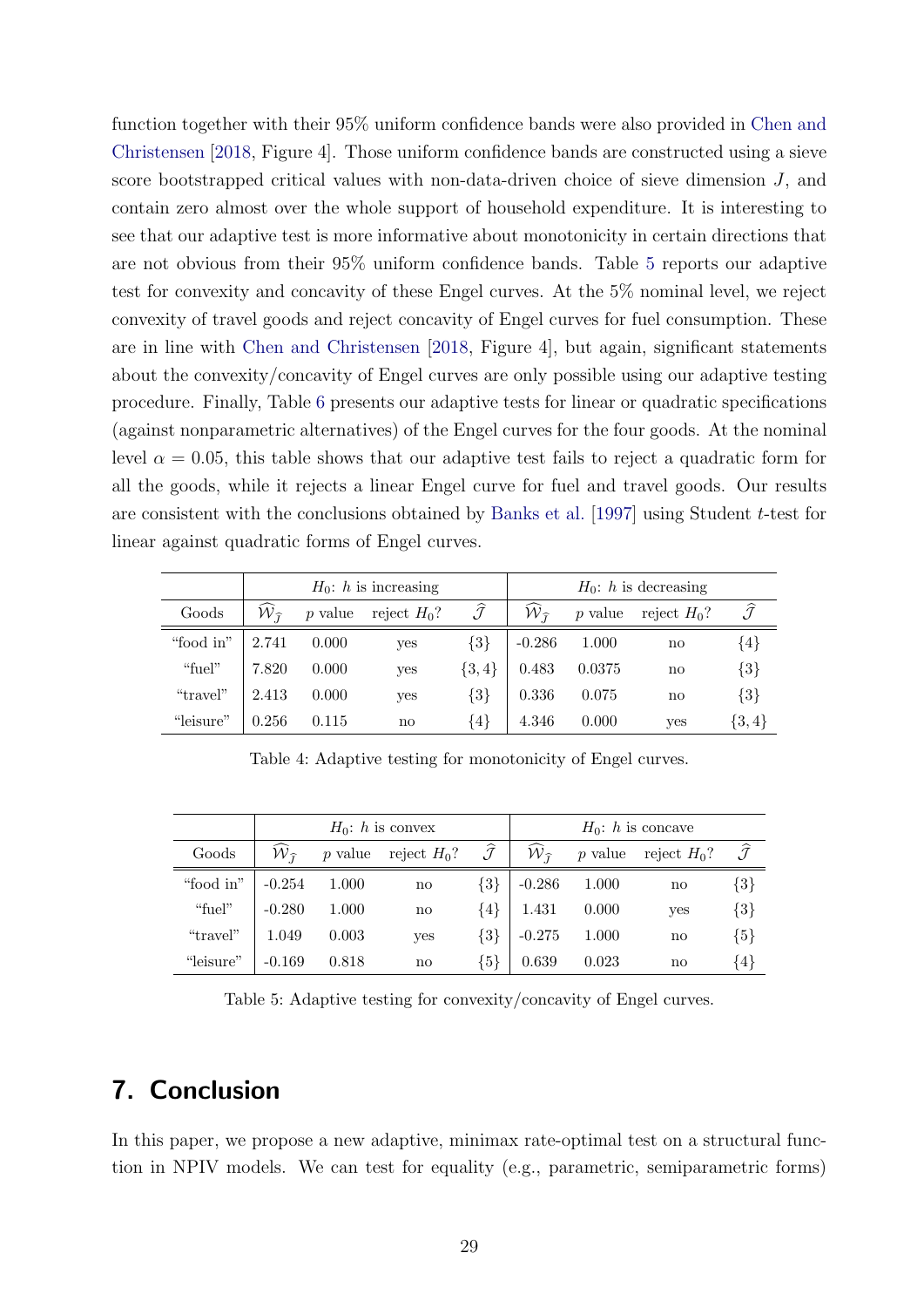function together with their 95% uniform confidence bands were also provided in [Chen and](#page-31-8) [Christensen](#page-31-8) [\[2018,](#page-31-8) Figure 4]. Those uniform confidence bands are constructed using a sieve score bootstrapped critical values with non-data-driven choice of sieve dimension  $J$ , and contain zero almost over the whole support of household expenditure. It is interesting to see that our adaptive test is more informative about monotonicity in certain directions that are not obvious from their 95% uniform confidence bands. Table [5](#page-29-2) reports our adaptive test for convexity and concavity of these Engel curves. At the 5% nominal level, we reject convexity of travel goods and reject concavity of Engel curves for fuel consumption. These are in line with [Chen and Christensen](#page-31-8) [\[2018,](#page-31-8) Figure 4], but again, significant statements about the convexity/concavity of Engel curves are only possible using our adaptive testing procedure. Finally, Table [6](#page-30-4) presents our adaptive tests for linear or quadratic specifications (against nonparametric alternatives) of the Engel curves for the four goods. At the nominal level  $\alpha = 0.05$ , this table shows that our adaptive test fails to reject a quadratic form for all the goods, while it rejects a linear Engel curve for fuel and travel goods. Our results are consistent with the conclusions obtained by [Banks et al.](#page-30-3) [\[1997\]](#page-30-3) using Student t-test for linear against quadratic forms of Engel curves.

<span id="page-29-1"></span>

|           |                                 |           | $H_0$ : h is increasing |                         | $H_0$ : h is decreasing |           |                |                         |  |
|-----------|---------------------------------|-----------|-------------------------|-------------------------|-------------------------|-----------|----------------|-------------------------|--|
| Goods     | $\hat{\cal W}_{\widehat{\tau}}$ | $p$ value | reject $H_0$ ?          | $\widehat{\mathcal{J}}$ | $W_{\widehat{\tau}}$    | $p$ value | reject $H_0$ ? | $\widehat{\mathcal{J}}$ |  |
| "food in" | 2.741                           | 0.000     | yes                     | $\{3\}$                 | $-0.286$                | 1.000     | no             | $\{4\}$                 |  |
| "fuel"    | 7.820                           | 0.000     | yes                     | $\{3,4\}$               | 0.483                   | 0.0375    | no             | $\{3\}$                 |  |
| "travel"  | 2.413                           | 0.000     | yes                     | $\{3\}$                 | 0.336                   | 0.075     | no             | $\{3\}$                 |  |
| "leisure" | 0.256                           | 0.115     | $\mathbf{n}\mathbf{o}$  | ${4}$                   | 4.346                   | 0.000     | yes            | $\{3,4\}$               |  |

Table 4: Adaptive testing for monotonicity of Engel curves.

<span id="page-29-2"></span>

|           |                             |           | $H_0$ : h is convex |                         | $H_0$ : h is concave        |       |                        |                         |  |
|-----------|-----------------------------|-----------|---------------------|-------------------------|-----------------------------|-------|------------------------|-------------------------|--|
| Goods     | ${\cal W}_{\widehat{\tau}}$ | $p$ value | reject $H_0$ ?      | $\widehat{\mathcal{J}}$ | ${\cal W}_{\widehat{\tau}}$ |       | p value reject $H_0$ ? | $\widehat{\mathcal{J}}$ |  |
| "food in" | $-0.254$                    | 1.000     | no                  | $\{3\}$                 | $-0.286$                    | 1.000 | no                     | $\{3\}$                 |  |
| "fuel"    | $-0.280$                    | 1.000     | no                  | $\{4\}$                 | 1.431                       | 0.000 | yes                    | $\{3\}$                 |  |
| "travel"  | 1.049                       | 0.003     | yes                 | $\{3\}$                 | $-0.275$                    | 1.000 | no                     | ${5}$                   |  |
| "leisure" | $-0.169$                    | 0.818     | no                  | ${5}$                   | 0.639                       | 0.023 | no                     | $\{4\}$                 |  |

Table 5: Adaptive testing for convexity/concavity of Engel curves.

# <span id="page-29-0"></span>7. Conclusion

In this paper, we propose a new adaptive, minimax rate-optimal test on a structural function in NPIV models. We can test for equality (e.g., parametric, semiparametric forms)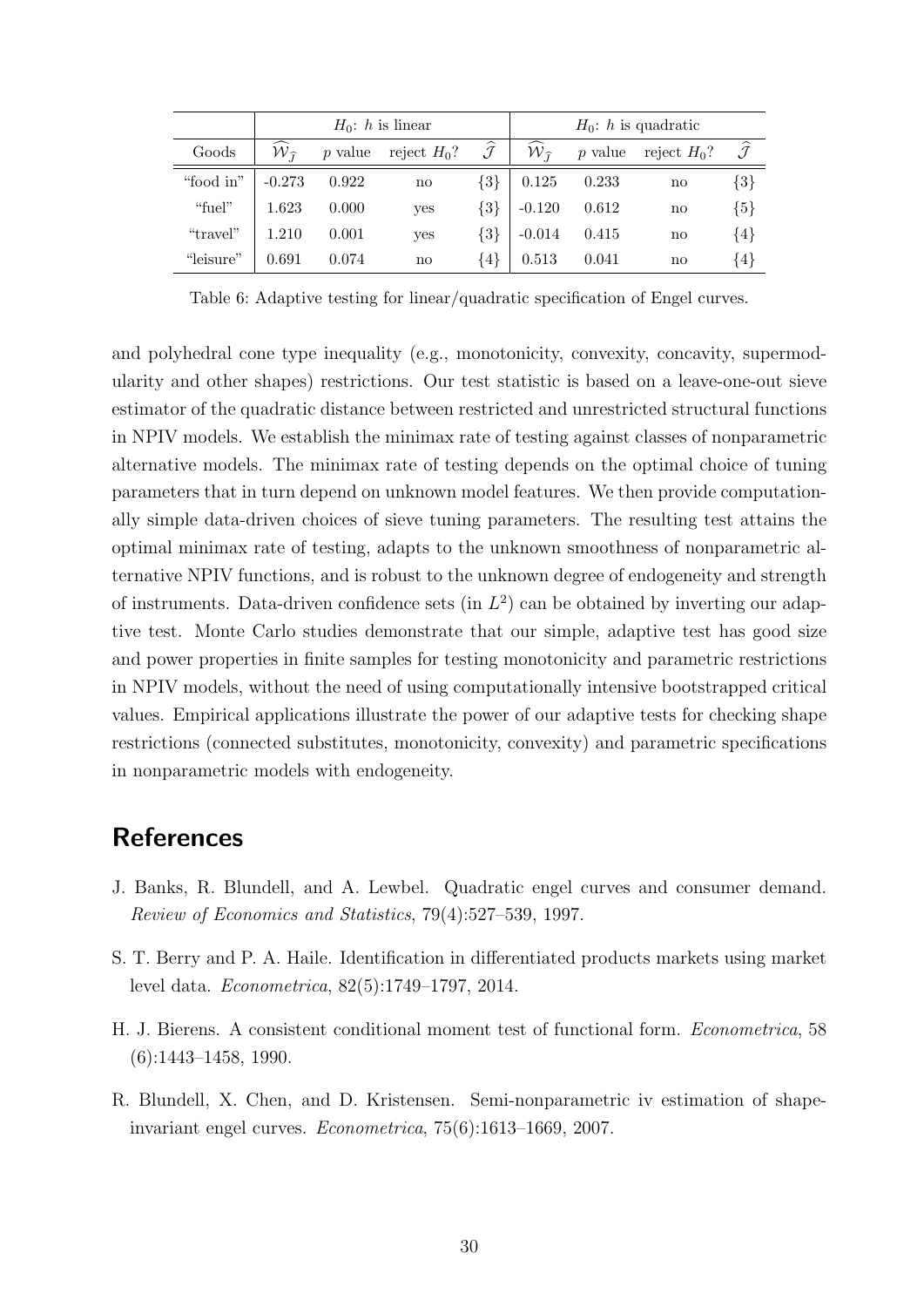<span id="page-30-4"></span>

|           |                             |         | $H_0$ : h is linear |                         | $H_0$ : h is quadratic      |         |                |                         |  |
|-----------|-----------------------------|---------|---------------------|-------------------------|-----------------------------|---------|----------------|-------------------------|--|
| Goods     | ${\cal W}_{\widehat{\tau}}$ | p value | reject $H_0$ ?      | $\widehat{\mathcal{J}}$ | ${\cal W}_{\widehat{\tau}}$ | p value | reject $H_0$ ? | $\widehat{\mathcal{J}}$ |  |
| "food in" | $-0.273$                    | 0.922   | no                  | $\{3\}$                 | 0.125                       | 0.233   | no             | $\{3\}$                 |  |
| "fuel"    | 1.623                       | 0.000   | yes                 | $\{3\}$                 | $-0.120$                    | 0.612   | no             | ${5}$                   |  |
| "travel"  | 1.210                       | 0.001   | yes                 | $\{3\}$                 | $-0.014$                    | 0.415   | no             | $\{4\}$                 |  |
| "leisure" | 0.691                       | 0.074   | no                  | $\{4\}$                 | 0.513                       | 0.041   | no             | $\{4\}$                 |  |

Table 6: Adaptive testing for linear/quadratic specification of Engel curves.

and polyhedral cone type inequality (e.g., monotonicity, convexity, concavity, supermodularity and other shapes) restrictions. Our test statistic is based on a leave-one-out sieve estimator of the quadratic distance between restricted and unrestricted structural functions in NPIV models. We establish the minimax rate of testing against classes of nonparametric alternative models. The minimax rate of testing depends on the optimal choice of tuning parameters that in turn depend on unknown model features. We then provide computationally simple data-driven choices of sieve tuning parameters. The resulting test attains the optimal minimax rate of testing, adapts to the unknown smoothness of nonparametric alternative NPIV functions, and is robust to the unknown degree of endogeneity and strength of instruments. Data-driven confidence sets (in  $L^2$ ) can be obtained by inverting our adaptive test. Monte Carlo studies demonstrate that our simple, adaptive test has good size and power properties in finite samples for testing monotonicity and parametric restrictions in NPIV models, without the need of using computationally intensive bootstrapped critical values. Empirical applications illustrate the power of our adaptive tests for checking shape restrictions (connected substitutes, monotonicity, convexity) and parametric specifications in nonparametric models with endogeneity.

### References

- <span id="page-30-3"></span>J. Banks, R. Blundell, and A. Lewbel. Quadratic engel curves and consumer demand. Review of Economics and Statistics, 79(4):527–539, 1997.
- <span id="page-30-2"></span>S. T. Berry and P. A. Haile. Identification in differentiated products markets using market level data. Econometrica, 82(5):1749–1797, 2014.
- <span id="page-30-0"></span>H. J. Bierens. A consistent conditional moment test of functional form. Econometrica, 58 (6):1443–1458, 1990.
- <span id="page-30-1"></span>R. Blundell, X. Chen, and D. Kristensen. Semi-nonparametric iv estimation of shapeinvariant engel curves. Econometrica, 75(6):1613–1669, 2007.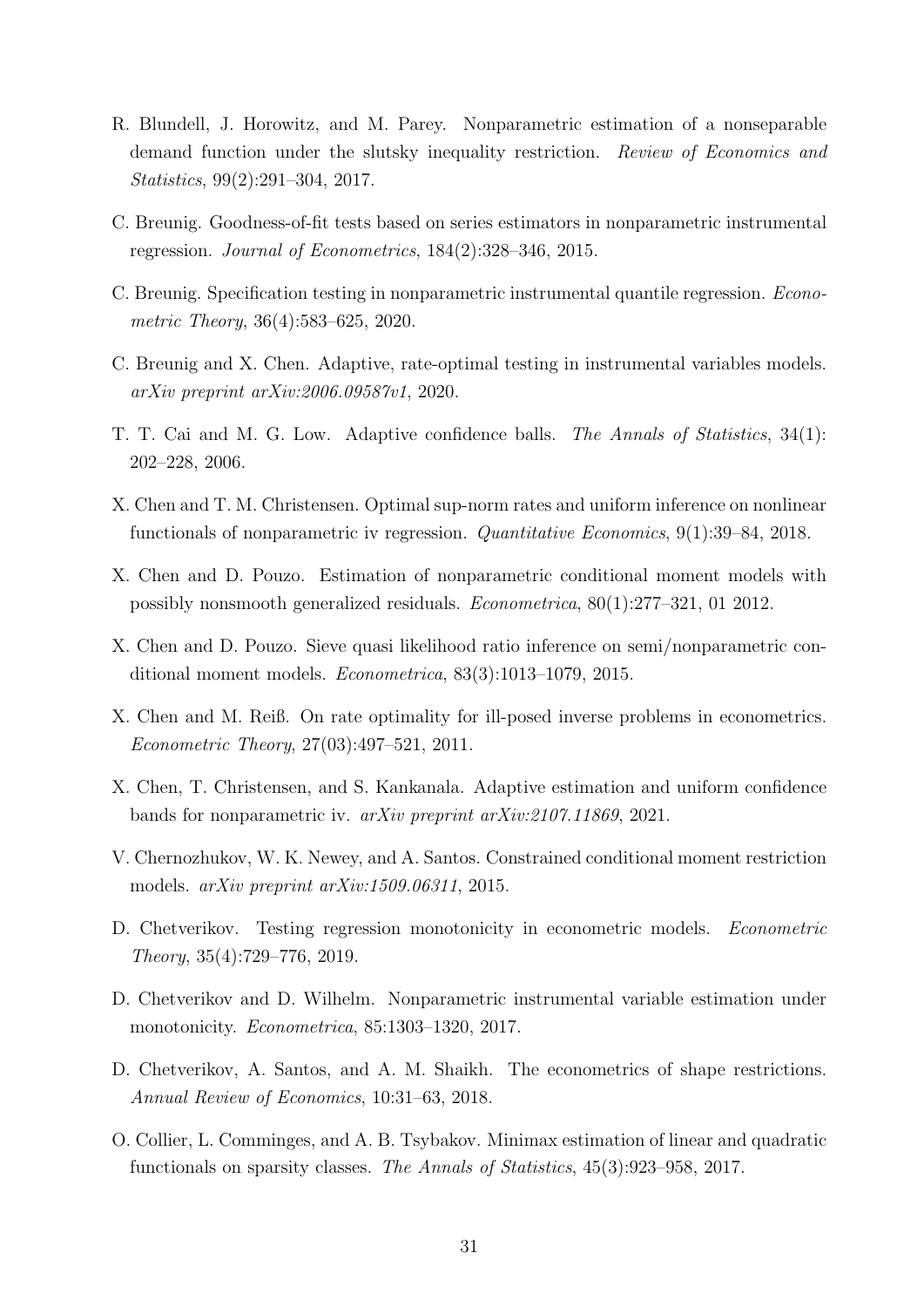- <span id="page-31-4"></span>R. Blundell, J. Horowitz, and M. Parey. Nonparametric estimation of a nonseparable demand function under the slutsky inequality restriction. Review of Economics and Statistics, 99(2):291–304, 2017.
- <span id="page-31-0"></span>C. Breunig. Goodness-of-fit tests based on series estimators in nonparametric instrumental regression. Journal of Econometrics, 184(2):328–346, 2015.
- <span id="page-31-14"></span>C. Breunig. Specification testing in nonparametric instrumental quantile regression. Econometric Theory, 36(4):583–625, 2020.
- <span id="page-31-11"></span>C. Breunig and X. Chen. Adaptive, rate-optimal testing in instrumental variables models. arXiv preprint arXiv:2006.09587v1, 2020.
- <span id="page-31-10"></span>T. T. Cai and M. G. Low. Adaptive confidence balls. The Annals of Statistics, 34(1): 202–228, 2006.
- <span id="page-31-8"></span>X. Chen and T. M. Christensen. Optimal sup-norm rates and uniform inference on nonlinear functionals of nonparametric iv regression. Quantitative Economics, 9(1):39–84, 2018.
- <span id="page-31-9"></span>X. Chen and D. Pouzo. Estimation of nonparametric conditional moment models with possibly nonsmooth generalized residuals. Econometrica, 80(1):277–321, 01 2012.
- <span id="page-31-1"></span>X. Chen and D. Pouzo. Sieve quasi likelihood ratio inference on semi/nonparametric conditional moment models. Econometrica, 83(3):1013–1079, 2015.
- <span id="page-31-7"></span>X. Chen and M. Reiß. On rate optimality for ill-posed inverse problems in econometrics. Econometric Theory, 27(03):497–521, 2011.
- <span id="page-31-13"></span>X. Chen, T. Christensen, and S. Kankanala. Adaptive estimation and uniform confidence bands for nonparametric iv. arXiv preprint arXiv:2107.11869, 2021.
- <span id="page-31-2"></span>V. Chernozhukov, W. K. Newey, and A. Santos. Constrained conditional moment restriction models. arXiv preprint arXiv:1509.06311, 2015.
- <span id="page-31-6"></span>D. Chetverikov. Testing regression monotonicity in econometric models. Econometric Theory, 35(4):729–776, 2019.
- <span id="page-31-5"></span>D. Chetverikov and D. Wilhelm. Nonparametric instrumental variable estimation under monotonicity. Econometrica, 85:1303–1320, 2017.
- <span id="page-31-3"></span>D. Chetverikov, A. Santos, and A. M. Shaikh. The econometrics of shape restrictions. Annual Review of Economics, 10:31–63, 2018.
- <span id="page-31-12"></span>O. Collier, L. Comminges, and A. B. Tsybakov. Minimax estimation of linear and quadratic functionals on sparsity classes. The Annals of Statistics, 45(3):923–958, 2017.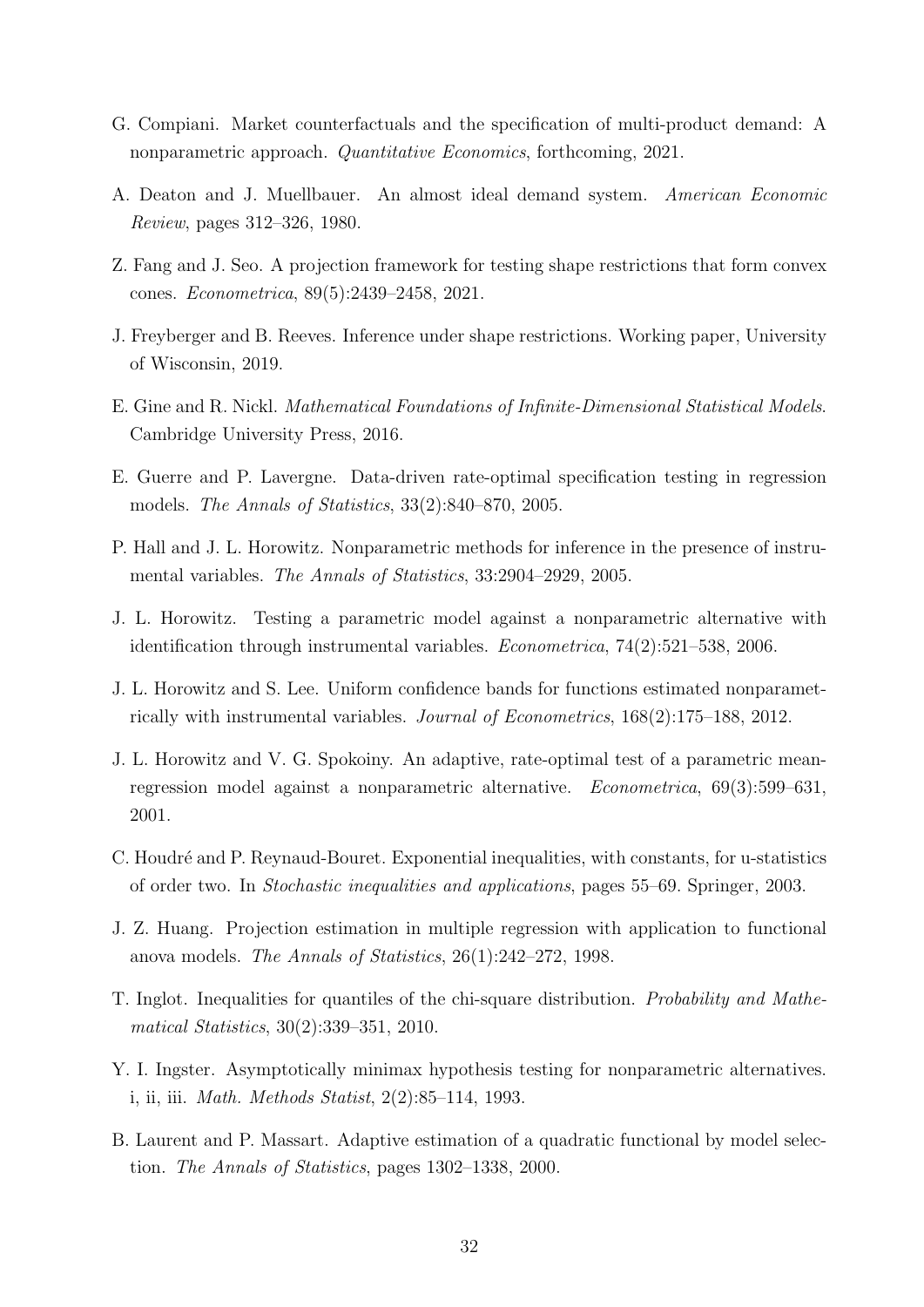- <span id="page-32-6"></span>G. Compiani. Market counterfactuals and the specification of multi-product demand: A nonparametric approach. Quantitative Economics, forthcoming, 2021.
- <span id="page-32-10"></span>A. Deaton and J. Muellbauer. An almost ideal demand system. American Economic Review, pages 312–326, 1980.
- <span id="page-32-0"></span>Z. Fang and J. Seo. A projection framework for testing shape restrictions that form convex cones. Econometrica, 89(5):2439–2458, 2021.
- <span id="page-32-5"></span>J. Freyberger and B. Reeves. Inference under shape restrictions. Working paper, University of Wisconsin, 2019.
- <span id="page-32-14"></span>E. Gine and R. Nickl. Mathematical Foundations of Infinite-Dimensional Statistical Models. Cambridge University Press, 2016.
- <span id="page-32-2"></span>E. Guerre and P. Lavergne. Data-driven rate-optimal specification testing in regression models. The Annals of Statistics, 33(2):840–870, 2005.
- <span id="page-32-8"></span>P. Hall and J. L. Horowitz. Nonparametric methods for inference in the presence of instrumental variables. The Annals of Statistics, 33:2904–2929, 2005.
- <span id="page-32-3"></span>J. L. Horowitz. Testing a parametric model against a nonparametric alternative with identification through instrumental variables. Econometrica, 74(2):521–538, 2006.
- <span id="page-32-4"></span>J. L. Horowitz and S. Lee. Uniform confidence bands for functions estimated nonparametrically with instrumental variables. Journal of Econometrics, 168(2):175–188, 2012.
- <span id="page-32-1"></span>J. L. Horowitz and V. G. Spokoiny. An adaptive, rate-optimal test of a parametric meanregression model against a nonparametric alternative. Econometrica, 69(3):599–631, 2001.
- <span id="page-32-13"></span>C. Houdré and P. Reynaud-Bouret. Exponential inequalities, with constants, for u-statistics of order two. In Stochastic inequalities and applications, pages 55–69. Springer, 2003.
- <span id="page-32-9"></span>J. Z. Huang. Projection estimation in multiple regression with application to functional anova models. The Annals of Statistics, 26(1):242–272, 1998.
- <span id="page-32-11"></span>T. Inglot. Inequalities for quantiles of the chi-square distribution. Probability and Mathematical Statistics, 30(2):339–351, 2010.
- <span id="page-32-7"></span>Y. I. Ingster. Asymptotically minimax hypothesis testing for nonparametric alternatives. i, ii, iii. Math. Methods Statist, 2(2):85–114, 1993.
- <span id="page-32-12"></span>B. Laurent and P. Massart. Adaptive estimation of a quadratic functional by model selection. The Annals of Statistics, pages 1302–1338, 2000.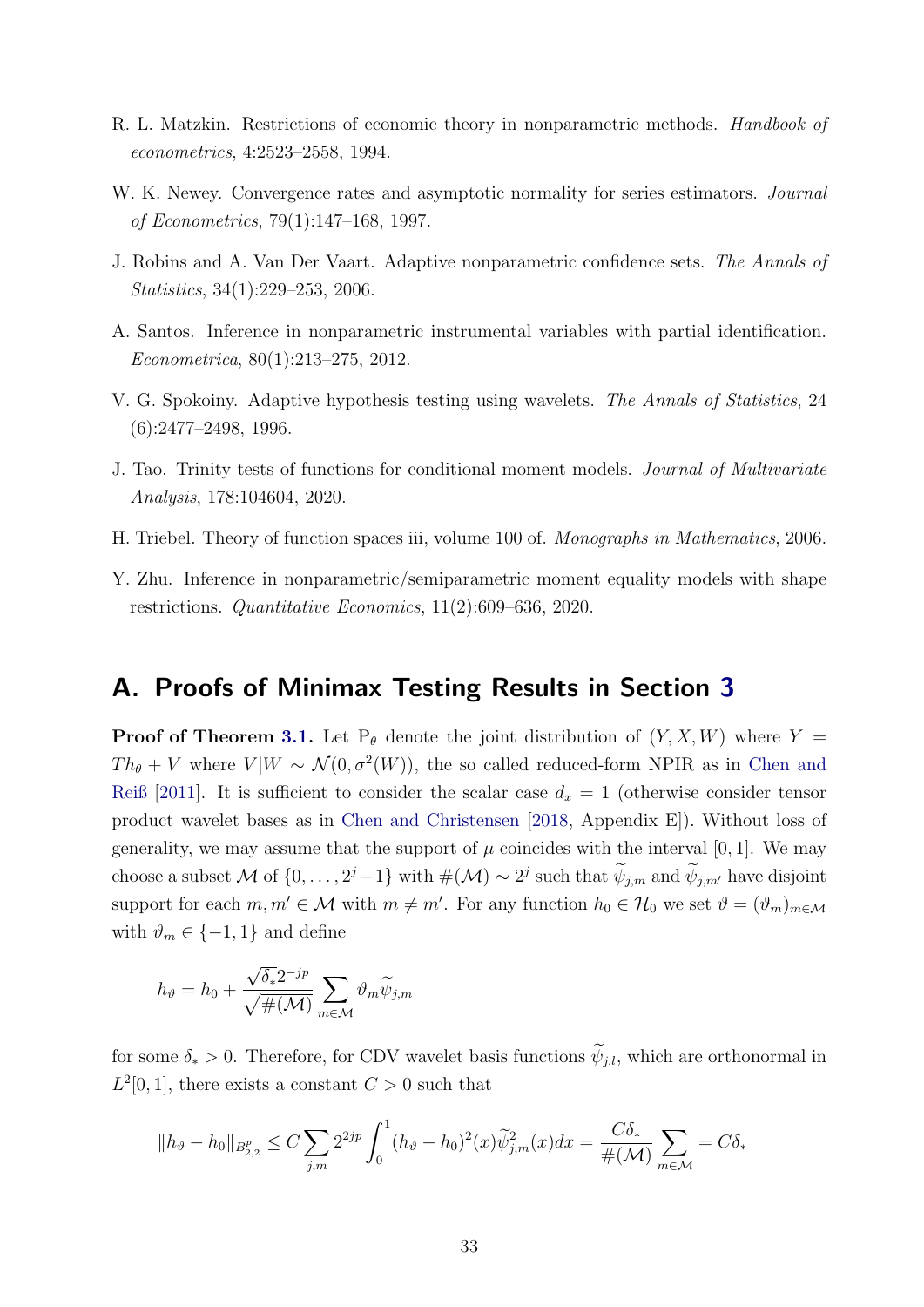- <span id="page-33-4"></span>R. L. Matzkin. Restrictions of economic theory in nonparametric methods. Handbook of econometrics, 4:2523–2558, 1994.
- <span id="page-33-7"></span>W. K. Newey. Convergence rates and asymptotic normality for series estimators. Journal of Econometrics, 79(1):147–168, 1997.
- <span id="page-33-8"></span>J. Robins and A. Van Der Vaart. Adaptive nonparametric confidence sets. The Annals of Statistics, 34(1):229–253, 2006.
- <span id="page-33-1"></span>A. Santos. Inference in nonparametric instrumental variables with partial identification. Econometrica, 80(1):213–275, 2012.
- <span id="page-33-0"></span>V. G. Spokoiny. Adaptive hypothesis testing using wavelets. The Annals of Statistics, 24 (6):2477–2498, 1996.
- <span id="page-33-2"></span>J. Tao. Trinity tests of functions for conditional moment models. Journal of Multivariate Analysis, 178:104604, 2020.
- <span id="page-33-6"></span>H. Triebel. Theory of function spaces iii, volume 100 of. Monographs in Mathematics, 2006.
- <span id="page-33-3"></span>Y. Zhu. Inference in nonparametric/semiparametric moment equality models with shape restrictions. Quantitative Economics, 11(2):609–636, 2020.

### <span id="page-33-5"></span>A. Proofs of Minimax Testing Results in Section [3](#page-10-0)

**Proof of Theorem [3.1.](#page-10-4)** Let  $P_{\theta}$  denote the joint distribution of  $(Y, X, W)$  where  $Y =$  $Th_{\theta} + V$  where  $V|W \sim \mathcal{N}(0, \sigma^2(W))$ , the so called reduced-form NPIR as in [Chen and](#page-31-7) [Reiß](#page-31-7) [\[2011\]](#page-31-7). It is sufficient to consider the scalar case  $d_x = 1$  (otherwise consider tensor product wavelet bases as in [Chen and Christensen](#page-31-8) [\[2018,](#page-31-8) Appendix E]). Without loss of generality, we may assume that the support of  $\mu$  coincides with the interval [0, 1]. We may choose a subset M of  $\{0, \ldots, 2^j-1\}$  with  $\#(\mathcal{M}) \sim 2^j$  such that  $\psi_{j,m}$  and  $\psi_{j,m'}$  have disjoint support for each  $m, m' \in \mathcal{M}$  with  $m \neq m'$ . For any function  $h_0 \in \mathcal{H}_0$  we set  $\vartheta = (\vartheta_m)_{m \in \mathcal{M}}$ with  $\vartheta_m \in \{-1, 1\}$  and define

$$
h_{\vartheta} = h_0 + \frac{\sqrt{\delta_*} 2^{-jp}}{\sqrt{\#(\mathcal{M})}} \sum_{m \in \mathcal{M}} \vartheta_m \widetilde{\psi}_{j,m}
$$

for some  $\delta_* > 0$ . Therefore, for CDV wavelet basis functions  $\widetilde{\psi}_{i,l}$ , which are orthonormal in  $L^2[0,1]$ , there exists a constant  $C>0$  such that

$$
||h_{\vartheta} - h_0||_{B_{2,2}^p} \le C \sum_{j,m} 2^{2jp} \int_0^1 (h_{\vartheta} - h_0)^2(x) \widetilde{\psi}_{j,m}^2(x) dx = \frac{C \delta_*}{\#(\mathcal{M})} \sum_{m \in \mathcal{M}} = C \delta_*
$$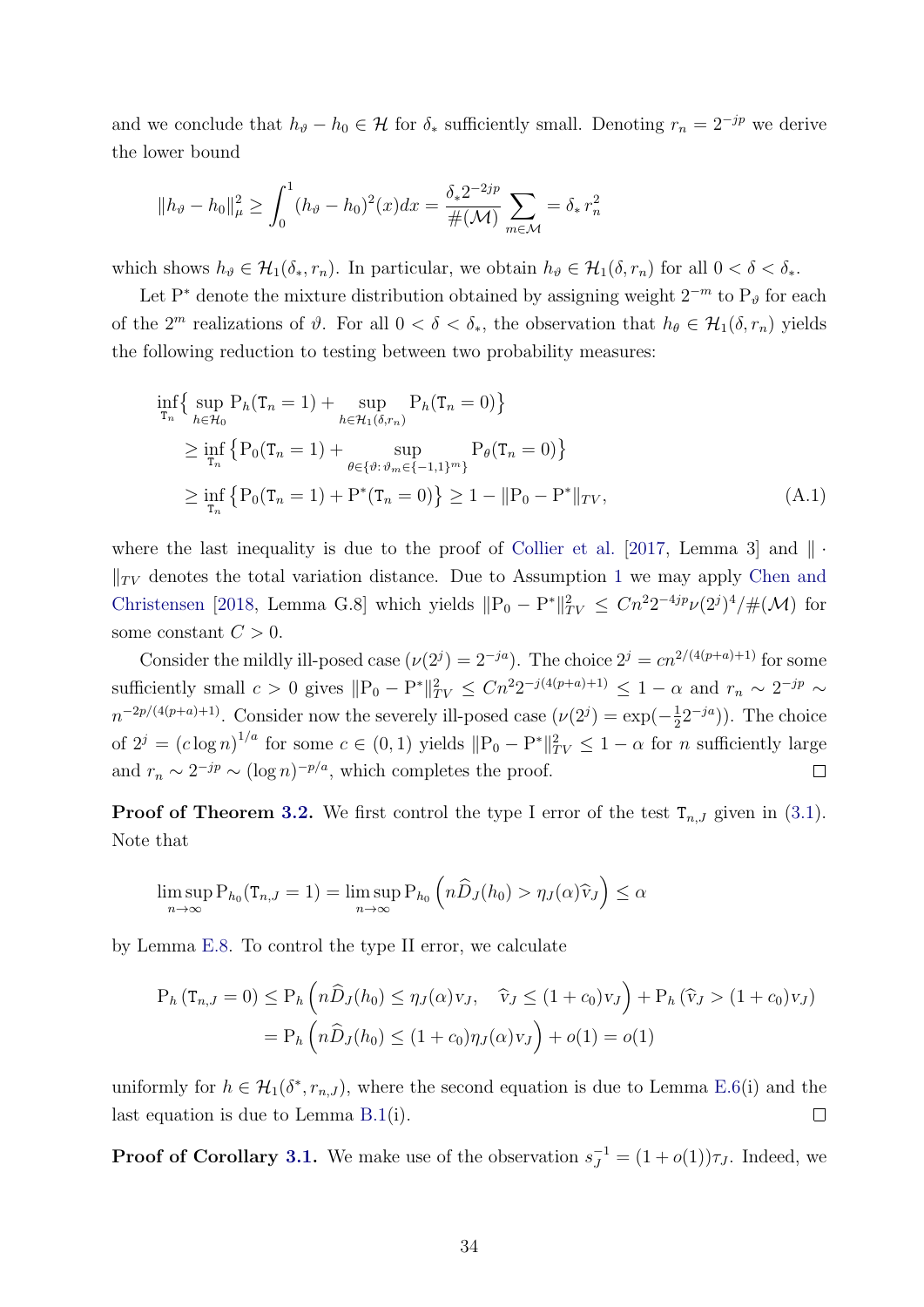and we conclude that  $h_{\vartheta} - h_0 \in \mathcal{H}$  for  $\delta_*$  sufficiently small. Denoting  $r_n = 2^{-jp}$  we derive the lower bound

$$
||h_{\vartheta} - h_0||_{\mu}^2 \ge \int_0^1 (h_{\vartheta} - h_0)^2(x) dx = \frac{\delta_* 2^{-2jp}}{\#(\mathcal{M})} \sum_{m \in \mathcal{M}} \, d^2m
$$

which shows  $h_{\vartheta} \in \mathcal{H}_{1}(\delta_{*}, r_{n})$ . In particular, we obtain  $h_{\vartheta} \in \mathcal{H}_{1}(\delta, r_{n})$  for all  $0 < \delta < \delta_{*}$ .

Let P<sup>∗</sup> denote the mixture distribution obtained by assigning weight  $2^{-m}$  to P<sub>ℓ</sub> for each of the  $2^m$  realizations of  $\vartheta$ . For all  $0 < \delta < \delta_*$ , the observation that  $h_{\theta} \in \mathcal{H}_1(\delta, r_n)$  yields the following reduction to testing between two probability measures:

$$
\inf_{\mathbf{T}_n} \{ \sup_{h \in \mathcal{H}_0} \mathbf{P}_h(\mathbf{T}_n = 1) + \sup_{h \in \mathcal{H}_1(\delta, r_n)} \mathbf{P}_h(\mathbf{T}_n = 0) \}
$$
\n
$$
\geq \inf_{\mathbf{T}_n} \{ \mathbf{P}_0(\mathbf{T}_n = 1) + \sup_{\theta \in \{\vartheta : \vartheta_m \in \{-1, 1\}^m\}} \mathbf{P}_\theta(\mathbf{T}_n = 0) \}
$$
\n
$$
\geq \inf_{\mathbf{T}_n} \{ \mathbf{P}_0(\mathbf{T}_n = 1) + \mathbf{P}^*(\mathbf{T}_n = 0) \} \geq 1 - ||\mathbf{P}_0 - \mathbf{P}^*||_{TV}, \tag{A.1}
$$

where the last inequality is due to the proof of [Collier et al.](#page-31-12) [\[2017,](#page-31-12) Lemma 3] and  $\|\cdot\|$  $\Vert_{TV}$  denotes the total variation distance. Due to Assumption [1](#page-10-3) we may apply [Chen and](#page-31-8) [Christensen](#page-31-8) [\[2018,](#page-31-8) Lemma G.8] which yields  $||P_0 - P^*||_{TV}^2 \leq Cn^2 2^{-4jp} \nu(2^j)^4 / \#(\mathcal{M})$  for some constant  $C > 0$ .

Consider the mildly ill-posed case  $(\nu(2^j) = 2^{-ja})$ . The choice  $2^j = cn^{2/(4(p+a)+1)}$  for some sufficiently small  $c > 0$  gives  $||P_0 - P^*||_{TV}^2 \leq Cn^2 2^{-j(4(p+a)+1)} \leq 1-\alpha$  and  $r_n \sim 2^{-jp} \sim$  $n^{-2p/(4(p+a)+1)}$ . Consider now the severely ill-posed case  $(\nu(2^j) = \exp(-\frac{1}{2^j})$  $(\frac{1}{2}2^{-ja})$ ). The choice of  $2^j = (c \log n)^{1/a}$  for some  $c \in (0, 1)$  yields  $||P_0 - P^*||_{TV}^2 \le 1 - \alpha$  for n sufficiently large and  $r_n \sim 2^{-jp} \sim (\log n)^{-p/a}$ , which completes the proof.  $\Box$ 

**Proof of Theorem [3.2.](#page-12-1)** We first control the type I error of the test  $T_{n,J}$  given in [\(3.1\)](#page-11-1). Note that

$$
\limsup_{n\to\infty} \mathcal{P}_{h_0}(\mathbf{T}_{n,J}=1) = \limsup_{n\to\infty} \mathcal{P}_{h_0}\left(n\widehat{D}_J(h_0) > \eta_J(\alpha)\widehat{v}_J\right) \leq \alpha
$$

by Lemma [E.8.](#page-64-0) To control the type II error, we calculate

$$
P_h(T_{n,J}=0) \le P_h\left(n\widehat{D}_J(h_0) \le \eta_J(\alpha)v_J, \quad \widehat{v}_J \le (1+c_0)v_J\right) + P_h(\widehat{v}_J > (1+c_0)v_J)
$$
  
=  $P_h\left(n\widehat{D}_J(h_0) \le (1+c_0)\eta_J(\alpha)v_J\right) + o(1) = o(1)$ 

uniformly for  $h \in \mathcal{H}_1(\delta^*, r_{n,J})$ , where the second equation is due to Lemma [E.6\(](#page-62-0)i) and the last equation is due to Lemma [B.1\(](#page-39-0)i).  $\Box$ 

**Proof of Corollary [3.1.](#page-13-1)** We make use of the observation  $s_J^{-1} = (1 + o(1))\tau_J$ . Indeed, we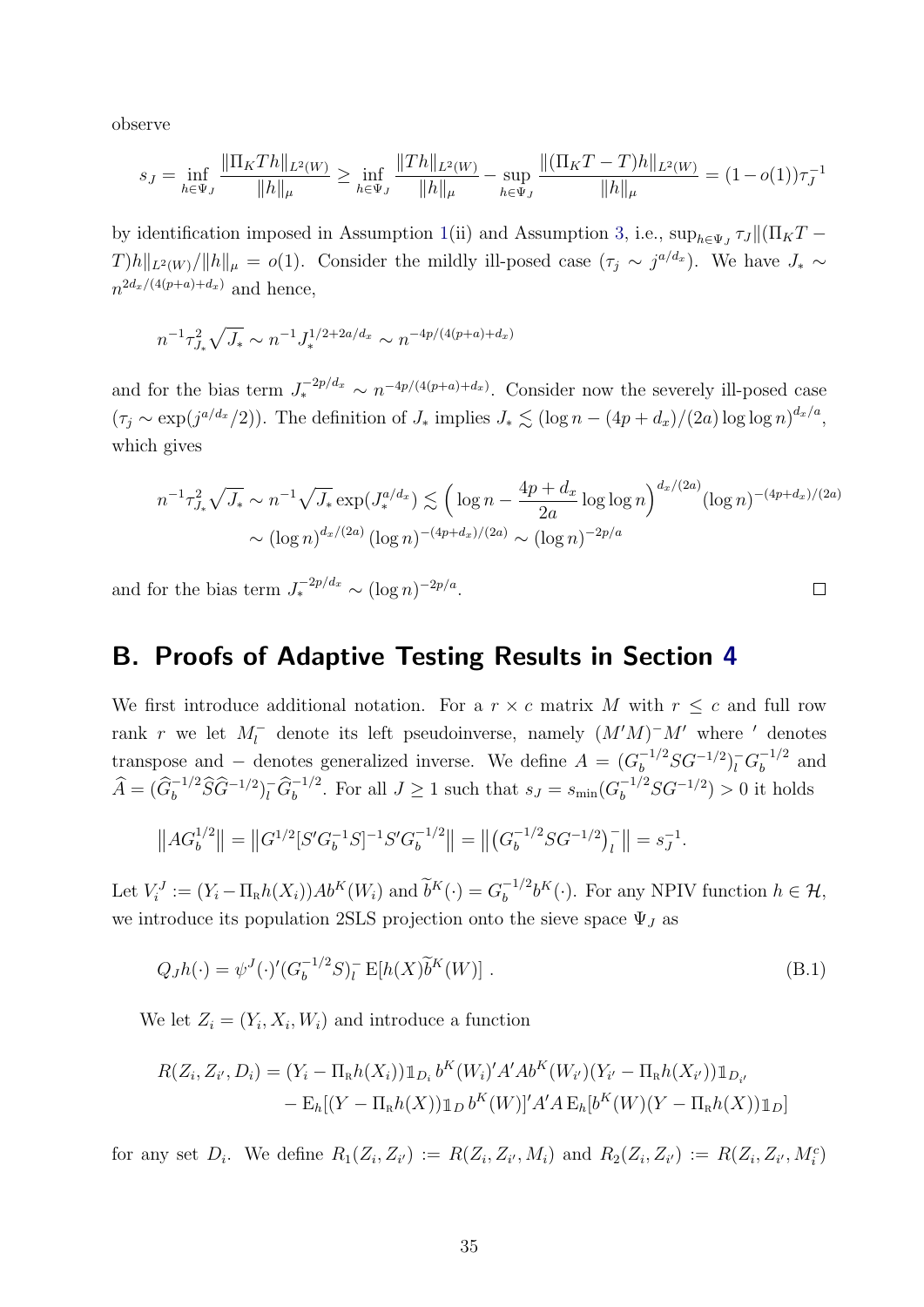observe

$$
s_J = \inf_{h \in \Psi_J} \frac{\|\Pi_K Th\|_{L^2(W)}}{\|h\|_{\mu}} \ge \inf_{h \in \Psi_J} \frac{\|Th\|_{L^2(W)}}{\|h\|_{\mu}} - \sup_{h \in \Psi_J} \frac{\|(\Pi_K T - T)h\|_{L^2(W)}}{\|h\|_{\mu}} = (1 - o(1))\tau_J^{-1}
$$

by identification imposed in Assumption [1\(](#page-10-3)ii) and Assumption [3,](#page-13-2) i.e.,  $\sup_{h\in\Psi_J} \tau_J ||(\Pi_K T T|h||_{L^2(W)}/||h||_{\mu} = o(1)$ . Consider the mildly ill-posed case  $(\tau_j \sim j^{a/d_x})$ . We have  $J_* \sim$  $n^{2d_x/(4(p+a)+d_x)}$  and hence,

$$
n^{-1} \tau_{J_*}^2 \sqrt{J_*} \sim n^{-1} J_*^{1/2 + 2a/d_x} \sim n^{-4p/(4(p+a) + d_x)}
$$

and for the bias term  $J_*^{-2p/d_x} \sim n^{-4p/(4(p+a)+d_x)}$ . Consider now the severely ill-posed case  $(\tau_j \sim \exp(j^{a/d_x}/2))$ . The definition of  $J_*$  implies  $J_* \lesssim (\log n - (4p + d_x)/(2a) \log \log n)^{d_x/a}$ , which gives

$$
n^{-1}\tau_{J_*}^2 \sqrt{J_*} \sim n^{-1} \sqrt{J_*} \exp(J_*^{a/d_x}) \lesssim \left(\log n - \frac{4p + d_x}{2a} \log \log n\right)^{d_x/(2a)} (\log n)^{-(4p + d_x)/(2a)}
$$

$$
\sim (\log n)^{d_x/(2a)} (\log n)^{-(4p + d_x)/(2a)} \sim (\log n)^{-2p/a}
$$

and for the bias term  $J_*^{-2p/d_x} \sim (\log n)^{-2p/a}$ .

## <span id="page-35-0"></span>B. Proofs of Adaptive Testing Results in Section [4](#page-13-0)

We first introduce additional notation. For a  $r \times c$  matrix M with  $r \leq c$  and full row rank r we let  $M_l^-$  denote its left pseudoinverse, namely  $(M'M)^-M'$  where ' denotes transpose and – denotes generalized inverse. We define  $A = (G_b^{-1/2}SG^{-1/2})_l^- G_b^{-1/2}$  $b^{-1/2}$  and  $\widehat{A} = (\widehat{G}_b^{-1/2} \widehat{S} \widehat{G}^{-1/2})_l^{\widehat{G}_b^{-1/2}}$ . For all  $J \ge 1$  such that  $s_J = s_{\min}(G_b^{-1/2} S G^{-1/2}) > 0$  it holds

$$
||AG_b^{1/2}|| = ||G^{1/2}[S'G_b^{-1}S]^{-1}S'G_b^{-1/2}|| = ||(G_b^{-1/2}SG^{-1/2})_l^-|| = s_J^{-1}.
$$

Let  $V_i^J := (Y_i - \Pi_R h(X_i)) Ab^K(W_i)$  and  $\widetilde{b}^K(\cdot) = G_b^{-1/2}$  $b_b^{-1/2}b^K(\cdot)$ . For any NPIV function  $h \in \mathcal{H}$ , we introduce its population 2SLS projection onto the sieve space  $\Psi_J$  as

$$
Q_J h(\cdot) = \psi^J(\cdot)' (G_b^{-1/2} S)_l^- \mathcal{E}[h(X)\tilde{b}^K(W)]. \tag{B.1}
$$

We let  $Z_i = (Y_i, X_i, W_i)$  and introduce a function

$$
R(Z_i, Z_{i'}, D_i) = (Y_i - \Pi_R h(X_i)) \mathbb{1}_{D_i} b^K(W_i)' A' Ab^K(W_{i'}) (Y_{i'} - \Pi_R h(X_{i'})) \mathbb{1}_{D_{i'}}
$$
  
- 
$$
E_h[(Y - \Pi_R h(X)) \mathbb{1}_D b^K(W)]' A' A E_h[b^K(W)(Y - \Pi_R h(X)) \mathbb{1}_D]
$$

for any set  $D_i$ . We define  $R_1(Z_i, Z_{i'}) := R(Z_i, Z_{i'}, M_i)$  and  $R_2(Z_i, Z_{i'}) := R(Z_i, Z_{i'}, M_i^c)$ 

<span id="page-35-1"></span> $\Box$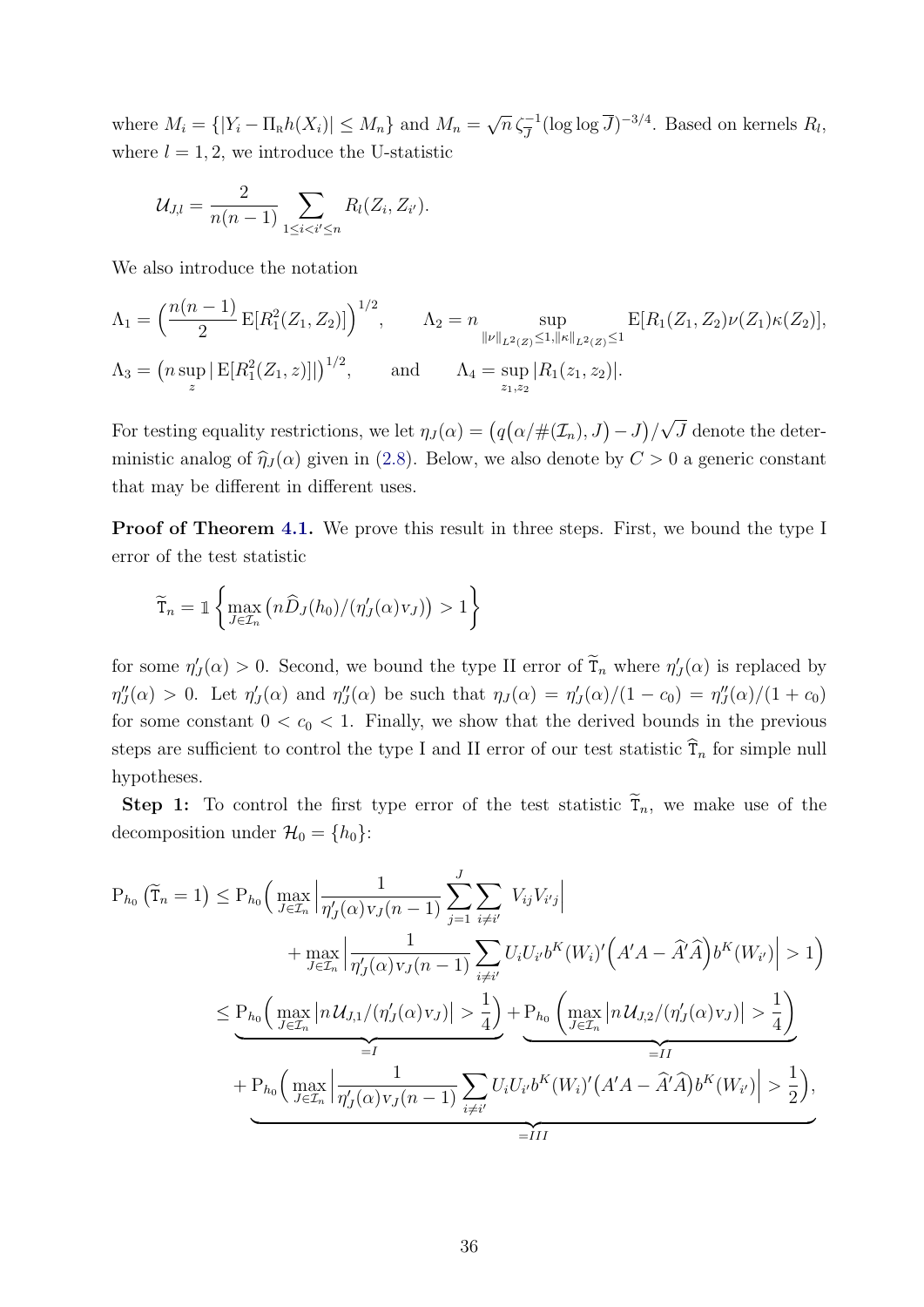where  $M_i = \{ |Y_i - \Pi_R h(X_i)| \le M_n \}$  and  $M_n =$  $\sqrt{n} \, \zeta_{\overline{J}}^{-1} (\log \log \overline{J})^{-3/4}$ . Based on kernels  $R_l$ , where  $l = 1, 2$ , we introduce the U-statistic

$$
\mathcal{U}_{J,l} = \frac{2}{n(n-1)} \sum_{1 \leq i < i' \leq n} R_l(Z_i, Z_{i'}).
$$

We also introduce the notation

$$
\Lambda_1 = \left(\frac{n(n-1)}{2} \mathbb{E}[R_1^2(Z_1, Z_2)]\right)^{1/2}, \qquad \Lambda_2 = n \sup_{\|\nu\|_{L^2(Z)} \le 1, \|\kappa\|_{L^2(Z)} \le 1} \mathbb{E}[R_1(Z_1, Z_2)\nu(Z_1)\kappa(Z_2)],
$$
  

$$
\Lambda_3 = \left(n \sup_z |\mathbb{E}[R_1^2(Z_1, z)]|\right)^{1/2}, \qquad \text{and} \qquad \Lambda_4 = \sup_{z_1, z_2} |R_1(z_1, z_2)|.
$$

For testing equality restrictions, we let  $\eta_J(\alpha) = (q(\alpha/\#(\mathcal{I}_n), J) - J)/\pi$ √ J denote the deterministic analog of  $\hat{\eta}_J (\alpha)$  given in [\(2.8\)](#page-9-0). Below, we also denote by  $C > 0$  a generic constant that may be different in different uses.

**Proof of Theorem [4.1.](#page-15-1)** We prove this result in three steps. First, we bound the type I error of the test statistic

$$
\widetilde{\mathbf{T}}_n = \mathbb{1}\left\{\max_{J\in\mathcal{I}_n} \left(n\widehat{D}_J(h_0)/(\eta'_J(\alpha)v_J)\right) > 1\right\}
$$

for some  $\eta'_J(\alpha) > 0$ . Second, we bound the type II error of  $\tilde{T}_n$  where  $\eta'_J(\alpha)$  is replaced by  $\eta''_J(\alpha) > 0$ . Let  $\eta'_J(\alpha)$  and  $\eta''_J(\alpha)$  be such that  $\eta_J(\alpha) = \eta'_J(\alpha)/(1-c_0) = \eta''_J(\alpha)/(1+c_0)$ for some constant  $0 < c_0 < 1$ . Finally, we show that the derived bounds in the previous steps are sufficient to control the type I and II error of our test statistic  $\hat{T}_n$  for simple null hypotheses.

**Step 1:** To control the first type error of the test statistic  $T_n$ , we make use of the decomposition under  $\mathcal{H}_0 = \{h_0\}$ :

$$
P_{h_0}(\tilde{T}_n = 1) \le P_{h_0} \Big( \max_{J \in \mathcal{I}_n} \Big| \frac{1}{\eta'_J(\alpha) v_J(n-1)} \sum_{j=1}^J \sum_{i \neq i'} V_{ij} V_{i'j} \Big| + \max_{J \in \mathcal{I}_n} \Big| \frac{1}{\eta'_J(\alpha) v_J(n-1)} \sum_{i \neq i'} U_i U_{i'} b^K(W_i)' \Big( A' A - \hat{A}' \hat{A} \Big) b^K(W_{i'}) \Big| > 1 \Big)
$$
  

$$
\le P_{h_0} \Big( \max_{J \in \mathcal{I}_n} \Big| n U_{J,1} / (\eta'_J(\alpha) v_J) \Big| > \frac{1}{4} \Big) + P_{h_0} \Big( \max_{J \in \mathcal{I}_n} \Big| n U_{J,2} / (\eta'_J(\alpha) v_J) \Big| > \frac{1}{4} \Big)
$$
  
+  $P_{h_0} \Big( \max_{J \in \mathcal{I}_n} \Big| \frac{1}{\eta'_J(\alpha) v_J(n-1)} \sum_{i \neq i'} U_i U_{i'} b^K(W_i)' (A' A - \hat{A}' \hat{A}) b^K(W_{i'}) \Big| > \frac{1}{2} \Big),$   
= II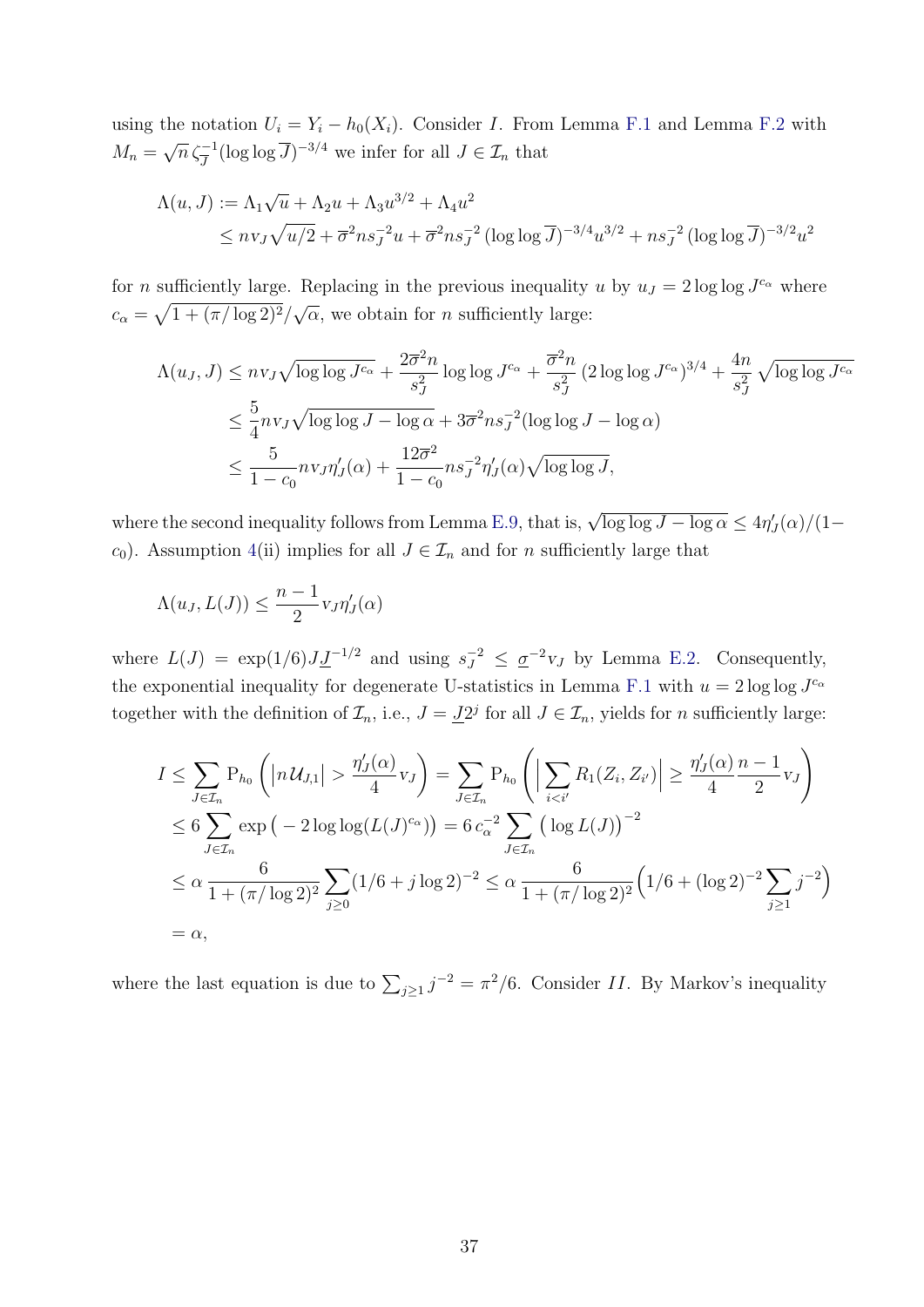using the notation  $U_i = Y_i - h_0(X_i)$ . Consider I. From Lemma [F.1](#page-67-1) and Lemma [F.2](#page-68-0) with  $M_n =$  $\sqrt{n} \zeta_{\overline{J}}^{-1} (\log \log \overline{J})^{-3/4}$  we infer for all  $J \in \mathcal{I}_n$  that

$$
\Lambda(u, J) := \Lambda_1 \sqrt{u} + \Lambda_2 u + \Lambda_3 u^{3/2} + \Lambda_4 u^2
$$
  
\$\leq n v\_J \sqrt{u/2} + \overline{\sigma}^2 n s\_J^{-2} u + \overline{\sigma}^2 n s\_J^{-2} (\log \log \overline{J})^{-3/4} u^{3/2} + n s\_J^{-2} (\log \log \overline{J})^{-3/2} u^2\$

for *n* sufficiently large. Replacing in the previous inequality u by  $u_J = 2 \log \log J^{c_{\alpha}}$  where  $c_{\alpha} = \sqrt{1 + (\pi/\log 2)^2}/$ √  $\alpha$ , we obtain for *n* sufficiently large:

$$
\Lambda(u_J, J) \leq n v_J \sqrt{\log \log J^{c_{\alpha}}} + \frac{2\overline{\sigma}^2 n}{s_J^2} \log \log J^{c_{\alpha}} + \frac{\overline{\sigma}^2 n}{s_J^2} (2 \log \log J^{c_{\alpha}})^{3/4} + \frac{4n}{s_J^2} \sqrt{\log \log J^{c_{\alpha}}}
$$
  
\n
$$
\leq \frac{5}{4} n v_J \sqrt{\log \log J - \log \alpha} + 3\overline{\sigma}^2 n s_J^{-2} (\log \log J - \log \alpha)
$$
  
\n
$$
\leq \frac{5}{1 - c_0} n v_J \eta'_J(\alpha) + \frac{12\overline{\sigma}^2}{1 - c_0} n s_J^{-2} \eta'_J(\alpha) \sqrt{\log \log J},
$$

where the second inequality follows from Lemma [E.9,](#page-65-0) that is,  $\sqrt{\log \log J - \log \alpha} \leq 4\eta'_J(\alpha)/(1-\alpha)$ c<sub>0</sub>). Assumption [4\(](#page-14-2)ii) implies for all  $J \in \mathcal{I}_n$  and for n sufficiently large that

$$
\Lambda(u_J, L(J)) \le \frac{n-1}{2} \nu_J \eta_J'(\alpha)
$$

where  $L(J) = \exp(1/6) J \underline{J}^{-1/2}$  and using  $s_J^{-2} \leq \underline{\sigma}^{-2} v_J$  by Lemma [E.2.](#page-57-0) Consequently, the exponential inequality for degenerate U-statistics in Lemma [F.1](#page-67-1) with  $u = 2 \log \log J^{c_{\alpha}}$ together with the definition of  $\mathcal{I}_n$ , i.e.,  $J = \underline{J}2^j$  for all  $J \in \mathcal{I}_n$ , yields for n sufficiently large:

$$
I \leq \sum_{J \in \mathcal{I}_n} P_{h_0} \left( |n \mathcal{U}_{J,1}| > \frac{\eta'_J(\alpha)}{4} v_J \right) = \sum_{J \in \mathcal{I}_n} P_{h_0} \left( \left| \sum_{i < i'} R_1(Z_i, Z_{i'}) \right| \geq \frac{\eta'_J(\alpha)}{4} \frac{n-1}{2} v_J \right)
$$
  
\n
$$
\leq 6 \sum_{J \in \mathcal{I}_n} \exp \left( -2 \log \log(L(J)^{c_{\alpha}}) \right) = 6 c_{\alpha}^{-2} \sum_{J \in \mathcal{I}_n} \left( \log L(J) \right)^{-2}
$$
  
\n
$$
\leq \alpha \frac{6}{1 + (\pi/\log 2)^2} \sum_{j \geq 0} (1/6 + j \log 2)^{-2} \leq \alpha \frac{6}{1 + (\pi/\log 2)^2} \left( 1/6 + (\log 2)^{-2} \sum_{j \geq 1} j^{-2} \right)
$$
  
\n
$$
= \alpha,
$$

where the last equation is due to  $\sum_{j\geq 1}j^{-2}=\pi^2/6$ . Consider II. By Markov's inequality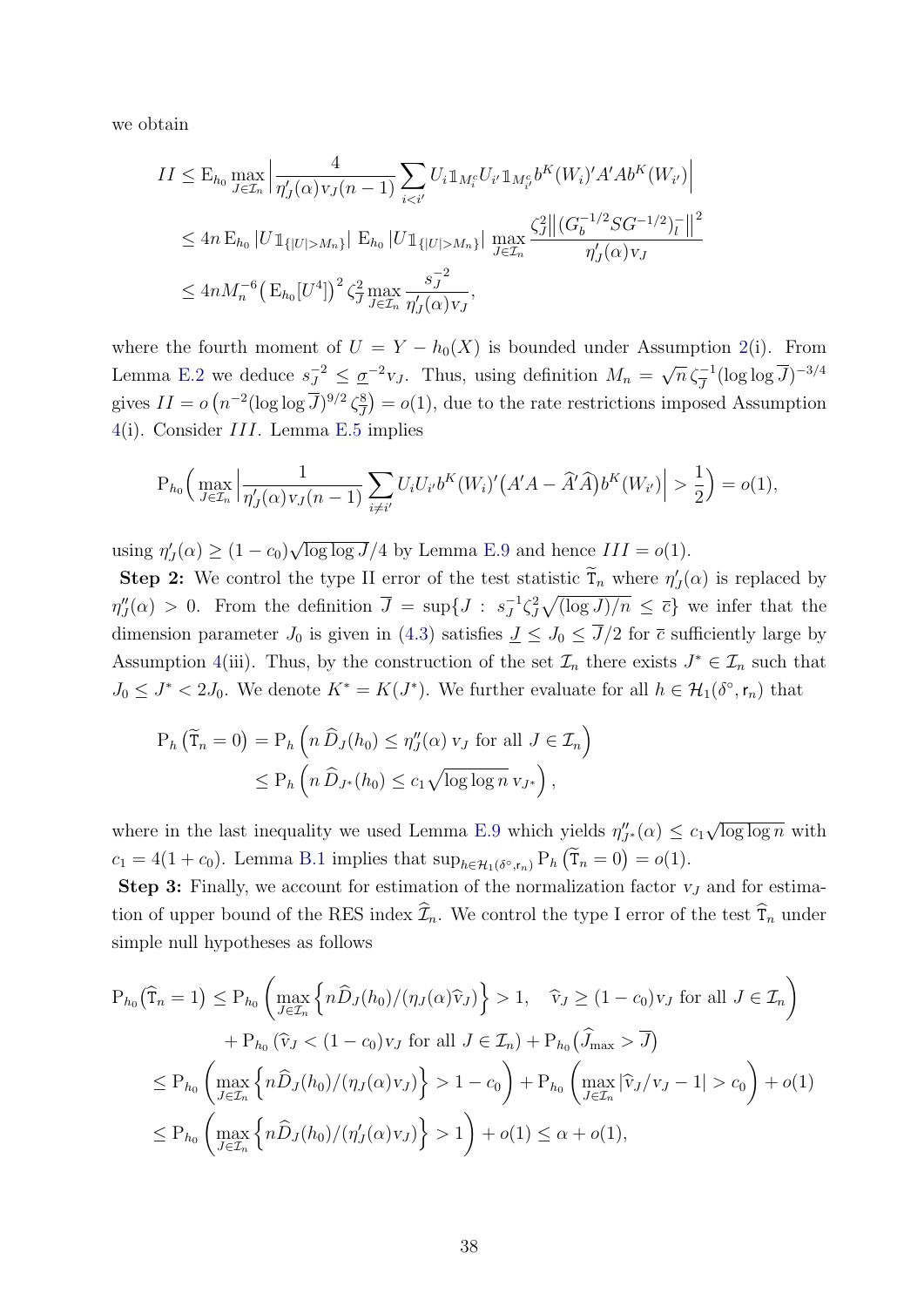we obtain

$$
II \leq E_{h_0} \max_{J \in \mathcal{I}_n} \left| \frac{4}{\eta'_J(\alpha) v_J(n-1)} \sum_{i < i'} U_i \mathbb{1}_{M_i^c} U_{i'} \mathbb{1}_{M_{i'}^c} b^K(W_i)' A' A b^K(W_{i'}) \right|
$$
  
\n
$$
\leq 4n E_{h_0} |U \mathbb{1}_{\{|U| > M_n\}} | E_{h_0} |U \mathbb{1}_{\{|U| > M_n\}} | \max_{J \in \mathcal{I}_n} \frac{\zeta_J^2 ||(G_b^{-1/2} S G^{-1/2})_l^-||^2}{\eta'_J(\alpha) v_J}
$$
  
\n
$$
\leq 4n M_n^{-6} \left( E_{h_0} [U^4] \right)^2 \zeta_J^2 \max_{J \in \mathcal{I}_n} \frac{s_J^{-2}}{\eta'_J(\alpha) v_J},
$$

where the fourth moment of  $U = Y - h_0(X)$  is bounded under Assumption [2\(](#page-12-0)i). From Lemma [E.2](#page-57-0) we deduce  $s_J^{-2} \leq \underline{\sigma}^{-2}v_J$ . Thus, using definition  $M_n = \sqrt{n} \zeta_J^{-1} (\log \log \overline{J})^{-3/4}$ gives  $II = o\left(n^{-2}(\log \log \overline{J})^{9/2}\zeta_{\overline{J}}^8\right)$  $\left(\frac{8}{J}\right) = o(1)$ , due to the rate restrictions imposed Assumption [4\(](#page-14-2)i). Consider III. Lemma [E.5](#page-61-0) implies

$$
P_{h_0}\Big(\max_{J\in\mathcal{I}_n}\Big|\frac{1}{\eta'_J(\alpha)v_J(n-1)}\sum_{i\neq i'}U_iU_{i'}b^K(W_i)'(A'A-\widehat{A}'\widehat{A})b^K(W_{i'})\Big|>\frac{1}{2}\Big)=o(1),
$$

using  $\eta'_{J}(\alpha) \geq (1 - c_0)$ √  $\log \log J/4$  by Lemma [E.9](#page-65-0) and hence  $III = o(1)$ .

**Step 2:** We control the type II error of the test statistic  $\tilde{T}_n$  where  $\eta'_J(\alpha)$  is replaced by  $\eta''_J(\alpha) > 0$ . From the definition  $\overline{J} = \sup\{J : s_J^{-1}\}$  $\overline{J}^1 \zeta_J^2 \sqrt{(\log J)/n} \leq \overline{c}$  we infer that the dimension parameter  $J_0$  is given in [\(4.3\)](#page-15-3) satisfies  $J \leq J_0 \leq \overline{J}/2$  for  $\overline{c}$  sufficiently large by Assumption [4\(](#page-14-2)iii). Thus, by the construction of the set  $\mathcal{I}_n$  there exists  $J^* \in \mathcal{I}_n$  such that  $J_0 \leq J^* < 2J_0$ . We denote  $K^* = K(J^*)$ . We further evaluate for all  $h \in \mathcal{H}_1(\delta^{\circ}, r_n)$  that

$$
P_h\left(\widetilde{T}_n = 0\right) = P_h\left(n\,\widehat{D}_J(h_0) \le \eta''_J(\alpha)\,v_J\text{ for all }J\in\mathcal{I}_n\right)
$$

$$
\le P_h\left(n\,\widehat{D}_{J^*}(h_0) \le c_1\sqrt{\log\log n}\,v_{J^*}\right),
$$

where in the last inequality we used Lemma [E.9](#page-65-0) which yields  $\eta''_{J^*}(\alpha) \leq c_1$ √  $\overline{\log \log n}$  with  $c_1 = 4(1+c_0)$ . Lemma [B.1](#page-39-0) implies that  $\sup_{h \in \mathcal{H}_1(\delta^\circ, r_n)} P_h(\tilde{T}_n = 0) = o(1)$ .

**Step 3:** Finally, we account for estimation of the normalization factor  $v<sub>J</sub>$  and for estimation of upper bound of the RES index  $\widehat{\mathcal{I}}_n$ . We control the type I error of the test  $\widehat{\mathcal{T}}_n$  under simple null hypotheses as follows

$$
P_{h_0}(\widehat{T}_n = 1) \le P_{h_0} \left( \max_{J \in \mathcal{I}_n} \left\{ n \widehat{D}_J(h_0) / (\eta_J(\alpha) \widehat{v}_J) \right\} > 1, \quad \widehat{v}_J \ge (1 - c_0) v_J \text{ for all } J \in \mathcal{I}_n \right)
$$
  
+ 
$$
P_{h_0} (\widehat{v}_J < (1 - c_0) v_J \text{ for all } J \in \mathcal{I}_n) + P_{h_0} (\widehat{J}_{\text{max}} > \overline{J})
$$
  

$$
\le P_{h_0} \left( \max_{J \in \mathcal{I}_n} \left\{ n \widehat{D}_J(h_0) / (\eta_J(\alpha) v_J) \right\} > 1 - c_0 \right) + P_{h_0} \left( \max_{J \in \mathcal{I}_n} |\widehat{v}_J / v_J - 1| > c_0 \right) + o(1)
$$
  

$$
\le P_{h_0} \left( \max_{J \in \mathcal{I}_n} \left\{ n \widehat{D}_J(h_0) / (\eta_J'(\alpha) v_J) \right\} > 1 \right) + o(1) \le \alpha + o(1),
$$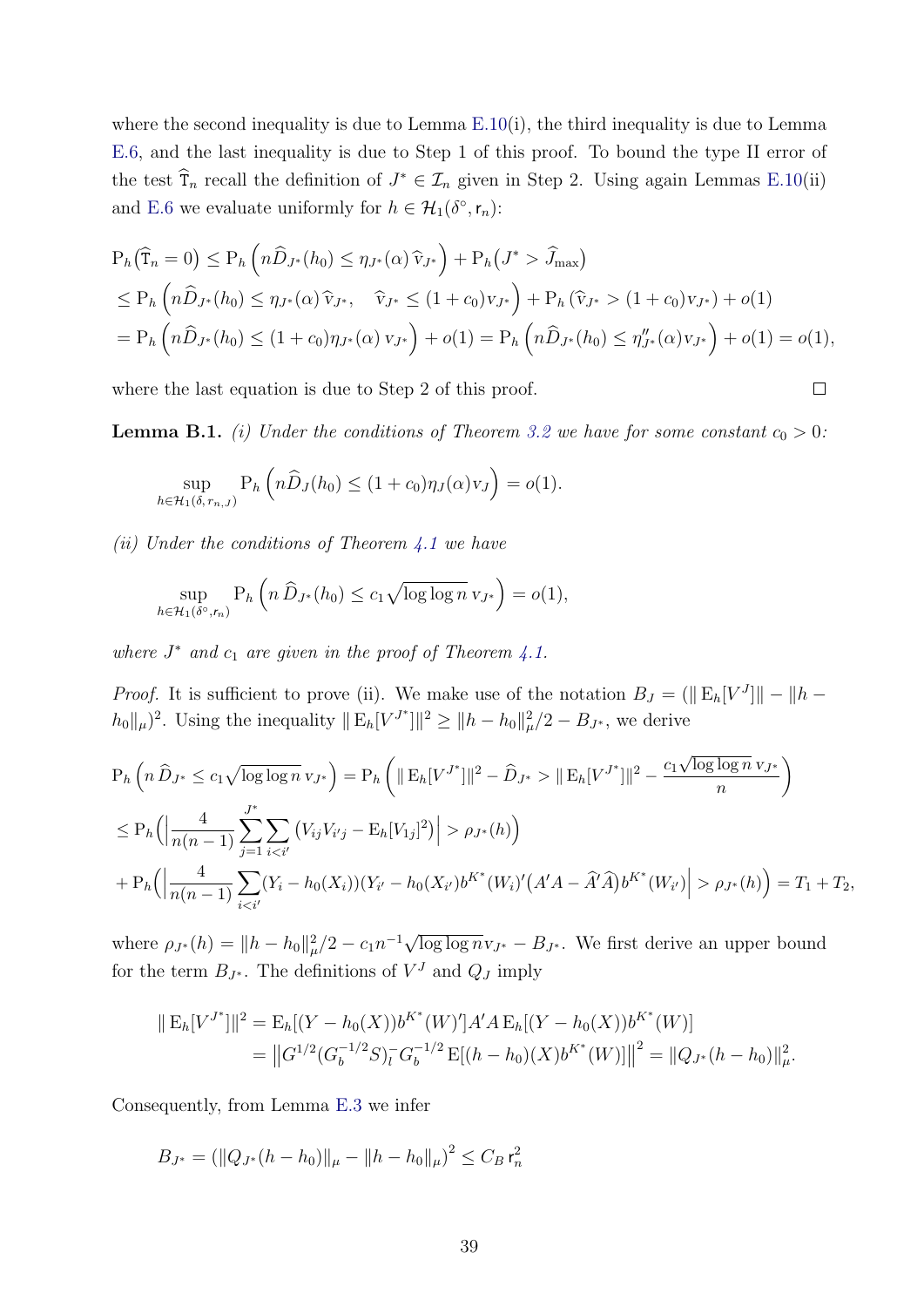where the second inequality is due to Lemma [E.10\(](#page-66-0)i), the third inequality is due to Lemma [E.6,](#page-62-0) and the last inequality is due to Step 1 of this proof. To bound the type II error of the test  $\hat{\mathsf{T}}_n$  recall the definition of  $J^* \in \mathcal{I}_n$  given in Step 2. Using again Lemmas [E.10\(](#page-66-0)ii) and [E.6](#page-62-0) we evaluate uniformly for  $h \in \mathcal{H}_1(\delta^\circ, \mathsf{r}_n)$ :

$$
P_h(\widehat{T}_n = 0) \le P_h\left(n\widehat{D}_{J^*}(h_0) \le \eta_{J^*}(\alpha)\widehat{v}_{J^*}\right) + P_h(J^* > \widehat{J}_{\max})
$$
  
\n
$$
\le P_h\left(n\widehat{D}_{J^*}(h_0) \le \eta_{J^*}(\alpha)\widehat{v}_{J^*}, \quad \widehat{v}_{J^*} \le (1+c_0)v_{J^*}\right) + P_h(\widehat{v}_{J^*} > (1+c_0)v_{J^*}) + o(1)
$$
  
\n
$$
= P_h\left(n\widehat{D}_{J^*}(h_0) \le (1+c_0)\eta_{J^*}(\alpha)v_{J^*}\right) + o(1) = P_h\left(n\widehat{D}_{J^*}(h_0) \le \eta_{J^*}''(\alpha)v_{J^*}\right) + o(1) = o(1),
$$

where the last equation is due to Step 2 of this proof.

<span id="page-39-0"></span>**Lemma B.1.** (i) Under the conditions of Theorem [3.2](#page-12-1) we have for some constant  $c_0 > 0$ :

 $\Box$ 

$$
\sup_{h \in \mathcal{H}_1(\delta, r_{n,J})} \mathrm{P}_h\left(n\widehat{D}_J(h_0) \le (1+c_0)\eta_J(\alpha)v_J\right) = o(1).
$$

(ii) Under the conditions of Theorem  $4.1$  we have

$$
\sup_{h \in \mathcal{H}_1(\delta^\circ, r_n)} \mathrm{P}_h\left(n \,\widehat{D}_{J^*}(h_0) \le c_1 \sqrt{\log \log n} \,\mathrm{v}_{J^*}\right) = o(1),
$$

where  $J^*$  and  $c_1$  are given in the proof of Theorem [4.1.](#page-15-1)

*Proof.* It is sufficient to prove (ii). We make use of the notation  $B_J = (\|\mathbf{E}_h[V^J]\| - \|h - h\|_F)$  $|h_0||_\mu|^2$ . Using the inequality  $||E_h[V^{J^*}]||^2 \ge ||h - h_0||^2_\mu/2 - B_{J^*}$ , we derive

$$
P_h\left(n\,\widehat{D}_{J^*} \le c_1\sqrt{\log\log n} \,v_{J^*}\right) = P_h\left(\|\,E_h[V^{J^*}]\|^2 - \widehat{D}_{J^*} > \|\,E_h[V^{J^*}]\|^2 - \frac{c_1\sqrt{\log\log n} \,v_{J^*}}{n}\right)
$$
\n
$$
\le P_h\left(\left|\frac{4}{n(n-1)}\sum_{j=1}^{J^*}\sum_{i < i'}\left(V_{ij}V_{i'j} - E_h[V_{1j}]^2\right)\right| > \rho_{J^*}(h)\right)
$$
\n
$$
+ P_h\left(\left|\frac{4}{n(n-1)}\sum_{i < i'}(Y_i - h_0(X_i))(Y_{i'} - h_0(X_{i'})b^{K^*}(W_i)'(A'A - \widehat{A}'\widehat{A})b^{K^*}(W_{i'})\right| > \rho_{J^*}(h)\right) = T_1 + T_2,
$$

where  $\rho_{J^*}(h) = ||h - h_0||^2_{\mu}/2 - c_1 n^{-1} \sqrt{\log \log n} v_{J^*} - B_{J^*}$ . We first derive an upper bound for the term  $B_{J^*}$ . The definitions of  $V^J$  and  $Q_J$  imply

$$
\|E_h[V^{J^*}]\|^2 = E_h[(Y - h_0(X))b^{K^*}(W)']A'A E_h[(Y - h_0(X))b^{K^*}(W)]
$$
  
= 
$$
\|G^{1/2}(G_b^{-1/2}S)_l^-G_b^{-1/2} E[(h - h_0)(X)b^{K^*}(W)]\|^2 = \|Q_{J^*}(h - h_0)\|_{\mu}^2.
$$

Consequently, from Lemma [E.3](#page-57-1) we infer

$$
B_{J^*} = \left( \|Q_{J^*}(h - h_0)\|_{\mu} - \|h - h_0\|_{\mu} \right)^2 \le C_B r_n^2
$$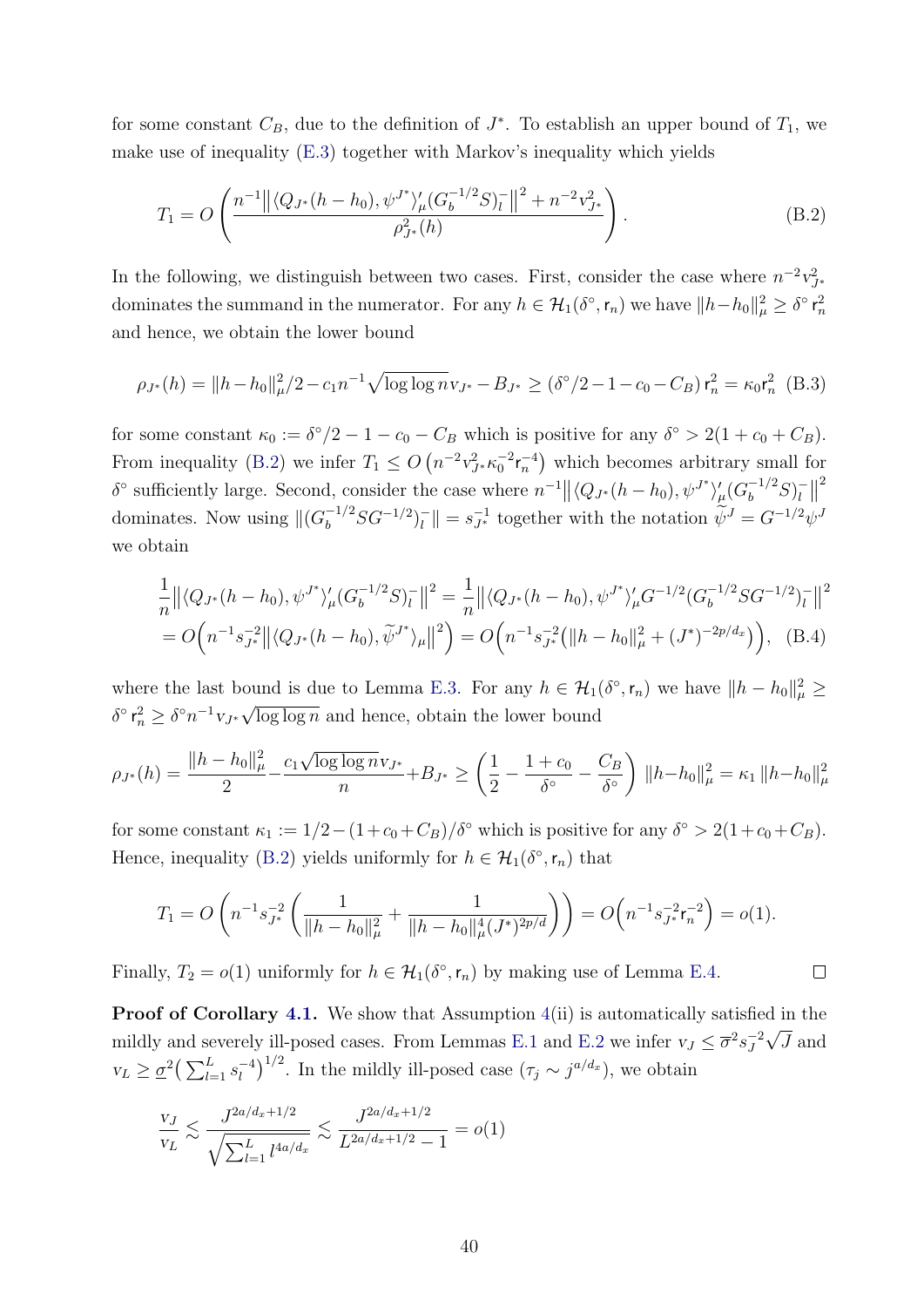for some constant  $C_B$ , due to the definition of  $J^*$ . To establish an upper bound of  $T_1$ , we make use of inequality [\(E.3\)](#page-56-0) together with Markov's inequality which yields

<span id="page-40-0"></span>
$$
T_1 = O\left(\frac{n^{-1} \left\| \left\langle Q_{J^*}(h - h_0), \psi^{J^*} \right\rangle_{\mu} \left( G_b^{-1/2} S \right)_l^- \right\|^2 + n^{-2} v_{J^*}^2}{\rho_{J^*}^2(h)}\right).
$$
\n(B.2)

In the following, we distinguish between two cases. First, consider the case where  $n^{-2}v_{J^*}^2$ dominates the summand in the numerator. For any  $h \in \mathcal{H}_1(\delta^{\circ}, r_n)$  we have  $||h-h_0||_{\mu}^2 \geq \delta^{\circ} r_n^2$ and hence, we obtain the lower bound

<span id="page-40-1"></span>
$$
\rho_{J^*}(h) = ||h - h_0||_{\mu}^2/2 - c_1 n^{-1} \sqrt{\log \log n} v_{J^*} - B_{J^*} \ge (\delta^\circ/2 - 1 - c_0 - C_B) r_n^2 = \kappa_0 r_n^2
$$
 (B.3)

for some constant  $\kappa_0 := \delta^{\circ}/2 - 1 - c_0 - C_B$  which is positive for any  $\delta^{\circ} > 2(1 + c_0 + C_B)$ . From inequality [\(B.2\)](#page-40-0) we infer  $T_1 \leq O\left(n^{-2}v_{J*}^2 \kappa_0^{-2} r_n^{-4}\right)$  which becomes arbitrary small for  $\delta^{\circ}$  sufficiently large. Second, consider the case where  $n^{-1} || \langle Q_{J^*}(h-h_0), \psi^{J^*} \rangle'_{\mu} (G_b^{-1/2} S)^{-1}$  $\frac{1}{l}$ 2 dominates. Now using  $\|(G_b^{-1/2}SG^{-1/2})_l^{-1}$  $\|\bar{u}\| = s_{J^*}^{-1}$  together with the notation  $\widetilde{\psi}^J = G^{-1/2} \psi^J$ we obtain

$$
\frac{1}{n} \left\| \langle Q_{J^*}(h - h_0), \psi^{J^*} \rangle_{\mu}' (G_b^{-1/2} S)_{l}^- \right\|^2 = \frac{1}{n} \left\| \langle Q_{J^*}(h - h_0), \psi^{J^*} \rangle_{\mu}' G^{-1/2} (G_b^{-1/2} S G^{-1/2})_{l}^- \right\|^2
$$
  
=  $O\Big(n^{-1} s_{J^*}^{-2} \left\| \langle Q_{J^*}(h - h_0), \widetilde{\psi}^{J^*} \rangle_{\mu} \right\|^2\Big) = O\Big(n^{-1} s_{J^*}^{-2} \big(\|h - h_0\|_{\mu}^2 + (J^*)^{-2p/d_x}\big)\Big),$  (B.4)

where the last bound is due to Lemma [E.3.](#page-57-1) For any  $h \in \mathcal{H}_1(\delta^{\circ}, \mathsf{r}_n)$  we have  $||h - h_0||^2_{\mu} \geq$  $\delta^{\circ}$   $\mathsf{r}_n^2 \geq \delta^{\circ} n^{-1} v_{J^*} \sqrt{2\delta^{\circ} n}$  $\log \log n$  and hence, obtain the lower bound

$$
\rho_{J^*}(h) = \frac{\|h - h_0\|_{\mu}^2}{2} - \frac{c_1 \sqrt{\log \log n} v_{J^*}}{n} + B_{J^*} \ge \left(\frac{1}{2} - \frac{1 + c_0}{\delta^{\circ}} - \frac{C_B}{\delta^{\circ}}\right) \|h - h_0\|_{\mu}^2 = \kappa_1 \|h - h_0\|_{\mu}^2
$$

for some constant  $\kappa_1 := 1/2 - (1 + c_0 + C_B)/\delta^{\circ}$  which is positive for any  $\delta^{\circ} > 2(1 + c_0 + C_B)$ . Hence, inequality [\(B.2\)](#page-40-0) yields uniformly for  $h \in \mathcal{H}_1(\delta^{\circ}, r_n)$  that

$$
T_1 = O\left(n^{-1}s_{J^*}^{-2}\left(\frac{1}{\|h-h_0\|_{\mu}^2} + \frac{1}{\|h-h_0\|_{\mu}^4(J^*)^{2p/d}}\right)\right) = O\left(n^{-1}s_{J^*}^{-2}r_n^{-2}\right) = o(1).
$$

<span id="page-40-2"></span> $\Box$ 

Finally,  $T_2 = o(1)$  uniformly for  $h \in \mathcal{H}_1(\delta^{\circ}, r_n)$  by making use of Lemma [E.4.](#page-58-0)

Proof of Corollary [4.1.](#page-15-0) We show that Assumption  $4(ii)$  $4(ii)$  is automatically satisfied in the mildly and severely ill-posed cases. From Lemmas [E.1](#page-56-1) and [E.2](#page-57-0) we infer  $v_J \leq \overline{\sigma}^2 s_J^{-2}$ J √ J and  $v_L \geq \underline{\sigma}^2 \left( \sum_{l=1}^L s_l^{-4} \right)$  $\left(\tau_j\right)^{1/2}$ . In the mildly ill-posed case  $(\tau_j \sim j^{a/d_x})$ , we obtain

$$
\frac{v_J}{v_L} \lesssim \frac{J^{2a/d_x + 1/2}}{\sqrt{\sum_{l=1}^L l^{4a/d_x}}} \lesssim \frac{J^{2a/d_x + 1/2}}{L^{2a/d_x + 1/2} - 1} = o(1)
$$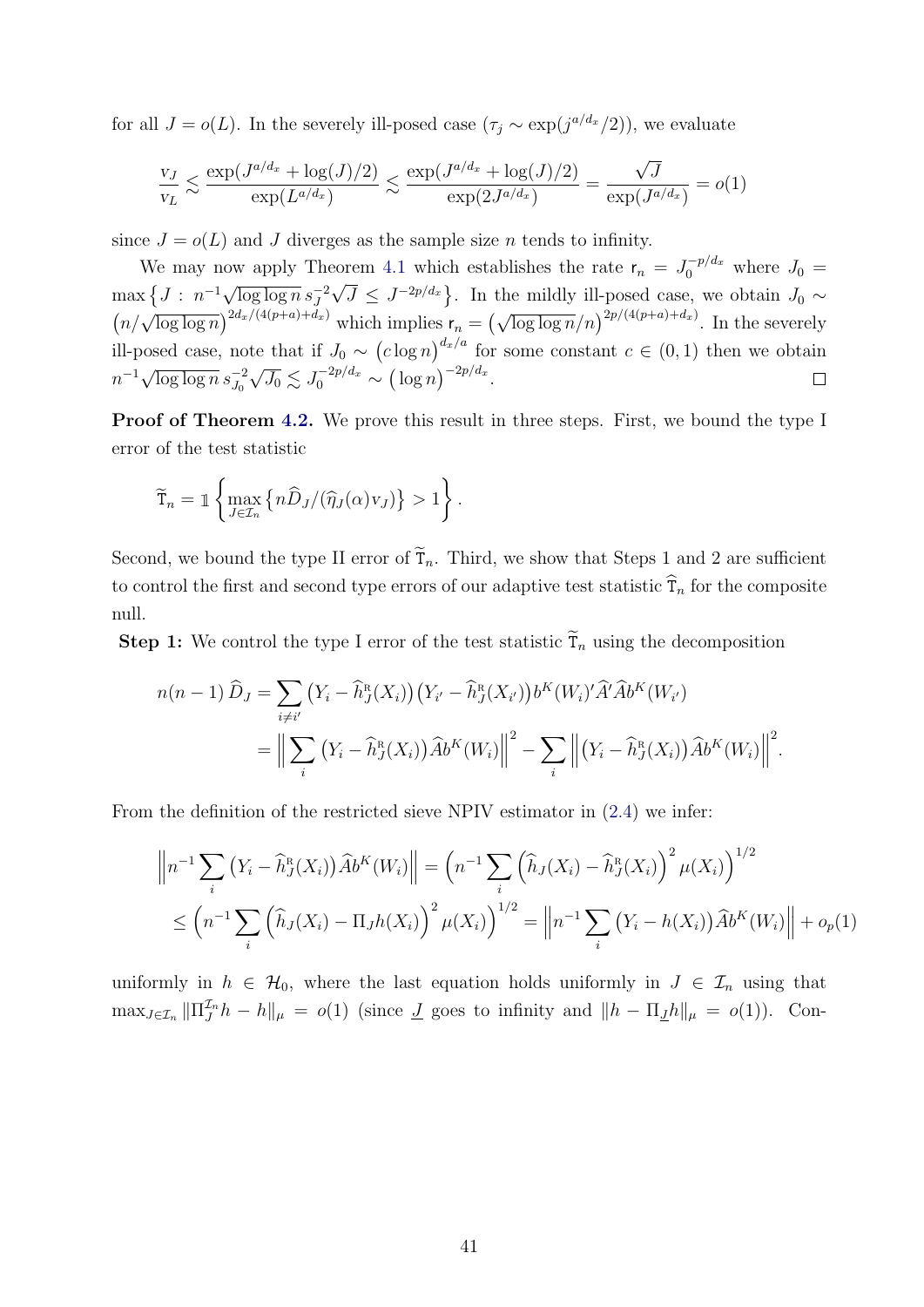for all  $J = o(L)$ . In the severely ill-posed case  $(\tau_j \sim \exp(j^{a/d_x}/2))$ , we evaluate

$$
\frac{v_J}{v_L} \lesssim \frac{\exp(J^{a/d_x} + \log(J)/2)}{\exp(L^{a/d_x})} \lesssim \frac{\exp(J^{a/d_x} + \log(J)/2)}{\exp(2J^{a/d_x})} = \frac{\sqrt{J}}{\exp(J^{a/d_x})} = o(1)
$$

since  $J = o(L)$  and J diverges as the sample size n tends to infinity.

We may now apply Theorem [4.1](#page-15-1) which establishes the rate  $r_n = J_0^{-p/d_x}$  where  $J_0 =$  $\max \left\{ J : n^{-1} \sqrt{\log \log n} s_J^{-2} \right\}$ √  $\overline{J} \leq J^{-2p/d_x}$ . In the mildly ill-posed case, we obtain  $J_0 \sim$  $\left(n/\sqrt{\log\log n}\right)^{2d_x/(4(p+a)+d_x)}$  which implies  $\mathsf{r}_n = \left(\sqrt{\log\log n}/n\right)^{2p/(4(p+a)+d_x)}$ . In the severely ill-posed case, note that if  $J_0 \sim (c \log n)^{d_x/a}$  for some constant  $c \in (0,1)$  then we obtain  $n^{-1}\sqrt{\log\log n} s_{J_0}^{-2}$  $\sqrt{J_0} \lesssim J_0^{-2p/d_x} \sim (\log n)^{-2p/d_x}.$ 

Proof of Theorem [4.2.](#page-17-2) We prove this result in three steps. First, we bound the type I error of the test statistic

$$
\widetilde{\mathsf{T}}_n = \mathbb{1}\left\{\max_{J\in\mathcal{I}_n}\left\{n\widehat{D}_J/(\widehat{\eta}_J(\alpha)v_J)\right\} > 1\right\}.
$$

Second, we bound the type II error of  $\tilde{T}_n$ . Third, we show that Steps 1 and 2 are sufficient to control the first and second type errors of our adaptive test statistic  $\hat{\tau}_n$  for the composite null.

**Step 1:** We control the type I error of the test statistic  $\tilde{\tau}_n$  using the decomposition

$$
n(n-1)\widehat{D}_J = \sum_{i\neq i'} (Y_i - \widehat{h}_J^R(X_i))(Y_{i'} - \widehat{h}_J^R(X_{i'}))b^K(W_i)'\widehat{A}'\widehat{A}b^K(W_{i'})
$$
  
= 
$$
\Big\|\sum_i (Y_i - \widehat{h}_J^R(X_i))\widehat{A}b^K(W_i)\Big\|^2 - \sum_i \Big\|\big(Y_i - \widehat{h}_J^R(X_i))\widehat{A}b^K(W_i)\Big\|^2.
$$

From the definition of the restricted sieve NPIV estimator in [\(2.4\)](#page-8-0) we infer:

$$
\left\| n^{-1} \sum_{i} \left( Y_{i} - \widehat{h}_{J}^{R}(X_{i}) \right) \widehat{A} b^{K}(W_{i}) \right\| = \left( n^{-1} \sum_{i} \left( \widehat{h}_{J}(X_{i}) - \widehat{h}_{J}^{R}(X_{i}) \right)^{2} \mu(X_{i}) \right)^{1/2}
$$
  

$$
\leq \left( n^{-1} \sum_{i} \left( \widehat{h}_{J}(X_{i}) - \prod_{J} h(X_{i}) \right)^{2} \mu(X_{i}) \right)^{1/2} = \left\| n^{-1} \sum_{i} \left( Y_{i} - h(X_{i}) \right) \widehat{A} b^{K}(W_{i}) \right\| + o_{p}(1)
$$

uniformly in  $h \in \mathcal{H}_0$ , where the last equation holds uniformly in  $J \in \mathcal{I}_n$  using that  $\max_{J \in \mathcal{I}_n} ||\Pi_{J}^{\mathcal{I}_n} h - h||_{\mu} = o(1)$  (since  $\underline{J}$  goes to infinity and  $||h - \Pi_{\underline{J}}h||_{\mu} = o(1)$ ). Con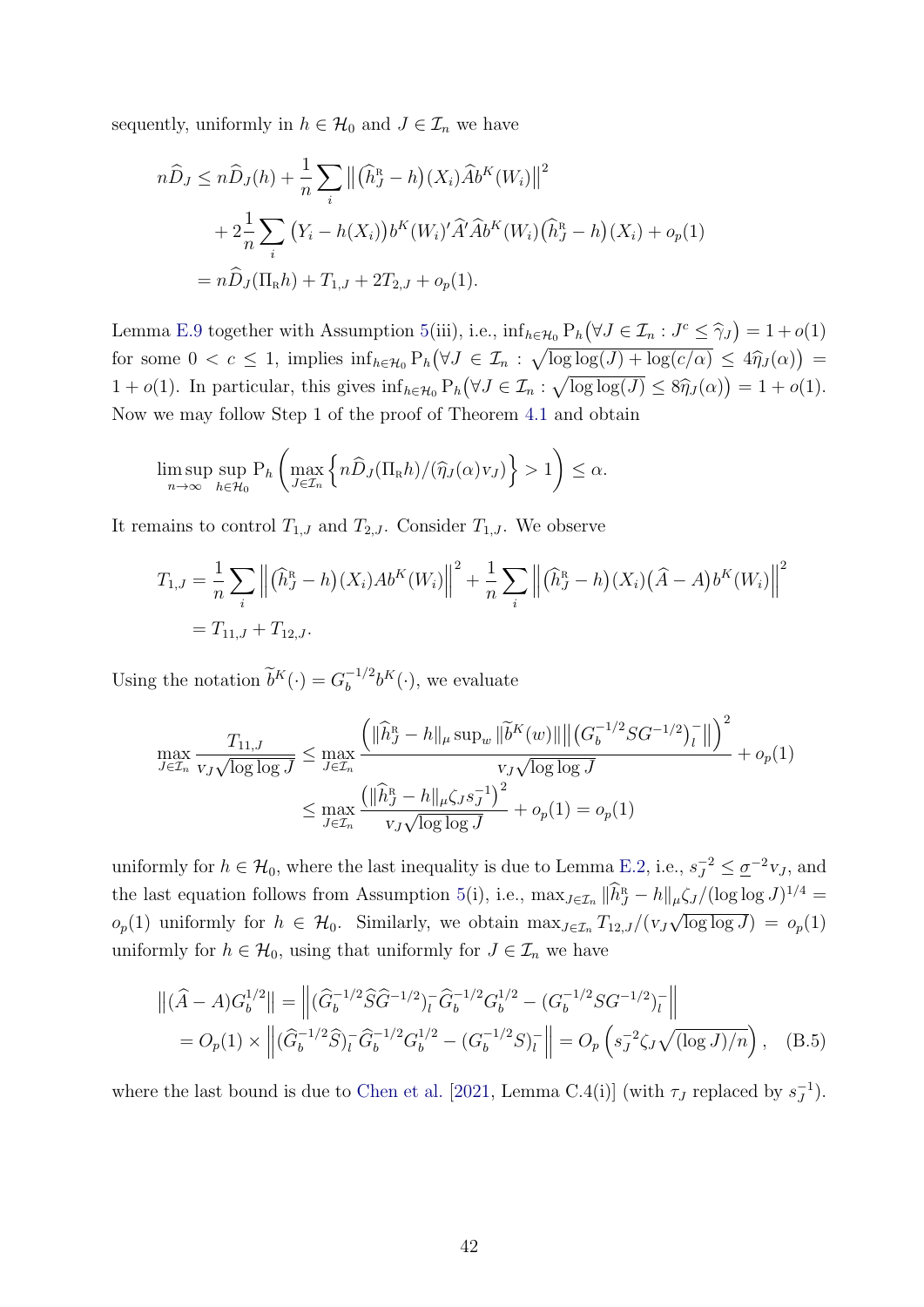sequently, uniformly in  $h \in \mathcal{H}_0$  and  $J \in \mathcal{I}_n$  we have

$$
n\hat{D}_J \le n\hat{D}_J(h) + \frac{1}{n} \sum_i \|(\hat{h}_J^R - h)(X_i)\hat{A}b^K(W_i)\|^2
$$
  
+  $2\frac{1}{n} \sum_i (Y_i - h(X_i))b^K(W_i)'\hat{A}'\hat{A}b^K(W_i)(\hat{h}_J^R - h)(X_i) + o_p(1)$   
=  $n\hat{D}_J(\Pi_R h) + T_{1,J} + 2T_{2,J} + o_p(1).$ 

Lemma [E.9](#page-65-0) together with Assumption [5\(](#page-16-1)iii), i.e.,  $\inf_{h \in \mathcal{H}_0} P_h(\forall J \in \mathcal{I}_n : J^c \leq \hat{\gamma}_J) = 1 + o(1)$ for some  $0 < c \le 1$ , implies  $\inf_{h \in \mathcal{H}_0} P_h(\forall J \in \mathcal{I}_n : \sqrt{\log \log(J) + \log(c/a)} \le 4\hat{\eta}_J(\alpha)$  $1 + o(1)$ . In particular, this gives  $\inf_{h \in \mathcal{H}_0} P_h(\forall J \in \mathcal{I}_n : \sqrt{\log \log(J)} \leq 8\hat{\eta}_J(\alpha) = 1 + o(1)$ . Now we may follow Step 1 of the proof of Theorem [4.1](#page-15-1) and obtain

$$
\limsup_{n\to\infty} \sup_{h\in\mathcal{H}_0} \mathbf{P}_h\left(\max_{J\in\mathcal{I}_n} \left\{ n\widehat{D}_J(\Pi_k h)/(\widehat{\eta}_J(\alpha)v_J) \right\} > 1 \right) \leq \alpha.
$$

It remains to control  $T_{1,J}$  and  $T_{2,J}$ . Consider  $T_{1,J}$ . We observe

$$
T_{1,J} = \frac{1}{n} \sum_{i} \left\| (\widehat{h}_J^{\rm R} - h)(X_i) Ab^{K}(W_i) \right\|^{2} + \frac{1}{n} \sum_{i} \left\| (\widehat{h}_J^{\rm R} - h)(X_i) (\widehat{A} - A) b^{K}(W_i) \right\|^{2}
$$
  
=  $T_{11,J} + T_{12,J}.$ 

Using the notation  $\widetilde{b}^K(\cdot) = G_b^{-1/2}$  $b_b^{-1/2}b^K(\cdot)$ , we evaluate

$$
\max_{J \in \mathcal{I}_n} \frac{T_{11,J}}{v_J \sqrt{\log \log J}} \le \max_{J \in \mathcal{I}_n} \frac{\left( \|\hat{h}_J^{\mathcal{R}} - h\|_{\mu} \sup_w \|\tilde{b}^K(w)\| \left( |G_b^{-1/2} SG^{-1/2} \right)_l^- \right\| \right)^2}{v_J \sqrt{\log \log J}} + o_p(1)
$$

$$
\le \max_{J \in \mathcal{I}_n} \frac{\left( \|\hat{h}_J^{\mathcal{R}} - h\|_{\mu} \zeta_J s_J^{-1} \right)^2}{v_J \sqrt{\log \log J}} + o_p(1) = o_p(1)
$$

uniformly for  $h \in \mathcal{H}_0$ , where the last inequality is due to Lemma [E.2,](#page-57-0) i.e.,  $s_J^{-2} \leq \underline{\sigma}^{-2} v_J$ , and the last equation follows from Assumption [5\(](#page-16-1)i), i.e.,  $\max_{J \in \mathcal{I}_n} ||\hat{h}_J^R - h||_{\mu} \zeta_J / (\log \log J)^{1/4} =$  $o_p(1)$  uniformly for  $h \in \mathcal{H}_0$ . Similarly, we obtain  $\max_{J \in \mathcal{I}_n} T_{12,J}/(v_J \sqrt{\log \log J}) = o_p(1)$  $\frac{|\mu|}{\sigma}$ uniformly for  $h \in \mathcal{H}_0$ , using that uniformly for  $J \in \mathcal{I}_n$  we have

<span id="page-42-0"></span>
$$
\left\| (\widehat{A} - A) G_b^{1/2} \right\| = \left\| (\widehat{G}_b^{-1/2} \widehat{S} \widehat{G}^{-1/2})_l^{\widehat{-}} \widehat{G}_b^{-1/2} G_b^{1/2} - (G_b^{-1/2} S G^{-1/2})_l^{\widehat{-}} \right\|
$$
  
=  $O_p(1) \times \left\| (\widehat{G}_b^{-1/2} \widehat{S})_l^{\widehat{-}} \widehat{G}_b^{-1/2} G_b^{1/2} - (G_b^{-1/2} S)_l^{\widehat{-}} \right\| = O_p \left( s_J^{-2} \zeta_J \sqrt{(\log J)/n} \right), \quad (B.5)$ 

where the last bound is due to [Chen et al.](#page-31-13) [\[2021,](#page-31-13) Lemma C.4(i)] (with  $\tau_J$  replaced by  $s_J^{-1}$  $\frac{-1}{J}$ ).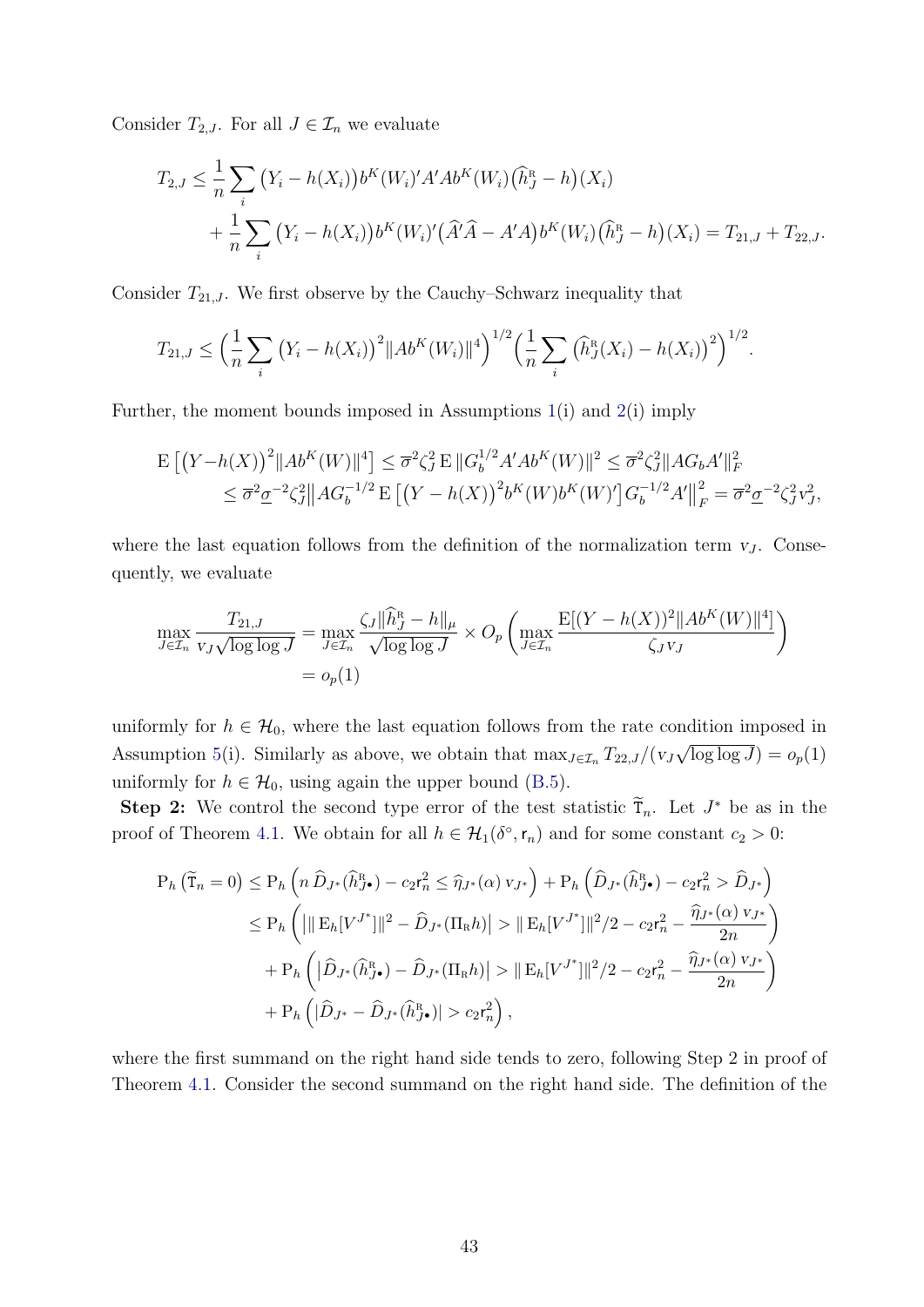Consider  $T_{2,J}$ . For all  $J \in \mathcal{I}_n$  we evaluate

$$
T_{2,J} \leq \frac{1}{n} \sum_{i} (Y_i - h(X_i)) b^{K}(W_i)' A' Ab^{K}(W_i) (\hat{h}_J^{R} - h)(X_i)
$$
  
+ 
$$
\frac{1}{n} \sum_{i} (Y_i - h(X_i)) b^{K}(W_i)' (\hat{A}' \hat{A} - A'A) b^{K}(W_i) (\hat{h}_J^{R} - h)(X_i) = T_{21,J} + T_{22,J}.
$$

Consider  $T_{21,J}$ . We first observe by the Cauchy–Schwarz inequality that

$$
T_{21,J} \leq \left(\frac{1}{n}\sum_{i} \left(Y_i - h(X_i)\right)^2 \|Ab^{K}(W_i)\|^4\right)^{1/2} \left(\frac{1}{n}\sum_{i} \left(\widehat{h}_J^{R}(X_i) - h(X_i)\right)^2\right)^{1/2}.
$$

Further, the moment bounds imposed in Assumptions [1\(](#page-10-3)i) and [2\(](#page-12-0)i) imply

$$
\mathbb{E}\left[\left(Y-h(X)\right)^{2}\|Ab^{K}(W)\|^{4}\right] \leq \overline{\sigma}^{2}\zeta_{J}^{2}\mathbb{E}\|G_{b}^{1/2}A^{\prime}Ab^{K}(W)\|^{2} \leq \overline{\sigma}^{2}\zeta_{J}^{2}\|AG_{b}A^{\prime}\|_{F}^{2}
$$
\n
$$
\leq \overline{\sigma}^{2}\underline{\sigma}^{-2}\zeta_{J}^{2}\|AG_{b}^{-1/2}\mathbb{E}\left[\left(Y-h(X)\right)^{2}b^{K}(W)b^{K}(W)^{\prime}\right]G_{b}^{-1/2}A^{\prime}\|_{F}^{2} = \overline{\sigma}^{2}\underline{\sigma}^{-2}\zeta_{J}^{2}v_{J}^{2},
$$

where the last equation follows from the definition of the normalization term  $v_J$ . Consequently, we evaluate

$$
\max_{J \in \mathcal{I}_n} \frac{T_{21,J}}{v_J \sqrt{\log \log J}} = \max_{J \in \mathcal{I}_n} \frac{\zeta_J \|\widehat{h}_J^R - h\|_{\mu}}{\sqrt{\log \log J}} \times O_p\left(\max_{J \in \mathcal{I}_n} \frac{\mathbb{E}[(Y - h(X))^2 \|Ab^K(W)\|^4]}{\zeta_J v_J}\right)
$$
  
=  $o_p(1)$ 

uniformly for  $h \in \mathcal{H}_0$ , where the last equation follows from the rate condition imposed in Assumption [5\(](#page-16-1)i). Similarly as above, we obtain that  $\max_{J \in \mathcal{I}_n} T_{22,J}/(v_J)$ √  $\overline{\log \log J}$ ) =  $o_p(1)$ uniformly for  $h \in \mathcal{H}_0$ , using again the upper bound [\(B.5\)](#page-42-0).

Step 2: We control the second type error of the test statistic  $\widetilde{T}_n$ . Let  $J^*$  be as in the proof of Theorem [4.1.](#page-15-1) We obtain for all  $h \in \mathcal{H}_1(\delta^\circ, \mathsf{r}_n)$  and for some constant  $c_2 > 0$ :

$$
P_h\left(\widetilde{T}_n = 0\right) \le P_h\left(n\,\widehat{D}_{J^*}(\widehat{h}_{J^{\bullet}}^R) - c_2r_n^2 \le \widehat{\eta}_{J^*}(\alpha) v_{J^*}\right) + P_h\left(\widehat{D}_{J^*}(\widehat{h}_{J^{\bullet}}^R) - c_2r_n^2 > \widehat{D}_{J^*}\right)
$$
  
\n
$$
\le P_h\left(||\mathbf{E}_h[V^{J^*}]\|^2 - \widehat{D}_{J^*}(\Pi_R h)| > ||\mathbf{E}_h[V^{J^*}]\|^2/2 - c_2r_n^2 - \frac{\widehat{\eta}_{J^*}(\alpha) v_{J^*}}{2n}\right)
$$
  
\n
$$
+ P_h\left(|\widehat{D}_{J^*}(\widehat{h}_{J^{\bullet}}^R) - \widehat{D}_{J^*}(\Pi_R h)| > ||\mathbf{E}_h[V^{J^*}]\|^2/2 - c_2r_n^2 - \frac{\widehat{\eta}_{J^*}(\alpha) v_{J^*}}{2n}\right)
$$
  
\n
$$
+ P_h\left(|\widehat{D}_{J^*} - \widehat{D}_{J^*}(\widehat{h}_{J^{\bullet}}^R)| > c_2r_n^2\right),
$$

where the first summand on the right hand side tends to zero, following Step 2 in proof of Theorem [4.1.](#page-15-1) Consider the second summand on the right hand side. The definition of the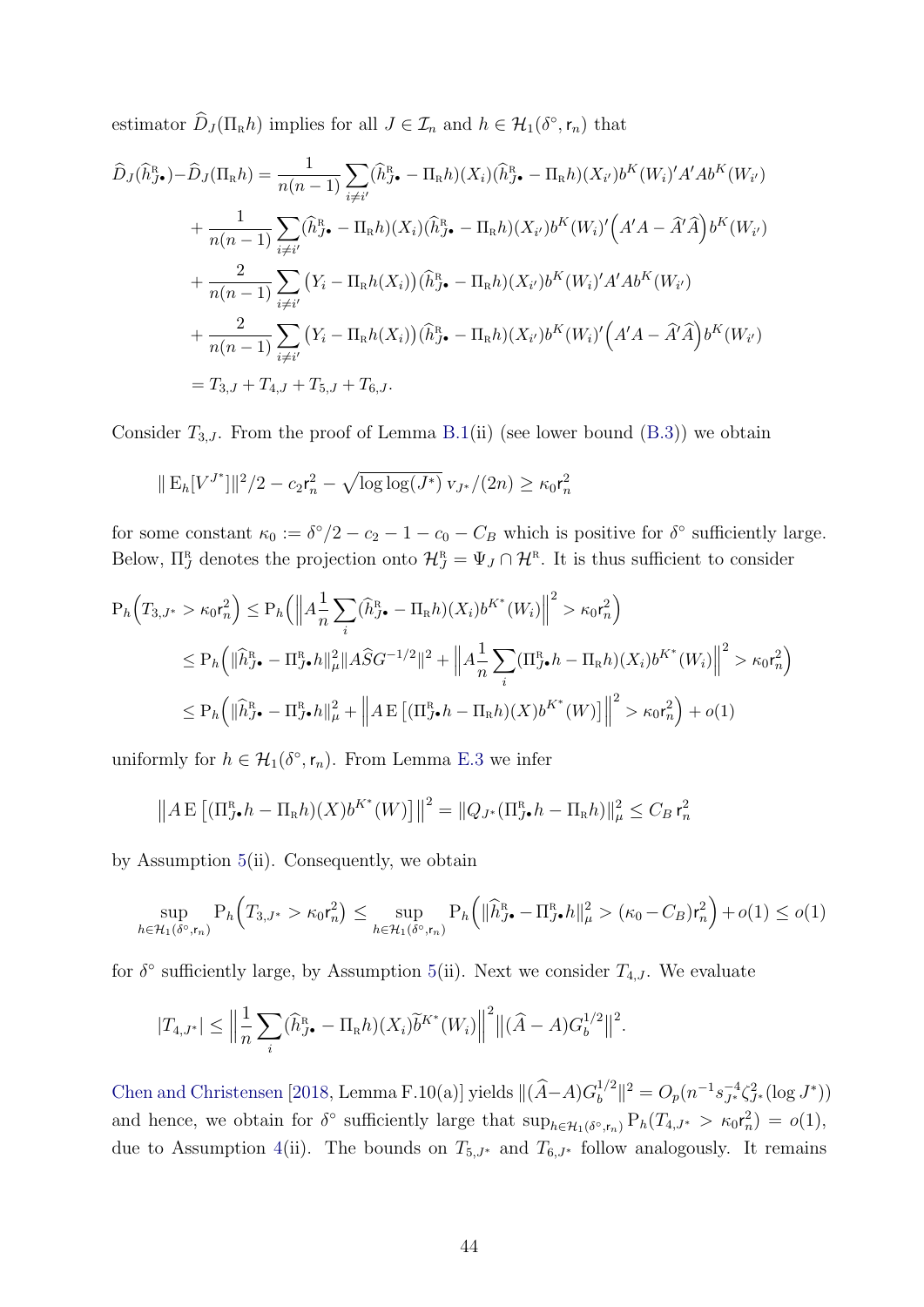estimator  $\hat{D}_J(\Pi_R h)$  implies for all  $J \in \mathcal{I}_n$  and  $h \in \mathcal{H}_1(\delta^{\circ}, \mathsf{r}_n)$  that

$$
\hat{D}_{J}(\hat{h}_{J\bullet}^{R}) - \hat{D}_{J}(\Pi_{R}h) = \frac{1}{n(n-1)} \sum_{i \neq i'} (\hat{h}_{J\bullet}^{R} - \Pi_{R}h)(X_{i})(\hat{h}_{J\bullet}^{R} - \Pi_{R}h)(X_{i'})b^{K}(W_{i})'A'Ab^{K}(W_{i'})
$$
\n
$$
+ \frac{1}{n(n-1)} \sum_{i \neq i'} (\hat{h}_{J\bullet}^{R} - \Pi_{R}h)(X_{i})(\hat{h}_{J\bullet}^{R} - \Pi_{R}h)(X_{i'})b^{K}(W_{i})' \Big(A'A - \hat{A}'\hat{A}\Big)b^{K}(W_{i'})
$$
\n
$$
+ \frac{2}{n(n-1)} \sum_{i \neq i'} (Y_{i} - \Pi_{R}h(X_{i}))(\hat{h}_{J\bullet}^{R} - \Pi_{R}h)(X_{i'})b^{K}(W_{i})'A'Ab^{K}(W_{i'})
$$
\n
$$
+ \frac{2}{n(n-1)} \sum_{i \neq i'} (Y_{i} - \Pi_{R}h(X_{i}))(\hat{h}_{J\bullet}^{R} - \Pi_{R}h)(X_{i'})b^{K}(W_{i})' \Big(A'A - \hat{A}'\hat{A}\Big)b^{K}(W_{i'})
$$
\n
$$
= T_{3,J} + T_{4,J} + T_{5,J} + T_{6,J}.
$$

Consider  $T_{3,J}$ . From the proof of Lemma [B.1\(](#page-39-0)ii) (see lower bound [\(B.3\)](#page-40-1)) we obtain

$$
\|\mathbf{E}_h[V^{J^*}]\|^2/2 - c_2\mathbf{r}_n^2 - \sqrt{\log\log(J^*)} \,\mathbf{v}_{J^*}/(2n) \ge \kappa_0\mathbf{r}_n^2
$$

for some constant  $\kappa_0 := \delta^{\circ}/2 - c_2 - 1 - c_0 - C_B$  which is positive for  $\delta^{\circ}$  sufficiently large. Below,  $\Pi_J^R$  denotes the projection onto  $\mathcal{H}_J^R = \Psi_J \cap \mathcal{H}^R$ . It is thus sufficient to consider

$$
P_h\left(T_{3,J^*} > \kappa_0 r_n^2\right) \le P_h\left(\left\|A\frac{1}{n}\sum_i(\widehat{h}_{J^{\bullet}}^R - \Pi_R h)(X_i)b^{K^*}(W_i)\right\|^2 > \kappa_0 r_n^2\right)
$$
  
\n
$$
\le P_h\left(\|\widehat{h}_{J^{\bullet}}^R - \Pi_{J^{\bullet}}^R h\|_{\mu}^2 \|A\widehat{S}G^{-1/2}\|^2 + \left\|A\frac{1}{n}\sum_i(\Pi_{J^{\bullet}}^R h - \Pi_R h)(X_i)b^{K^*}(W_i)\right\|^2 > \kappa_0 r_n^2\right)
$$
  
\n
$$
\le P_h\left(\|\widehat{h}_{J^{\bullet}}^R - \Pi_{J^{\bullet}}^R h\|_{\mu}^2 + \left\|A\operatorname{E}\left[(\Pi_{J^{\bullet}}^R h - \Pi_R h)(X)b^{K^*}(W)\right]\right\|^2 > \kappa_0 r_n^2\right) + o(1)
$$

uniformly for  $h \in \mathcal{H}_1(\delta^\circ, \mathsf{r}_n)$ . From Lemma [E.3](#page-57-1) we infer

$$
\left\| A \mathop{\mathbf{E}}\left[ (\Pi_{J\bullet}^{\mathop{\mathbf{R}}\nolimits} h - \Pi_{\mathop{\mathbf{R}}\nolimits} h)(X) b^{K^*}(W) \right] \right\|^2 = \left\| Q_{J^*} (\Pi_{J\bullet}^{\mathop{\mathbf{R}}\nolimits} h - \Pi_{\mathop{\mathbf{R}}\nolimits} h) \right\|_{\mu}^2 \leq C_B r_n^2
$$

by Assumption [5\(](#page-16-1)ii). Consequently, we obtain

$$
\sup_{h\in\mathcal{H}_1(\delta^\circ,\mathsf{r}_n)} \mathrm{P}_h\Big(T_{3,J^*} > \kappa_0 \mathsf{r}_n^2\Big) \le \sup_{h\in\mathcal{H}_1(\delta^\circ,\mathsf{r}_n)} \mathrm{P}_h\Big(\|\widehat{h}_{J^\bullet}^{\mathrm{R}} - \Pi_{J^\bullet}^{\mathrm{R}} h\|_{\mu}^2 > (\kappa_0 - C_B)\mathsf{r}_n^2\Big) + o(1) \le o(1)
$$

for  $\delta^{\circ}$  sufficiently large, by Assumption [5\(](#page-16-1)ii). Next we consider  $T_{4,J}$ . We evaluate

$$
|T_{4,J^*}| \leq \Big\|\frac{1}{n}\sum_i (\widehat{h}_{J^{\bullet}}^{\mathrm{R}} - \Pi_{\mathrm{R}}h)(X_i)\widetilde{b}^{K^*}(W_i)\Big\|^2 \big\|(\widehat{A} - A)G_b^{1/2}\big\|^2.
$$

[Chen and Christensen](#page-31-8) [\[2018,](#page-31-8) Lemma F.10(a)] yields  $\| (\widehat{A} - A)G_b^{1/2}\|$  $\int_b^{1/2} | |^2 = O_p(n^{-1}s_{J^*}^{-4} \zeta_{J^*}^2 (\log J^*))$ and hence, we obtain for  $\delta^{\circ}$  sufficiently large that  $\sup_{h \in \mathcal{H}_1(\delta^{\circ}, r_n)} P_h(T_{4, J^*} > \kappa_0 r_n^2) = o(1)$ , due to Assumption [4\(](#page-14-2)ii). The bounds on  $T_{5,J^*}$  and  $T_{6,J^*}$  follow analogously. It remains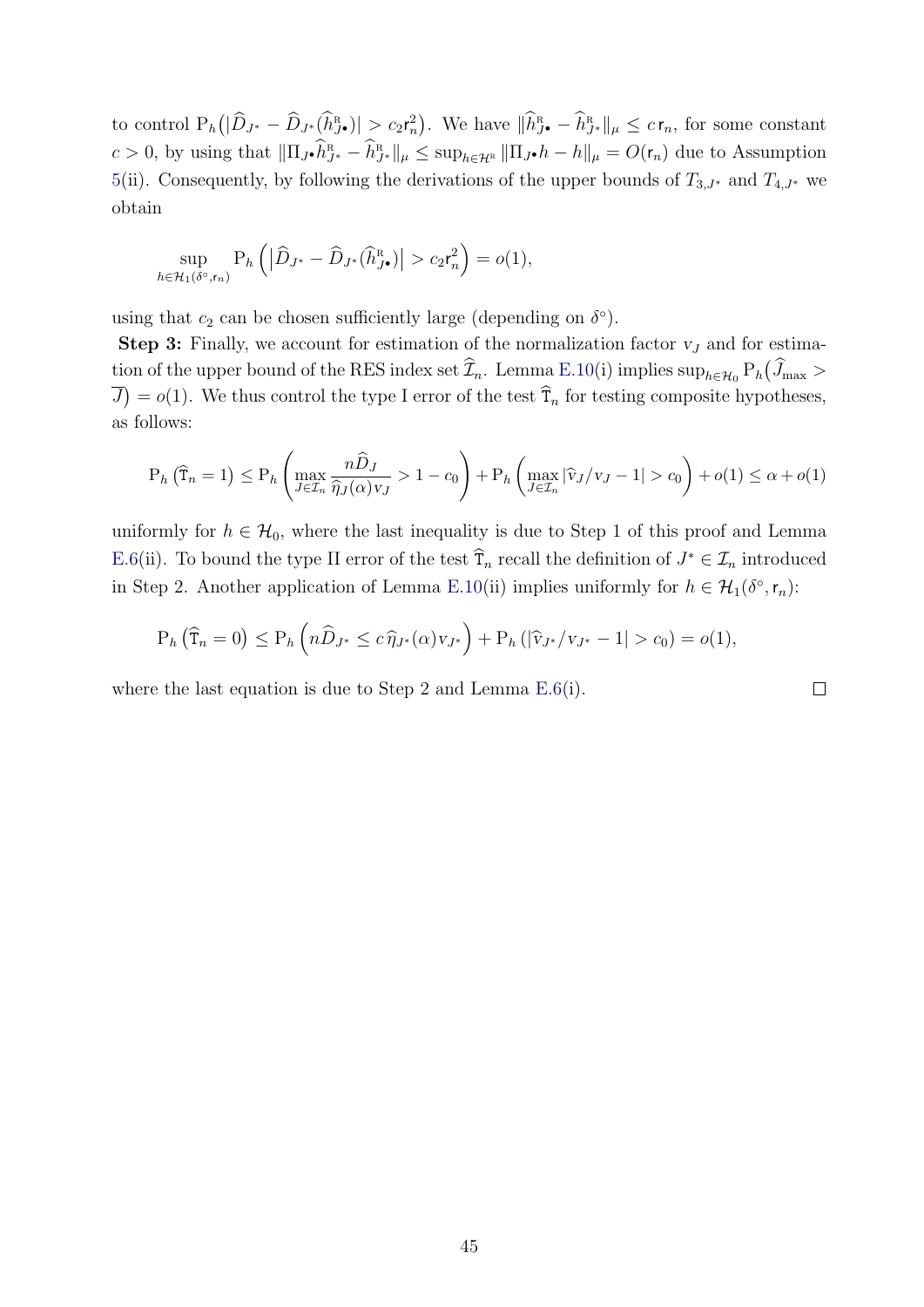to control  $P_h(|\widehat{D}_{J^*} - \widehat{D}_{J^*}(\widehat{h}_{J^*}^R)| \ge c_2 r_n^2)$ . We have  $\|\widehat{h}_{J^*}^R - \widehat{h}_{J^*}^R\|_{\mu} \le c r_n$ , for some constant  $c > 0$ , by using that  $\|\Pi_{J} \cdot \hat{h}_{J^*}^{\mathbb{R}} - \hat{h}_{J^*}^{\mathbb{R}}\|_{\mu} \leq \sup_{h \in \mathcal{H}^{\mathbb{R}}} \|\Pi_{J} \cdot h - h\|_{\mu} = O(r_n)$  due to Assumption [5\(](#page-16-1)ii). Consequently, by following the derivations of the upper bounds of  $T_{3,J^*}$  and  $T_{4,J^*}$  we obtain

$$
\sup_{h \in \mathcal{H}_1(\delta^\circ, \mathbf{r}_n)} \mathrm{P}_h\left( \left| \widehat{D}_{J^*} - \widehat{D}_{J^*}(\widehat{h}_{J^*}^{\mathrm{R}}) \right| > c_2 \mathbf{r}_n^2 \right) = o(1),
$$

using that  $c_2$  can be chosen sufficiently large (depending on  $\delta^{\circ}$ ).

**Step 3:** Finally, we account for estimation of the normalization factor  $v_j$  and for estimation of the upper bound of the RES index set  $\widehat{\mathcal{I}}_n$ . Lemma [E.10\(](#page-66-0)i) implies  $\sup_{h \in \mathcal{H}_0} P_h(\widehat{J}_{\max} >$  $\overline{J}$  =  $o(1)$ . We thus control the type I error of the test  $\hat{T}_n$  for testing composite hypotheses, as follows:

$$
P_h\left(\widehat{T}_n = 1\right) \le P_h\left(\max_{J \in \mathcal{I}_n} \frac{n\widehat{D}_J}{\widehat{\eta}_J(\alpha)v_J} > 1 - c_0\right) + P_h\left(\max_{J \in \mathcal{I}_n} |\widehat{v}_J/v_J - 1| > c_0\right) + o(1) \le \alpha + o(1)
$$

uniformly for  $h \in \mathcal{H}_0$ , where the last inequality is due to Step 1 of this proof and Lemma [E.6\(](#page-62-0)ii). To bound the type II error of the test  $\hat{T}_n$  recall the definition of  $J^* \in \mathcal{I}_n$  introduced in Step 2. Another application of Lemma [E.10\(](#page-66-0)ii) implies uniformly for  $h \in \mathcal{H}_1(\delta^{\circ}, r_n)$ :

$$
P_h(\widehat{T}_n = 0) \le P_h(n\widehat{D}_{J^*} \le c\widehat{\eta}_{J^*}(\alpha)v_{J^*}) + P_h(|\widehat{v}_{J^*}/v_{J^*} - 1| > c_0) = o(1),
$$

where the last equation is due to Step 2 and Lemma [E.6\(](#page-62-0)i).

 $\Box$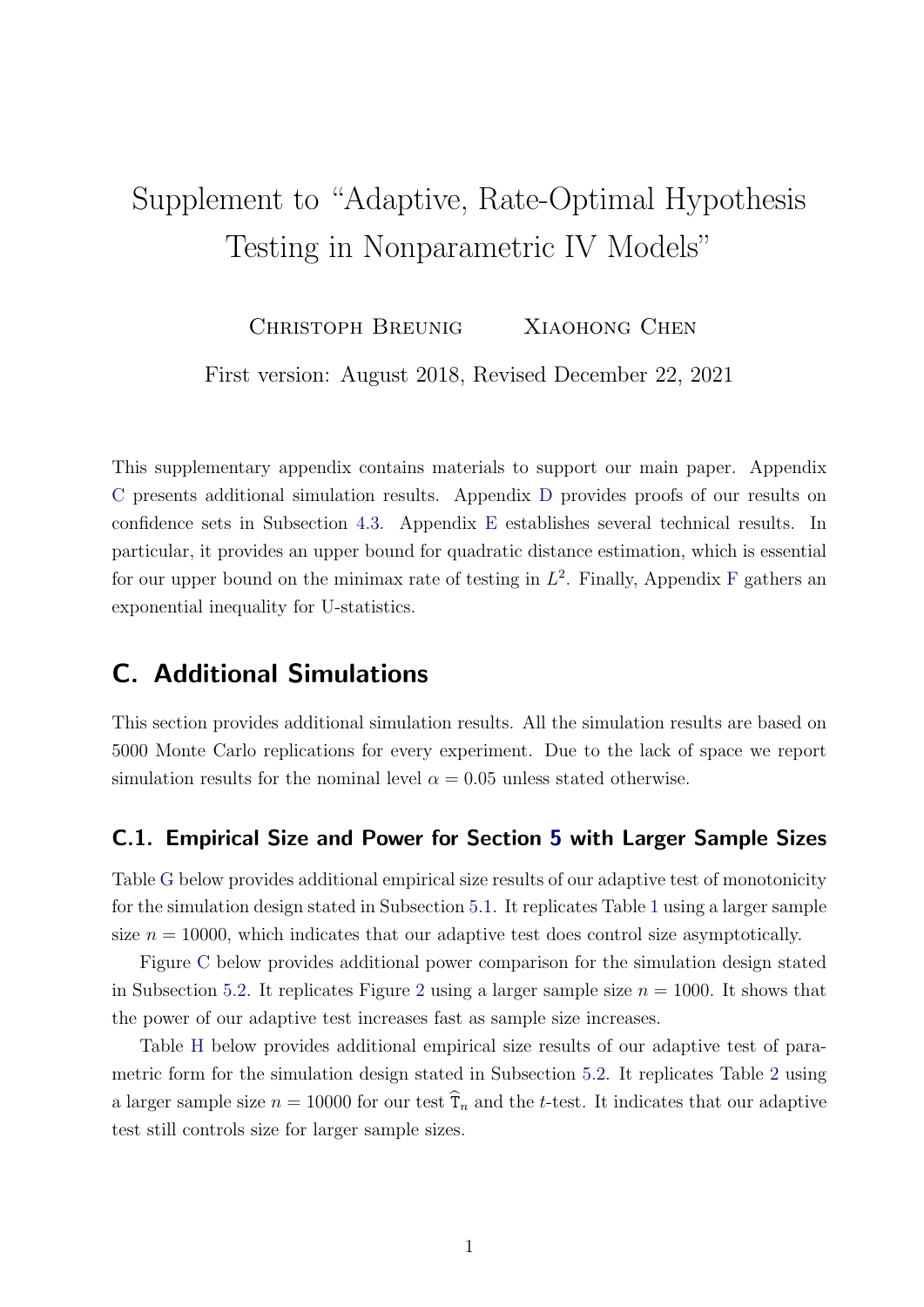# Supplement to "Adaptive, Rate-Optimal Hypothesis Testing in Nonparametric IV Models"

CHRISTOPH BREUNIG XIAOHONG CHEN

First version: August 2018, Revised December 22, 2021

This supplementary appendix contains materials to support our main paper. Appendix [C](#page-46-0) presents additional simulation results. Appendix [D](#page-52-0) provides proofs of our results on confidence sets in Subsection [4.3.](#page-18-0) Appendix [E](#page-54-0) establishes several technical results. In particular, it provides an upper bound for quadratic distance estimation, which is essential for our upper bound on the minimax rate of testing in  $L^2$ . [F](#page-67-0)inally, Appendix F gathers an exponential inequality for U-statistics.

# <span id="page-46-0"></span>C. Additional Simulations

This section provides additional simulation results. All the simulation results are based on 5000 Monte Carlo replications for every experiment. Due to the lack of space we report simulation results for the nominal level  $\alpha = 0.05$  unless stated otherwise.

### C.1. Empirical Size and Power for Section [5](#page-20-0) with Larger Sample Sizes

Table [G](#page-47-0) below provides additional empirical size results of our adaptive test of monotonicity for the simulation design stated in Subsection [5.1.](#page-20-2) It replicates Table [1](#page-21-0) using a larger sample size  $n = 10000$ , which indicates that our adaptive test does control size asymptotically.

Figure [C](#page-47-1) below provides additional power comparison for the simulation design stated in Subsection [5.2.](#page-24-2) It replicates Figure [2](#page-25-0) using a larger sample size  $n = 1000$ . It shows that the power of our adaptive test increases fast as sample size increases.

Table [H](#page-48-0) below provides additional empirical size results of our adaptive test of parametric form for the simulation design stated in Subsection [5.2.](#page-24-2) It replicates Table [2](#page-24-3) using a larger sample size  $n = 10000$  for our test  $\widehat{T}_n$  and the t-test. It indicates that our adaptive test still controls size for larger sample sizes.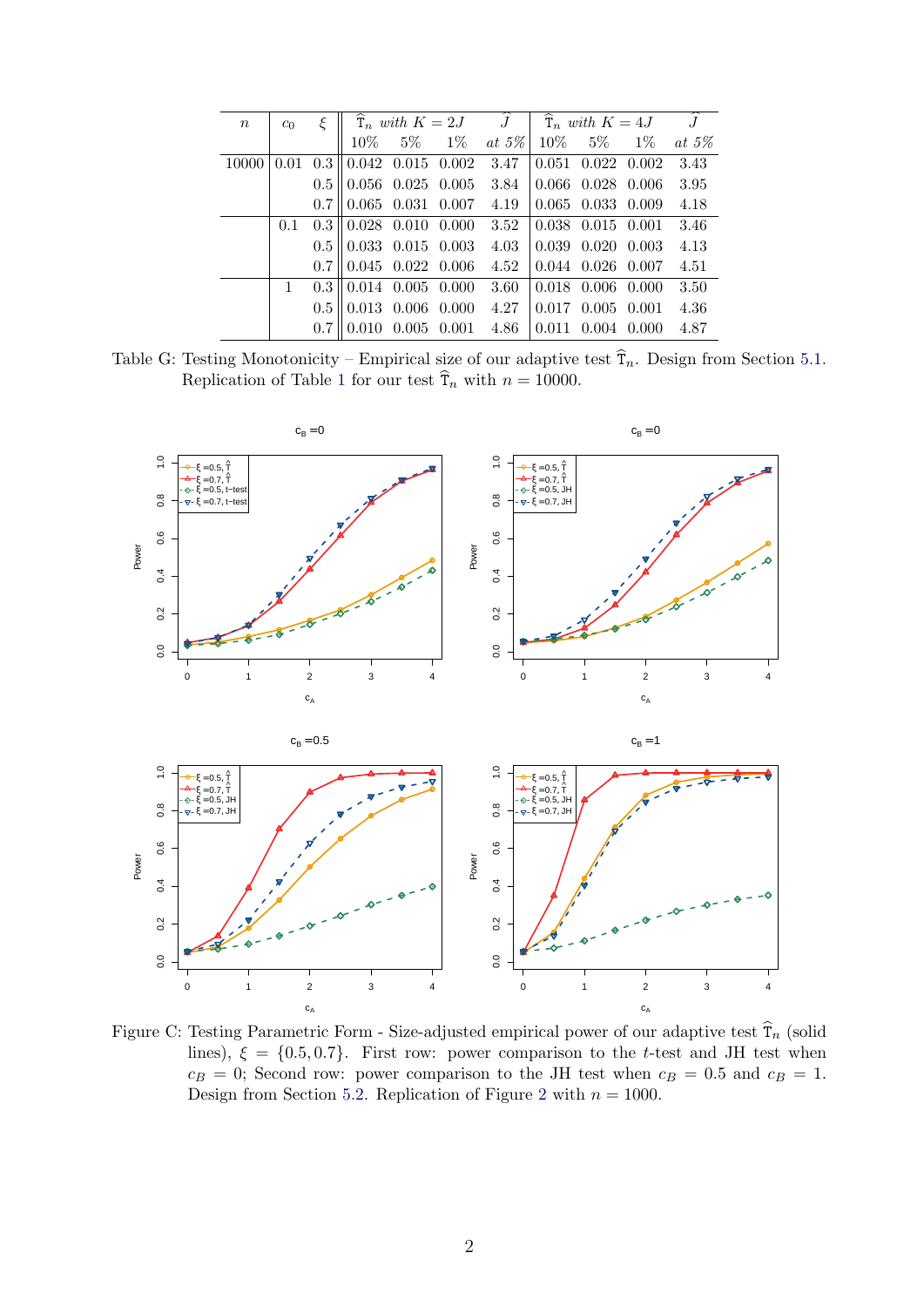<span id="page-47-0"></span>

| $\boldsymbol{n}$ | c <sub>0</sub> | ξ   |                                                                     |                         | $\widehat{\mathbf{T}}_n$ with $K=2J$ $\widehat{J}$ $\widehat{\mathbf{T}}_n$ with $K=4J$ $\widehat{J}$ |                                       |                                                       |          |
|------------------|----------------|-----|---------------------------------------------------------------------|-------------------------|-------------------------------------------------------------------------------------------------------|---------------------------------------|-------------------------------------------------------|----------|
|                  |                |     |                                                                     |                         | $10\% \t 5\% \t 1\% \t at 5\%$                                                                        |                                       | $10\%$ 5\% 1\%                                        | at $5\%$ |
| 10000            |                |     | $0.01 \quad 0.3 \parallel 0.042 \quad 0.015 \quad 0.002 \quad 3.47$ |                         |                                                                                                       |                                       | $\begin{bmatrix} 0.051 & 0.022 & 0.002 \end{bmatrix}$ | 3.43     |
|                  |                |     | $0.5 \parallel 0.056$ 0.025 0.005                                   |                         | 3.84                                                                                                  | $\vert 0.066 \vert 0.028 \vert 0.006$ |                                                       | 3.95     |
|                  |                |     | $0.7 \parallel 0.065$ 0.031 0.007 4.19                              |                         |                                                                                                       | $\vert 0.065 \vert 0.033 \vert 0.009$ |                                                       | 4.18     |
|                  | 0.1            |     | $0.3 \parallel 0.028$ 0.010 0.000 3.52                              |                         |                                                                                                       |                                       | $0.038$ $0.015$ $0.001$                               | 3.46     |
|                  |                |     | $0.5 \parallel 0.033$ 0.015 0.003                                   |                         | 4.03                                                                                                  | $0.039$ $0.020$ $0.003$               |                                                       | 4.13     |
|                  |                |     | $0.7 \parallel 0.045$ $0.022$ $0.006$ 4.52                          |                         |                                                                                                       | $0.044$ $0.026$ $0.007$               |                                                       | 4.51     |
|                  | 1              |     | $0.3 \parallel 0.014$ 0.005 0.000                                   |                         | 3.60                                                                                                  | $0.018$ 0.006 0.000                   |                                                       | 3.50     |
|                  |                |     | $0.5 \parallel 0.013$ 0.006 0.000                                   |                         | 4.27                                                                                                  | $0.017$ $0.005$ $0.001$               |                                                       | 4.36     |
|                  |                | 0.7 |                                                                     | $0.010$ $0.005$ $0.001$ | 4.86                                                                                                  | $0.011$ $0.004$ $0.000$               |                                                       | 4.87     |

Table G: Testing Monotonicity – Empirical size of our adaptive test  $\hat{T}_n$ . Design from Section [5.1.](#page-20-2) Replication of Table [1](#page-21-0) for our test  $\hat{\tau}_n$  with  $n = 10000$ .

<span id="page-47-1"></span>

Figure C: Testing Parametric Form - Size-adjusted empirical power of our adaptive test  $\hat{T}_n$  (solid lines),  $\xi = \{0.5, 0.7\}$ . First row: power comparison to the t-test and JH test when  $c_B = 0$ ; Second row: power comparison to the JH test when  $c_B = 0.5$  and  $c_B = 1$ . Design from Section [5.2.](#page-24-2) Replication of Figure [2](#page-25-0) with  $n = 1000$ .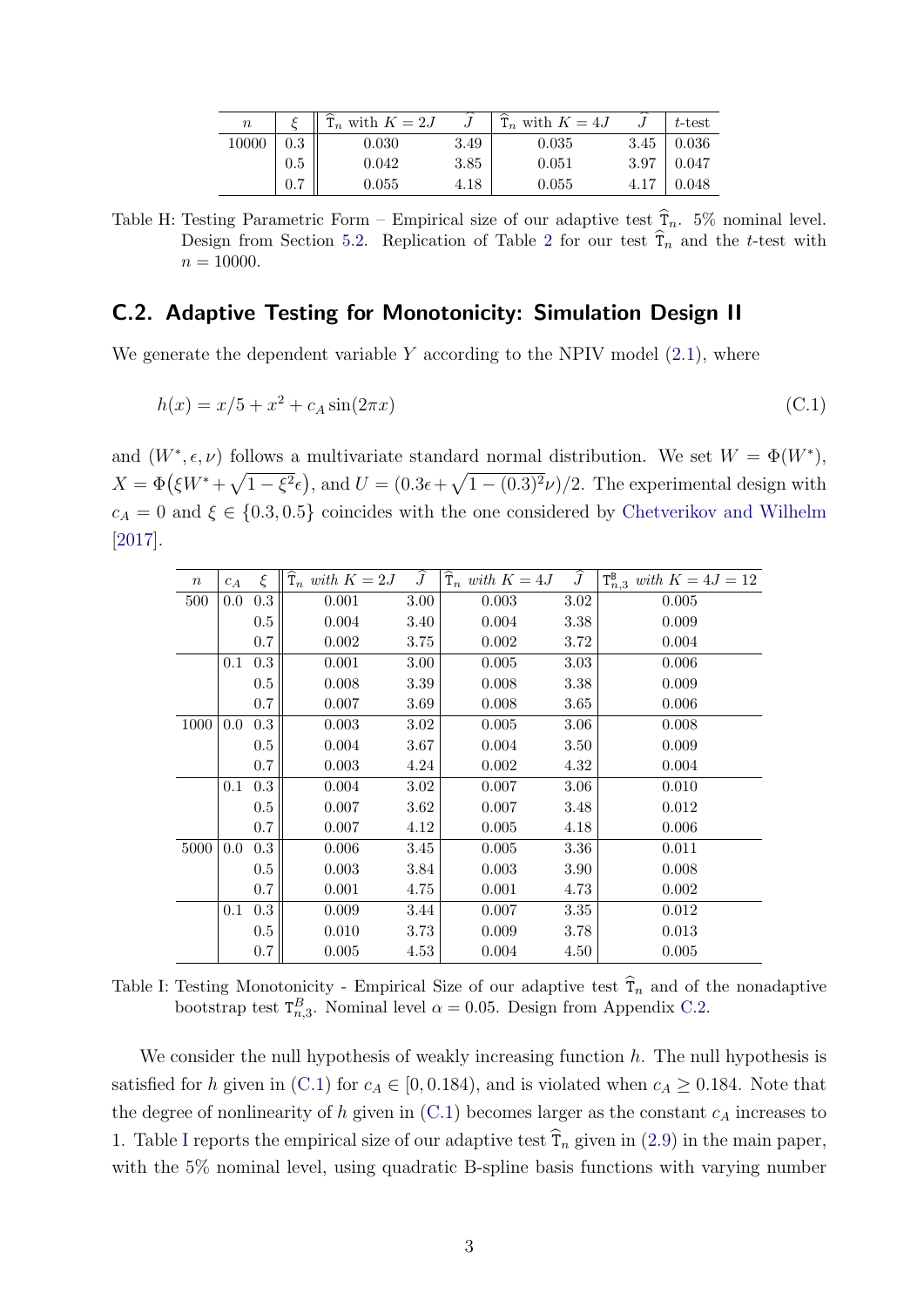<span id="page-48-2"></span><span id="page-48-0"></span>

| $\, n$ |     | $\hat{\tau}_n$ with $K=2J$ |      | $T_n$ with $K=4J$ |      | $\pm t$ -test |
|--------|-----|----------------------------|------|-------------------|------|---------------|
| 10000  | 0.3 | 0.030                      | 3.49 | 0.035             | 3.45 | 0.036         |
|        | 0.5 | 0.042                      | 3.85 | 0.051             | 3.97 | 0.047         |
|        |     | 0.055                      | 4.18 | 0.055             |      | 0.048         |

Table H: Testing Parametric Form – Empirical size of our adaptive test  $\hat{T}_n$ . 5% nominal level. Design from Section [5.2.](#page-24-2) Replication of Table [2](#page-24-3) for our test  $\hat{T}_n$  and the t-test with  $n = 10000$ .

#### <span id="page-48-1"></span>C.2. Adaptive Testing for Monotonicity: Simulation Design II

We generate the dependent variable  $Y$  according to the NPIV model  $(2.1)$ , where

$$
h(x) = x/5 + x^2 + c_A \sin(2\pi x)
$$
 (C.1)

and  $(W^*, \epsilon, \nu)$  follows a multivariate standard normal distribution. We set  $W = \Phi(W^*),$  $X = \Phi(\xi W^* + \sqrt{1-\xi^2} \epsilon)$ , and  $U = (0.3\epsilon + \sqrt{1-(0.3)^2 \nu})/2$ . The experimental design with  $c_A = 0$  and  $\xi \in \{0.3, 0.5\}$  coincides with the one considered by [Chetverikov and Wilhelm](#page-31-5) [\[2017\]](#page-31-5).

<span id="page-48-3"></span>

| $\,n$ | $c_A$   | ξ       | $\widehat{\mathrm{T}}_n$ with $K=2J$ | $\widehat{J}$ | $\widehat{\mathrm{T}}_n$ with $K=4J$ | $\widehat{J}$ | $T_{n,3}^B$ with $K = 4J = 12$ |
|-------|---------|---------|--------------------------------------|---------------|--------------------------------------|---------------|--------------------------------|
| 500   | $0.0\,$ | 0.3     | 0.001                                | $3.00\,$      | 0.003                                | 3.02          | 0.005                          |
|       |         | $0.5\,$ | 0.004                                | 3.40          | 0.004                                | 3.38          | 0.009                          |
|       |         | 0.7     | 0.002                                | 3.75          | 0.002                                | 3.72          | 0.004                          |
|       | 0.1     | 0.3     | 0.001                                | 3.00          | 0.005                                | 3.03          | 0.006                          |
|       |         | 0.5     | 0.008                                | 3.39          | 0.008                                | 3.38          | 0.009                          |
|       |         | 0.7     | 0.007                                | 3.69          | 0.008                                | 3.65          | 0.006                          |
| 1000  | 0.0     | 0.3     | 0.003                                | 3.02          | 0.005                                | 3.06          | 0.008                          |
|       |         | 0.5     | 0.004                                | 3.67          | 0.004                                | 3.50          | 0.009                          |
|       |         | 0.7     | 0.003                                | 4.24          | 0.002                                | 4.32          | 0.004                          |
|       | 0.1     | 0.3     | 0.004                                | 3.02          | 0.007                                | 3.06          | 0.010                          |
|       |         | $0.5\,$ | 0.007                                | 3.62          | 0.007                                | 3.48          | 0.012                          |
|       |         | 0.7     | 0.007                                | 4.12          | 0.005                                | 4.18          | 0.006                          |
| 5000  | $0.0\,$ | 0.3     | 0.006                                | 3.45          | 0.005                                | 3.36          | 0.011                          |
|       |         | 0.5     | 0.003                                | 3.84          | 0.003                                | 3.90          | 0.008                          |
|       |         | 0.7     | 0.001                                | 4.75          | 0.001                                | 4.73          | 0.002                          |
|       | 0.1     | 0.3     | 0.009                                | 3.44          | 0.007                                | 3.35          | 0.012                          |
|       |         | 0.5     | 0.010                                | 3.73          | 0.009                                | 3.78          | 0.013                          |
|       |         | 0.7     | 0.005                                | 4.53          | 0.004                                | 4.50          | 0.005                          |

Table I: Testing Monotonicity - Empirical Size of our adaptive test  $\hat{T}_n$  and of the nonadaptive bootstrap test  $T_{n,3}^B$ . Nominal level  $\alpha = 0.05$ . Design from Appendix [C.2.](#page-48-1)

We consider the null hypothesis of weakly increasing function  $h$ . The null hypothesis is satisfied for h given in [\(C.1\)](#page-48-2) for  $c_A \in [0, 0.184)$ , and is violated when  $c_A \ge 0.184$ . Note that the degree of nonlinearity of h given in  $(C.1)$  becomes larger as the constant  $c<sub>A</sub>$  increases to 1. Table [I](#page-48-3) reports the empirical size of our adaptive test  $\hat{\tau}_n$  given in [\(2.9\)](#page-9-1) in the main paper, with the 5% nominal level, using quadratic B-spline basis functions with varying number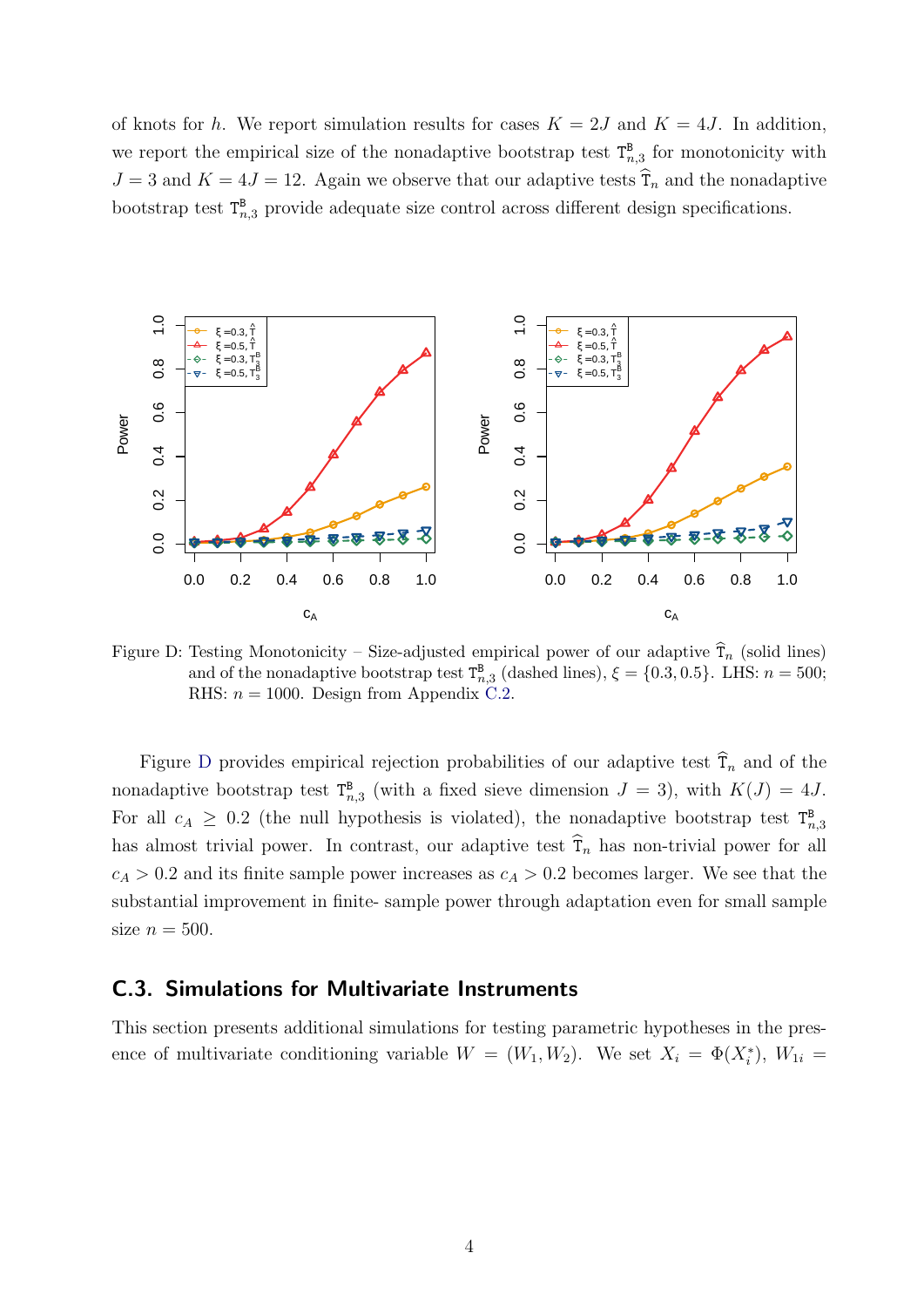of knots for h. We report simulation results for cases  $K = 2J$  and  $K = 4J$ . In addition, we report the empirical size of the nonadaptive bootstrap test  $T_{n,3}^B$  for monotonicity with  $J = 3$  and  $K = 4J = 12$ . Again we observe that our adaptive tests  $\hat{T}_n$  and the nonadaptive bootstrap test  $T_{n,3}^B$  provide adequate size control across different design specifications.

<span id="page-49-0"></span>

Figure D: Testing Monotonicity – Size-adjusted empirical power of our adaptive  $\hat{T}_n$  (solid lines) and of the nonadaptive bootstrap test  $T_{n,3}^{\mathbf{B}}$  (dashed lines),  $\xi = \{0.3, 0.5\}$ . LHS:  $n = 500$ ; RHS:  $n = 1000$ . Design from Appendix [C.2.](#page-48-1)

Figure [D](#page-49-0) provides empirical rejection probabilities of our adaptive test  $\hat{\tau}_n$  and of the nonadaptive bootstrap test  $T_{n,3}^B$  (with a fixed sieve dimension  $J = 3$ ), with  $K(J) = 4J$ . For all  $c_A \geq 0.2$  (the null hypothesis is violated), the nonadaptive bootstrap test  $T_{n,3}^B$ has almost trivial power. In contrast, our adaptive test  $\hat{T}_n$  has non-trivial power for all  $c_A > 0.2$  and its finite sample power increases as  $c_A > 0.2$  becomes larger. We see that the substantial improvement in finite- sample power through adaptation even for small sample size  $n = 500$ .

#### <span id="page-49-1"></span>C.3. Simulations for Multivariate Instruments

This section presents additional simulations for testing parametric hypotheses in the presence of multivariate conditioning variable  $W = (W_1, W_2)$ . We set  $X_i = \Phi(X_i^*), W_{1i} =$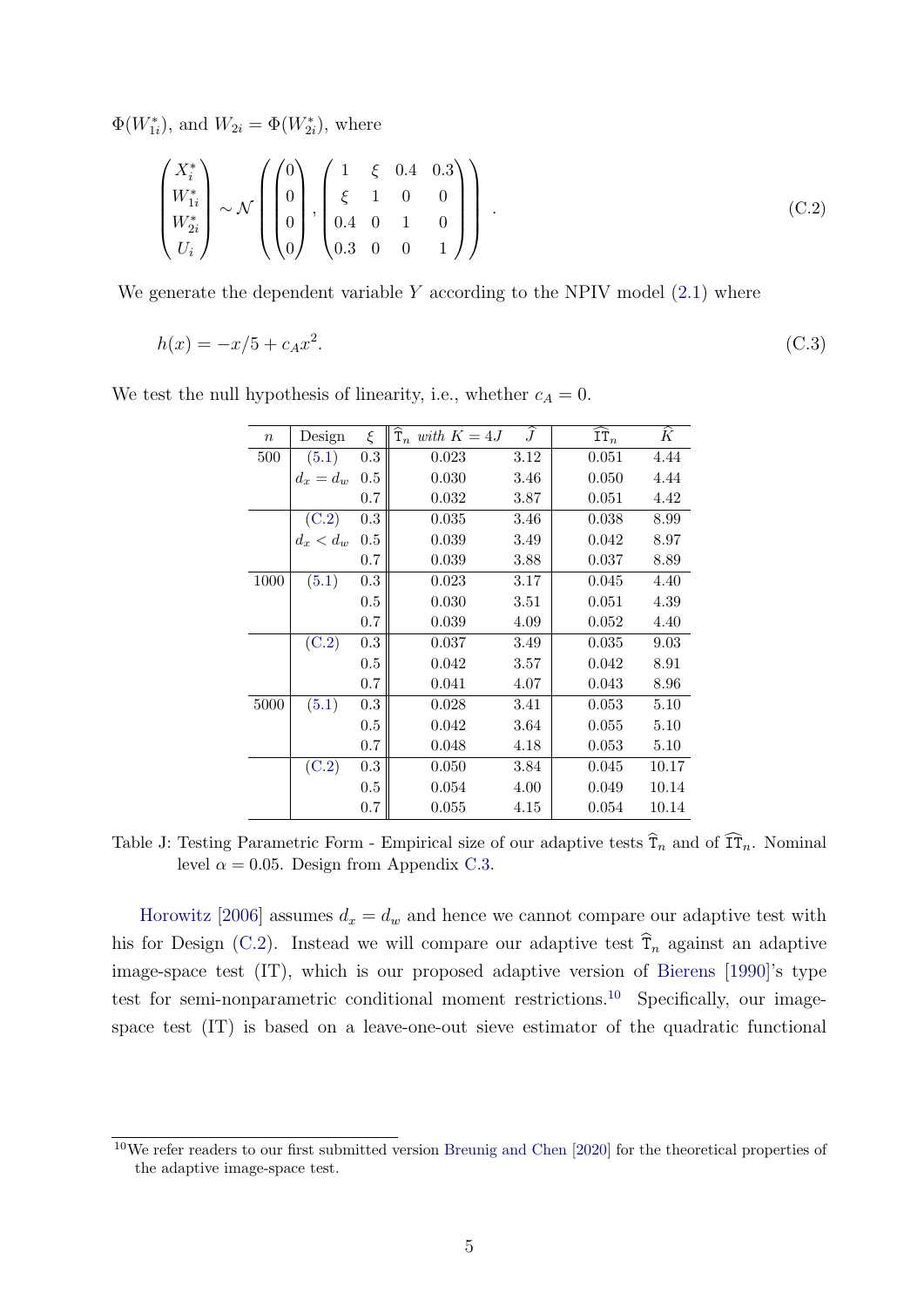$\Phi(W_{1i}^*)$ , and  $W_{2i} = \Phi(W_{2i}^*)$ , where

$$
\begin{pmatrix} X_i^* \\ W_{1i}^* \\ W_{2i}^* \\ U_i \end{pmatrix} \sim \mathcal{N} \left( \begin{pmatrix} 0 \\ 0 \\ 0 \\ 0 \end{pmatrix}, \begin{pmatrix} 1 & \xi & 0.4 & 0.3 \\ \xi & 1 & 0 & 0 \\ 0.4 & 0 & 1 & 0 \\ 0.3 & 0 & 0 & 1 \end{pmatrix} \right).
$$
 (C.2)

We generate the dependent variable  $Y$  according to the NPIV model  $(2.1)$  where

$$
h(x) = -x/5 + c_A x^2. \tag{C.3}
$$

<span id="page-50-0"></span>

| $\, n$ | Design      | ξ       | $\mathbf{T}_n$ with $K=4J$ | $\boldsymbol{J}$ | $IT_n$ | К     |
|--------|-------------|---------|----------------------------|------------------|--------|-------|
| 500    | (5.1)       | 0.3     | 0.023                      | 3.12             | 0.051  | 4.44  |
|        | $d_x = d_w$ | 0.5     | 0.030                      | 3.46             | 0.050  | 4.44  |
|        |             | 0.7     | 0.032                      | 3.87             | 0.051  | 4.42  |
|        | (C.2)       | 0.3     | 0.035                      | 3.46             | 0.038  | 8.99  |
|        | $d_x < d_w$ | 0.5     | 0.039                      | 3.49             | 0.042  | 8.97  |
|        |             | 0.7     | 0.039                      | 3.88             | 0.037  | 8.89  |
| 1000   | (5.1)       | 0.3     | 0.023                      | 3.17             | 0.045  | 4.40  |
|        |             | $0.5\,$ | 0.030                      | 3.51             | 0.051  | 4.39  |
|        |             | 0.7     | 0.039                      | 4.09             | 0.052  | 4.40  |
|        | (C.2)       | 0.3     | 0.037                      | 3.49             | 0.035  | 9.03  |
|        |             | 0.5     | 0.042                      | 3.57             | 0.042  | 8.91  |
|        |             | 0.7     | 0.041                      | 4.07             | 0.043  | 8.96  |
| 5000   | (5.1)       | 0.3     | 0.028                      | 3.41             | 0.053  | 5.10  |
|        |             | 0.5     | 0.042                      | 3.64             | 0.055  | 5.10  |
|        |             | 0.7     | 0.048                      | 4.18             | 0.053  | 5.10  |
|        | (C.2)       | 0.3     | 0.050                      | 3.84             | 0.045  | 10.17 |
|        |             | 0.5     | 0.054                      | 4.00             | 0.049  | 10.14 |
|        |             | 0.7     | 0.055                      | 4.15             | 0.054  | 10.14 |
|        |             |         |                            |                  |        |       |

<span id="page-50-2"></span>We test the null hypothesis of linearity, i.e., whether  $c_A = 0$ .

Table J: Testing Parametric Form - Empirical size of our adaptive tests  $\hat{T}_n$  and of  $\hat{T}_{n}$ . Nominal level  $\alpha = 0.05$ . Design from Appendix [C.3.](#page-49-1)

[Horowitz](#page-32-3) [\[2006\]](#page-32-3) assumes  $d_x = d_w$  and hence we cannot compare our adaptive test with his for Design [\(C.2\)](#page-50-0). Instead we will compare our adaptive test  $\hat{\tau}_n$  against an adaptive image-space test (IT), which is our proposed adaptive version of [Bierens](#page-30-0) [\[1990\]](#page-30-0)'s type test for semi-nonparametric conditional moment restrictions.[10](#page-50-1) Specifically, our imagespace test (IT) is based on a leave-one-out sieve estimator of the quadratic functional

<span id="page-50-1"></span><sup>10</sup>We refer readers to our first submitted version [Breunig and Chen](#page-31-11) [\[2020\]](#page-31-11) for the theoretical properties of the adaptive image-space test.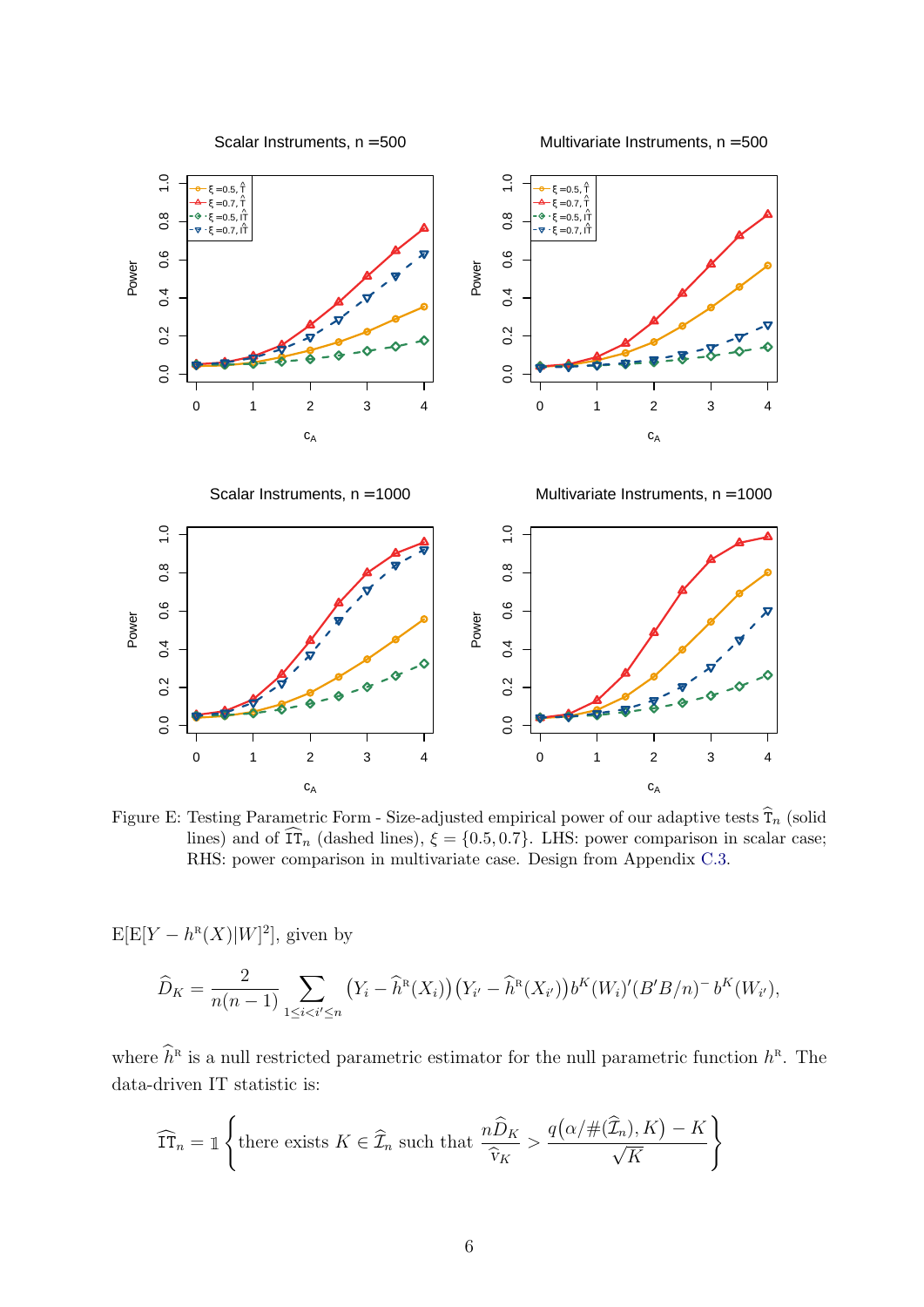<span id="page-51-0"></span>

Figure E: Testing Parametric Form - Size-adjusted empirical power of our adaptive tests  $\hat{T}_n$  (solid lines) and of  $\widehat{\text{IT}}_n$  (dashed lines),  $\xi = \{0.5, 0.7\}$ . LHS: power comparison in scalar case; RHS: power comparison in multivariate case. Design from Appendix [C.3.](#page-49-1)

 $E[E[Y - h^{R}(X)|W]^2]$ , given by

$$
\widehat{D}_K = \frac{2}{n(n-1)} \sum_{1 \leq i < i' \leq n} \left( Y_i - \widehat{h}^{\text{R}}(X_i) \right) \left( Y_{i'} - \widehat{h}^{\text{R}}(X_{i'}) \right) b^K(W_i)' (B'B/n)^{-} b^K(W_{i'}),
$$

where  $\widehat{h}^{\scriptscriptstyle\mathrm{R}}$  is a null restricted parametric estimator for the null parametric function  $h^{\scriptscriptstyle\mathrm{R}}$ . The data-driven IT statistic is:

$$
\widehat{\text{IT}}_n = \mathbb{1} \left\{ \text{there exists } K \in \widehat{\mathcal{I}}_n \text{ such that } \frac{n \widehat{D}_K}{\widehat{v}_K} > \frac{q\big(\alpha/\#(\widehat{\mathcal{I}}_n), K\big) - K}{\sqrt{K}} \right\}
$$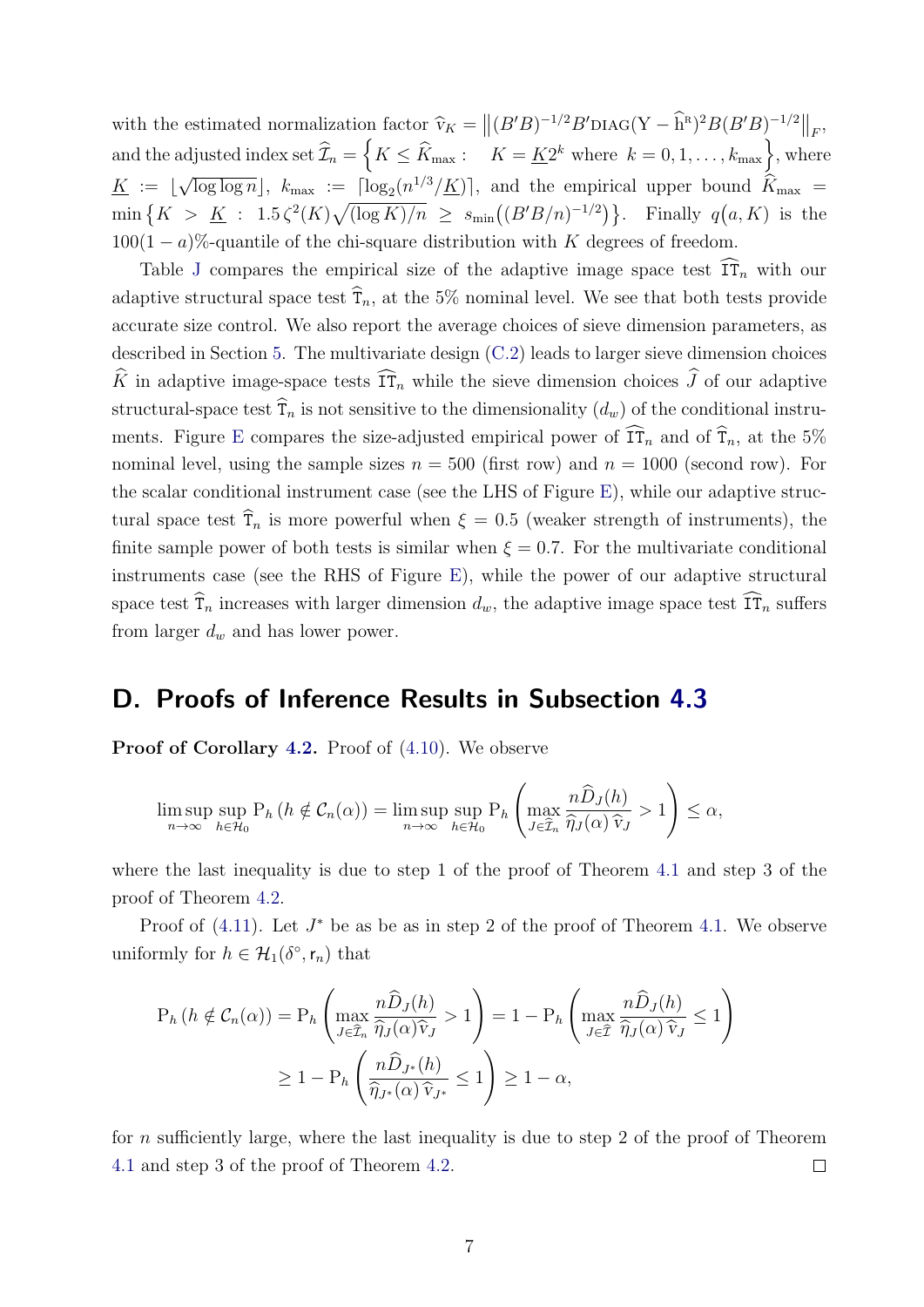with the estimated normalization factor  $\hat{v}_K = ||(B'B)^{-1/2}B' D I A G (Y - \hat{h}^R)^2 B (B'B)^{-1/2}||_F$ , and the adjusted index set  $\widehat{\mathcal{I}}_n = \left\{ K \leq \widehat{K}_{\text{max}}: \quad K = \underline{K}2^k \text{ where } k = 0, 1, \ldots, k_{\text{max}} \right\}$ , where  $\underline{K} := \begin{bmatrix} \end{bmatrix}$ √  $\overline{\log \log n}$ ,  $k_{\max} := \frac{\lceil \log_2(n^{1/3}/K) \rceil}{\log n}$ , and the empirical upper bound  $K_{\max}$  $\min\left\{K > K : 1.5\zeta^2(K)\sqrt{(\log K)/n} \geq s_{\min}((B'B/n)^{-1/2})\right\}.$  Finally  $q(a,K)$  is the  $100(1 - a)\%$ -quantile of the chi-square distribution with K degrees of freedom.

Table [J](#page-50-2) compares the empirical size of the adaptive image space test  $\widehat{\text{IT}}_n$  with our adaptive structural space test  $\hat{T}_n$ , at the 5% nominal level. We see that both tests provide accurate size control. We also report the average choices of sieve dimension parameters, as described in Section [5.](#page-20-0) The multivariate design [\(C.2\)](#page-50-0) leads to larger sieve dimension choices  $\widehat{K}$  in adaptive image-space tests  $\widehat{\text{IT}}_n$  while the sieve dimension choices  $\widehat{J}$  of our adaptive structural-space test  $\hat{\tau}_n$  is not sensitive to the dimensionality  $(d_w)$  of the conditional instru-ments. Figure [E](#page-51-0) compares the size-adjusted empirical power of  $\widehat{\text{IT}}_n$  and of  $\widehat{\text{T}}_n$ , at the 5% nominal level, using the sample sizes  $n = 500$  (first row) and  $n = 1000$  (second row). For the scalar conditional instrument case (see the LHS of Figure [E\)](#page-51-0), while our adaptive structural space test  $\hat{T}_n$  is more powerful when  $\xi = 0.5$  (weaker strength of instruments), the finite sample power of both tests is similar when  $\xi = 0.7$ . For the multivariate conditional instruments case (see the RHS of Figure [E\)](#page-51-0), while the power of our adaptive structural space test  $\widehat{\tau}_n$  increases with larger dimension  $d_w$ , the adaptive image space test  $\widehat{\tau}_n$  suffers from larger  $d_w$  and has lower power.

### <span id="page-52-0"></span>D. Proofs of Inference Results in Subsection [4.3](#page-18-0)

Proof of Corollary [4.2.](#page-19-0) Proof of  $(4.10)$ . We observe

$$
\limsup_{n\to\infty} \sup_{h\in\mathcal{H}_0} P_h\left(h \notin \mathcal{C}_n(\alpha)\right) = \limsup_{n\to\infty} \sup_{h\in\mathcal{H}_0} P_h\left(\max_{J\in\widehat{\mathcal{I}}_n} \frac{n\widehat{D}_J(h)}{\widehat{\eta}_J(\alpha)\widehat{v}_J} > 1\right) \leq \alpha,
$$

where the last inequality is due to step 1 of the proof of Theorem [4.1](#page-15-1) and step 3 of the proof of Theorem [4.2.](#page-17-2)

Proof of  $(4.11)$ . Let  $J^*$  be as be as in step 2 of the proof of Theorem [4.1.](#page-15-1) We observe uniformly for  $h \in \mathcal{H}_1(\delta^{\circ}, \mathsf{r}_n)$  that

$$
P_h (h \notin \mathcal{C}_n(\alpha)) = P_h \left( \max_{J \in \hat{\mathcal{I}}_n} \frac{n \hat{D}_J(h)}{\hat{\eta}_J(\alpha) \hat{v}_J} > 1 \right) = 1 - P_h \left( \max_{J \in \hat{\mathcal{I}}} \frac{n \hat{D}_J(h)}{\hat{\eta}_J(\alpha) \hat{v}_J} \le 1 \right)
$$

$$
\ge 1 - P_h \left( \frac{n \hat{D}_{J^*}(h)}{\hat{\eta}_{J^*}(\alpha) \hat{v}_{J^*}} \le 1 \right) \ge 1 - \alpha,
$$

for n sufficiently large, where the last inequality is due to step 2 of the proof of Theorem [4.1](#page-15-1) and step 3 of the proof of Theorem [4.2.](#page-17-2)  $\Box$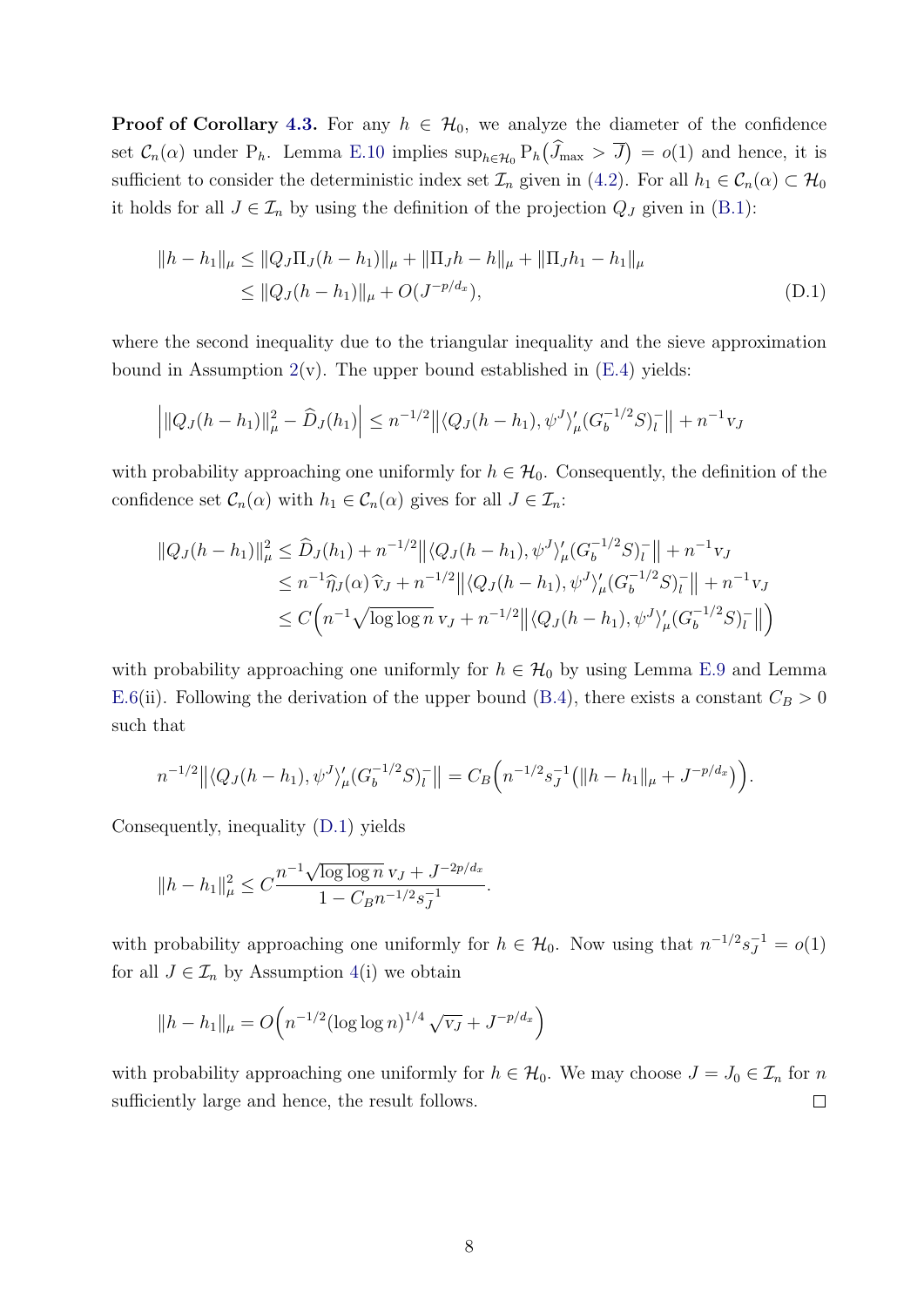**Proof of Corollary [4.3.](#page-19-3)** For any  $h \in \mathcal{H}_0$ , we analyze the diameter of the confidence set  $C_n(\alpha)$  under  $P_h$ . Lemma [E.10](#page-66-0) implies  $\sup_{h \in \mathcal{H}_0} P_h(\tilde{J}_{\max} > \overline{J}) = o(1)$  and hence, it is sufficient to consider the deterministic index set  $\mathcal{I}_n$  given in [\(4.2\)](#page-14-3). For all  $h_1 \in \mathcal{C}_n(\alpha) \subset \mathcal{H}_0$ it holds for all  $J \in \mathcal{I}_n$  by using the definition of the projection  $Q_J$  given in [\(B.1\)](#page-35-1):

<span id="page-53-0"></span>
$$
||h - h_1||_{\mu} \le ||Q_J \Pi_J (h - h_1)||_{\mu} + ||\Pi_J h - h||_{\mu} + ||\Pi_J h_1 - h_1||_{\mu}
$$
  
\n
$$
\le ||Q_J (h - h_1)||_{\mu} + O(J^{-p/d_x}), \tag{D.1}
$$

where the second inequality due to the triangular inequality and the sieve approximation bound in Assumption  $2(v)$  $2(v)$ . The upper bound established in  $(E.4)$  yields:

$$
\left| \|Q_J(h - h_1)\|_{\mu}^2 - \widehat{D}_J(h_1) \right| \le n^{-1/2} \left| \left| \langle Q_J(h - h_1), \psi^J \rangle_{\mu} (G_b^{-1/2} S)_l^- \right| \right| + n^{-1} \nu_J
$$

with probability approaching one uniformly for  $h \in \mathcal{H}_0$ . Consequently, the definition of the confidence set  $\mathcal{C}_n(\alpha)$  with  $h_1 \in \mathcal{C}_n(\alpha)$  gives for all  $J \in \mathcal{I}_n$ :

$$
||Q_{J}(h - h_{1})||_{\mu}^{2} \leq \widehat{D}_{J}(h_{1}) + n^{-1/2} ||\langle Q_{J}(h - h_{1}), \psi^{J} \rangle_{\mu}' (G_{b}^{-1/2} S)_{l}^{-}|| + n^{-1} v_{J}
$$
  
\n
$$
\leq n^{-1} \widehat{\eta}_{J}(\alpha) \widehat{v}_{J} + n^{-1/2} ||\langle Q_{J}(h - h_{1}), \psi^{J} \rangle_{\mu}' (G_{b}^{-1/2} S)_{l}^{-}|| + n^{-1} v_{J}
$$
  
\n
$$
\leq C \Big( n^{-1} \sqrt{\log \log n} \, v_{J} + n^{-1/2} ||\langle Q_{J}(h - h_{1}), \psi^{J} \rangle_{\mu}' (G_{b}^{-1/2} S)_{l}^{-}|| \Big)
$$

with probability approaching one uniformly for  $h \in \mathcal{H}_0$  by using Lemma [E.9](#page-65-0) and Lemma [E.6\(](#page-62-0)ii). Following the derivation of the upper bound [\(B.4\)](#page-40-2), there exists a constant  $C_B > 0$ such that

$$
n^{-1/2} \left\| \langle Q_J(h-h_1), \psi^J \rangle_{\mu}^{\prime} (G_b^{-1/2} S)_l^{-} \right\| = C_B \left( n^{-1/2} s_J^{-1} \left( \|h-h_1\|_{\mu} + J^{-p/d_x} \right) \right).
$$

Consequently, inequality [\(D.1\)](#page-53-0) yields

$$
||h - h_1||_{\mu}^2 \leq C \frac{n^{-1} \sqrt{\log \log n} \, v_J + J^{-2p/d_x}}{1 - C_B n^{-1/2} s_J^{-1}}.
$$

with probability approaching one uniformly for  $h \in \mathcal{H}_0$ . Now using that  $n^{-1/2} s_J^{-1} = o(1)$ for all  $J \in \mathcal{I}_n$  by Assumption [4\(](#page-14-2)i) we obtain

$$
||h - h_1||_{\mu} = O\left(n^{-1/2} (\log \log n)^{1/4} \sqrt{v_J} + J^{-p/d_x}\right)
$$

with probability approaching one uniformly for  $h \in \mathcal{H}_0$ . We may choose  $J = J_0 \in \mathcal{I}_n$  for n sufficiently large and hence, the result follows.  $\Box$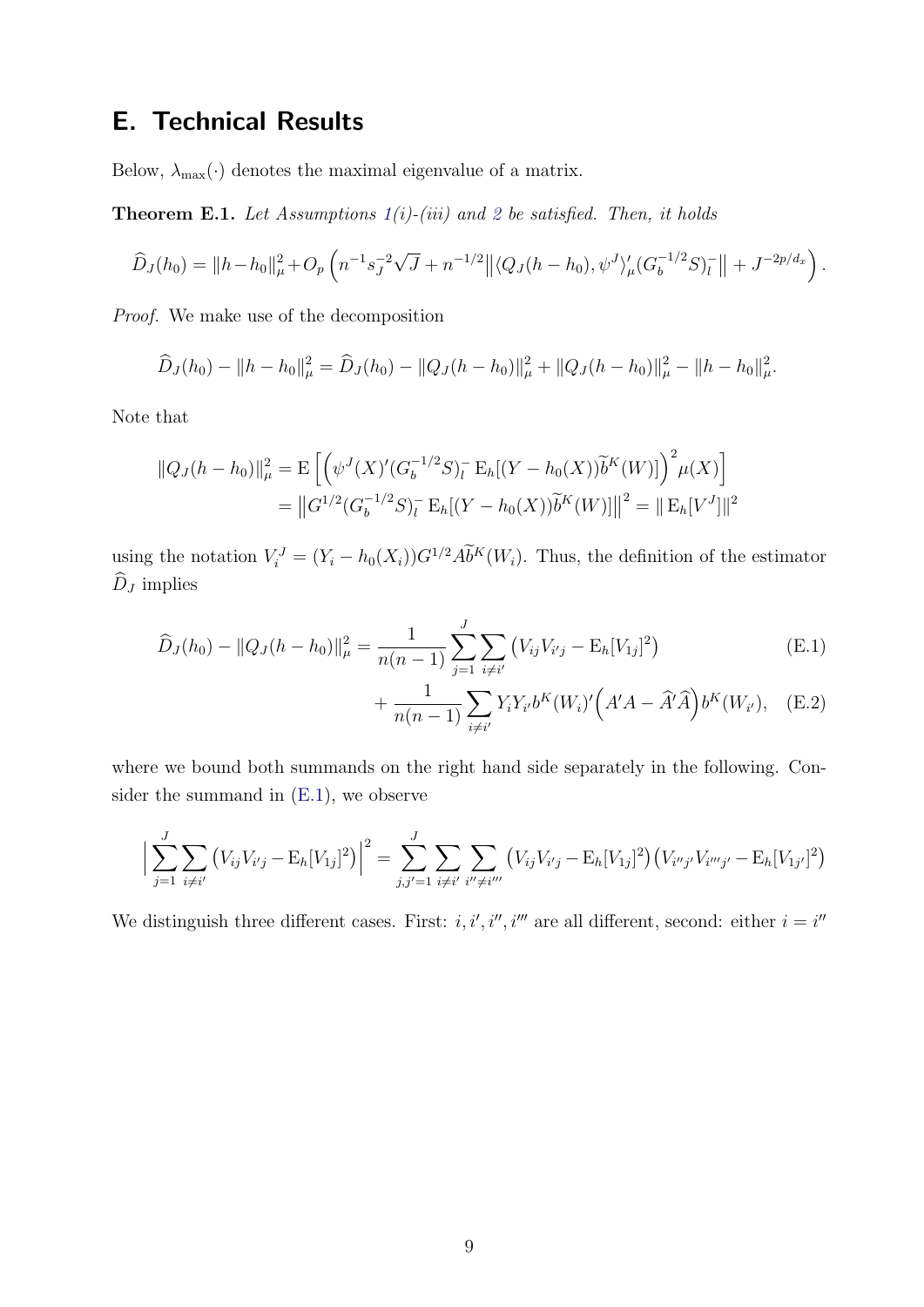# <span id="page-54-0"></span>E. Technical Results

Below,  $\lambda_{\max}(\cdot)$  denotes the maximal eigenvalue of a matrix.

<span id="page-54-1"></span>**Theorem E.1.** Let Assumptions  $1(i)$  $1(i)$ -(iii) and [2](#page-12-0) be satisfied. Then, it holds

$$
\widehat{D}_J(h_0) = ||h - h_0||_{\mu}^2 + O_p\left(n^{-1}s_J^{-2}\sqrt{J} + n^{-1/2}||\langle Q_J(h - h_0), \psi^J \rangle_{\mu}'(G_b^{-1/2}S)_l^-|| + J^{-2p/d_x}\right).
$$

Proof. We make use of the decomposition

$$
\widehat{D}_J(h_0) - ||h - h_0||_{\mu}^2 = \widehat{D}_J(h_0) - ||Q_J(h - h_0)||_{\mu}^2 + ||Q_J(h - h_0)||_{\mu}^2 - ||h - h_0||_{\mu}^2.
$$

Note that

$$
||Q_J(h - h_0)||_{\mu}^2 = \mathcal{E}\left[\left(\psi^J(X)'(G_b^{-1/2}S)_l^{\top} \mathcal{E}_h[(Y - h_0(X))\widetilde{b}^K(W)]\right)^2 \mu(X)\right]
$$
  
= 
$$
||G^{1/2}(G_b^{-1/2}S)_l^{\top} \mathcal{E}_h[(Y - h_0(X))\widetilde{b}^K(W)]||^2 = ||\mathcal{E}_h[V^J]||^2
$$

using the notation  $V_i^J = (Y_i - h_0(X_i))G^{1/2} \tilde{Ab}^K(W_i)$ . Thus, the definition of the estimator  $\widehat{D}_J$  implies

$$
\widehat{D}_J(h_0) - ||Q_J(h - h_0)||_{\mu}^2 = \frac{1}{n(n-1)} \sum_{j=1}^J \sum_{i \neq i'} (V_{ij} V_{i'j} - \mathcal{E}_h[V_{1j}]^2)
$$
\n(E.1)

<span id="page-54-3"></span><span id="page-54-2"></span>+ 
$$
\frac{1}{n(n-1)} \sum_{i \neq i'} Y_i Y_{i'} b^K(W_i)' \Big( A' A - \hat{A}' \hat{A} \Big) b^K(W_{i'}),
$$
 (E.2)

where we bound both summands on the right hand side separately in the following. Consider the summand in [\(E.1\)](#page-54-2), we observe

$$
\Big|\sum_{j=1}^{J} \sum_{i \neq i'} \left( V_{ij} V_{i'j} - \mathbb{E}_h[V_{1j}]^2 \right) \Big|^2 = \sum_{j,j'=1}^{J} \sum_{i \neq i'} \sum_{i'' \neq i'''} \left( V_{ij} V_{i'j} - \mathbb{E}_h[V_{1j}]^2 \right) \left( V_{i''j'} V_{i''j'} - \mathbb{E}_h[V_{1j'}]^2 \right)
$$

We distinguish three different cases. First: i, i', i'', i''' are all different, second: either  $i = i'$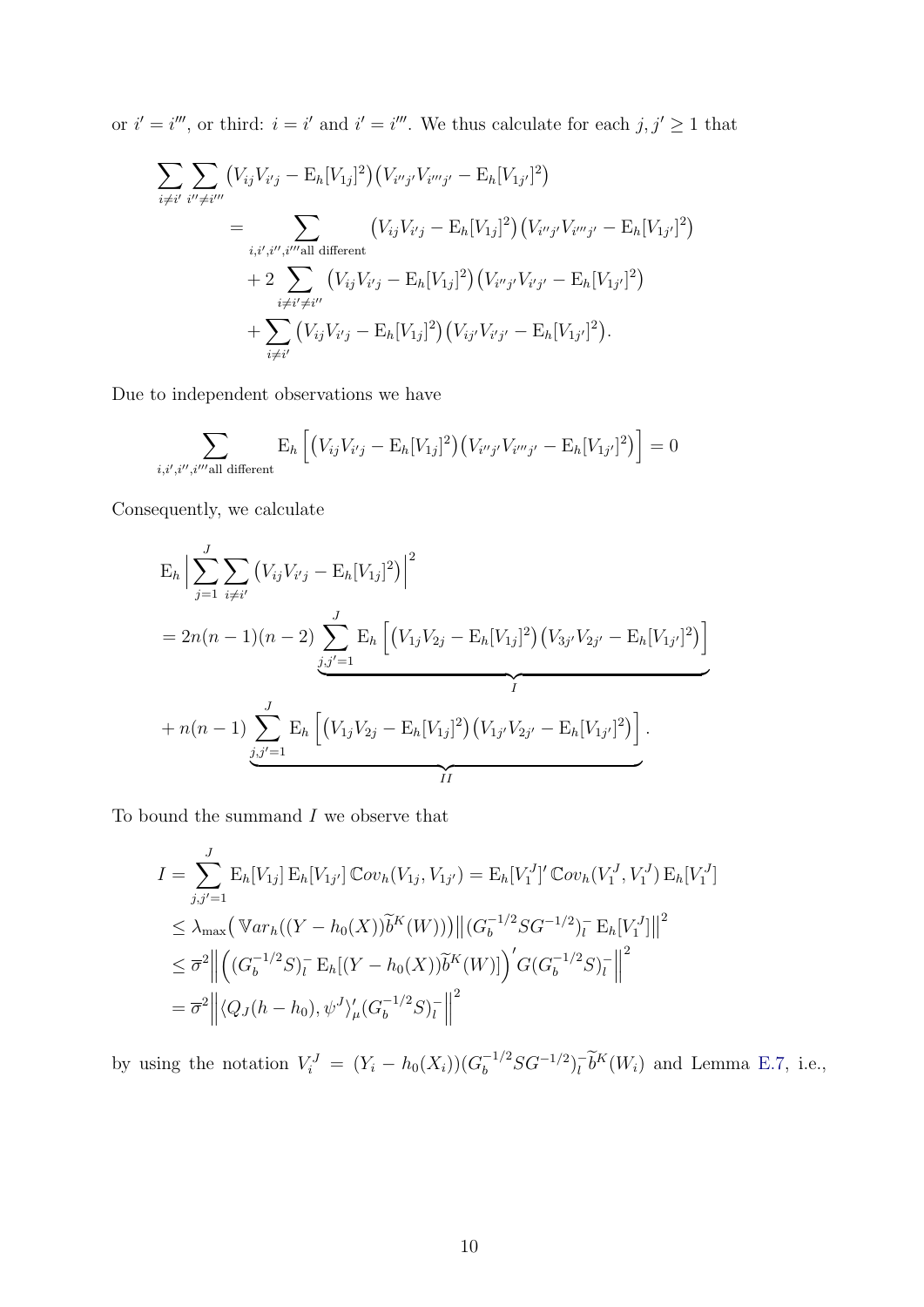or  $i' = i'''$ , or third:  $i = i'$  and  $i' = i'''$ . We thus calculate for each  $j, j' \geq 1$  that

$$
\sum_{i \neq i'} \sum_{i'' \neq i'''} (V_{ij} V_{i'j} - \mathbb{E}_h[V_{1j}]^2) (V_{i''j'} V_{i'''j'} - \mathbb{E}_h[V_{1j'}]^2)
$$
\n
$$
= \sum_{i,i',i''',i''' \text{all different}} (V_{ij} V_{i'j} - \mathbb{E}_h[V_{1j}]^2) (V_{i''j'} V_{i'''j'} - \mathbb{E}_h[V_{1j'}]^2)
$$
\n
$$
+ 2 \sum_{i \neq i' \neq i''} (V_{ij} V_{i'j} - \mathbb{E}_h[V_{1j}]^2) (V_{i''j'} V_{i'j'} - \mathbb{E}_h[V_{1j'}]^2)
$$
\n
$$
+ \sum_{i \neq i'} (V_{ij} V_{i'j} - \mathbb{E}_h[V_{1j}]^2) (V_{ij'} V_{i'j'} - \mathbb{E}_h[V_{1j'}]^2).
$$

Due to independent observations we have

$$
\sum_{i,i',i'',i''\text{all different}} \mathbf{E}_h \left[ \left( V_{ij} V_{i'j} - \mathbf{E}_h [V_{1j}]^2 \right) \left( V_{i''j'} V_{i'''j'} - \mathbf{E}_h [V_{1j'}]^2 \right) \right] = 0
$$

Consequently, we calculate

$$
E_h \Big| \sum_{j=1}^{J} \sum_{i \neq i'} (V_{ij} V_{i'j} - E_h[V_{1j}]^2) \Big|^2
$$
  
=  $2n(n-1)(n-2) \sum_{j,j'=1}^{J} E_h \Big[ (V_{1j} V_{2j} - E_h[V_{1j}]^2) (V_{3j'} V_{2j'} - E_h[V_{1j'}]^2) \Big]$   
+  $n(n-1) \sum_{j,j'=1}^{J} E_h \Big[ (V_{1j} V_{2j} - E_h[V_{1j}]^2) (V_{1j'} V_{2j'} - E_h[V_{1j'}]^2) \Big].$ 

To bound the summand  $I$  we observe that

$$
I = \sum_{j,j'=1}^{J} \mathbb{E}_{h}[V_{1j}] \mathbb{E}_{h}[V_{1j'}] \mathbb{C}ov_{h}(V_{1j}, V_{1j'}) = \mathbb{E}_{h}[V_{1}^{J}]' \mathbb{C}ov_{h}(V_{1}^{J}, V_{1}^{J}) \mathbb{E}_{h}[V_{1}^{J}]
$$
  
\n
$$
\leq \lambda_{\max} (\mathbb{V}ar_{h}((Y - h_{0}(X))\widetilde{b}^{K}(W))) ||(G_{b}^{-1/2}SG^{-1/2})_{l}^{-} \mathbb{E}_{h}[V_{1}^{J}]||^{2}
$$
  
\n
$$
\leq \overline{\sigma}^{2} || ((G_{b}^{-1/2}S)_{l}^{-} \mathbb{E}_{h}[(Y - h_{0}(X))\widetilde{b}^{K}(W)])' G(G_{b}^{-1/2}S)_{l}^{-} ||^{2}
$$
  
\n
$$
= \overline{\sigma}^{2} || \langle Q_{J}(h - h_{0}), \psi^{J} \rangle'_{\mu} (G_{b}^{-1/2}S)_{l}^{-} ||^{2}
$$

by using the notation  $V_i^J = (Y_i - h_0(X_i))(G_b^{-1/2}SG^{-1/2})_l^ \overline{l} b^K(W_i)$  and Lemma [E.7,](#page-64-1) i.e.,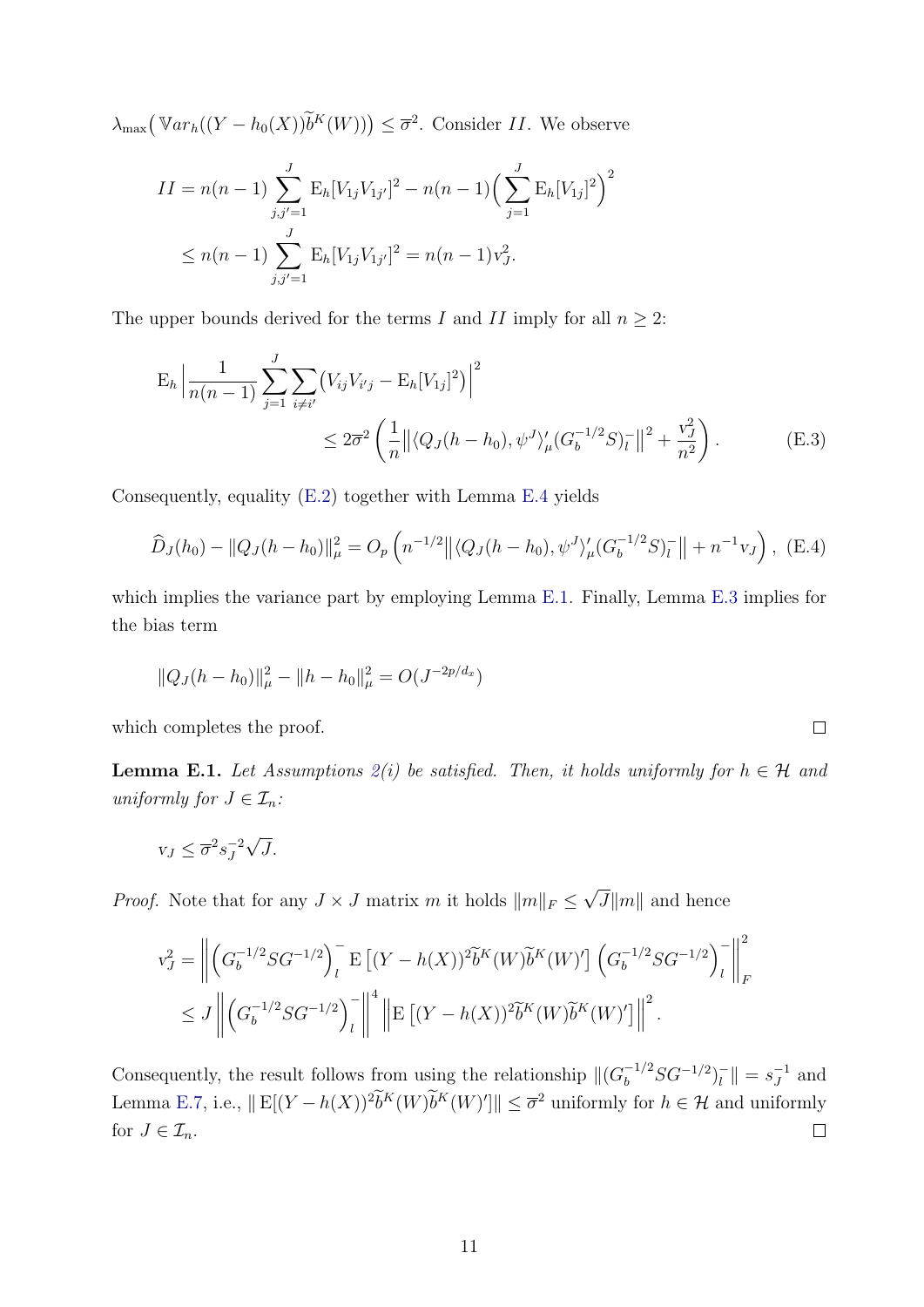$\lambda_{\max}(\mathbb{V}ar_h((Y - h_0(X))\widetilde{b}^K(W))) \leq \overline{\sigma}^2$ . Consider II. We observe

$$
II = n(n-1) \sum_{j,j'=1}^{J} \mathbb{E}_h[V_{1j}V_{1j'}]^2 - n(n-1) \Big(\sum_{j=1}^{J} \mathbb{E}_h[V_{1j}]^2\Big)^2
$$
  

$$
\leq n(n-1) \sum_{j,j'=1}^{J} \mathbb{E}_h[V_{1j}V_{1j'}]^2 = n(n-1)v_J^2.
$$

The upper bounds derived for the terms I and II imply for all  $n \geq 2$ :

$$
E_h \left| \frac{1}{n(n-1)} \sum_{j=1}^J \sum_{i \neq i'} \left( V_{ij} V_{i'j} - E_h[V_{1j}]^2 \right) \right|^2
$$
  
 
$$
\leq 2\overline{\sigma}^2 \left( \frac{1}{n} \left\| \langle Q_J(h - h_0), \psi^J \rangle_{\mu} (G_b^{-1/2} S)_l^- \right\|^2 + \frac{v_J^2}{n^2} \right). \tag{E.3}
$$

Consequently, equality [\(E.2\)](#page-54-3) together with Lemma [E.4](#page-58-0) yields

$$
\widehat{D}_J(h_0) - ||Q_J(h - h_0)||_{\mu}^2 = O_p\left(n^{-1/2}||\langle Q_J(h - h_0), \psi^J \rangle_{\mu}' (G_b^{-1/2} S)_l^-|| + n^{-1} v_J\right), \quad (E.4)
$$

which implies the variance part by employing Lemma [E.1.](#page-56-1) Finally, Lemma [E.3](#page-57-1) implies for the bias term

$$
||Q_J(h - h_0)||_{\mu}^2 - ||h - h_0||_{\mu}^2 = O(J^{-2p/d_x})
$$

which completes the proof.

<span id="page-56-1"></span>**Lemma E.1.** Let Assumptions  $2(i)$  $2(i)$  be satisfied. Then, it holds uniformly for  $h \in \mathcal{H}$  and uniformly for  $J \in \mathcal{I}_n$ :

$$
v_J \le \overline{\sigma}^2 s_J^{-2} \sqrt{J}.
$$

*Proof.* Note that for any  $J \times J$  matrix m it holds  $||m||_F \le$ √  $J||m||$  and hence

$$
v_J^2 = \left\| \left( G_b^{-1/2} S G^{-1/2} \right)_l^{\mathsf{T}} \mathbb{E} \left[ (Y - h(X))^2 \widetilde{b}^K(W) \widetilde{b}^K(W)' \right] \left( G_b^{-1/2} S G^{-1/2} \right)_l^{\mathsf{T}} \right\|_F^2
$$
  

$$
\leq J \left\| \left( G_b^{-1/2} S G^{-1/2} \right)_l^{\mathsf{T}} \right\|_F^4 \left\| \mathbb{E} \left[ (Y - h(X))^2 \widetilde{b}^K(W) \widetilde{b}^K(W)' \right] \right\|^2.
$$

Consequently, the result follows from using the relationship  $\|(G_b^{-1/2}SG^{-1/2})_l^{-1}$  $\| \overline{f} \| = s_J^{-1}$  $J^1$  and Lemma [E.7,](#page-64-1) i.e.,  $\|E[(Y - h(X))^2 b^K(W) b^K(W)']\| \leq \overline{\sigma}^2$  uniformly for  $h \in \mathcal{H}$  and uniformly for  $J \in \mathcal{I}_n$ .  $\Box$ 

<span id="page-56-2"></span><span id="page-56-0"></span>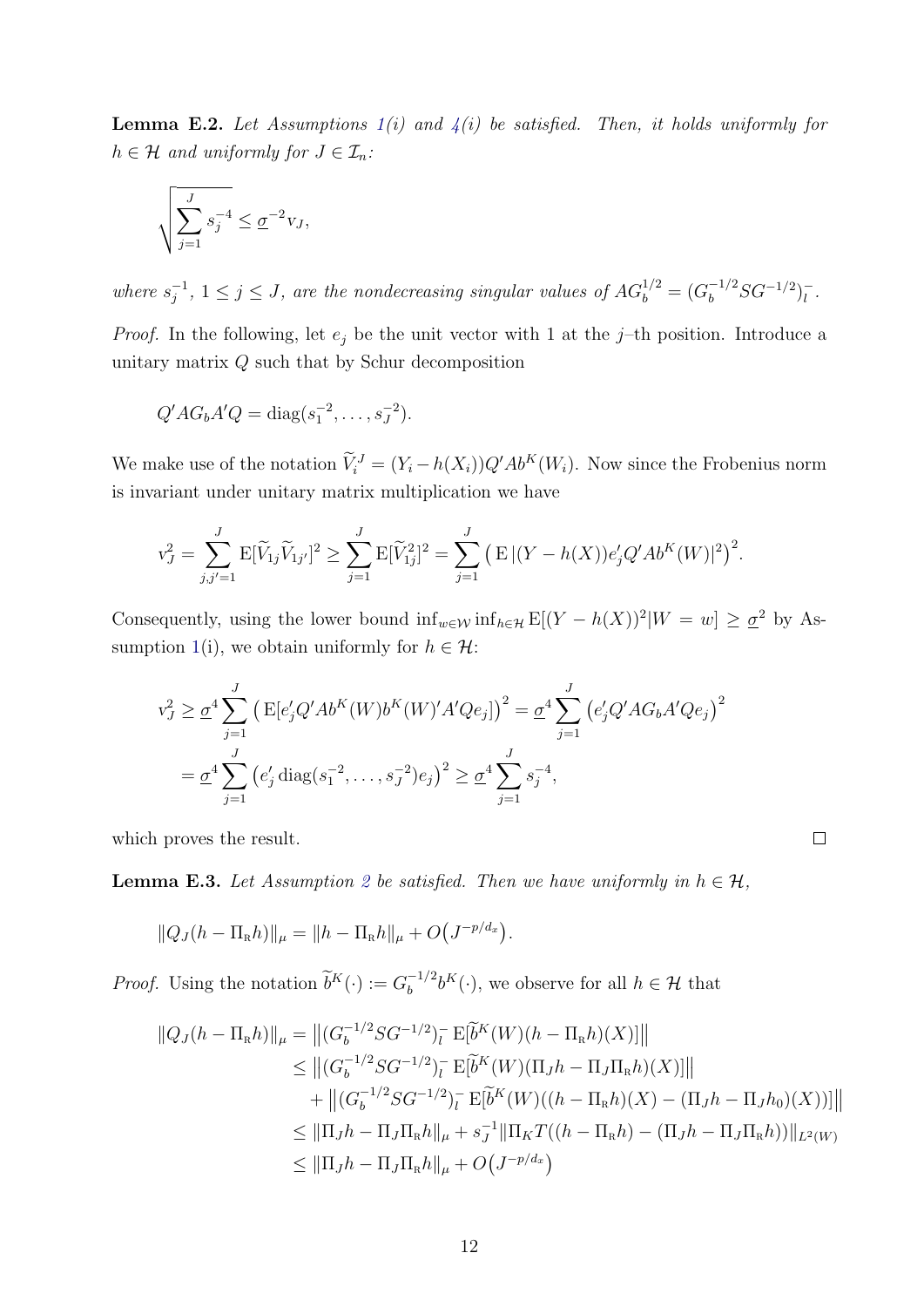<span id="page-57-0"></span>**Lemma E.2.** Let Assumptions  $1(i)$  $1(i)$  and  $4(i)$  $4(i)$  be satisfied. Then, it holds uniformly for  $h \in \mathcal{H}$  and uniformly for  $J \in \mathcal{I}_n$ :

$$
\sqrt{\sum_{j=1}^J s_j^{-4}} \le \underline{\sigma}^{-2} v_J,
$$

where  $s_i^{-1}$  $j^{-1}$ ,  $1 \leq j \leq J$ , are the nondecreasing singular values of  $AG_b^{1/2} = (G_b^{-1/2}SG^{-1/2})_l^{-1}$  $\frac{\overline{}}{l}$ .

*Proof.* In the following, let  $e_j$  be the unit vector with 1 at the j-th position. Introduce a unitary matrix Q such that by Schur decomposition

$$
Q'AG_bA'Q = \text{diag}(s_1^{-2}, \dots, s_J^{-2}).
$$

We make use of the notation  $\tilde{V}_i^J = (Y_i - h(X_i))Q'Ab^K(W_i)$ . Now since the Frobenius norm is invariant under unitary matrix multiplication we have

$$
v_J^2 = \sum_{j,j'=1}^J \mathbb{E}[\widetilde{V}_{1j}\widetilde{V}_{1j'}]^2 \ge \sum_{j=1}^J \mathbb{E}[\widetilde{V}_{1j}^2]^2 = \sum_{j=1}^J \left( \mathbb{E} |(Y - h(X))e_j'Q'Ab^K(W)|^2 \right)^2.
$$

Consequently, using the lower bound  $\inf_{w \in \mathcal{W}} \inf_{h \in \mathcal{H}} E[(Y - h(X))^2 | W = w] \ge \underline{\sigma}^2$  by As-sumption [1\(](#page-10-3)i), we obtain uniformly for  $h \in \mathcal{H}$ :

$$
v_J^2 \geq \underline{\sigma}^4 \sum_{j=1}^J \left( \mathbb{E} [e'_j Q' A b^K(W) b^K(W)' A' Q e_j] \right)^2 = \underline{\sigma}^4 \sum_{j=1}^J \left( e'_j Q' A G_b A' Q e_j \right)^2
$$
  
= 
$$
\underline{\sigma}^4 \sum_{j=1}^J \left( e'_j \operatorname{diag} (s_1^{-2}, \dots, s_J^{-2}) e_j \right)^2 \geq \underline{\sigma}^4 \sum_{j=1}^J s_j^{-4},
$$

which proves the result.

<span id="page-57-1"></span>**Lemma E.3.** Let Assumption [2](#page-12-0) be satisfied. Then we have uniformly in  $h \in \mathcal{H}$ ,

$$
||Q_J(h - \Pi_R h)||_{\mu} = ||h - \Pi_R h||_{\mu} + O(J^{-p/d_x}).
$$

*Proof.* Using the notation  $\widetilde{b}^K(\cdot) := G_b^{-1/2}$  $b_b^{-1/2}b^K(\cdot)$ , we observe for all  $h \in \mathcal{H}$  that

$$
||Q_{J}(h - \Pi_{R}h)||_{\mu} = ||(G_{b}^{-1/2}SG^{-1/2})_{l}^{-} E[\tilde{b}^{K}(W)(h - \Pi_{R}h)(X)]||
$$
  
\n
$$
\leq ||(G_{b}^{-1/2}SG^{-1/2})_{l}^{-} E[\tilde{b}^{K}(W)(\Pi_{J}h - \Pi_{J}\Pi_{R}h)(X)]||
$$
  
\n
$$
+ ||(G_{b}^{-1/2}SG^{-1/2})_{l}^{-} E[\tilde{b}^{K}(W)((h - \Pi_{R}h)(X) - (\Pi_{J}h - \Pi_{J}h_{0})(X))]]||
$$
  
\n
$$
\leq ||\Pi_{J}h - \Pi_{J}\Pi_{R}h||_{\mu} + s_{J}^{-1}||\Pi_{K}T((h - \Pi_{R}h) - (\Pi_{J}h - \Pi_{J}\Pi_{R}h))||_{L^{2}(W)}
$$
  
\n
$$
\leq ||\Pi_{J}h - \Pi_{J}\Pi_{R}h||_{\mu} + O(J^{-p/d_{x}})
$$

 $\Box$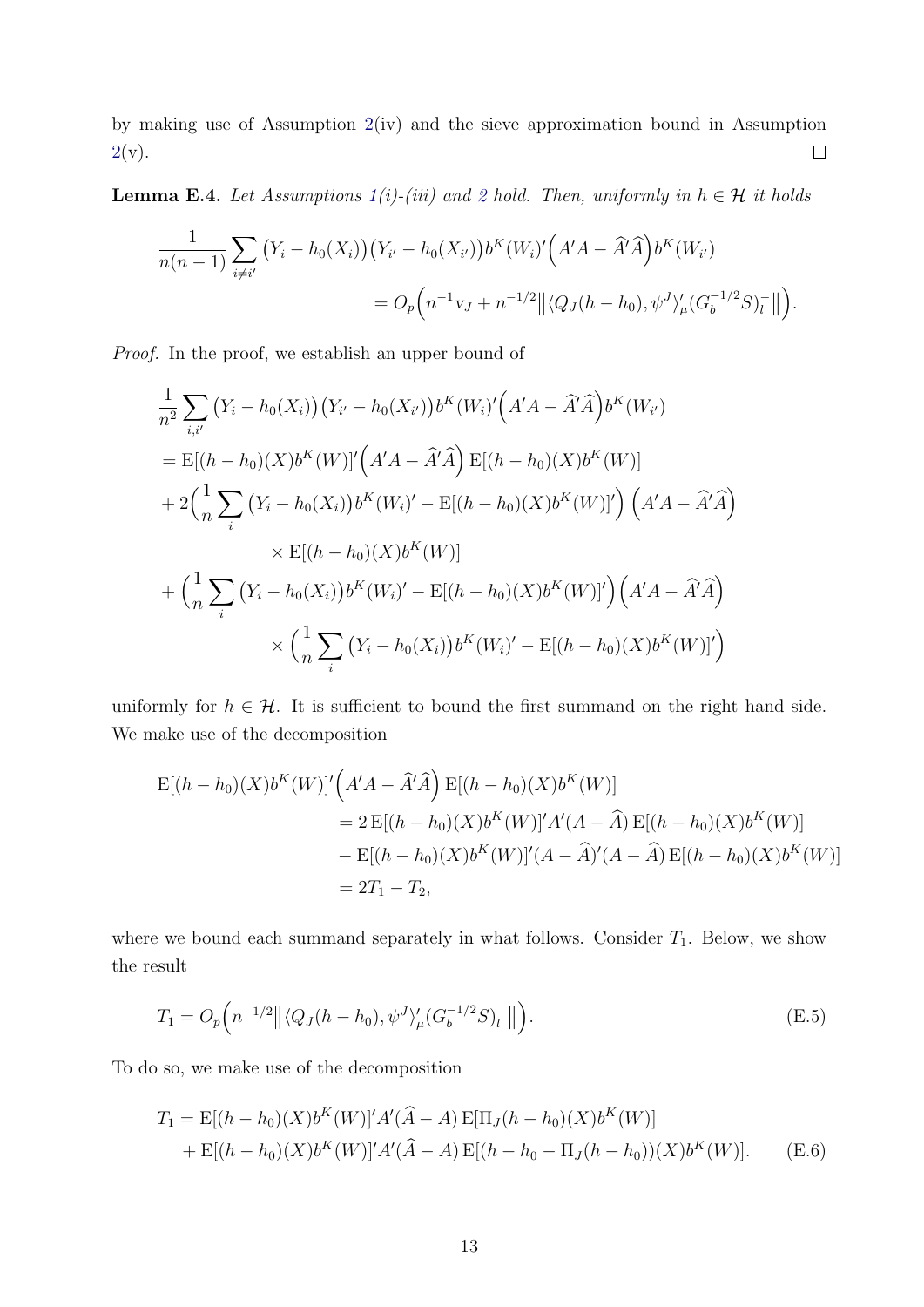by making use of Assumption [2\(](#page-12-0)iv) and the sieve approximation bound in Assumption  $2(v)$  $2(v)$ .  $\Box$ 

<span id="page-58-0"></span>**Lemma E.4.** Let Assumptions  $1(i)$  $1(i)$ -(iii) and [2](#page-12-0) hold. Then, uniformly in  $h \in \mathcal{H}$  it holds

$$
\frac{1}{n(n-1)} \sum_{i \neq i'} (Y_i - h_0(X_i)) (Y_{i'} - h_0(X_{i'})) b^K(W_i)' (A'A - \hat{A}'\hat{A}) b^K(W_{i'})
$$
  
=  $O_p (n^{-1}v_J + n^{-1/2} || \langle Q_J(h - h_0), \psi^J \rangle_{\mu}' (G_b^{-1/2} S)_l^- ||).$ 

Proof. In the proof, we establish an upper bound of

$$
\frac{1}{n^2} \sum_{i,i'} (Y_i - h_0(X_i))(Y_{i'} - h_0(X_{i'}))b^K(W_i)'(A'A - \hat{A}'\hat{A})b^K(W_i)
$$
\n
$$
= \mathbb{E}[(h - h_0)(X)b^K(W)]'\Big(A'A - \hat{A}'\hat{A}\Big) \mathbb{E}[(h - h_0)(X)b^K(W)]
$$
\n
$$
+ 2\Big(\frac{1}{n}\sum_{i} (Y_i - h_0(X_i))b^K(W_i)' - \mathbb{E}[(h - h_0)(X)b^K(W)]'\Big) \Big(A'A - \hat{A}'\hat{A}\Big)
$$
\n
$$
\times \mathbb{E}[(h - h_0)(X)b^K(W)]
$$
\n
$$
+ \Big(\frac{1}{n}\sum_{i} (Y_i - h_0(X_i))b^K(W_i)' - \mathbb{E}[(h - h_0)(X)b^K(W)]'\Big) \Big(A'A - \hat{A}'\hat{A}\Big)
$$
\n
$$
\times \Big(\frac{1}{n}\sum_{i} (Y_i - h_0(X_i))b^K(W_i)' - \mathbb{E}[(h - h_0)(X)b^K(W)]'\Big)
$$

uniformly for  $h \in \mathcal{H}$ . It is sufficient to bound the first summand on the right hand side. We make use of the decomposition

$$
E[(h - h_0)(X)b^{K}(W)]'\left(A'A - \hat{A}'\hat{A}\right)E[(h - h_0)(X)b^{K}(W)]
$$
  
= 2 E[(h - h\_0)(X)b^{K}(W)]'A'(A - \hat{A})E[(h - h\_0)(X)b^{K}(W)]  
- E[(h - h\_0)(X)b^{K}(W)]'(A - \hat{A})'(A - \hat{A})E[(h - h\_0)(X)b^{K}(W)]  
= 2T\_1 - T\_2,

where we bound each summand separately in what follows. Consider  $T_1$ . Below, we show the result

<span id="page-58-2"></span>
$$
T_1 = O_p\left(n^{-1/2} \left\| \langle Q_J(h - h_0), \psi^J \rangle_{\mu} (G_b^{-1/2} S)_l^- \right\| \right).
$$
 (E.5)

To do so, we make use of the decomposition

<span id="page-58-1"></span>
$$
T_1 = \mathbb{E}[(h - h_0)(X)b^{K}(W)]'A'(\hat{A} - A)\mathbb{E}[\Pi_{J}(h - h_0)(X)b^{K}(W)] + \mathbb{E}[(h - h_0)(X)b^{K}(W)]'A'(\hat{A} - A)\mathbb{E}[(h - h_0 - \Pi_{J}(h - h_0))(X)b^{K}(W)].
$$
 (E.6)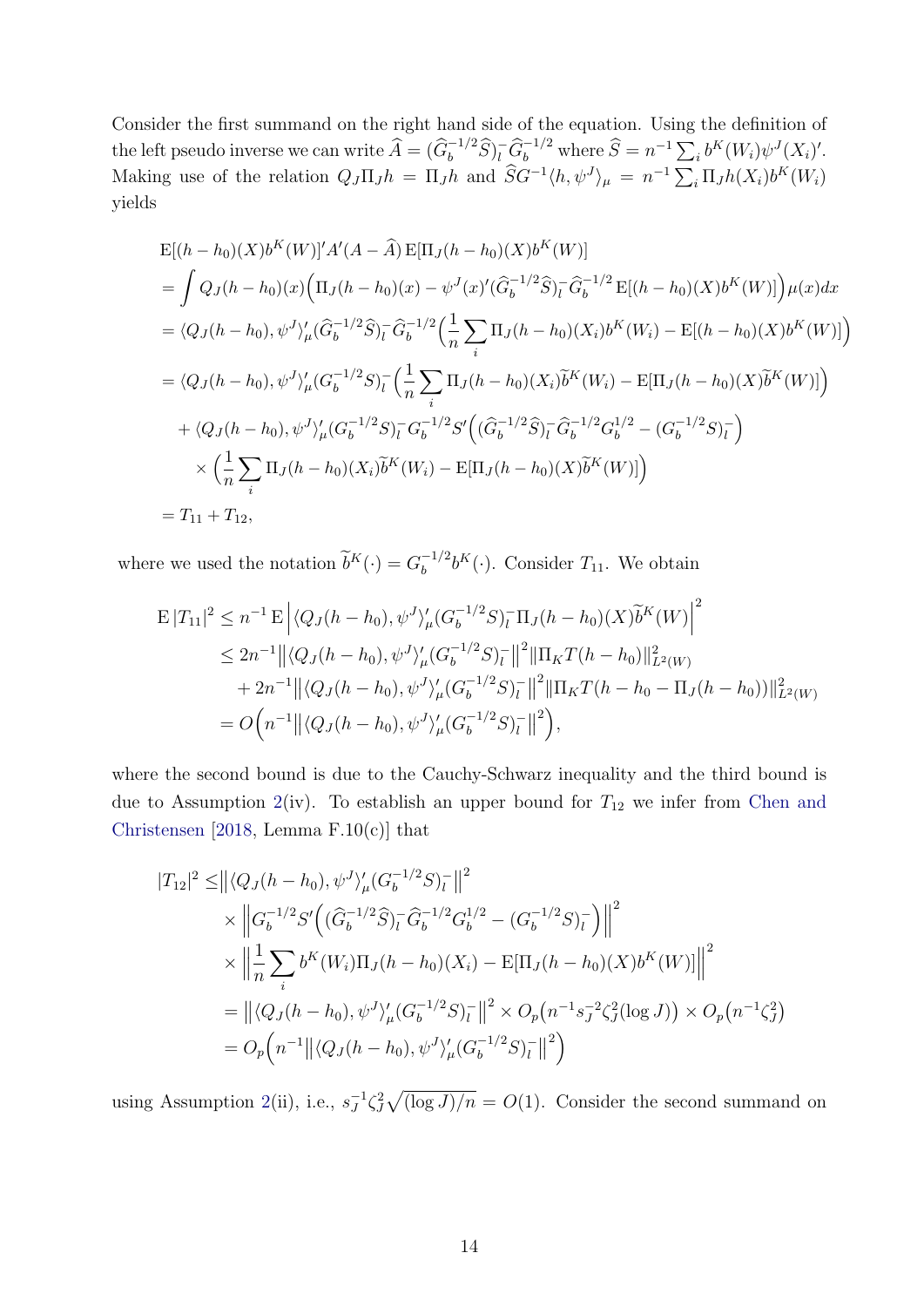Consider the first summand on the right hand side of the equation. Using the definition of the left pseudo inverse we can write  $\widehat{A} = (\widehat{G}_b^{-1/2} \widehat{S})_l^{\dagger} \widehat{G}_b^{-1/2}$  where  $\widehat{S} = n^{-1} \sum_i b^K(W_i) \psi^J(X_i)'$ . Making use of the relation  $Q_J \Pi_J h = \Pi_J h$  and  $\hat{S}G^{-1} \langle h, \psi^J \rangle_\mu = n^{-1} \sum_i \Pi_J h(X_i) b^K(W_i)$ yields

$$
E[(h-h_0)(X)b^{K}(W)]'A'(A - \hat{A}) E[\Pi_J(h-h_0)(X)b^{K}(W)]
$$
  
=  $\int Q_J(h-h_0)(x)\Big(\Pi_J(h-h_0)(x) - \psi^J(x)'(\hat{G}_b^{-1/2}\hat{S})_l^{-} \hat{G}_b^{-1/2} E[(h-h_0)(X)b^{K}(W)]\Big)\mu(x)dx$   
=  $\langle Q_J(h-h_0), \psi^J \rangle_{\mu}'(\hat{G}_b^{-1/2}\hat{S})_l^{-} \hat{G}_b^{-1/2} (\frac{1}{n} \sum_i \Pi_J(h-h_0)(X_i)b^{K}(W_i) - E[(h-h_0)(X)b^{K}(W)] \Big)$   
=  $\langle Q_J(h-h_0), \psi^J \rangle_{\mu}'(G_b^{-1/2}S)_l^{-} (\frac{1}{n} \sum_i \Pi_J(h-h_0)(X_i)\tilde{b}^{K}(W_i) - E[\Pi_J(h-h_0)(X)\tilde{b}^{K}(W)] \Big)$   
+  $\langle Q_J(h-h_0), \psi^J \rangle_{\mu}'(G_b^{-1/2}S)_l^{-} G_b^{-1/2} S'((\hat{G}_b^{-1/2}\hat{S})_l^{-} \hat{G}_b^{-1/2} G_b^{1/2} - (G_b^{-1/2}S)_l^{-} \Big)$   
 $\times (\frac{1}{n} \sum_i \Pi_J(h-h_0)(X_i)\tilde{b}^{K}(W_i) - E[\Pi_J(h-h_0)(X)\tilde{b}^{K}(W)] \Big)$   
=  $T_{11} + T_{12}$ ,

where we used the notation  $\widetilde{b}^K(\cdot) = G_b^{-1/2}$  $b_b^{-1/2}b^K(\cdot)$ . Consider  $T_{11}$ . We obtain

$$
E |T_{11}|^2 \leq n^{-1} E \left| \langle Q_J(h - h_0), \psi^J \rangle_{\mu}^{\prime} (G_b^{-1/2} S)_l^- \Pi_J(h - h_0) (X) \widetilde{b}^K(W) \right|^2
$$
  
\n
$$
\leq 2n^{-1} \left| \left| \langle Q_J(h - h_0), \psi^J \rangle_{\mu}^{\prime} (G_b^{-1/2} S)_l^- \right| \right|^2 \|\Pi_K T(h - h_0)\|_{L^2(W)}^2
$$
  
\n
$$
+ 2n^{-1} \left| \left| \langle Q_J(h - h_0), \psi^J \rangle_{\mu}^{\prime} (G_b^{-1/2} S)_l^- \right| \right|^2 \|\Pi_K T(h - h_0 - \Pi_J(h - h_0))\|_{L^2(W)}^2
$$
  
\n
$$
= O\Big(n^{-1} \left| \left| \langle Q_J(h - h_0), \psi^J \rangle_{\mu}^{\prime} (G_b^{-1/2} S)_l^- \right| \right|^2 \Big),
$$

where the second bound is due to the Cauchy-Schwarz inequality and the third bound is due to Assumption [2\(](#page-12-0)iv). To establish an upper bound for  $T_{12}$  we infer from [Chen and](#page-31-8) [Christensen](#page-31-8) [\[2018,](#page-31-8) Lemma F.10(c)] that

$$
|T_{12}|^2 \leq ||\langle Q_J(h-h_0), \psi^J \rangle_{\mu}' (G_b^{-1/2} S)_l^-||^2
$$
  
\n
$$
\times ||G_b^{-1/2} S' ((\widehat{G}_b^{-1/2} \widehat{S})_l^- \widehat{G}_b^{-1/2} G_b^{1/2} - (G_b^{-1/2} S)_l^-) ||^2
$$
  
\n
$$
\times ||\frac{1}{n} \sum_i b^K(W_i) \Pi_J(h-h_0)(X_i) - \mathbb{E}[\Pi_J(h-h_0)(X) b^K(W)]||^2
$$
  
\n
$$
= ||\langle Q_J(h-h_0), \psi^J \rangle_{\mu}' (G_b^{-1/2} S)_l^-||^2 \times O_p(n^{-1} s_J^{-2} \zeta_J^2(\log J)) \times O_p(n^{-1} \zeta_J^2)
$$
  
\n
$$
= O_p(n^{-1} || \langle Q_J(h-h_0), \psi^J \rangle_{\mu}' (G_b^{-1/2} S)_l^-||^2)
$$

using Assumption [2\(](#page-12-0)ii), i.e.,  $s_I^{-1}$  $J^1 \zeta_J^2 \sqrt{\frac{\log J}{n}} = O(1)$ . Consider the second summand on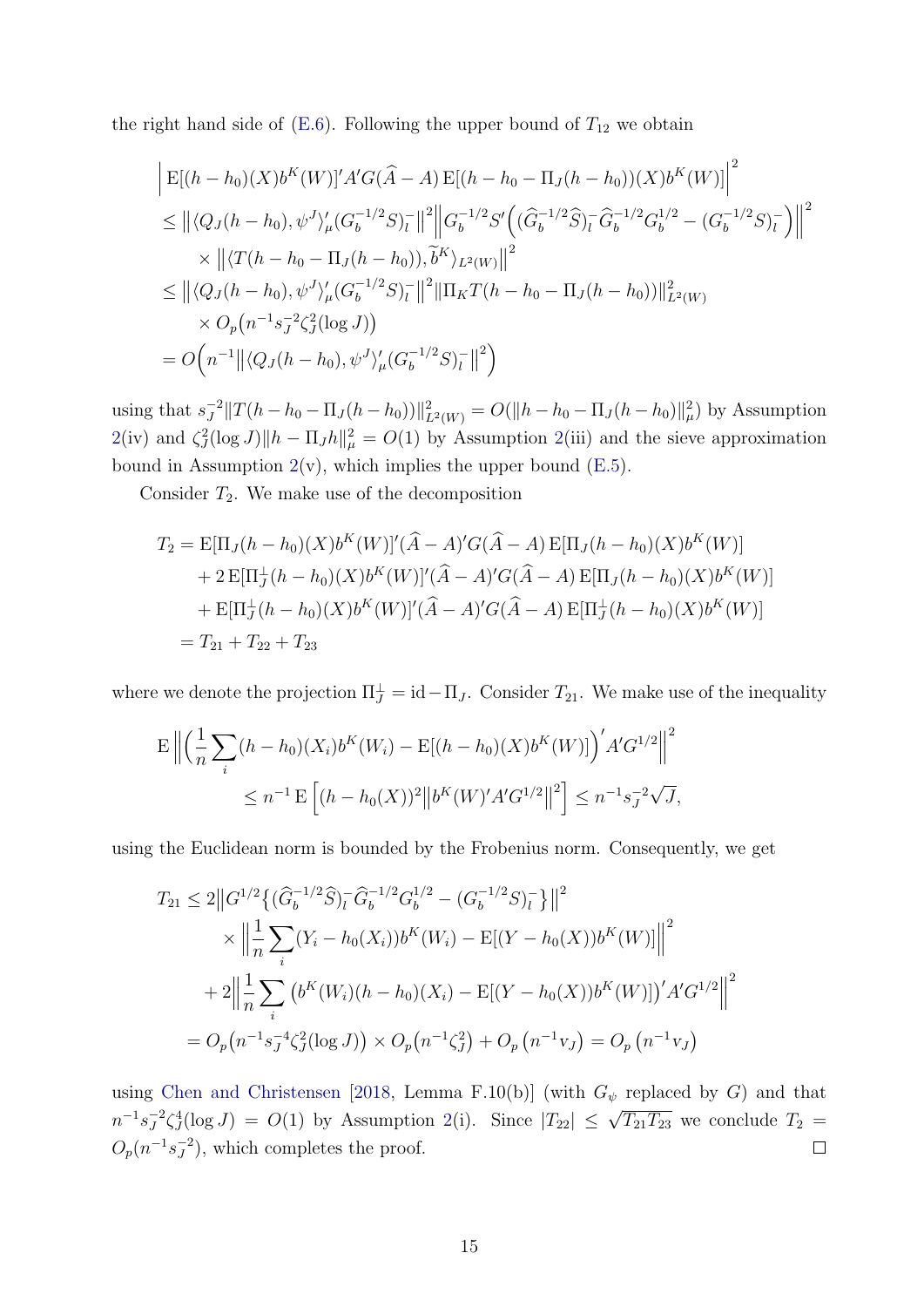the right hand side of [\(E.6\)](#page-58-1). Following the upper bound of  $T_{12}$  we obtain

$$
\begin{aligned}\n&\left| \mathbf{E}[(h-h_0)(X)b^K(W)]' A' G(\hat{A}-A) \mathbf{E}[(h-h_0-\Pi_J(h-h_0))(X)b^K(W)] \right|^2 \\
&\leq \left\| \langle Q_J(h-h_0), \psi^J \rangle_{\mu}' (G_b^{-1/2}S)_l^- \right\|^2 \left\| G_b^{-1/2} S' \left( (\hat{G}_b^{-1/2} \hat{S})_l^- \hat{G}_b^{-1/2} G_b^{1/2} - (G_b^{-1/2} S)_l^- \right) \right\|^2 \\
&\times \left\| \langle T(h-h_0-\Pi_J(h-h_0)), \tilde{b}^K \rangle_{L^2(W)} \right\|^2 \\
&\leq \left\| \langle Q_J(h-h_0), \psi^J \rangle_{\mu}' (G_b^{-1/2}S)_l^- \right\|^2 \left\| \Pi_K T(h-h_0-\Pi_J(h-h_0)) \right\|_{L^2(W)}^2 \\
&\times O_p(n^{-1}s_J^{-2} \zeta_J^2(\log J)) \\
&= O\Big(n^{-1} \left\| \langle Q_J(h-h_0), \psi^J \rangle_{\mu}' (G_b^{-1/2}S)_l^- \right\|^2 \Big)\n\end{aligned}
$$

using that  $s_I^{-2}$  $J^2 \| T(h - h_0 - \Pi_J(h - h_0)) \|_{L^2(W)}^2 = O(||h - h_0 - \Pi_J(h - h_0)||_{\mu}^2)$  by Assumption  $2(iv)$  $2(iv)$  and  $\zeta^2 J(\log J) \|h - \Pi_J h\|^2_{\mu} = O(1)$  by Assumption 2(iii) and the sieve approximation bound in Assumption  $2(v)$  $2(v)$ , which implies the upper bound  $(E.5)$ .

Consider  $T_2$ . We make use of the decomposition

$$
T_2 = \mathbb{E}[\Pi_J(h - h_0)(X)b^K(W)]'(\hat{A} - A)'G(\hat{A} - A) \mathbb{E}[\Pi_J(h - h_0)(X)b^K(W)]
$$
  
+ 2  $\mathbb{E}[\Pi_J^{\perp}(h - h_0)(X)b^K(W)]'(\hat{A} - A)'G(\hat{A} - A) \mathbb{E}[\Pi_J(h - h_0)(X)b^K(W)]$   
+  $\mathbb{E}[\Pi_J^{\perp}(h - h_0)(X)b^K(W)]'(\hat{A} - A)'G(\hat{A} - A) \mathbb{E}[\Pi_J^{\perp}(h - h_0)(X)b^K(W)]$   
=  $T_{21} + T_{22} + T_{23}$ 

where we denote the projection  $\Pi_J^{\perp} = \mathrm{id} - \Pi_J$ . Consider  $T_{21}$ . We make use of the inequality

$$
\mathbb{E}\left\|\left(\frac{1}{n}\sum_{i}(h-h_{0})(X_{i})b^{K}(W_{i})-\mathbb{E}[(h-h_{0})(X)b^{K}(W)]\right)^{\prime}A^{\prime}G^{1/2}\right\|^{2}
$$
  

$$
\leq n^{-1}\mathbb{E}\left[(h-h_{0}(X))^{2}\left\|b^{K}(W)^{\prime}A^{\prime}G^{1/2}\right\|^{2}\right] \leq n^{-1}s_{J}^{-2}\sqrt{J},
$$

using the Euclidean norm is bounded by the Frobenius norm. Consequently, we get

$$
T_{21} \leq 2||G^{1/2}\{(\hat{G}_b^{-1/2}\hat{S})_l^-\hat{G}_b^{-1/2}G_b^{1/2} - (G_b^{-1/2}S)_l^-\}||^2
$$
  
 
$$
\times ||\frac{1}{n}\sum_i (Y_i - h_0(X_i))b^K(W_i) - \mathbb{E}[(Y - h_0(X))b^K(W)]||^2
$$
  
+ 
$$
2||\frac{1}{n}\sum_i (b^K(W_i)(h - h_0)(X_i) - \mathbb{E}[(Y - h_0(X))b^K(W)])'A'G^{1/2}||^2
$$
  
= 
$$
O_p(n^{-1}s_J^{-4}\zeta_J^2(\log J)) \times O_p(n^{-1}\zeta_J^2) + O_p(n^{-1}v_J) = O_p(n^{-1}v_J)
$$

using [Chen and Christensen](#page-31-8) [\[2018,](#page-31-8) Lemma F.10(b)] (with  $G_{\psi}$  replaced by G) and that  $J^2 \zeta_J^4(\log J) = O(1)$  by Assumption [2\(](#page-12-0)i). Since  $|T_{22}| \leq \sqrt{T_{21}T_{23}}$  we conclude  $T_2 =$  $n^{-1} s_J^{-2}$  $O_p(n^{-1}s_J^{-2})$  $J^{2}$ ), which completes the proof.  $\Box$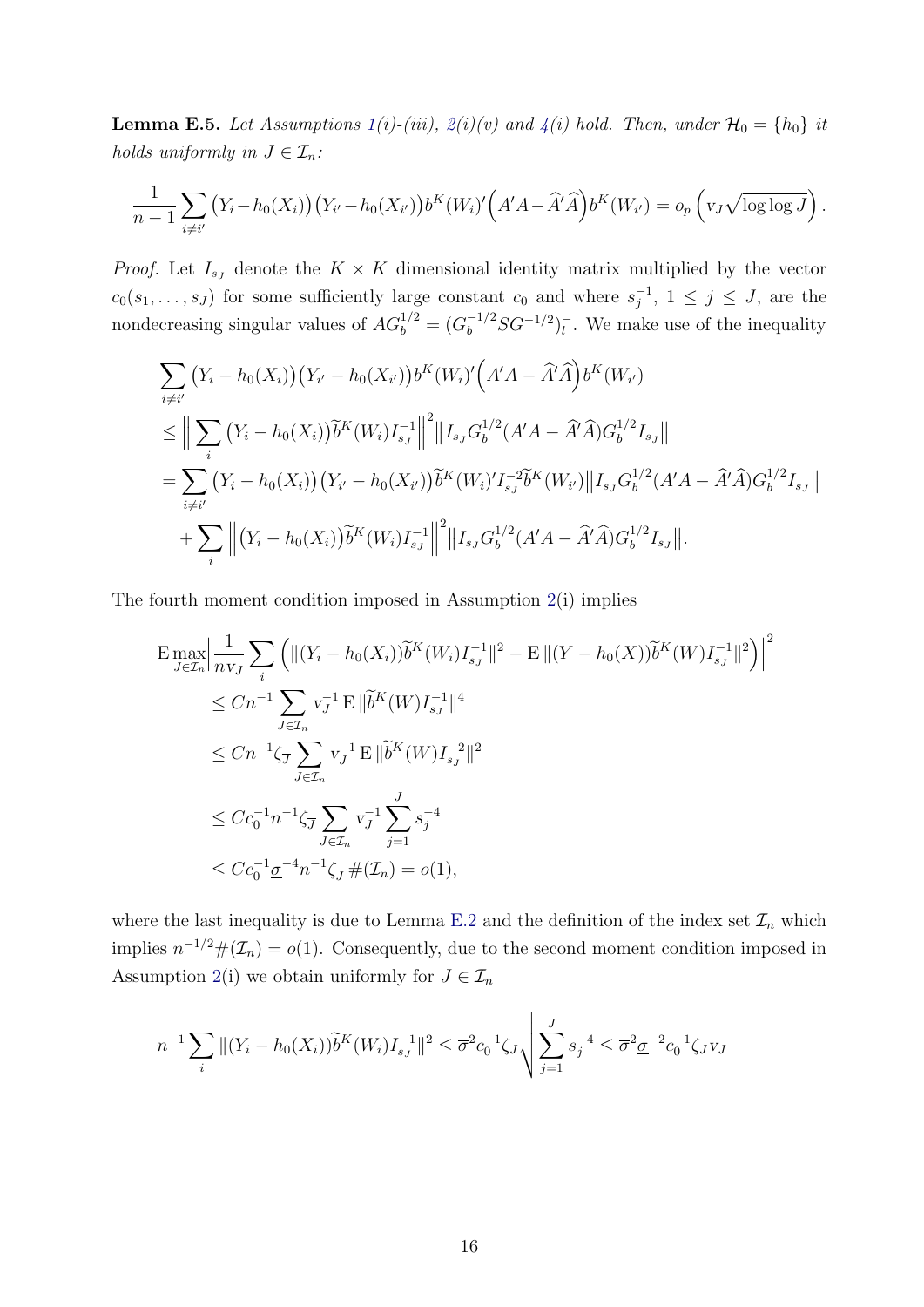<span id="page-61-0"></span>**Lemma E.5.** Let Assumptions  $1(i)$  $1(i)$ -(iii),  $2(i)(v)$  $2(i)(v)$  and  $4(i)$  $4(i)$  hold. Then, under  $\mathcal{H}_0 = \{h_0\}$  it holds uniformly in  $J \in \mathcal{I}_n$ :

$$
\frac{1}{n-1}\sum_{i\neq i'}\left(Y_i-h_0(X_i)\right)\left(Y_{i'}-h_0(X_{i'})\right)b^{K}(W_i)'\left(A'A-\widehat{A}'\widehat{A}\right)b^{K}(W_{i'})=o_p\left(v_J\sqrt{\log\log J}\right).
$$

*Proof.* Let  $I_{sJ}$  denote the  $K \times K$  dimensional identity matrix multiplied by the vector  $c_0(s_1,\ldots,s_J)$  for some sufficiently large constant  $c_0$  and where  $s_j^{-1}$  $j^{-1}$ ,  $1 \leq j \leq J$ , are the nondecreasing singular values of  $AG_b^{1/2} = (G_b^{-1/2}SG^{-1/2})_l^ \overline{l}$ . We make use of the inequality

$$
\sum_{i \neq i'} (Y_i - h_0(X_i)) (Y_{i'} - h_0(X_{i'})) b^{K}(W_i)' (A'A - \hat{A}'\hat{A}) b^{K}(W_{i'})
$$
\n
$$
\leq \Big\| \sum_{i} (Y_i - h_0(X_i)) \tilde{b}^{K}(W_i) I_{s_J}^{-1} \Big\|^2 \|I_{s_J} G_b^{1/2} (A'A - \hat{A}'\hat{A}) G_b^{1/2} I_{s_J} \Big\|
$$
\n
$$
= \sum_{i \neq i'} (Y_i - h_0(X_i)) (Y_{i'} - h_0(X_{i'})) \tilde{b}^{K}(W_i)' I_{s_J}^{-2} \tilde{b}^{K}(W_{i'}) \| I_{s_J} G_b^{1/2} (A'A - \hat{A}'\hat{A}) G_b^{1/2} I_{s_J} \Big\|
$$
\n
$$
+ \sum_{i} \Big\| (Y_i - h_0(X_i)) \tilde{b}^{K}(W_i) I_{s_J}^{-1} \Big\|^2 \|I_{s_J} G_b^{1/2} (A'A - \hat{A}'\hat{A}) G_b^{1/2} I_{s_J} \Big\|.
$$

The fourth moment condition imposed in Assumption [2\(](#page-12-0)i) implies

$$
\begin{split}\n&\text{E}\max_{J\in\mathcal{I}_n}\Big|\frac{1}{n\text{v}_J}\sum_i\Big(\|(Y_i-h_0(X_i))\widetilde{b}^K(W_i)I_{s_J}^{-1}\|^2-\text{E}\|(Y-h_0(X))\widetilde{b}^K(W)I_{s_J}^{-1}\|^2\Big)\Big|^2 \\
&\leq Cn^{-1}\sum_{J\in\mathcal{I}_n} \text{v}_J^{-1}\text{E}\|\widetilde{b}^K(W)I_{s_J}^{-1}\|^4 \\
&\leq Cn^{-1}\zeta_J\sum_{J\in\mathcal{I}_n} \text{v}_J^{-1}\text{E}\|\widetilde{b}^K(W)I_{s_J}^{-2}\|^2 \\
&\leq Cc_0^{-1}n^{-1}\zeta_J\sum_{J\in\mathcal{I}_n} \text{v}_J^{-1}\sum_{j=1}^J s_j^{-4} \\
&\leq Cc_0^{-1}\underline{\sigma}^{-4}n^{-1}\zeta_J\#\mathcal{(I}_n)=o(1),\n\end{split}
$$

where the last inequality is due to Lemma [E.2](#page-57-0) and the definition of the index set  $\mathcal{I}_n$  which implies  $n^{-1/2} \#(\mathcal{I}_n) = o(1)$ . Consequently, due to the second moment condition imposed in Assumption [2\(](#page-12-0)i) we obtain uniformly for  $J \in \mathcal{I}_n$ 

$$
n^{-1} \sum_{i} \|(Y_i - h_0(X_i))\widetilde{b}^K(W_i)I_{s_J}^{-1}\|^2 \leq \overline{\sigma}^2 c_0^{-1} \zeta_J \sqrt{\sum_{j=1}^J s_j^{-4}} \leq \overline{\sigma}^2 \underline{\sigma}^{-2} c_0^{-1} \zeta_J v_J
$$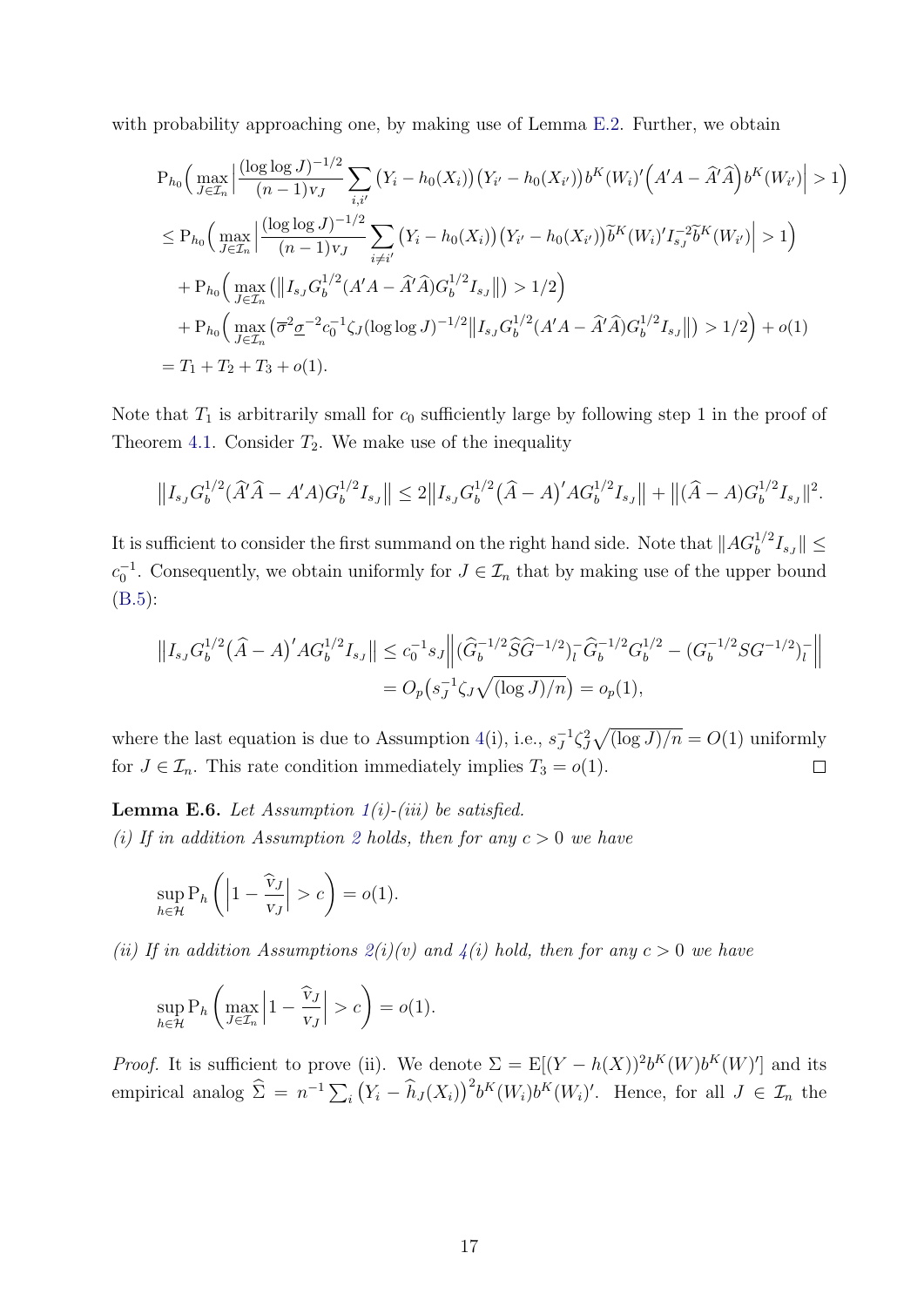with probability approaching one, by making use of Lemma [E.2.](#page-57-0) Further, we obtain

$$
P_{h_0}\Big(\max_{J\in\mathcal{I}_n}\Big|\frac{(\log\log J)^{-1/2}}{(n-1)v_J}\sum_{i,i'}\big(Y_i-h_0(X_i)\big)\big(Y_{i'}-h_0(X_{i'})\big)b^K(W_i)'\Big(A'A-\hat{A}'\hat{A}\Big)b^K(W_{i'}\Big|>1\Big)
$$
  
\n
$$
\leq P_{h_0}\Big(\max_{J\in\mathcal{I}_n}\Big|\frac{(\log\log J)^{-1/2}}{(n-1)v_J}\sum_{i\neq i'}\big(Y_i-h_0(X_i)\big)\big(Y_{i'}-h_0(X_{i'})\big)\tilde{b}^K(W_i)'\big I_{s_J}^{-2}\tilde{b}^K(W_{i'})\Big|>1\Big)
$$
  
\n
$$
+P_{h_0}\Big(\max_{J\in\mathcal{I}_n}\big(\Big\|I_{s_J}G_b^{1/2}(A'A-\hat{A}'\hat{A})G_b^{1/2}I_{s_J}\Big\|\big)>1/2\Big)
$$
  
\n
$$
+P_{h_0}\Big(\max_{J\in\mathcal{I}_n}\big(\overline{\sigma}^2\underline{\sigma}^{-2}c_0^{-1}\zeta_J(\log\log J)^{-1/2}\Big\|I_{s_J}G_b^{1/2}(A'A-\hat{A}'\hat{A})G_b^{1/2}I_{s_J}\Big\|\big)>1/2\Big)+o(1)
$$
  
\n
$$
=T_1+T_2+T_3+o(1).
$$

Note that  $T_1$  is arbitrarily small for  $c_0$  sufficiently large by following step 1 in the proof of Theorem [4.1.](#page-15-1) Consider  $T_2$ . We make use of the inequality

$$
||I_{s_J} G_b^{1/2}(\widehat{A}'\widehat{A} - A'A)G_b^{1/2}I_{s_J}|| \leq 2||I_{s_J} G_b^{1/2}(\widehat{A} - A)'AG_b^{1/2}I_{s_J}|| + ||(\widehat{A} - A)G_b^{1/2}I_{s_J}||^2.
$$

It is sufficient to consider the first summand on the right hand side. Note that  $||AG_b^{1/2}I_{s_J}|| \leq$  $c_0^{-1}$ . Consequently, we obtain uniformly for  $J \in \mathcal{I}_n$  that by making use of the upper bound [\(B.5\)](#page-42-0):

$$
||I_{s_J} G_b^{1/2} (\hat{A} - A)' A G_b^{1/2} I_{s_J}|| \le c_0^{-1} s_J ||(\hat{G}_b^{-1/2} \hat{S} \hat{G}^{-1/2})_l^- \hat{G}_b^{-1/2} G_b^{1/2} - (G_b^{-1/2} S G^{-1/2})_l^- ||
$$
  
=  $O_p(s_J^{-1} \zeta_J \sqrt{(\log J)/n}) = o_p(1),$ 

where the last equation is due to Assumption [4\(](#page-14-2)i), i.e.,  $s_I^{-1}$  $J^1 \zeta_J^2 \sqrt{\frac{\log J}{n}} = O(1)$  uniformly for  $J \in \mathcal{I}_n$ . This rate condition immediately implies  $T_3 = o(1)$ .  $\Box$ 

<span id="page-62-0"></span>**Lemma E.6.** Let Assumption  $1(i)$  $1(i)$ -(iii) be satisfied. (i) If in addition Assumption [2](#page-12-0) holds, then for any  $c > 0$  we have

$$
\sup_{h \in \mathcal{H}} \mathcal{P}_h\left( \left| 1 - \frac{\widehat{v}_J}{v_J} \right| > c \right) = o(1).
$$

(ii) If in addition Assumptions  $2(i)(v)$  $2(i)(v)$  and  $4(i)$  $4(i)$  hold, then for any  $c > 0$  we have

$$
\sup_{h \in \mathcal{H}} \mathbf{P}_h \left( \max_{J \in \mathcal{I}_n} \left| 1 - \frac{\widehat{\mathbf{v}}_J}{\mathbf{v}_J} \right| > c \right) = o(1).
$$

*Proof.* It is sufficient to prove (ii). We denote  $\Sigma = \mathbb{E}[(Y - h(X))^2 b^K(W) b^K(W)']$  and its empirical analog  $\hat{\Sigma} = n^{-1} \sum_i (Y_i - \hat{h}_J(X_i))^2 b^K(W_i) b^K(W_i)'$ . Hence, for all  $J \in \mathcal{I}_n$  the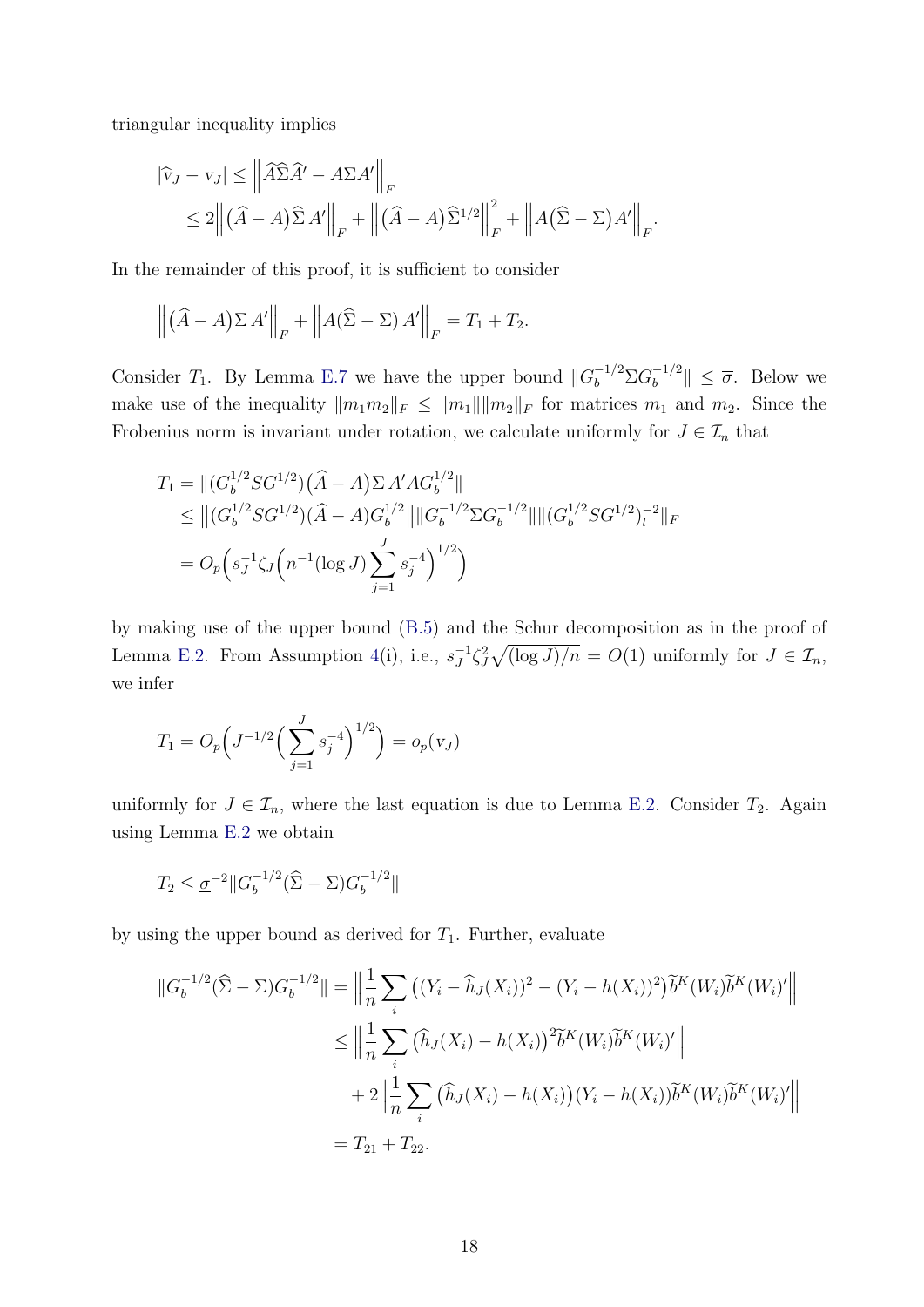triangular inequality implies

$$
|\widehat{v}_J - v_J| \leq \left\| \widehat{A} \widehat{\Sigma} \widehat{A}' - A \Sigma A' \right\|_F
$$
  
\$\leq 2 \left\| (\widehat{A} - A) \widehat{\Sigma} A' \right\|\_F + \left\| (\widehat{A} - A) \widehat{\Sigma}^{1/2} \right\|\_F^2 + \left\| A (\widehat{\Sigma} - \Sigma) A' \right\|\_F.

In the remainder of this proof, it is sufficient to consider

$$
\left\| \left( \widehat{A} - A \right) \Sigma A' \right\|_F + \left\| A (\widehat{\Sigma} - \Sigma) A' \right\|_F = T_1 + T_2.
$$

Consider  $T_1$ . By Lemma [E.7](#page-64-1) we have the upper bound  $||G_b^{-1/2}\Sigma G_b^{-1/2}$  $\|\bar{b}^{-1/2}\| \leq \overline{\sigma}$ . Below we make use of the inequality  $||m_1m_2||_F \le ||m_1|| ||m_2||_F$  for matrices  $m_1$  and  $m_2$ . Since the Frobenius norm is invariant under rotation, we calculate uniformly for  $J \in \mathcal{I}_n$  that

$$
T_1 = ||(G_b^{1/2}SG^{1/2})(\hat{A} - A)\Sigma A'AG_b^{1/2}||
$$
  
\n
$$
\leq ||(G_b^{1/2}SG^{1/2})(\hat{A} - A)G_b^{1/2}|| ||G_b^{-1/2}\Sigma G_b^{-1/2}|| ||(G_b^{1/2}SG^{1/2})_l^{-2}||_F
$$
  
\n
$$
= O_p\Big(s_J^{-1}\zeta_J\Big(n^{-1}(\log J)\sum_{j=1}^J s_j^{-4}\Big)^{1/2}\Big)
$$

by making use of the upper bound [\(B.5\)](#page-42-0) and the Schur decomposition as in the proof of Lemma [E.2.](#page-57-0) From Assumption [4\(](#page-14-2)i), i.e.,  $s_I^{-1}$  $J^1 \zeta_J^2 \sqrt{\left(\log J\right)/n} = O(1)$  uniformly for  $J \in \mathcal{I}_n$ , we infer

$$
T_1 = O_p\left(J^{-1/2}\left(\sum_{j=1}^J s_j^{-4}\right)^{1/2}\right) = o_p(v_J)
$$

uniformly for  $J \in \mathcal{I}_n$ , where the last equation is due to Lemma [E.2.](#page-57-0) Consider  $T_2$ . Again using Lemma [E.2](#page-57-0) we obtain

$$
T_2 \leq \underline{\sigma}^{-2} \|G_b^{-1/2}(\widehat{\Sigma} - \Sigma)G_b^{-1/2}\|
$$

by using the upper bound as derived for  $T_1$ . Further, evaluate

$$
||G_b^{-1/2}(\hat{\Sigma} - \Sigma)G_b^{-1/2}|| = \left\| \frac{1}{n} \sum_i ((Y_i - \hat{h}_J(X_i))^2 - (Y_i - h(X_i))^2) \tilde{b}^K(W_i) \tilde{b}^K(W_i)'\right\|
$$
  
\n
$$
\leq \left\| \frac{1}{n} \sum_i (\hat{h}_J(X_i) - h(X_i))^2 \tilde{b}^K(W_i) \tilde{b}^K(W_i)'\right\|
$$
  
\n
$$
+ 2 \left\| \frac{1}{n} \sum_i (\hat{h}_J(X_i) - h(X_i))(Y_i - h(X_i)) \tilde{b}^K(W_i) \tilde{b}^K(W_i)'\right\|
$$
  
\n
$$
= T_{21} + T_{22}.
$$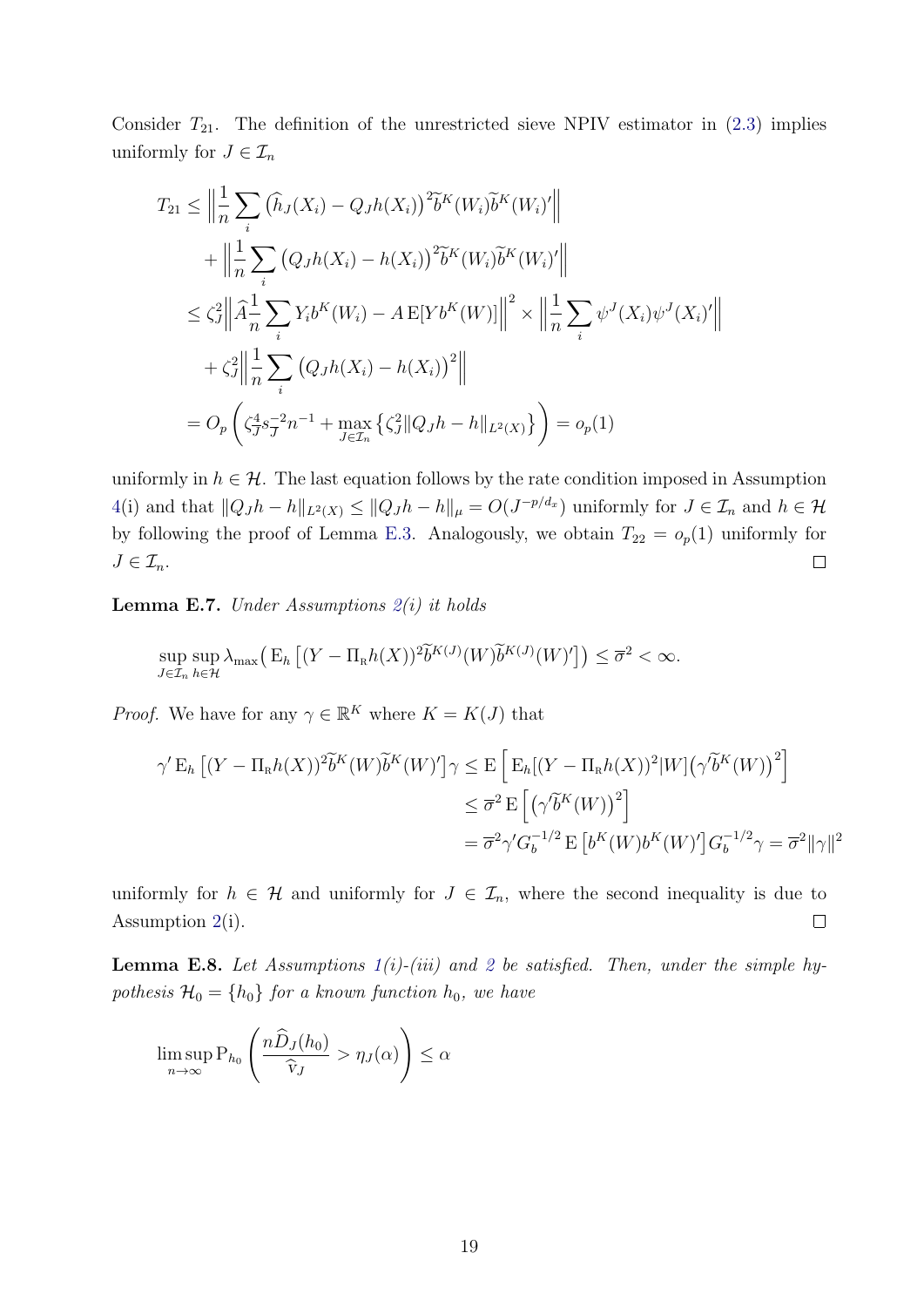Consider  $T_{21}$ . The definition of the unrestricted sieve NPIV estimator in  $(2.3)$  implies uniformly for  $J \in \mathcal{I}_n$ 

$$
T_{21} \leq \left\| \frac{1}{n} \sum_{i} (\hat{h}_{J}(X_{i}) - Q_{J}h(X_{i}))^{2} \tilde{b}^{K}(W_{i}) \tilde{b}^{K}(W_{i})' \right\|
$$
  
+ 
$$
\left\| \frac{1}{n} \sum_{i} (Q_{J}h(X_{i}) - h(X_{i}))^{2} \tilde{b}^{K}(W_{i}) \tilde{b}^{K}(W_{i})' \right\|
$$
  

$$
\leq \zeta_{J}^{2} \left\| \hat{A} \frac{1}{n} \sum_{i} Y_{i} b^{K}(W_{i}) - A E[Y b^{K}(W)] \right\|^{2} \times \left\| \frac{1}{n} \sum_{i} \psi^{J}(X_{i}) \psi^{J}(X_{i})' \right\|
$$
  
+ 
$$
\zeta_{J}^{2} \left\| \frac{1}{n} \sum_{i} (Q_{J}h(X_{i}) - h(X_{i}))^{2} \right\|
$$
  
= 
$$
O_{p} \left( \zeta_{J}^{4} s_{J}^{-2} n^{-1} + \max_{J \in \mathcal{I}_{n}} \{\zeta_{J}^{2} \| Q_{J}h - h \|_{L^{2}(X)} \} \right) = o_{p}(1)
$$

uniformly in  $h \in \mathcal{H}$ . The last equation follows by the rate condition imposed in Assumption [4\(](#page-14-2)i) and that  $||Q_J h - h||_{L^2(X)} \le ||Q_J h - h||_{\mu} = O(J^{-p/d_x})$  uniformly for  $J \in \mathcal{I}_n$  and  $h \in \mathcal{H}$ by following the proof of Lemma [E.3.](#page-57-1) Analogously, we obtain  $T_{22} = o_p(1)$  uniformly for  $J\in\mathcal{I}_n$ .  $\Box$ 

<span id="page-64-1"></span>**Lemma E.7.** Under Assumptions  $2(i)$  $2(i)$  it holds

$$
\sup_{J\in\mathcal{I}_n}\sup_{h\in\mathcal{H}}\lambda_{\max}\big(\mathcal{E}_h\left[(Y-\Pi_kh(X))^2\widetilde{b}^{K(J)}(W)\widetilde{b}^{K(J)}(W)'\right]\big)\leq\overline{\sigma}^2<\infty.
$$

*Proof.* We have for any  $\gamma \in \mathbb{R}^K$  where  $K = K(J)$  that

$$
\gamma' \mathcal{E}_h \left[ (Y - \Pi_R h(X))^2 \widetilde{b}^K(W) \widetilde{b}^K(W)' \right] \gamma \le \mathcal{E} \left[ \mathcal{E}_h[(Y - \Pi_R h(X))^2 | W] \left( \gamma \widetilde{b}^K(W) \right)^2 \right]
$$
  

$$
\le \overline{\sigma}^2 \mathcal{E} \left[ \left( \gamma \widetilde{b}^K(W) \right)^2 \right]
$$
  

$$
= \overline{\sigma}^2 \gamma' G_b^{-1/2} \mathcal{E} \left[ b^K(W) b^K(W)' \right] G_b^{-1/2} \gamma = \overline{\sigma}^2 ||\gamma||^2
$$

uniformly for  $h \in \mathcal{H}$  and uniformly for  $J \in \mathcal{I}_n$ , where the second inequality is due to Assumption [2\(](#page-12-0)i).  $\Box$ 

<span id="page-64-0"></span>**Lemma E.8.** Let Assumptions  $1(i)$  $1(i)$ -(iii) and [2](#page-12-0) be satisfied. Then, under the simple hypothesis  $\mathcal{H}_0 = \{h_0\}$  for a known function  $h_0$ , we have

$$
\limsup_{n \to \infty} \mathcal{P}_{h_0}\left(\frac{n\widehat{D}_J(h_0)}{\widehat{v}_J} > \eta_J(\alpha)\right) \le \alpha
$$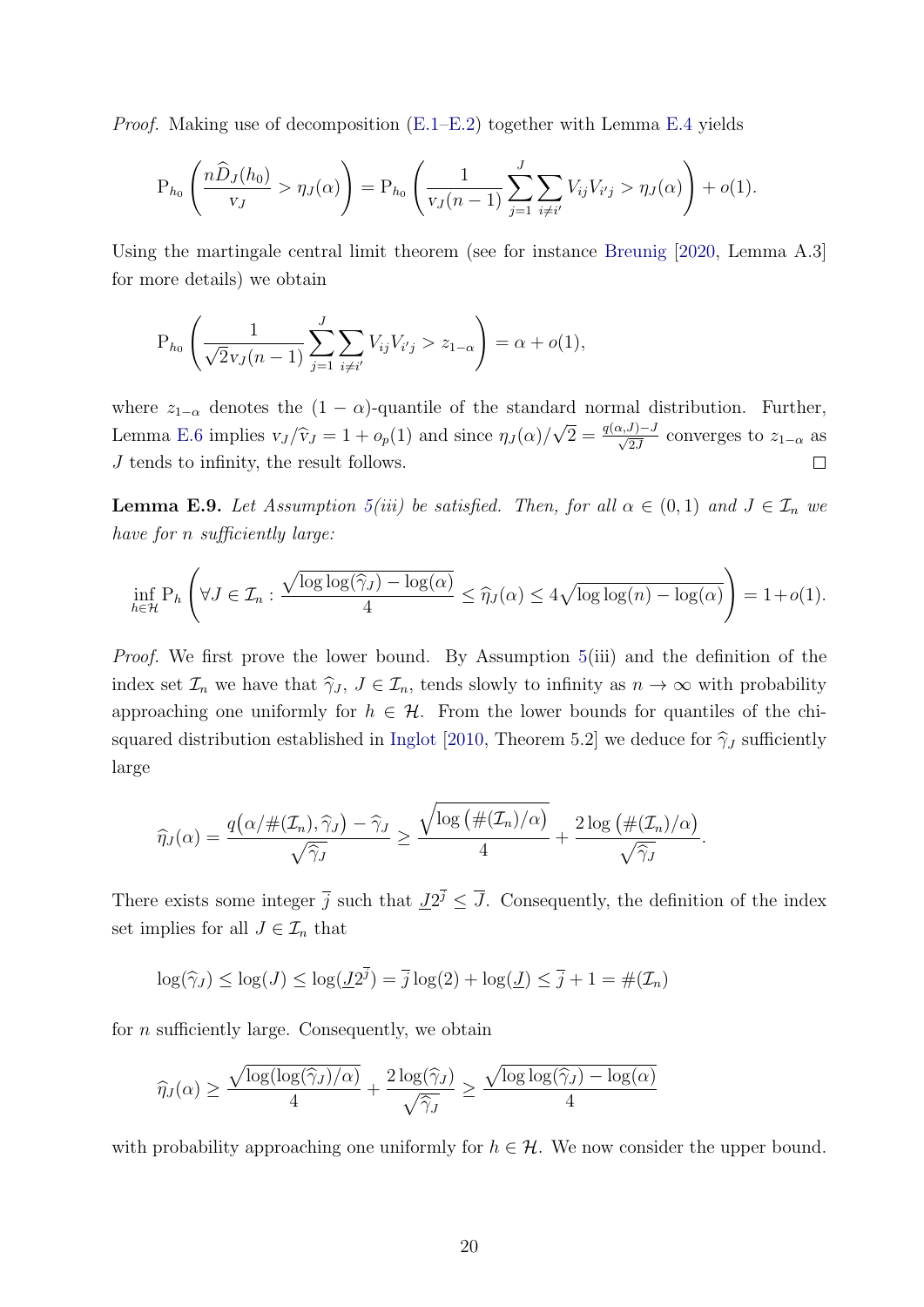*Proof.* Making use of decomposition  $(E.1-E.2)$  $(E.1-E.2)$  together with Lemma [E.4](#page-58-0) yields

$$
P_{h_0}\left(\frac{n\widehat{D}_J(h_0)}{v_J} > \eta_J(\alpha)\right) = P_{h_0}\left(\frac{1}{v_J(n-1)}\sum_{j=1}^J\sum_{i\neq i'}V_{ij}V_{i'j} > \eta_J(\alpha)\right) + o(1).
$$

Using the martingale central limit theorem (see for instance [Breunig](#page-31-14) [\[2020,](#page-31-14) Lemma A.3] for more details) we obtain

$$
P_{h_0}\left(\frac{1}{\sqrt{2}v_J(n-1)}\sum_{j=1}^J\sum_{i\neq i'}V_{ij}V_{i'j} > z_{1-\alpha}\right) = \alpha + o(1),
$$

where  $z_{1-\alpha}$  denotes the  $(1 - \alpha)$ -quantile of the standard normal distribution. Further,  $\sqrt{2} = \frac{q(\alpha, J) - J}{\sqrt{2J}}$  converges to  $z_{1-\alpha}$  as Lemma [E.6](#page-62-0) implies  $v_J/\hat{v}_J = 1 + o_p(1)$  and since  $\eta_J(\alpha)$ / J tends to infinity, the result follows.  $\Box$ 

<span id="page-65-0"></span>**Lemma E.9.** Let Assumption [5\(](#page-16-1)iii) be satisfied. Then, for all  $\alpha \in (0,1)$  and  $J \in \mathcal{I}_n$  we have for *n* sufficiently large:

$$
\inf_{h \in \mathcal{H}} P_h \left( \forall J \in \mathcal{I}_n : \frac{\sqrt{\log \log(\widehat{\gamma}_J) - \log(\alpha)}}{4} \leq \widehat{\eta}_J(\alpha) \leq 4\sqrt{\log \log(n) - \log(\alpha)} \right) = 1 + o(1).
$$

Proof. We first prove the lower bound. By Assumption [5\(](#page-16-1)iii) and the definition of the index set  $\mathcal{I}_n$  we have that  $\hat{\gamma}_J, J \in \mathcal{I}_n$ , tends slowly to infinity as  $n \to \infty$  with probability approaching one uniformly for  $h \in \mathcal{H}$ . From the lower bounds for quantiles of the chi-squared distribution established in [Inglot](#page-32-11) [\[2010,](#page-32-11) Theorem 5.2] we deduce for  $\hat{\gamma}_J$  sufficiently large

$$
\widehat{\eta}_{J}(\alpha) = \frac{q\big(\alpha/\#(\mathcal{I}_n), \widehat{\gamma}_{J}\big) - \widehat{\gamma}_{J}}{\sqrt{\widehat{\gamma}_{J}}} \ge \frac{\sqrt{\log\big(\#(\mathcal{I}_n)/\alpha\big)}}{4} + \frac{2\log\big(\#(\mathcal{I}_n)/\alpha\big)}{\sqrt{\widehat{\gamma}_{J}}}.
$$

There exists some integer  $\bar{j}$  such that  $\underline{J}2^{\bar{j}} \leq \bar{J}$ . Consequently, the definition of the index set implies for all  $J \in \mathcal{I}_n$  that

$$
\log(\widehat{\gamma}_J) \le \log(J) \le \log(\underline{J}2^{\overline{j}}) = \overline{j}\log(2) + \log(\underline{J}) \le \overline{j} + 1 = \#(\mathcal{I}_n)
$$

for  $n$  sufficiently large. Consequently, we obtain

$$
\widehat{\eta}_J(\alpha) \ge \frac{\sqrt{\log(\log(\widehat{\gamma}_J)/\alpha)}}{4} + \frac{2\log(\widehat{\gamma}_J)}{\sqrt{\widehat{\gamma}_J}} \ge \frac{\sqrt{\log\log(\widehat{\gamma}_J) - \log(\alpha)}}{4}
$$

with probability approaching one uniformly for  $h \in \mathcal{H}$ . We now consider the upper bound.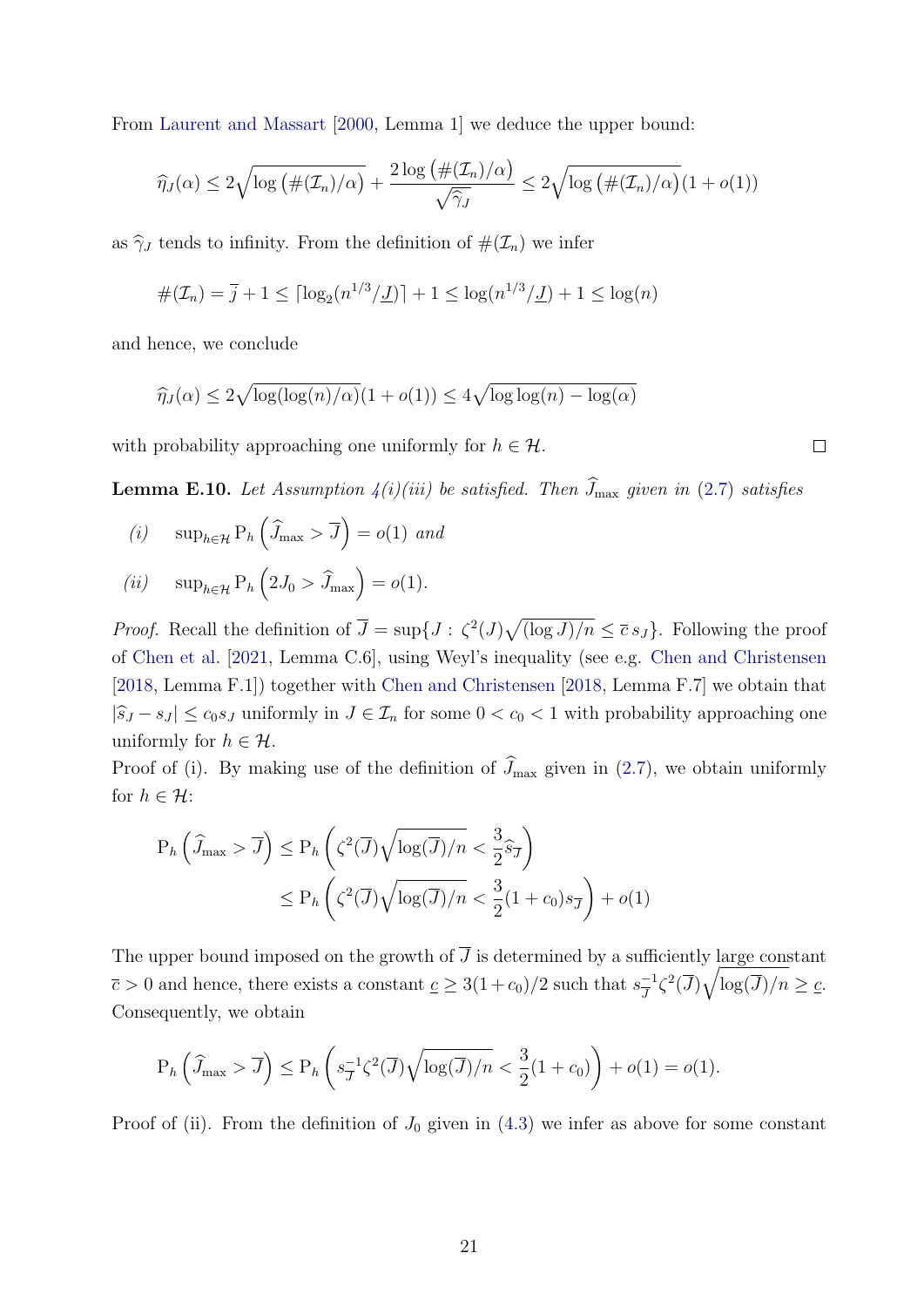From [Laurent and Massart](#page-32-12) [\[2000,](#page-32-12) Lemma 1] we deduce the upper bound:

$$
\widehat{\eta}_J(\alpha) \le 2\sqrt{\log\left(\#(\mathcal{I}_n)/\alpha\right)} + \frac{2\log\left(\#(\mathcal{I}_n)/\alpha\right)}{\sqrt{\widehat{\gamma}_J}} \le 2\sqrt{\log\left(\#(\mathcal{I}_n)/\alpha\right)}(1+o(1))
$$

as  $\hat{\gamma}_J$  tends to infinity. From the definition of  $\#(\mathcal{I}_n)$  we infer

$$
\#(\mathcal{I}_n) = \overline{j} + 1 \leq \lceil \log_2(n^{1/3}/\underline{J}) \rceil + 1 \leq \log(n^{1/3}/\underline{J}) + 1 \leq \log(n)
$$

and hence, we conclude

$$
\widehat{\eta}_J(\alpha) \le 2\sqrt{\log(\log(n)/\alpha)}(1 + o(1)) \le 4\sqrt{\log\log(n) - \log(\alpha)}
$$

with probability approaching one uniformly for  $h \in \mathcal{H}$ .

<span id="page-66-0"></span>**Lemma E.10.** Let Assumption  $4(i)(iii)$  $4(i)(iii)$  be satisfied. Then  $\widehat{J}_{\text{max}}$  given in [\(2.7\)](#page-8-4) satisfies

- (*i*)  $\sup_{h \in \mathcal{H}} \mathrm{P}_h \left( \widehat{J}_{\text{max}} > \overline{J} \right) = o(1)$  and
- (*ii*)  $\sup_{h \in \mathcal{H}} P_h \left( 2J_0 > \hat{J}_{\text{max}} \right) = o(1).$

*Proof.* Recall the definition of  $\overline{J} = \sup\{J : \zeta^2(J)\sqrt{(\log J)/n} \le \overline{c} s_J\}$ . Following the proof of [Chen et al.](#page-31-13) [\[2021,](#page-31-13) Lemma C.6], using Weyl's inequality (see e.g. [Chen and Christensen](#page-31-8) [\[2018,](#page-31-8) Lemma F.1]) together with [Chen and Christensen](#page-31-8) [\[2018,](#page-31-8) Lemma F.7] we obtain that  $|\widehat{s}_J - s_J| \le c_0 s_J$  uniformly in  $J \in \mathcal{I}_n$  for some  $0 < c_0 < 1$  with probability approaching one uniformly for  $h \in \mathcal{H}$ .

Proof of (i). By making use of the definition of  $\widehat{J}_{\text{max}}$  given in [\(2.7\)](#page-8-4), we obtain uniformly for  $h \in \mathcal{H}$ :

$$
P_h\left(\widehat{J}_{\max} > \overline{J}\right) \le P_h\left(\zeta^2(\overline{J})\sqrt{\log(\overline{J})/n} < \frac{3}{2}\widehat{s}_{\overline{J}}\right)
$$
  

$$
\le P_h\left(\zeta^2(\overline{J})\sqrt{\log(\overline{J})/n} < \frac{3}{2}(1+c_0)s_{\overline{J}}\right) + o(1)
$$

The upper bound imposed on the growth of  $\overline{J}$  is determined by a sufficiently large constant  $\overline{c} > 0$  and hence, there exists a constant  $\underline{c} \geq 3(1+c_0)/2$  such that  $s_{\overline{1}}^{-1}$  $\frac{-1}{J}\zeta^2(\overline{J})\sqrt{\log(\overline{J})/n} \geq \underline{c}.$ Consequently, we obtain

$$
P_h\left(\widehat{J}_{\max} > \overline{J}\right) \le P_h\left(s_{\overline{J}}^{-1}\zeta^2(\overline{J})\sqrt{\log(\overline{J})/n} < \frac{3}{2}(1+c_0)\right) + o(1) = o(1).
$$

Proof of (ii). From the definition of  $J_0$  given in [\(4.3\)](#page-15-3) we infer as above for some constant

 $\Box$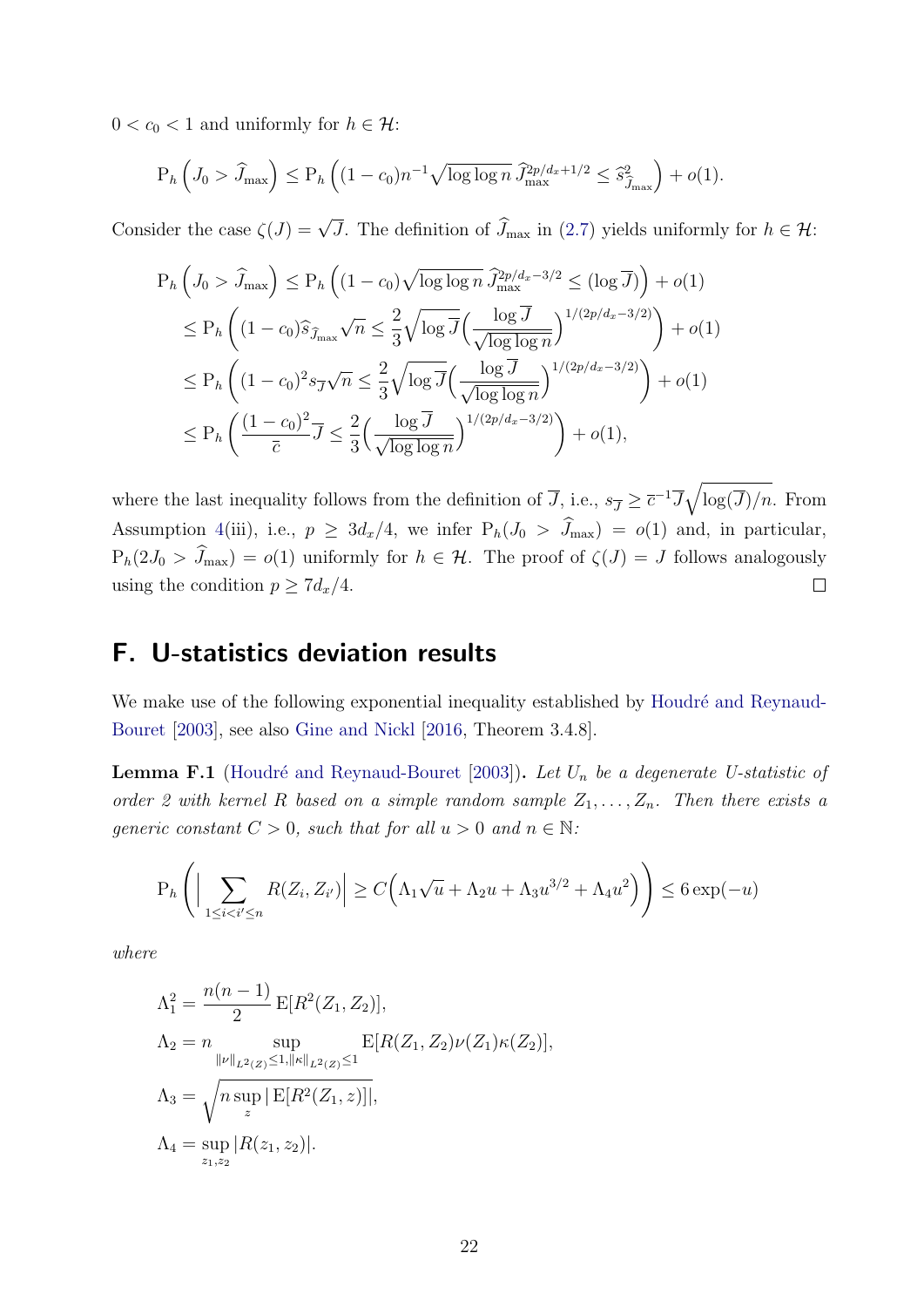$0 < c_0 < 1$  and uniformly for  $h \in \mathcal{H}$ :

$$
P_h\left(J_0 > \widehat{J}_{\max}\right) \le P_h\left((1 - c_0)n^{-1}\sqrt{\log\log n} \,\widehat{J}_{\max}^{2p/d_x + 1/2} \le \widehat{s}_{\widehat{J}_{\max}}^2\right) + o(1).
$$

Consider the case  $\zeta(J) = \sqrt{J}$ . The definition of  $\widehat{J}_{\text{max}}$  in [\(2.7\)](#page-8-4) yields uniformly for  $h \in \mathcal{H}$ :

$$
P_h\left(J_0 > \hat{J}_{\text{max}}\right) \le P_h\left((1 - c_0)\sqrt{\log\log n} \,\hat{J}_{\text{max}}^{2p/d_x - 3/2} \le (\log \overline{J})\right) + o(1)
$$
  
\n
$$
\le P_h\left((1 - c_0)\hat{s}_{\hat{J}_{\text{max}}}\sqrt{n} \le \frac{2}{3}\sqrt{\log\overline{J}}\left(\frac{\log\overline{J}}{\sqrt{\log\log n}}\right)^{1/(2p/d_x - 3/2)}\right) + o(1)
$$
  
\n
$$
\le P_h\left((1 - c_0)^2 s_{\overline{J}}\sqrt{n} \le \frac{2}{3}\sqrt{\log\overline{J}}\left(\frac{\log\overline{J}}{\sqrt{\log\log n}}\right)^{1/(2p/d_x - 3/2)}\right) + o(1)
$$
  
\n
$$
\le P_h\left(\frac{(1 - c_0)^2}{\overline{c}}\overline{J} \le \frac{2}{3}\left(\frac{\log\overline{J}}{\sqrt{\log\log n}}\right)^{1/(2p/d_x - 3/2)}\right) + o(1),
$$

where the last inequality follows from the definition of  $\overline{J}$ , i.e.,  $s_{\overline{J}} \geq \overline{c}^{-1} \overline{J} \sqrt{\log(\overline{J})/n}$ . From Assumption [4\(](#page-14-2)iii), i.e.,  $p \geq 3d_x/4$ , we infer  $P_h(J_0 > \hat{J}_{max}) = o(1)$  and, in particular,  $P_h(2J_0 > \hat{J}_{\text{max}}) = o(1)$  uniformly for  $h \in \mathcal{H}$ . The proof of  $\zeta(J) = J$  follows analogously using the condition  $p > 7d_x/4$ . using the condition  $p \geq 7d_x/4$ .

# <span id="page-67-0"></span>F. U-statistics deviation results

We make use of the following exponential inequality established by Houdré and Reynaud-[Bouret](#page-32-13) [\[2003\]](#page-32-13), see also [Gine and Nickl](#page-32-14) [\[2016,](#page-32-14) Theorem 3.4.8].

<span id="page-67-1"></span>**Lemma F.1** (Houdré and Reynaud-Bouret [\[2003\]](#page-32-13)). Let  $U_n$  be a degenerate U-statistic of order 2 with kernel R based on a simple random sample  $Z_1, \ldots, Z_n$ . Then there exists a generic constant  $C > 0$ , such that for all  $u > 0$  and  $n \in \mathbb{N}$ :

$$
\mathbf{P}_h\left(\Big|\sum_{1\leq i< i'\leq n} R(Z_i,Z_{i'})\Big|\geq C\Big(\Lambda_1\sqrt{u}+\Lambda_2u+\Lambda_3u^{3/2}+\Lambda_4u^2\Big)\right)\leq 6\exp(-u)
$$

where

$$
\Lambda_1^2 = \frac{n(n-1)}{2} \mathbb{E}[R^2(Z_1, Z_2)],
$$
  
\n
$$
\Lambda_2 = n \sup_{\|\nu\|_{L^2(Z)} \le 1, \|\kappa\|_{L^2(Z)} \le 1} \mathbb{E}[R(Z_1, Z_2)\nu(Z_1)\kappa(Z_2)],
$$
  
\n
$$
\Lambda_3 = \sqrt{n \sup_z |\mathbb{E}[R^2(Z_1, z)]|},
$$
  
\n
$$
\Lambda_4 = \sup_{z_1, z_2} |R(z_1, z_2)|.
$$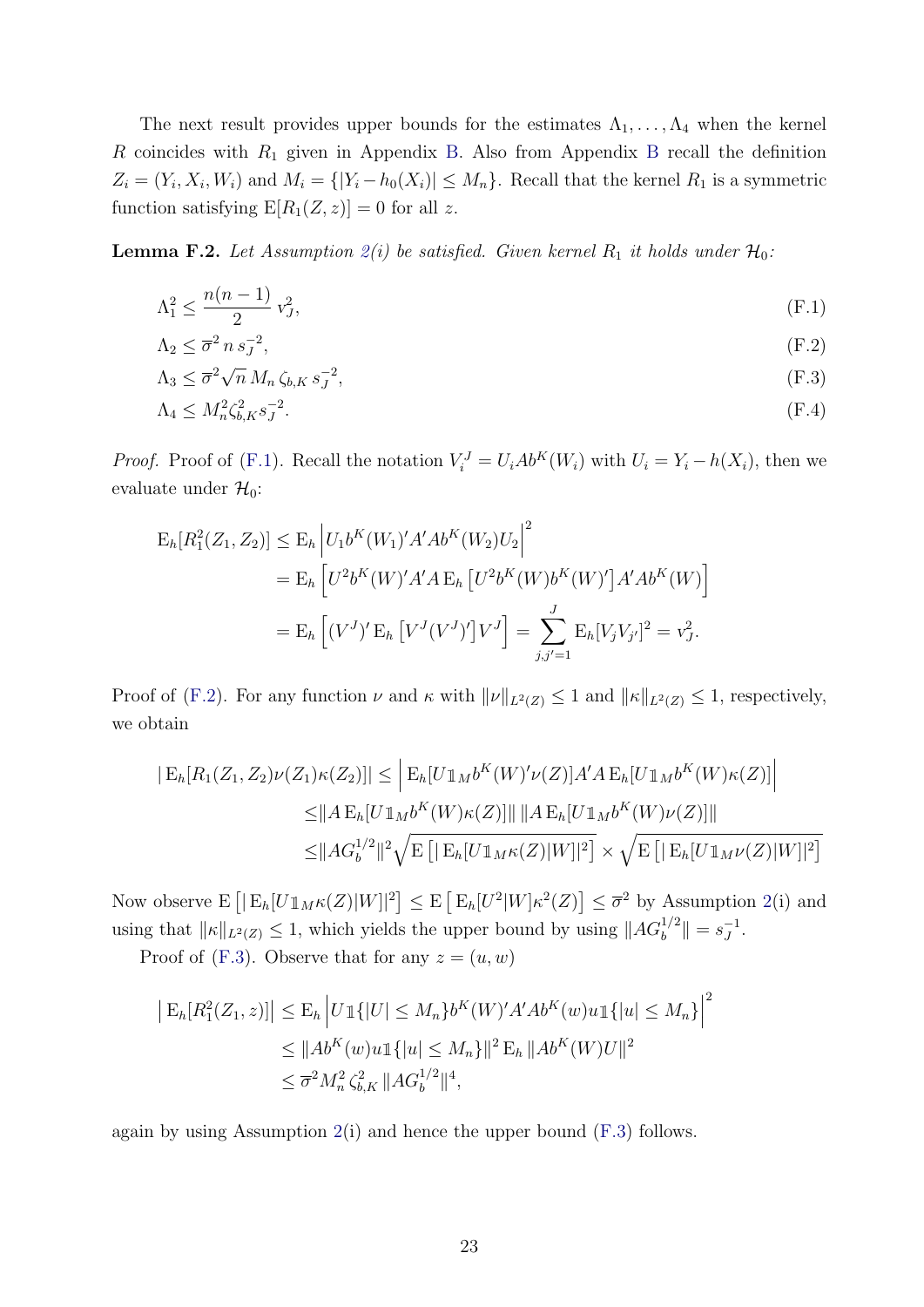The next result provides upper bounds for the estimates  $\Lambda_1, \ldots, \Lambda_4$  when the kernel R coincides with  $R_1$  given in Appendix [B.](#page-35-0) Also from Appendix [B](#page-35-0) recall the definition  $Z_i = (Y_i, X_i, W_i)$  and  $M_i = \{ |Y_i - h_0(X_i)| \leq M_n \}$ . Recall that the kernel  $R_1$  is a symmetric function satisfying  $E[R_1(Z, z)] = 0$  for all z.

<span id="page-68-0"></span>**Lemma F.2.** Let Assumption  $2(i)$  $2(i)$  be satisfied. Given kernel  $R_1$  it holds under  $\mathcal{H}_0$ :

$$
\Lambda_1^2 \le \frac{n(n-1)}{2} \, v_J^2,\tag{F.1}
$$

<span id="page-68-3"></span><span id="page-68-2"></span><span id="page-68-1"></span>
$$
\Lambda_2 \le \overline{\sigma}^2 n s_J^{-2},\tag{F.2}
$$

$$
\Lambda_3 \leq \overline{\sigma}^2 \sqrt{n} \, M_n \, \zeta_{b,K} \, s_J^{-2},\tag{F.3}
$$

<span id="page-68-4"></span>
$$
\Lambda_4 \le M_n^2 \zeta_{b,K}^2 s_J^{-2}.\tag{F.4}
$$

*Proof.* Proof of [\(F.1\)](#page-68-1). Recall the notation  $V_i^J = U_i Ab^K(W_i)$  with  $U_i = Y_i - h(X_i)$ , then we evaluate under  $\mathcal{H}_0$ :

$$
E_h[R_1^2(Z_1, Z_2)] \le E_h \left| U_1 b^K(W_1)' A' Ab^K(W_2) U_2 \right|^2
$$
  
=  $E_h \left[ U^2 b^K(W)' A' A E_h \left[ U^2 b^K(W) b^K(W)' \right] A' Ab^K(W) \right]$   
=  $E_h \left[ (V^J)' E_h \left[ V^J(V^J)' \right] V^J \right] = \sum_{j,j'=1}^J E_h[V_j V_{j'}]^2 = v_J^2.$ 

Proof of [\(F.2\)](#page-68-2). For any function  $\nu$  and  $\kappa$  with  $\|\nu\|_{L^2(Z)} \leq 1$  and  $\|\kappa\|_{L^2(Z)} \leq 1$ , respectively, we obtain

$$
|E_h[R_1(Z_1, Z_2)\nu(Z_1)\kappa(Z_2)]| \leq |E_h[U\mathbb{1}_M b^K(W)'\nu(Z)]A'A E_h[U\mathbb{1}_M b^K(W)\kappa(Z)]|
$$
  
\n
$$
\leq ||A E_h[U\mathbb{1}_M b^K(W)\kappa(Z)]|| ||A E_h[U\mathbb{1}_M b^K(W)\nu(Z)]||
$$
  
\n
$$
\leq ||A G_b^{1/2}||^2 \sqrt{E [|E_h[U\mathbb{1}_M \kappa(Z)|W]|^2]} \times \sqrt{E [|E_h[U\mathbb{1}_M \nu(Z)|W]|^2]}
$$

Now observe  $E\left[|E_h[U1_M\kappa(Z)|W]|^2\right] \leq E\left[E_h[U^2|W]\kappa^2(Z)\right] \leq \overline{\sigma}^2$  $E\left[|E_h[U1_M\kappa(Z)|W]|^2\right] \leq E\left[E_h[U^2|W]\kappa^2(Z)\right] \leq \overline{\sigma}^2$  $E\left[|E_h[U1_M\kappa(Z)|W]|^2\right] \leq E\left[E_h[U^2|W]\kappa^2(Z)\right] \leq \overline{\sigma}^2$  by Assumption 2(i) and using that  $||\kappa||_{L^2(Z)} \leq 1$ , which yields the upper bound by using  $||AG_b^{1/2}|| = s_J^{-1}$  $\frac{-1}{J}$ .

Proof of [\(F.3\)](#page-68-3). Observe that for any  $z = (u, w)$ 

$$
\begin{aligned} \left| \mathcal{E}_h[R_1^2(Z_1, z)] \right| &\leq \mathcal{E}_h \left| U \mathbb{1}\{|U| \leq M_n\} b^K(W)' A' A b^K(w) u \mathbb{1}\{|u| \leq M_n\} \right|^2 \\ &\leq \|Ab^K(w) u \mathbb{1}\{|u| \leq M_n\} \|^2 \mathcal{E}_h \, \|Ab^K(W) U \|^2 \\ &\leq \overline{\sigma}^2 M_n^2 \zeta_{b,K}^2 \, \|AG_b^{1/2}\|^4, \end{aligned}
$$

again by using Assumption  $2(i)$  $2(i)$  and hence the upper bound  $(F.3)$  follows.